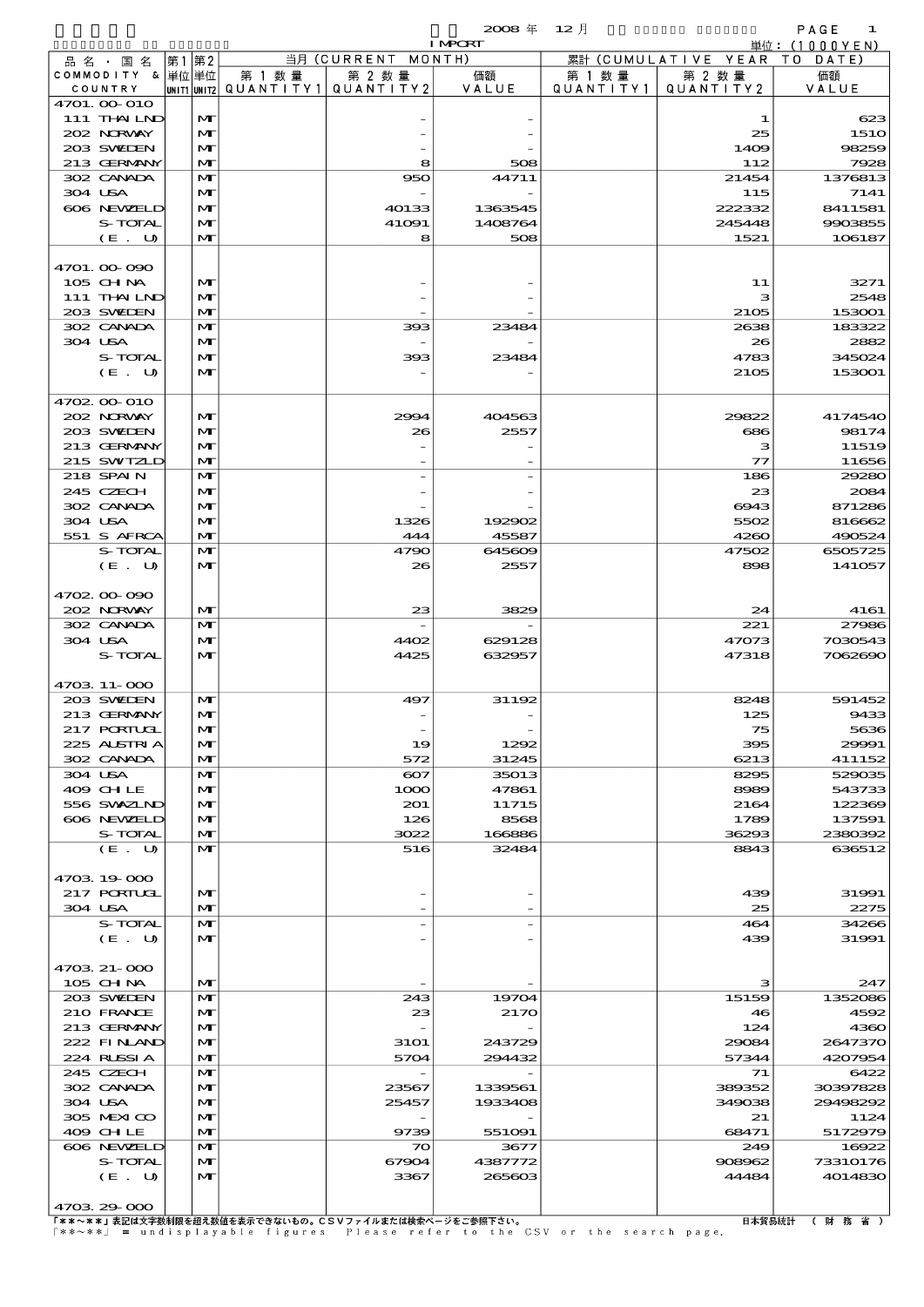$2008 \nleftrightarrow 12 \nparallel$  PAGE 1

|                    |              |        |                                       | <b>I MPCRT</b> |           |                              | 単位: (1000 Y E N ) |
|--------------------|--------------|--------|---------------------------------------|----------------|-----------|------------------------------|-------------------|
| 品 名 ・ 国 名          | 第1第2         |        | 当月 (CURRENT MONTH)                    |                |           | 累計 (CUMULATIVE YEAR TO DATE) |                   |
| COMMODITY & 単位単位   |              | 第 1 数量 | 第 2 数量                                | 価額             | 第 1 数 量   | 第 2 数量                       | 価額                |
| COUNTRY            |              |        | unit1 unit2  QUANT   TY1  QUANT   TY2 | VALUE          | QUANTITY1 | QUANTITY2                    | VALUE             |
| 4701. OO 010       |              |        |                                       |                |           |                              |                   |
| 111 THAILND        | M            |        |                                       |                |           | 1                            | 623               |
| 202 NRWAY          | M            |        |                                       |                |           | 25                           | <b>1510</b>       |
| 203 SWIEN          | $\mathbf{M}$ |        |                                       |                |           | 1409                         | 98259             |
| 213 GERMANY        | $\mathbf{M}$ |        | 8                                     | 508            |           | 112                          | 7928              |
| 302 CANADA         | $\mathbf{M}$ |        | 950                                   | 44711          |           | 21454                        | 1376813           |
| 304 USA            | M            |        |                                       |                |           | 115                          | 7141              |
| 606 NEWELD         | M            |        | 40133                                 | 1363545        |           | 222332                       | 8411581           |
| S-TOTAL            | $\mathbf{M}$ |        | 41091                                 | 1408764        |           | 245448                       | 9903855           |
| (E. U)             | $\mathbf{M}$ |        | 8                                     | 508            |           | 1521                         | 106187            |
|                    |              |        |                                       |                |           |                              |                   |
| 4701.00-090        |              |        |                                       |                |           |                              |                   |
| 105 CHNA           | $\mathbf{M}$ |        |                                       |                |           | 11                           | 3271              |
| 111 THAILND        | $\mathbf{M}$ |        |                                       |                |           | з                            | 2548              |
| 203 SWIEN          | M            |        |                                       |                |           | 2105                         | 153001            |
| 302 CANADA         | $\mathbf{M}$ |        | 393                                   | 23484          |           | 2638                         | 183322            |
| 304 USA            | $\mathbf{M}$ |        |                                       |                |           | 26                           | 2882              |
| S-TOTAL            | M            |        | 393                                   | 23484          |           | 4783                         | 345024            |
|                    | $\mathbf{M}$ |        |                                       |                |           | 2105                         |                   |
| (E. U)             |              |        |                                       |                |           |                              | 153001            |
| 4702.00-010        |              |        |                                       |                |           |                              |                   |
|                    |              |        |                                       |                |           |                              |                   |
| 202 NORWAY         | M            |        | 2994                                  | 404563         |           | 29822                        | 4174540           |
| 203 SWIEN          | $\mathbf{M}$ |        | 26                                    | 2557           |           | 686                          | 98174             |
| 213 GERMANY        | $\mathbf{M}$ |        |                                       |                |           | з                            | 11519             |
| 215 SWIZLD         | M            |        |                                       |                |           | $\mathcal{T}$                | 11656             |
| 218 SPAIN          | $\mathbf{M}$ |        |                                       |                |           | 186                          | 29280             |
| 245 CZECH          | M            |        |                                       |                |           | 23                           | 2084              |
| 302 CANADA         | M            |        |                                       |                |           | 6943                         | 871286            |
| 304 USA            | $\mathbf{M}$ |        | 1326                                  | 192902         |           | 5502                         | 816662            |
| 551 S AFRCA        | $\mathbf{M}$ |        | 444                                   | 45587          |           | 4260                         | 490524            |
| S-TOTAL            | $\mathbf{M}$ |        | 4790                                  | 645609         |           | 47502                        | 6505725           |
| (E. U)             | $\mathbf{M}$ |        | 26                                    | 2557           |           | 898                          | 141057            |
|                    |              |        |                                       |                |           |                              |                   |
| 4702.00.090        |              |        |                                       |                |           |                              |                   |
| 202 NORWAY         | M            |        | 23                                    | 3829           |           | 24                           | 4161              |
| 302 CANADA         | $\mathbf{M}$ |        |                                       |                |           | 221                          | 27986             |
| 304 USA            | $\mathbf{M}$ |        | 4402                                  | 629128         |           | 47073                        | 7030543           |
| S-TOTAL            | $\mathbf{M}$ |        | 4425                                  | 632957         |           | 47318                        | 7062690           |
|                    |              |        |                                       |                |           |                              |                   |
| 4703.11-000        |              |        |                                       |                |           |                              |                   |
| 203 SWIEN          | $\mathbf{M}$ |        | 497                                   | 31192          |           | 8248                         | 591452            |
| 213 GERMANY        | M            |        |                                       |                |           | 125                          | 9433              |
| <b>217 PORTUGL</b> | $\mathbf{M}$ |        |                                       |                |           | 75                           | 5636              |
| 225 ALSTRIA        |              |        |                                       | 1292           |           |                              |                   |
|                    | M            |        | 19                                    |                |           | 395                          | 29991             |
| 302 CANADA         | M            |        | 572                                   | 31245          |           | 6213                         | 411152            |
| 304 USA            | M            |        | $_{\rm e}$                            | 35013          |           | 8295                         | 529035            |
| 409 CHLE           | M            |        | 1000                                  | 47861          |           | 8989                         | 543733            |
| 556 SWXZLND        | $\mathbf{M}$ |        | 201                                   | 11715          |           | 2164                         | 122369            |
| 606 NEWELD         | M            |        | 126                                   | 8568           |           | 1789                         | 137591            |
| S-TOTAL            | M            |        | 3022                                  | 166886         |           | 36293                        | 2380392           |
| (E. U)             | $\mathbf{M}$ |        | 516                                   | 32484          |           | 8843                         | 636512            |
|                    |              |        |                                       |                |           |                              |                   |
| 4703 19 000        |              |        |                                       |                |           |                              |                   |
| 217 PORTUGL        | $\mathbf{M}$ |        |                                       |                |           | 439                          | 31991             |
| 304 USA            | M            |        |                                       |                |           | 25                           | 2275              |
| S-TOTAL            | M            |        |                                       |                |           | 464                          | 34266             |
| (E. U)             | $\mathbf{M}$ |        |                                       |                |           | 439                          | 31991             |
|                    |              |        |                                       |                |           |                              |                   |
| 4703 21-000        |              |        |                                       |                |           |                              |                   |
| 105 CH NA          | M            |        |                                       |                |           | з                            | 247               |
| 203 SWIDEN         | $\mathbf{M}$ |        | 243                                   | 19704          |           | 15159                        | 1352086           |
| 210 FRANCE         | M            |        | 23                                    | 2170           |           | 46                           | 4592              |
| 213 GERMANY        | M            |        |                                       |                |           | 124                          | 4360              |
| 222 FINAND         | M            |        | <b>31O1</b>                           | 243729         |           | 29084                        | 2647370           |
| 224 RUSSIA         | M            |        | 5704                                  | 294432         |           | 57344                        | 4207954           |
| 245 CZECH          | M            |        |                                       |                |           | 71                           | 6422              |
| 302 CANADA         | M            |        | 23567                                 | 1339561        |           | 389352                       | 30397828          |
| 304 USA            | M            |        | 25457                                 | 1933408        |           | 349038                       | 29498292          |
| 305 MEXICO         | M            |        |                                       |                |           | 21                           | 1124              |
|                    |              |        |                                       |                |           |                              |                   |
| 409 CHLE           | M            |        | 9739                                  | 551091         |           | 68471                        | 5172979           |
| 606 NEWELD         | M            |        | $\boldsymbol{\infty}$                 | 3677           |           | 249                          | 16922             |
| S-TOTAL            | M            |        | 67904                                 | 4387772        |           | 908962                       | 73310176          |
| (E. U)             | $\mathbf{M}$ |        | 3367                                  | 265603         |           | 44484                        | 4014830           |

4703.29-000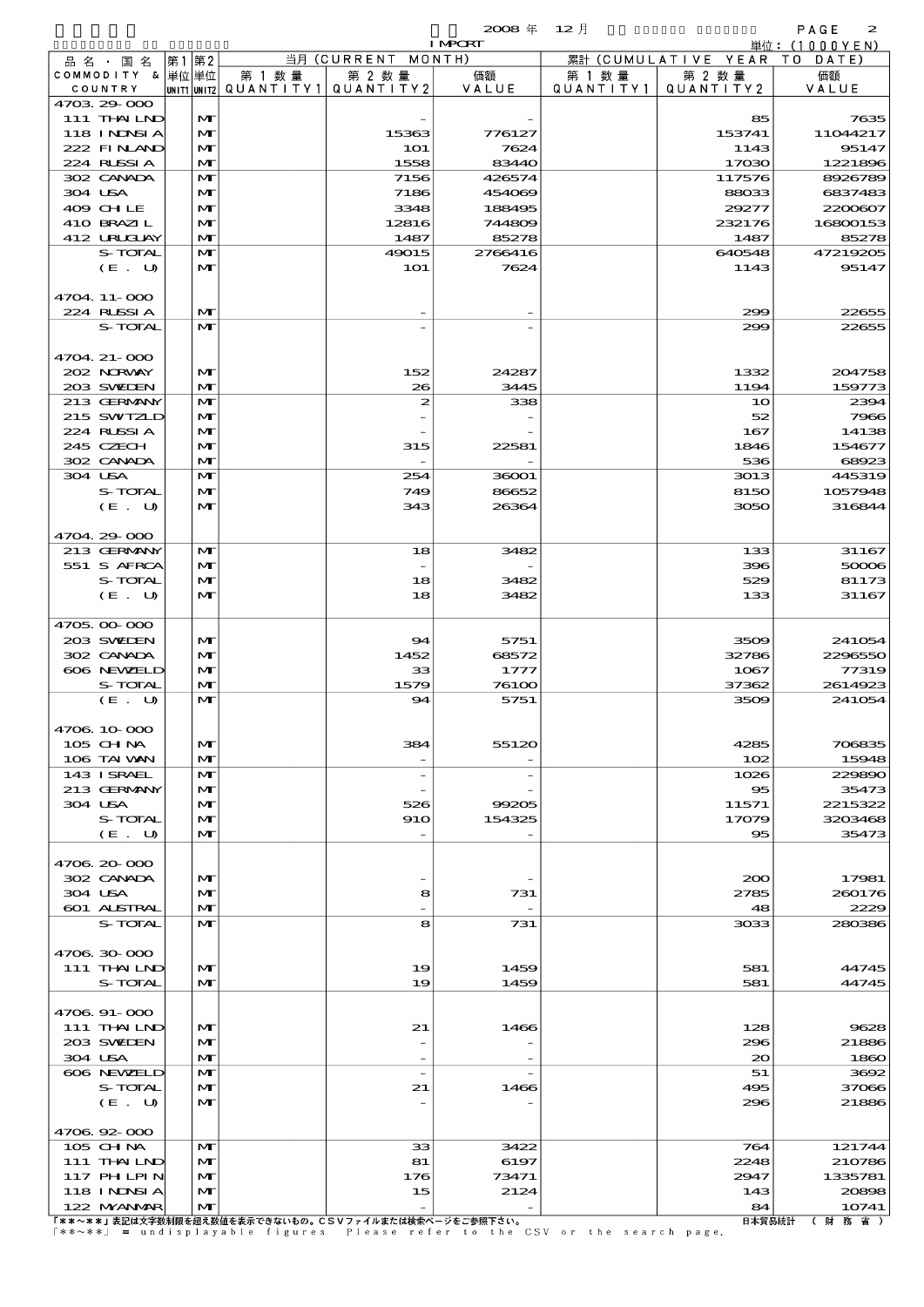|                               |             |                              |                      |                     | $2008 \text{ } \#$ | $12$ 月               |                      | PAGE<br>$\boldsymbol{z}$ |
|-------------------------------|-------------|------------------------------|----------------------|---------------------|--------------------|----------------------|----------------------|--------------------------|
|                               |             |                              |                      |                     | <b>I MPCRT</b>     |                      |                      | 単位:(1000YEN)             |
| 品 名 ・ 国 名<br>COMMODITY & 単位単位 | 第1          | 第2                           | 当月 (CURRENT MONTH)   |                     |                    |                      | 累計 (CUMULATIVE YEAR) | TO DATE)                 |
| COUNTRY                       | UNIT1 UNIT2 |                              | 第 1 数 量<br>QUANTITY1 | 第 2 数量<br>QUANTITY2 | 価額<br>VALUE        | 第 1 数 量<br>QUANTITY1 | 第 2 数量<br>QUANTITY 2 | 価額<br>VALUE              |
| 4703 29 000                   |             |                              |                      |                     |                    |                      |                      |                          |
| 111 THAILND<br>118 INNSI A    |             | $\mathbf{M}$<br>$\mathbf{M}$ |                      | 15363               | 776127             |                      | 85<br>153741         | 7635<br>11044217         |
| 222 FINAND                    |             | $\mathbf{M}$                 |                      | <b>1O1</b>          | 7624               |                      | 1143                 | 95147                    |
| 224 RUSSIA                    |             | $\mathbf{M}$                 |                      | 1558                | 83440              |                      | 17030                | 1221896                  |
| 302 CANADA                    |             | $\mathbf{M}$                 |                      | 7156                | 426574             |                      | 117576               | 8926789                  |
| 304 USA                       |             | M                            |                      | 7186                | 454069             |                      | 88033                | 6837483                  |
| 409 CHLE<br>410 BRAZIL        |             | $\mathbf{M}$<br>M            |                      | 3348<br>12816       | 188495<br>744809   |                      | 29277<br>232176      | 2200607<br>16800153      |
| 412 URUJAY                    |             | $\mathbf{M}$                 |                      | 1487                | 85278              |                      | 1487                 | 85278                    |
| S-TOTAL                       |             | $\mathbf{M}$                 |                      | 49015               | 2766416            |                      | 640548               | 47219205                 |
| (E. U)                        |             | $\mathbf{M}$                 |                      | <b>1O1</b>          | 7624               |                      | 1143                 | 95147                    |
| 4704.11-000                   |             |                              |                      |                     |                    |                      |                      |                          |
| 224 RUSSIA                    |             | $\mathbf{M}$                 |                      |                     |                    |                      | 299                  | 22655                    |
| S-TOTAL                       |             | $\mathbf{M}$                 |                      |                     |                    |                      | 299                  | 22655                    |
| 4704. 21-000                  |             |                              |                      |                     |                    |                      |                      |                          |
| 202 NORWAY                    |             | $\mathbf{M}$                 |                      | 152                 | 24287              |                      | 1332                 | 204758                   |
| 203 SWIEN                     |             | $\mathbf{M}$                 |                      | 26                  | 3445               |                      | 1194                 | 159773                   |
| 213 GERMANY                   |             | $\mathbf{M}$                 |                      | $\boldsymbol{z}$    | 338                |                      | 10                   | 2394                     |
| 215 SWIZLD<br>224 RUSSIA      |             | M<br>$\mathbf{M}$            |                      |                     |                    |                      | 52<br>167            | 7966<br>14138            |
| 245 CZECH                     |             | M                            |                      | 315                 | 22581              |                      | 1846                 | 154677                   |
| 302 CANADA                    |             | $\mathbf{M}$                 |                      |                     |                    |                      | 536                  | 68923                    |
| 304 USA                       |             | $\mathbf{M}$                 |                      | 254                 | 36001              |                      | 3013                 | 445319                   |
| S-TOTAL<br>(E. U)             |             | $\mathbf{M}$<br>$\mathbf{M}$ |                      | 749<br>343          | 86652<br>26364     |                      | 8150<br>3050         | 1057948<br>316844        |
|                               |             |                              |                      |                     |                    |                      |                      |                          |
| 4704.29-000                   |             |                              |                      |                     |                    |                      |                      |                          |
| 213 GERMANY                   |             | M                            |                      | 18                  | 3482               |                      | 133                  | 31167                    |
| 551 S AFRCA<br>S-TOTAL        |             | $\mathbf{M}$<br>$\mathbf{M}$ |                      | 18                  | 3482               |                      | 396<br>529           | 50006<br>81173           |
| (E. U)                        |             | $\mathbf{M}$                 |                      | 18                  | 3482               |                      | 133                  | 31167                    |
|                               |             |                              |                      |                     |                    |                      |                      |                          |
| 4705.00.000                   |             |                              |                      |                     |                    |                      |                      |                          |
| 203 SWIEN<br>302 CANADA       |             | $\mathbf{M}$<br>M            |                      | 94<br>1452          | 5751<br>68572      |                      | 3509<br>32786        | 241054<br>2296550        |
| 606 NEWELD                    |             | $\mathbf{M}$                 |                      | 33                  | 1777               |                      | 1067                 | 77319                    |
| S-TOTAL                       |             | $\mathbf{M}$                 |                      | 1579                | 76100              |                      | 37362                | 2614923                  |
| (E U)                         |             | M                            |                      | 94                  | 5751               |                      | 3509                 | 241054                   |
| 4706 10 000                   |             |                              |                      |                     |                    |                      |                      |                          |
| 105 CH NA                     |             | $\mathbf{M}$                 |                      | 384                 | 55120              |                      | 4285                 | 706835                   |
| 106 TAI VAN                   |             | M                            |                      |                     |                    |                      | 102                  | 15948                    |
| 143 ISRAEL                    |             | M                            |                      |                     |                    |                      | 1026                 | 229890                   |
| 213 GERMANY<br>304 USA        |             | $\mathbf{M}$<br>M            |                      | 526                 | 99205              |                      | 95<br>11571          | 35473<br>2215322         |
| S-TOTAL                       |             | M                            |                      | 910                 | 154325             |                      | 17079                | 3203468                  |
| (E. U)                        |             | M                            |                      |                     |                    |                      | $\bf{85}$            | 35473                    |
| 4706.20-000                   |             |                              |                      |                     |                    |                      |                      |                          |
| 302 CANADA                    |             | M                            |                      |                     |                    |                      | 200                  | 17981                    |
| 304 USA                       |             | $\mathbf{M}$                 |                      | 8                   | 731                |                      | 2785                 | 260176                   |
| <b>601 ALSTRAL</b>            |             | M                            |                      |                     |                    |                      | 48                   | 2229                     |
| S-TOTAL                       |             | M                            |                      | 8                   | 731                |                      | 3033                 | 280386                   |
| 4706 30 000                   |             |                              |                      |                     |                    |                      |                      |                          |
| 111 THAILND                   |             | $\mathbf{M}$                 |                      | 19                  | 1459               |                      | 581                  | 44745                    |
| S-TOTAL                       |             | $\mathbf{M}$                 |                      | 19                  | 1459               |                      | 581                  | 44745                    |
| 4706.91-000                   |             |                              |                      |                     |                    |                      |                      |                          |
| 111 THAILND                   |             | $\mathbf{M}$                 |                      | 21                  | 1466               |                      | 128                  | 9628                     |
| 203 SWIEN                     |             | $\mathbf{M}$                 |                      |                     |                    |                      | 296                  | 21886                    |
| 304 USA                       |             | M                            |                      |                     |                    |                      | 20                   | 1860                     |
| 606 NEWELD<br>S-TOTAL         |             | $\mathbf{M}$<br>$\mathbf{M}$ |                      | 21                  | 1466               |                      | 51<br>495            | 3692<br>37066            |
| (E U)                         |             | $\mathbf{M}$                 |                      |                     |                    |                      | 296                  | 21886                    |
|                               |             |                              |                      |                     |                    |                      |                      |                          |

 $(E. U)$   $M$  -  $298$  21886  $\frac{4706.92-000}{105.011N4}$  $\frac{105 \text{ H Na}}{105 \text{ H Na}}$  MT 33 3422 764 121744 105 CHM MT 33 3422 764 121744<br>111 THAILND MT 81 6197 2248 210786 117 PHILPIN  $|M|$  176 73471 2947 1335781 118 INDSIA  $|\mathbf{M}|$  15 2124 143 20898 122 MYANMAR MT - - 84 10741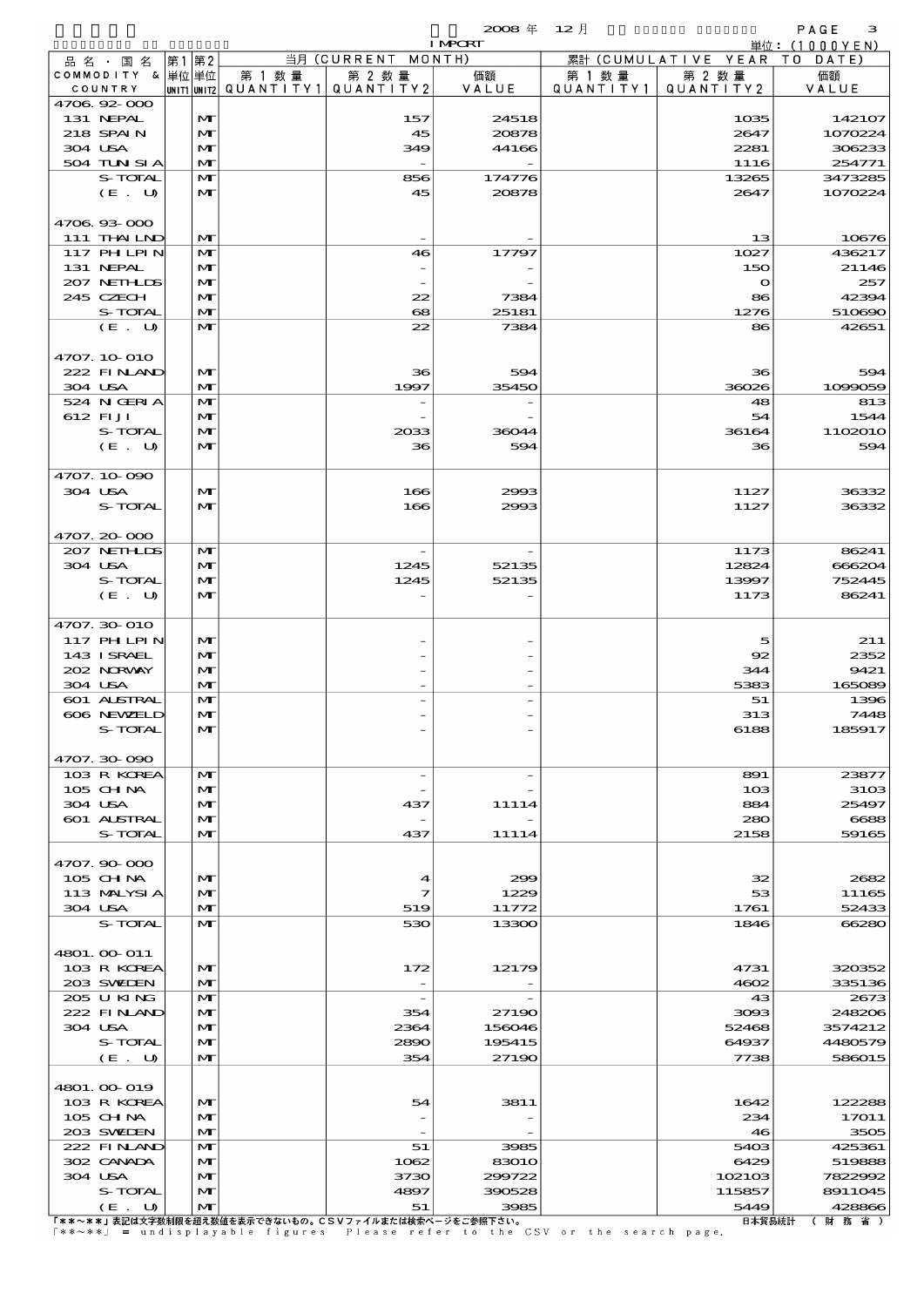$\mathbf{2008} \# \quad 12 \#$  PAGE 3

|                             |       |              |        |                                                      | <b>I MPORT</b> |           |                              | 単位: (1000YEN)     |
|-----------------------------|-------|--------------|--------|------------------------------------------------------|----------------|-----------|------------------------------|-------------------|
| 品名・国名                       | 第1 第2 |              |        | 当月 (CURRENT MONTH)                                   |                |           | 累計 (CUMULATIVE YEAR TO DATE) |                   |
| COMMODITY & 単位単位            |       |              | 第 1 数量 | 第 2 数量                                               | 価額             | 第 1 数 量   | 第 2 数量                       | 価額                |
| COUNTRY<br>4706.92-000      |       |              |        | UNIT1 UNIT2  QUANT   TY1  QUANT   TY2                | VALUE          | QUANTITY1 | QUANTITY 2                   | VALUE             |
| 131 NEPAL                   |       | M            |        | 157                                                  | 24518          |           | 1035                         | 142107            |
| 218 SPAIN                   |       | M            |        | 45                                                   | 20878          |           | 2647                         | 1070224           |
| 304 USA                     |       | M            |        | 349                                                  | 44166          |           | 2281                         | 306233            |
| 504 TUN SI A                |       | M            |        |                                                      |                |           | 1116                         | 254771            |
| S-TOTAL                     |       | M            |        | 856                                                  | 174776         |           | 13265                        | 3473285           |
| (E. U)                      |       | M            |        | 45                                                   | 20878          |           | 2647                         | 1070224           |
|                             |       |              |        |                                                      |                |           |                              |                   |
| 4706 93 000<br>111 THAILND  |       | M            |        |                                                      |                |           | 13                           | 10676             |
| 117 PH LPIN                 |       | M            |        | 46                                                   | 17797          |           | 1027                         | 436217            |
| 131 NEPAL                   |       | M            |        |                                                      |                |           | 150                          | 21146             |
| 207 NETHLIS                 |       | M            |        |                                                      |                |           | $\mathbf{o}$                 | 257               |
| 245 CZECH                   |       | M            |        | 22                                                   | 7384           |           | 86                           | 42394             |
| S-TOTAL                     |       | M            |        | 68                                                   | 25181          |           | 1276                         | 510690            |
| (E. U)                      |       | $\mathbf{M}$ |        | 22                                                   | 7384           |           | 86                           | 42651             |
| 4707. 10-010                |       |              |        |                                                      |                |           |                              |                   |
| 222 FINAND                  |       | MГ           |        | 36                                                   | 594            |           | 36                           | 594               |
| 304 USA                     |       | M            |        | 1997                                                 | 35450          |           | 36026                        | 1099059           |
| 524 N GERIA                 |       | M            |        |                                                      |                |           | 48                           | 813               |
| 612 FIJI                    |       | M            |        |                                                      |                |           | 54                           | 1544              |
| S-TOTAL                     |       | M            |        | 2033                                                 | 36044          |           | 36164                        | 1102010           |
| (E. U)                      |       | $\mathbf{M}$ |        | 36                                                   | 594            |           | 36                           | 594               |
|                             |       |              |        |                                                      |                |           |                              |                   |
| 4707.10.090<br>304 USA      |       | M            |        | 166                                                  | 2993           |           | 1127                         | 36332             |
| S-TOTAL                     |       | M            |        | 166                                                  | 2993           |           | 1127                         | 36332             |
|                             |       |              |        |                                                      |                |           |                              |                   |
| 4707.20-000                 |       |              |        |                                                      |                |           |                              |                   |
| 207 NETHLIS                 |       | M            |        | $\overline{\phantom{a}}$                             |                |           | 1173                         | 86241             |
| 304 USA                     |       | M            |        | 1245                                                 | 52135          |           | 12824                        | 666204            |
| S-TOTAL                     |       | M            |        | 1245                                                 | 52135          |           | 13997                        | 752445            |
| (E. U)                      |       | M            |        |                                                      |                |           | 1173                         | 86241             |
| 4707.30-010                 |       |              |        |                                                      |                |           |                              |                   |
| $117$ PHLPIN                |       | M            |        |                                                      |                |           | 5                            | 211               |
| 143 ISRAEL                  |       | M            |        |                                                      |                |           | 92                           | 2352              |
| 202 NORWAY                  |       | M            |        |                                                      |                |           | 344                          | 9421              |
| 304 USA                     |       | M            |        |                                                      |                |           | 5383                         | 165089            |
| 601 ALSTRAL                 |       | M            |        |                                                      |                |           | 51                           | 1396              |
| 606 NEWELD<br>S-TOTAL       |       | M<br>M       |        |                                                      |                |           | 313<br>6188                  | 7448<br>185917    |
|                             |       |              |        |                                                      |                |           |                              |                   |
| 4707.30-090                 |       |              |        |                                                      |                |           |                              |                   |
| 103 R KOREA                 |       | M            |        | $\overline{\phantom{a}}$                             |                |           | 891                          | 23877             |
| 105 CH NA                   |       | M            |        |                                                      |                |           | 10 <sub>3</sub>              | 3103              |
| 304 USA                     |       | M            |        | 437                                                  | 11114          |           | 884                          | 25497             |
| 601 ALSTRAL                 |       | M            |        |                                                      |                |           | 280                          | 6688              |
| S-TOTAL                     |       | M            |        | 437                                                  | 11114          |           | 2158                         | 59165             |
| 4707.90-000                 |       |              |        |                                                      |                |           |                              |                   |
| $105$ CHNA                  |       | M            |        | 4                                                    | 299            |           | 32                           | 2682              |
| 113 MALYSIA                 |       | M            |        | 7                                                    | 1229           |           | 53                           | 11165             |
| 304 USA                     |       | M            |        | 519                                                  | 11772          |           | 1761                         | 52433             |
| S-TOTAL                     |       | M            |        | 530                                                  | 13300          |           | 1846                         | 66280             |
|                             |       |              |        |                                                      |                |           |                              |                   |
| 4801. 00 011<br>103 R KOREA |       | MГ           |        | 172                                                  | 12179          |           | 4731                         | 320352            |
| 203 SWIDEN                  |       | M            |        |                                                      |                |           | 4602                         | 335136            |
| 205 U KING                  |       | M            |        | $\overline{\phantom{a}}$                             |                |           | 43                           | 2673              |
| 222 FINAND                  |       | M            |        | 354                                                  | 27190          |           | 3093                         | 248206            |
| 304 USA                     |       | M            |        | 2364                                                 | 156046         |           | 52468                        | 3574212           |
| S-TOTAL                     |       | M            |        | 2890                                                 | 195415         |           | 64937                        | 4480579           |
| (E. U)                      |       | M            |        | 354                                                  | 27190          |           | 7738                         | 586015            |
| 4801. 00-019                |       |              |        |                                                      |                |           |                              |                   |
| 103 R KOREA                 |       | M            |        | 54                                                   | 3811           |           | 1642                         | 122288            |
| 105 CH NA                   |       | M            |        |                                                      |                |           | 234                          | 17011             |
| 203 SVELEN                  |       | M            |        |                                                      |                |           | 46                           | 3505              |
| 222 FINLAND                 |       | M            |        | 51                                                   | 3985           |           | 5403                         | 425361            |
| 302 CANADA                  |       | M            |        | 1062                                                 | 83010          |           | 6429                         | 519888            |
| 304 USA                     |       | M            |        | 3730                                                 | 299722         |           | 102103                       | 7822992           |
| S-TOTAL<br>(E. U)           |       | M<br>M       |        | 4897<br>51                                           | 390528<br>3985 |           | 115857<br>5449               | 8911045<br>428866 |
|                             |       |              |        | 「ゃゃ。ゃゃ」主印は大字粉制限を切え粉はお主子でキたいもの」でCVコーズルまたは検索だージをご参照するい |                |           | 口士契甲结扎                       | <b>/ 8+ 夜 少 \</b> |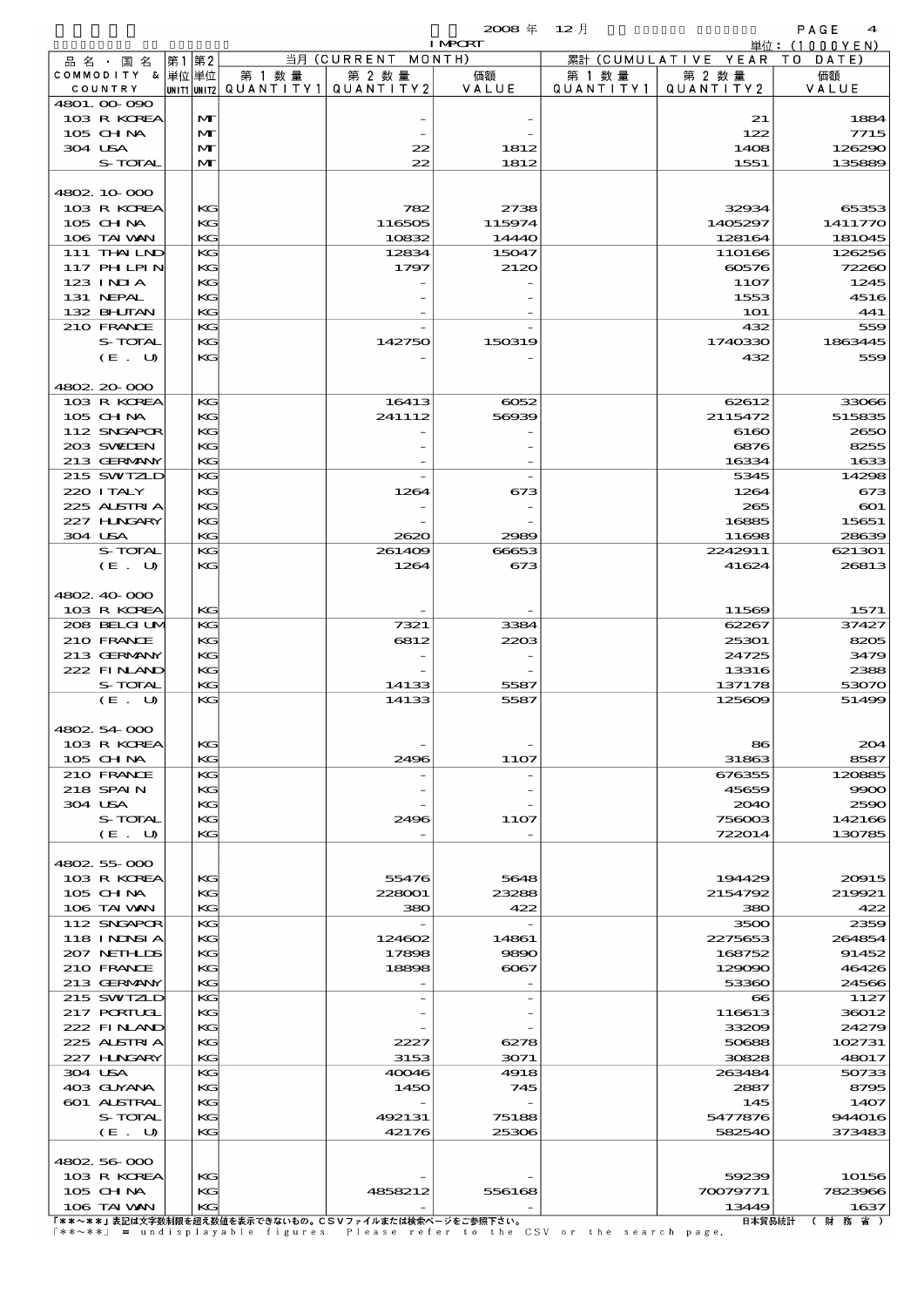$2008 \nleftrightarrow 12 \nparallel$  PAGE 4

|                       |              |                                          |                                                       | <b>I MPORT</b> |           |                              | 単位: (1000YEN)                |
|-----------------------|--------------|------------------------------------------|-------------------------------------------------------|----------------|-----------|------------------------------|------------------------------|
| 品名・国名                 | 第1第2         |                                          | 当月 (CURRENT MONTH)                                    |                |           | 累計 (CUMULATIVE YEAR TO DATE) |                              |
| COMMODITY & 単位単位      |              | 第 1 数量                                   | 第 2 数量                                                | 価額             | 第 1 数量    | 第 2 数量                       | 価額                           |
| COUNTRY               |              | UNIT1 UNIT2  QUANT I TY 1   QUANT I TY 2 |                                                       | VALUE          | QUANTITY1 | QUANTITY2                    | VALUE                        |
| 4801.00.090           |              |                                          |                                                       |                |           |                              |                              |
| 103 R KOREA           | M            |                                          |                                                       |                |           | 21                           | 1884                         |
| 105 CHNA              | $\mathbf{M}$ |                                          |                                                       |                |           | 122                          | <b>7715</b>                  |
| 304 USA               | M            |                                          | 22                                                    | 1812           |           | 1408                         | 126290                       |
| S-TOTAL               | M            |                                          | 22                                                    | 1812           |           | 1551                         | 135889                       |
|                       |              |                                          |                                                       |                |           |                              |                              |
| 4802 10 000           |              |                                          |                                                       |                |           |                              |                              |
| 103 R KOREA           | KG           |                                          | 782                                                   | 2738           |           | 32934                        | 65353                        |
| 105 CH NA             | KG           |                                          | 116505                                                | 115974         |           | 1405297                      | 1411770                      |
| 106 TAI VAN           | KG           |                                          | 10832                                                 | 14440          |           | 128164                       | 181045                       |
| 111 THAILND           | KG           |                                          | 12834                                                 | 15047          |           | 110166                       | 126256                       |
| 117 PH LPIN           | KG           |                                          | 1797                                                  | 2120           |           | 60576                        | 72260                        |
| 123 INIA<br>131 NEPAL | KG           |                                          |                                                       |                |           | 1107                         | 1245                         |
| 132 BHUTAN            | KG<br>KG     |                                          |                                                       |                |           | 1553<br><b>1O1</b>           | 4516<br>441                  |
| 210 FRANCE            | KG           |                                          |                                                       |                |           | 432                          | 559                          |
| S-TOTAL               | KG           |                                          | 142750                                                | 150319         |           | 1740330                      | 1863445                      |
| (E. U)                | KG           |                                          |                                                       |                |           | 432                          | 559                          |
|                       |              |                                          |                                                       |                |           |                              |                              |
| 4802 20 000           |              |                                          |                                                       |                |           |                              |                              |
| 103 R KOREA           | KG           |                                          | 16413                                                 | $\cos z$       |           | 62612                        | 33066                        |
| 105 CH NA             | KG           |                                          | 241112                                                | 56939          |           | 2115472                      | 515835                       |
| 112 SNGAPOR           | KG           |                                          |                                                       |                |           | 6160                         | 2650                         |
| 203 SWIDEN            | KG           |                                          |                                                       |                |           | 6876                         | 8255                         |
| 213 GERMANY           | KG           |                                          |                                                       |                |           | 16334                        | 1633                         |
| 215 SWIZLD            | KG           |                                          |                                                       |                |           | 5345                         | 14296                        |
| 220 I TALY            | KG           |                                          | 1264                                                  | 673            |           | 1264                         | 673                          |
| 225 ALSTRIA           | KG           |                                          |                                                       |                |           | 265                          | $\infty$                     |
| 227 HNGARY            | KG           |                                          |                                                       |                |           | 16885                        | 15651                        |
| 304 USA               | KG           |                                          | 2620                                                  | 2989           |           | 11698                        | 2863                         |
| S-TOTAL               | KG           |                                          | 261409                                                | 66653          |           | 2242911                      | 621301                       |
| (E. U)                | KG           |                                          | 1264                                                  | 673            |           | 41624                        | 26813                        |
|                       |              |                                          |                                                       |                |           |                              |                              |
| 4802, 40, 000         |              |                                          |                                                       |                |           |                              |                              |
| 103 R KOREA           | KG           |                                          |                                                       |                |           | 11569                        | 1571                         |
| 208 BELGILM           | KG           |                                          | 7321                                                  | 3384           |           | 62267                        | 37427                        |
| 210 FRANCE            | KG           |                                          | 6812                                                  | 2203           |           | 25301                        | 8205                         |
| 213 GERMANY           | KG           |                                          |                                                       |                |           | 24725                        | 3479                         |
| 222 FINAND            | KG           |                                          |                                                       |                |           | 13316                        | 2388                         |
| S-TOTAL               | KG           |                                          | 14133                                                 | 5587           |           | 137178                       | 53070                        |
| (E. U)                | KG           |                                          | 14133                                                 | 5587           |           | 125609                       | 51496                        |
|                       |              |                                          |                                                       |                |           |                              |                              |
| 4802.54.000           |              |                                          |                                                       |                |           |                              |                              |
| 103 R KOREA           | KС           |                                          |                                                       |                |           | 86                           | 20 <sup>2</sup>              |
| 105 CH NA             | KG           |                                          | 2496                                                  | 11O7           |           | 31863                        | 8587                         |
| 210 FRANCE            | KG           |                                          |                                                       |                |           | 676355                       | 120885                       |
| 218 SPAIN             | KG           |                                          |                                                       |                |           | 45659                        | 9900                         |
| 304 USA               | KG           |                                          |                                                       |                |           | 2040                         | 2500                         |
| <b>S-TOTAL</b>        | KС           |                                          | 2496                                                  | 1107           |           | 756003                       | 142166                       |
| (E. U)                | KG           |                                          |                                                       |                |           | 722014                       | 130785                       |
|                       |              |                                          |                                                       |                |           |                              |                              |
| 4802 55 000           |              |                                          |                                                       |                |           |                              |                              |
| 103 R KOREA           | KG           |                                          | 55476                                                 | 5648           |           | 194429                       | 20015                        |
| 105 CH NA             | КG           |                                          | 228001                                                | 23288          |           | 2154792                      | 219921                       |
| 106 TAI WAN           | KG           |                                          | 380                                                   | 422            |           | 380                          | 422                          |
| 112 SNGAPOR           | KG           |                                          |                                                       |                |           | 3500                         | 235E                         |
| 118 I NDSI A          | KG           |                                          | 124602                                                | 14861          |           | 2275653                      | 264854                       |
| 207 NETHLIDS          | KG           |                                          | 17898                                                 | 9890           |           | 168752                       | 91452                        |
| 210 FRANCE            | KС           |                                          | 18898                                                 | $\infty$ 67    |           | 129090                       | 46426                        |
| 213 GERMANY           | KG           |                                          |                                                       |                |           | 53360                        | 24566                        |
| 215 SWIZLD            | KG           |                                          |                                                       |                |           | $\bf{8}$                     | 1127                         |
| 217 PORTUGL           | KG           |                                          |                                                       |                |           | 116613                       | 36012                        |
| 222 FINAND            | KG           |                                          |                                                       |                |           | 33209                        | 24279                        |
| 225 ALSTRIA           | КG           |                                          | 2227                                                  | 6278           |           | 50688                        | 102731                       |
| 227 HNGARY            | KG           |                                          | 3153                                                  | 3071           |           | 30828                        | 48017                        |
| 304 USA               | KG           |                                          | 40046                                                 | 4918           |           | 263484                       | 50733                        |
| 403 GUYANA            | KG           |                                          | 1450                                                  | 745            |           | 2887                         | 8795                         |
| <b>601 ALSTRAL</b>    | KG           |                                          |                                                       |                |           | 145                          | 1407                         |
| S-TOTAL               | KС           |                                          | 492131                                                | 75188          |           | 5477876                      | 944016                       |
| (E. U)                | KG           |                                          | 42176                                                 | 25306          |           | 582540                       | 37348                        |
|                       |              |                                          |                                                       |                |           |                              |                              |
| 4802 56 000           |              |                                          |                                                       |                |           |                              |                              |
| 103 R KOREA           | KG           |                                          |                                                       |                |           | 59239                        | 10156                        |
| 105 CH NA             | KС           |                                          | 4858212                                               | 556168         |           | 70079771                     | 7823966                      |
| 106 TAI WAN           | KG           |                                          | 「**~**」韦記は文字数制限を招え数値を韦元できないもの―CSVファイルキたは絵表ページを一巻照下さい」 |                |           | 13449                        | 1637<br>日本留具統計 ( ) 財  效  省 ) |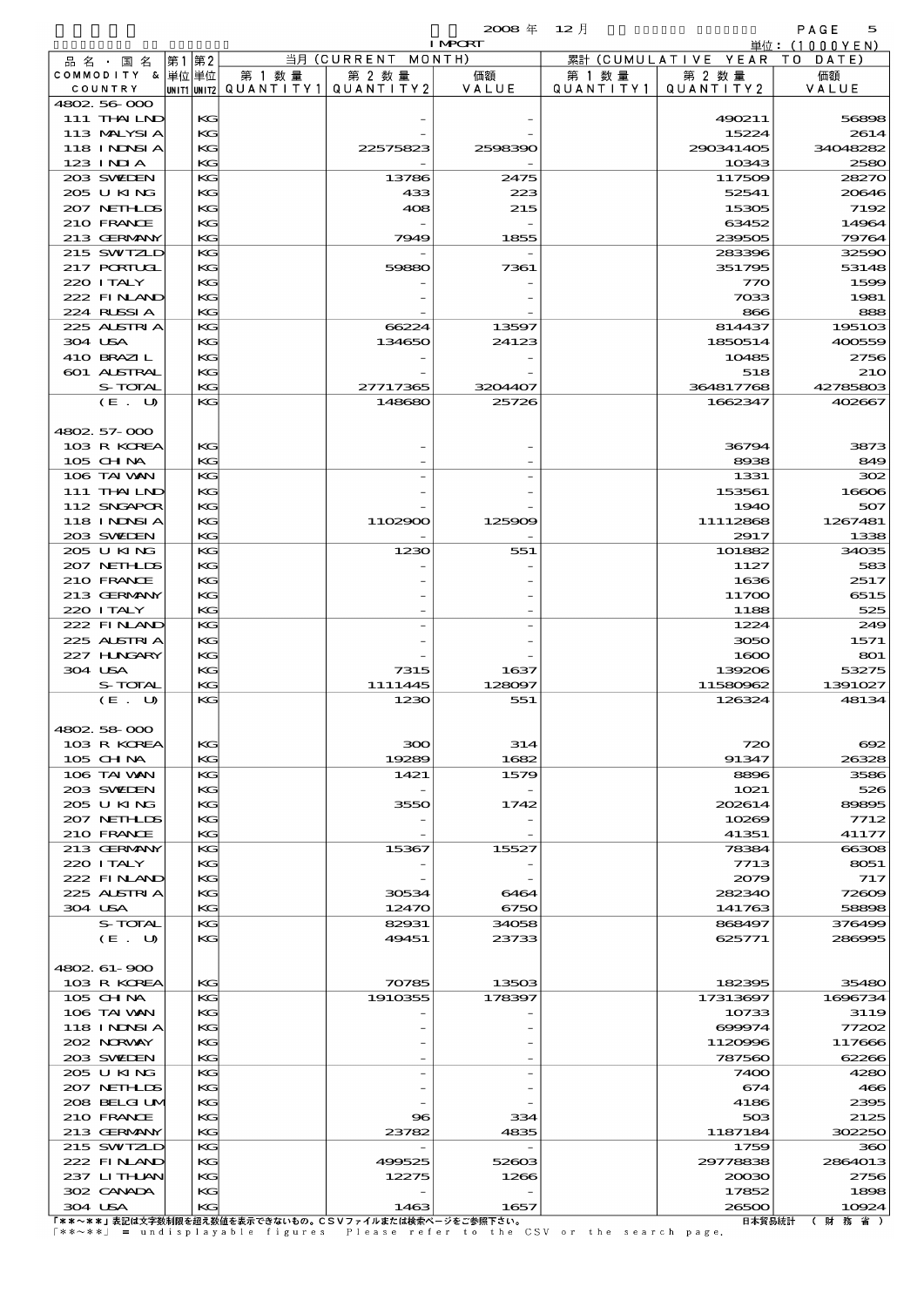|                             |             |          |                      |                      | $2008 \text{ } \#$ | $12$ 月               |                        | PAGE<br>5         |
|-----------------------------|-------------|----------|----------------------|----------------------|--------------------|----------------------|------------------------|-------------------|
|                             |             |          |                      |                      | <b>I MPORT</b>     |                      |                        | 単位:(1000YEN)      |
| 品名・国名                       | 第1 第2       |          |                      | 当月 (CURRENT          | MONTH)             |                      | 累計 (CUMULATIVE YEAR TO | DATE              |
| COMMODITY & 単位単位<br>COUNTRY | UNIT1 UNIT2 |          | 第 1 数 量<br>QUANTITY1 | 第 2 数量<br>QUANTITY 2 | 価額<br>VALUE        | 第 1 数 量<br>QUANTITY1 | 第 2 数量<br>QUANTITY 2   | 価額<br>VALUE       |
| 4802 56 000                 |             |          |                      |                      |                    |                      |                        |                   |
| 111 THAILND                 |             | KG       |                      |                      |                    |                      | 490211                 | 56896             |
| 113 MALYSIA                 |             | KG       |                      |                      |                    |                      | 15224                  | 2614              |
| 118 I NJNSI A               |             | KG       |                      | 22575823             | 2598390            |                      | 290341405              | 34048282          |
| $123$ INIA                  |             | KG       |                      |                      |                    |                      | 10343                  | 2580              |
| 203 SWIEN                   |             | KG       |                      | 13786                | 2475               |                      | 117509                 | 28270             |
| 205 U KING                  |             | KG       |                      | 433                  | 223                |                      | 52541                  | 20640             |
| 207 NETHLIS                 |             | KG       |                      | 408                  | 215                |                      | 15305                  | 7192              |
| 210 FRANCE                  |             | KG<br>KG |                      |                      |                    |                      | 63452                  | 14964             |
| 213 GERMANY<br>215 SWIZLD   |             | KG       |                      | 7949                 | 1855               |                      | 239505<br>283396       | 79764<br>32590    |
| <b>217 PORTUGL</b>          |             | KG       |                      | 59880                | 7361               |                      | 351795                 | 53148             |
| 220 I TALY                  |             | KG       |                      |                      |                    |                      | 770                    | 1596              |
| 222 FINAND                  |             | KG       |                      |                      |                    |                      | 7033                   | 1981              |
| 224 RUSSIA                  |             | KG       |                      |                      |                    |                      | 866                    | 88                |
| 225 ALSTRIA                 |             | KG       |                      | 66224                | 13597              |                      | 814437                 | 1951 <sup>o</sup> |
| 304 USA                     |             | KG       |                      | 134650               | 24123              |                      | 1850514                | 400559            |
| 410 BRAZIL                  |             | KG       |                      |                      |                    |                      | 10485                  | 2756              |
| 601 ALSTRAL                 |             | KG       |                      |                      |                    |                      | 518                    | 21 <sub>C</sub>   |
| S-TOTAL                     |             | KG       |                      | 27717365             | 3204407            |                      | 364817768              | 42785803          |
| (E. U)                      |             | KG       |                      | 148680               | 25726              |                      | 1662347                | 402667            |
| 4802.57-000                 |             |          |                      |                      |                    |                      |                        |                   |
| 103 R KOREA                 |             | КG       |                      |                      |                    |                      | 36794                  | 3873              |
| 105 CH NA                   |             | KG       |                      |                      |                    |                      | 8938                   | 849               |
| 106 TAI VAN                 |             | KG       |                      |                      |                    |                      | 1331                   | 300               |
| 111 THAILND                 |             | KG       |                      |                      |                    |                      | 153561                 | 16600             |
| 112 SNGAPOR                 |             | KG       |                      |                      |                    |                      | <b>1940</b>            | 507               |
| <b>118 INNSIA</b>           |             | KG       |                      | 1102900              | 125909             |                      | 11112868               | 1267481           |
| 203 SWIDEN                  |             | KG       |                      |                      |                    |                      | 2917                   | 1338              |
| 205 U KING                  |             | KG       |                      | 1230                 | 551                |                      | 101882                 | 34035             |
| 207 NETHLIS                 |             | KG       |                      |                      |                    |                      | 1127                   | 583               |
| 210 FRANCE                  |             | KG       |                      |                      |                    |                      | 1636                   | 2517              |
| 213 GERMANY                 |             | KG       |                      |                      |                    |                      | 11700                  | 6515              |
| 220 I TALY                  |             | KG       |                      |                      |                    |                      | 1188                   | 525               |
| 222 FINLAND<br>225 ALSTRIA  |             | KG<br>KG |                      |                      |                    |                      | 1224                   | 249               |
| 227 H.NGARY                 |             | KG       |                      |                      |                    |                      | 3050<br>1600           | 1571<br>801       |
| 304 USA                     |             | KG       |                      | 7315                 | 1637               |                      | 139206                 | 53275             |
| S-TOTAL                     |             | KG       |                      | 1111445              | 128097             |                      | 11580962               | 1391027           |
| (E. U)                      |             | KG       |                      | 1230                 | 551                |                      | 126324                 | 48134             |
|                             |             |          |                      |                      |                    |                      |                        |                   |
| 4802 58 000                 |             |          |                      |                      |                    |                      |                        |                   |
| 103 R KOREA                 |             | КG       |                      | 300                  | 314                |                      | 720                    | $\infty$          |
| 105 CH NA                   |             | KG       |                      | 19289                | 1682               |                      | 91347                  | 26325             |
| 106 TAI VAN                 |             | KG       |                      | 1421                 | 1579               |                      | 8896                   | 3586              |
| 203 SWIDEN                  |             | KG       |                      |                      |                    |                      | 1021                   | 520               |
| 205 U KING                  |             | KG       |                      | 3550                 | 1742               |                      | 202614                 | 89895             |
| 207 NETHLIS                 |             | KG       |                      |                      |                    |                      | 10269                  | 7712              |

|                                                       |         |          |        | ----     | $\tilde{}$ |
|-------------------------------------------------------|---------|----------|--------|----------|------------|
| 205 U KING                                            | KG      | 3550     | 1742   | 202614   | 89895      |
| 207 NETHLIS                                           | KG      |          |        | 10269    | 7712       |
| 210 FRANCE                                            | KG      |          |        | 41351    | 41177      |
| 213 GERMANY                                           | KG      | 15367    | 15527  | 78384    | 66306      |
| 220 I TALY                                            | KG      |          |        | 7713     | 8051       |
| 222 FINAND                                            | KG      |          |        | 2079     | 717        |
| 225 ALSTRIA                                           | KG      | 30534    | 6464   | 282340   | 72600      |
| 304 USA                                               | KG      | 12470    | 6750   | 141763   | 58896      |
| S-TOTAL                                               | KG      | 82931    | 34058  | 868497   | 376499     |
| (E. U)                                                | KG      | 49451    | 23733  | 625771   | 286995     |
|                                                       |         |          |        |          |            |
| 4802 61-900                                           |         |          |        |          |            |
| 103 R KOREA                                           | KG      | 70785    | 13503  | 182395   | 35480      |
| $105$ CHNA                                            | KG      | 1910355  | 178397 | 17313697 | 1696734    |
| 106 TAI VAN                                           | $K$ $G$ |          |        | 10733    | 3119       |
| <b>118 INNSIA</b>                                     | KG      |          |        | 699974   | 77200      |
| 202 NRWAY                                             | KG      |          |        | 1120996  | 117666     |
| 203 SWEDEN                                            | KG      |          |        | 787560   | 62266      |
| 205 U KING                                            | KG      |          |        | 7400     | 4280       |
| 207 NETHLIS                                           | KG      |          |        | 674      | 466        |
| 208 BELGI UM                                          | KG      |          |        | 4186     | 2395       |
| 210 FRANCE                                            | KG      | $\bf{8}$ | 334    | 503      | 2125       |
| 213 GERMANY                                           | KG      | 23782    | 4835   | 1187184  | 302250     |
| 215 SWIZLD                                            | KG      |          |        | 1759     | 360        |
| 222 FINAND                                            | KG      | 499525   | 52603  | 29778838 | 2864013    |
| 237 LITHLAN                                           | KG      | 12275    | 1266   | 20030    | 2756       |
| 302 CANADA                                            | KG      |          |        | 17852    | 1898       |
| 304 USA                                               | KG      | 1463     | 1657   | 26500    | 10924      |
| 「**~**」表記は文字数制限を超え数値を表示できないもの。CSVファイルまたは検索ページをご参照下さい。 |         |          |        | 日本貿易統計   | (財務省)      |

[\*\*~\*\*] = undisplayable figures Please refer to the CSV or the search page.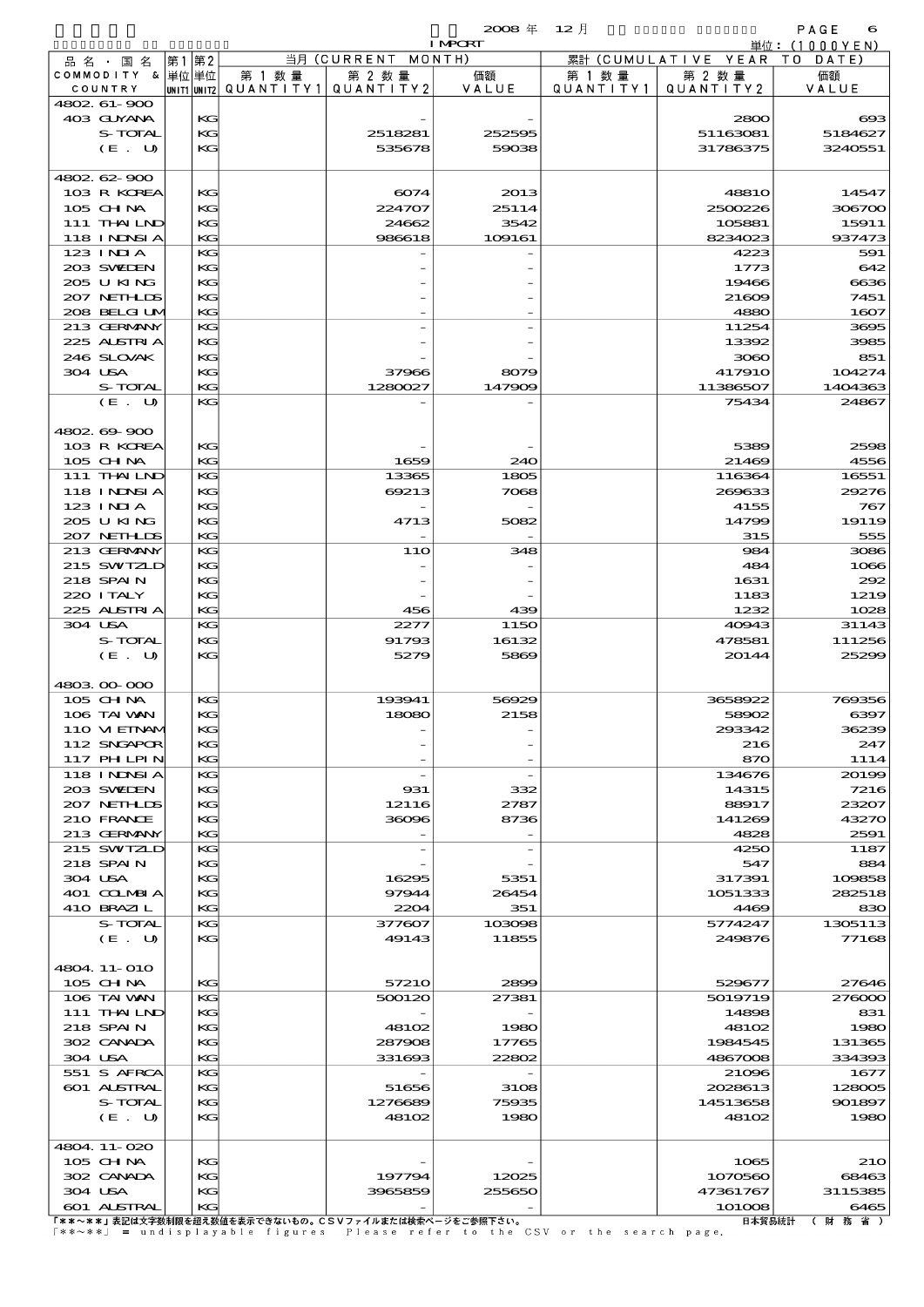|                         |             |    |           |                    | $2008 \text{ } \#$ | $12$ 月    |                     | PAGE<br>6         |
|-------------------------|-------------|----|-----------|--------------------|--------------------|-----------|---------------------|-------------------|
|                         |             |    |           |                    | <b>I MPORT</b>     |           |                     | 単位: (1000 Y E N ) |
| 品名・<br>国 名              | 第1          | 第2 |           | 当月 (CURRENT MONTH) |                    |           | 累計 (CUMULATIVE YEAR | DATE<br>- T O     |
| <b>COMMODITY</b><br>- & | 単位 単位       |    | 第 1 数量    | 第 2 数量             | 価額                 | 第 1 数量    | 第 2 数量              | 価額                |
| COUNTRY                 | UNIT1 UNIT2 |    | QUANTITY1 | QUANTITY2          | VALUE              | QUANTITY1 | QUANTITY 2          | VALUE             |
| 4802 61-900             |             |    |           |                    |                    |           |                     |                   |
| 403 GUYANA              |             | KG |           |                    |                    |           | 2800                | $\alpha$          |
| S-TOTAL                 |             | KG |           | 2518281            | 252595             |           | 51163081            | 5184627           |
| $(E_U U)$               |             | KG |           | 535678             | 59038              |           | 31786375            | 3240551           |
|                         |             |    |           |                    |                    |           |                     |                   |
| 4802 62 900             |             |    |           |                    |                    |           |                     |                   |
| 103 R KOREA             |             | KG |           | 6074               | 2013               |           | 4881O               | 14547             |
| $105$ CHNA              |             | KG |           | 224707             | 25114              |           | 2500226             | 306700            |
|                         |             |    |           |                    |                    |           |                     |                   |

| $(E_U U)$                 | KG       | 535678                                                | 59038         | 31786375      | 3240551         |
|---------------------------|----------|-------------------------------------------------------|---------------|---------------|-----------------|
| 4802 62 900               |          |                                                       |               |               |                 |
| 103 R KOREA               | KG       | 6074                                                  | 2013          | 4881O         | 14547           |
| 105 CH NA                 | КG       | 224707                                                | 25114         | 2500226       | 306700          |
| 111 THAILND               | KG       | 24662                                                 | 3542          | 105881        | 15911           |
| <b>118 INNSIA</b>         | KG       | 986618                                                | 109161        | 8234023       | 937473          |
| 123 INIA                  | KG       |                                                       |               | 4223          | 591             |
| 203 SWIDEN                | KG       |                                                       |               | 1773          | 642             |
| 205 U KING                | КG       |                                                       |               | 19466         | 6636            |
| 207 NETHLIS               | KG       |                                                       |               | 21609         | 7451            |
| 208 BELGI UV              | KG       |                                                       |               | 4880          | 1607            |
| 213 GERMANY               | KG       |                                                       |               | 11254         | 3695            |
| 225 ALSTRIA               | KG       |                                                       |               | 13392         | 3985            |
| 246 SLOVAK                | КG       |                                                       |               | 3060          | 851             |
| 304 USA                   | KG       | 37966                                                 | 8079          | <b>417910</b> | 104274          |
| S-TOTAL                   | KG       | 1280027                                               | 147909        | 11386507      | 1404363         |
| (E. U)                    | KG       |                                                       |               | 75434         | 24867           |
|                           |          |                                                       |               |               |                 |
| 4802.69-900               |          |                                                       |               |               |                 |
| 103 R KOREA               | KG       |                                                       |               | 5389          | 2598            |
| 105 CHNA                  | KG       | 1659                                                  | 240           | 21469         | 4556            |
| 111 THAILND               | KG       | 13365                                                 | 1805          | 116364        | 16551           |
| <b>118 INNSIA</b>         | KG       | 69213                                                 | 7068          | 269633        | 29276           |
| $123$ INIA                | КG       |                                                       |               | 4155          | 767             |
| 205 U KING                | KG       | 4713                                                  | 5082          | 14799         | 19119           |
| 207 NETHLIS               | KG       |                                                       |               | 315           | 555             |
| 213 GERMANY               | KG       | <b>11O</b>                                            | 348           | 984           | 3086            |
| 215 SWIZLD                | KG       |                                                       |               | 484           | 1066            |
| 218 SPAIN                 | КG       |                                                       |               | 1631          | 292             |
| 220 I TALY                | KG       |                                                       |               | 1183          | 1219            |
| 225 ALSTRIA               | KG       | 456                                                   | 439           | 1232          | 1028            |
| 304 USA                   | KG       | 2277                                                  | 1150          | 40943         | 31143           |
| S-TOTAL                   | KG       | 91793                                                 | 16132         | 478581        | 111256          |
| (E. U)                    | KG       | 5279                                                  | 5869          | 20144         | 25299           |
|                           |          |                                                       |               |               |                 |
| 4803 00 000               |          |                                                       |               |               |                 |
| 105 CH NA                 | KG       | 193941                                                | 56929         | 3658922       | 769356          |
| 106 TAI VAN               | КG       | 18080                                                 | 2158          | 58902         | 6397            |
| 110 VIEINAM               | КG       |                                                       |               | 293342        | 36239           |
| 112 SNGAPOR               | KG       |                                                       |               | 216           | 247             |
| 117 PHLPIN                | KG       |                                                       |               | 870           | 1114            |
| <b>118 INNSIA</b>         | KG       |                                                       |               | 134676        | 20199           |
| 203 SWIDEN                | KG       | 931                                                   | 332           | 14315         | 7216            |
| 207 NETHLIS               | KG       | 12116                                                 | 2787          | 88917         | 23207           |
| 210 FRANCE                | KG       | 36096                                                 | 8736          | 141269        | 43270           |
| 213 GERMANY               | KG       |                                                       |               | 4828          | 2591            |
| 215 SWIZLD                | KG       |                                                       |               | 4250          | 1187            |
| 218 SPAIN                 | KG       |                                                       |               | 547           | 884             |
| 304 USA                   | KG       | 16295                                                 | 5351          | 317391        | 109858          |
| 401 COLMBIA               | KG       | 97944                                                 | 26454         | 1051333       | 282518          |
| 410 BRAZIL                | KG       | 2204                                                  | 351           | 4469          | 830             |
| S-TOTAL                   | KG       | 377607                                                | 103098        | 5774247       | 1305113         |
| (E. U)                    | KC       | 49143                                                 | 11855         | 249876        | 77168           |
|                           |          |                                                       |               |               |                 |
| 4804.11-010               |          |                                                       |               |               |                 |
|                           |          |                                                       |               |               |                 |
| $105$ CHNA<br>106 TAI VAN | KG<br>KG | 57210<br>500120                                       | 2899<br>27381 | 529677        | 27646<br>276000 |
|                           |          |                                                       |               | 5019719       |                 |
| 111 THAILND               | KG       |                                                       |               | 14898         | 831             |
| 218 SPAIN                 | KG       | 48102                                                 | 1980          | 48102         | 1980            |
| 302 CANADA                | KG       | 287908                                                | 17765         | 1984545       | 131365          |
| 304 USA                   | KG       | 331693                                                | 22802         | 4867008       | 334393          |
| 551 S AFRCA               | KG       |                                                       |               | 21096         | 1677            |
| 601 ALSTRAL               | KG       | 51656                                                 | 3108          | 2028613       | 128005          |
| S-TOTAL                   | KG       | 1276689                                               | 75935         | 14513658      | 901897          |
| (E. U)                    | KG       | 48102                                                 | 1980          | 48102         | 1980            |
|                           |          |                                                       |               |               |                 |
| 4804.11-020               |          |                                                       |               |               |                 |
| 105 CHNA                  | KG       |                                                       |               | 1065          | <b>210</b>      |
| 302 CANADA                | KG       | 197794                                                | 12025         | 1070560       | 68463           |
| 304 USA                   | KG       | 3965859                                               | 255650        | 47361767      | 3115385         |
| <b>601 ALSTRAL</b>        | KG       |                                                       |               | 101008        | 6465            |
|                           |          | 「**~**」表記は文字数制限を超え数値を表示できないもの。CSVファイルまたは検索ページをご参照下さい。 |               | 日本貿易統計        | (財務省)           |

『\*\*~\*\*』表記は文字数制限を超え数値を表示できないもの。CSVファイルまたは検索ページをご参照下さい。<br>「\*\*~\*\*」 = undisplayable figures Please refer to the CSV or the search page.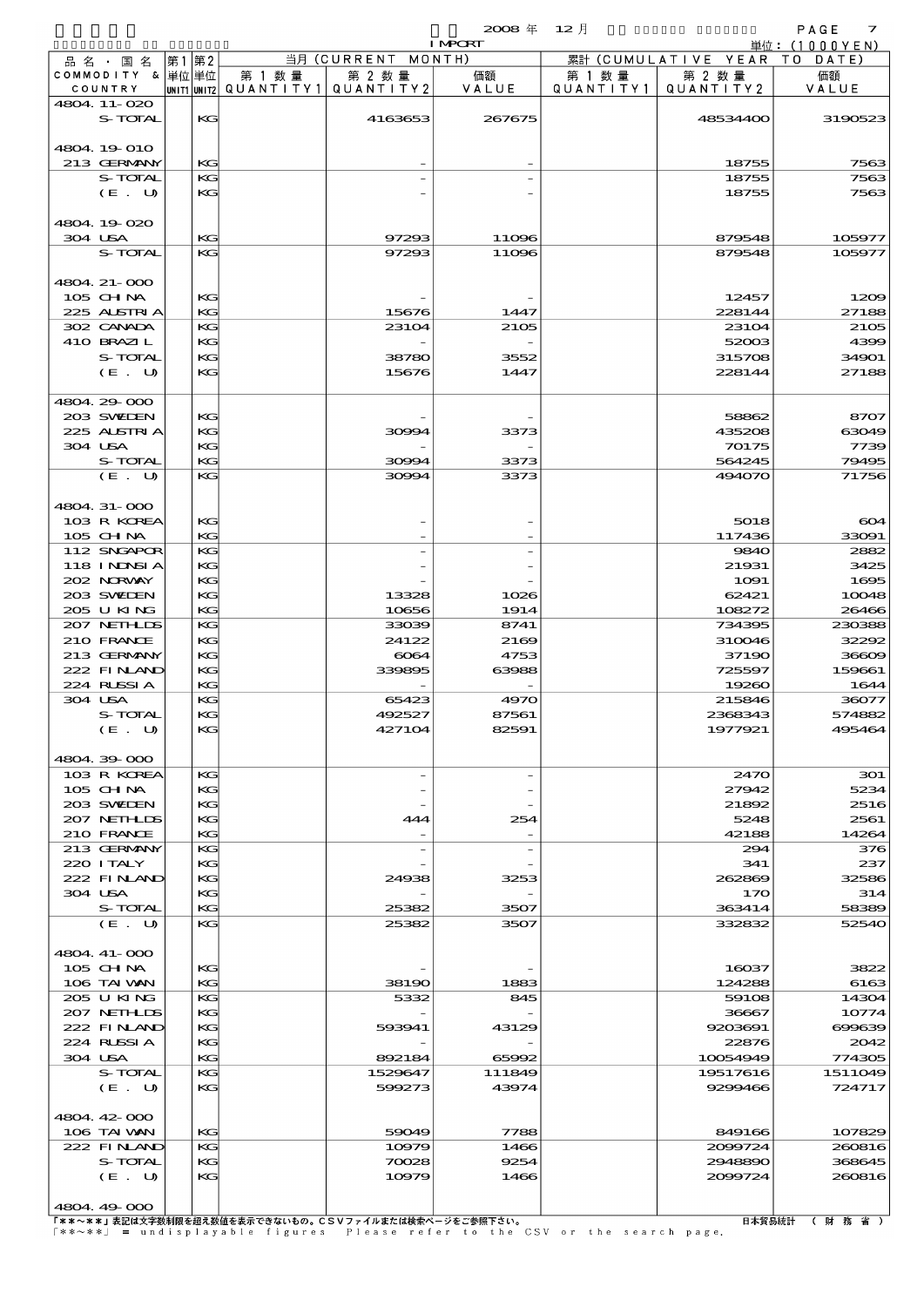|                            |      |          |                                       |                    | 2008年 12月<br><b>I MPORT</b> |           |                              | PAGE<br>$\overline{z}$ |
|----------------------------|------|----------|---------------------------------------|--------------------|-----------------------------|-----------|------------------------------|------------------------|
| 品 名 ・ 国 名                  | 第1第2 |          |                                       | 当月 (CURRENT MONTH) |                             |           | 累計 (CUMULATIVE YEAR TO DATE) | 単位:(1000YEN)           |
| COMMODITY & 単位単位           |      |          | 第 1 数 量                               | 第 2 数量             | 価額                          | 第 1 数量    | 第 2 数量                       | 価額                     |
| COUNTRY                    |      |          | UNIT1 UNIT2  QUANT   TY1  QUANT   TY2 |                    | VALUE                       | QUANTITY1 | QUANTITY 2                   | VALUE                  |
| 4804.11-020                |      |          |                                       |                    |                             |           |                              |                        |
| S-TOTAL                    |      | KG       |                                       | 4163653            | 267675                      |           | 48534400                     | 3190523                |
|                            |      |          |                                       |                    |                             |           |                              |                        |
| 4804.19-010                |      |          |                                       |                    |                             |           |                              |                        |
| 213 GERMANY                |      | KG       |                                       |                    |                             |           | 18755                        | 7563                   |
| S-TOTAL<br>(E. U)          |      | KG<br>KG |                                       |                    |                             |           | 18755<br>18755               | 7563<br>7563           |
|                            |      |          |                                       |                    |                             |           |                              |                        |
| 4804.19-020                |      |          |                                       |                    |                             |           |                              |                        |
| 304 USA                    |      | KG       |                                       | 97293              | 11096                       |           | 879548                       | 105977                 |
| S-TOTAL                    |      | KG       |                                       | 97293              | 11096                       |           | 879548                       | 105977                 |
|                            |      |          |                                       |                    |                             |           |                              |                        |
| 4804 21-000                |      |          |                                       |                    |                             |           |                              |                        |
| 105 CH NA                  |      | KG       |                                       |                    |                             |           | 12457                        | 1209                   |
| 225 ALSTRIA                |      | KG       |                                       | 15676              | 1447                        |           | 228144                       | 27188                  |
| 302 CANADA<br>410 BRAZIL   |      | KG       |                                       | 23104              | 2105                        |           | 23104                        | 2105<br>4399           |
| S-TOTAL                    |      | KG<br>KG |                                       | 38780              | 3552                        |           | 52003<br>315708              | 34901                  |
| (E. U)                     |      | KG       |                                       | 15676              | 1447                        |           | 228144                       | 27188                  |
|                            |      |          |                                       |                    |                             |           |                              |                        |
| 4804.29-000                |      |          |                                       |                    |                             |           |                              |                        |
| 203 SWIEN                  |      | КG       |                                       |                    |                             |           | 58862                        | 8707                   |
| 225 ALSTRIA                |      | KG       |                                       | 30994              | 3373                        |           | 435208                       | 63049                  |
| 304 USA                    |      | KG       |                                       |                    |                             |           | 70175                        | 7739                   |
| S-TOTAL                    |      | KG       |                                       | 30994              | 3373                        |           | 564245                       | 79495                  |
| (E. U)                     |      | KG       |                                       | 30994              | 3373                        |           | 494070                       | 71756                  |
|                            |      |          |                                       |                    |                             |           |                              |                        |
| 4804 31-000<br>103 R KOREA |      | KG       |                                       |                    |                             |           | 5018                         | 604                    |
| $105$ CHNA                 |      | KG       |                                       |                    |                             |           | 117436                       | 33091                  |
| 112 SNGAPOR                |      | KG       |                                       |                    |                             |           | 9840                         | 2882                   |
| <b>118 INDSIA</b>          |      | KС       |                                       |                    |                             |           | 21931                        | 3425                   |
| 202 NRWAY                  |      | KG       |                                       |                    |                             |           | 1091                         | 1695                   |
| 203 SWIEN                  |      | KG       |                                       | 13328              | 1026                        |           | 62421                        | 10048                  |
| 205 U KING                 |      | KG       |                                       | 10656              | 1914                        |           | 108272                       | 26466                  |
| 207 NETHLIS                |      | KG       |                                       | 33039              | 8741                        |           | 734395                       | 230388                 |
| 210 FRANCE                 |      | KG       |                                       | 24122              | 2169                        |           | 310046                       | 32292                  |
| 213 GERMANY<br>222 FINAND  |      | KG<br>KG |                                       | 6064<br>339895     | 4753<br>63988               |           | 37190<br>725597              | 36609<br>159661        |
| 224 RUSSIA                 |      | KG       |                                       |                    |                             |           | 19260                        | 1644                   |
| 304 USA                    |      | KG       |                                       | 65423              | 4970                        |           | 215846                       | 36077                  |
| S-TOTAL                    |      | КG       |                                       | 492527             | 87561                       |           | 2368343                      | 574882                 |
| $(E_U U)$                  |      | KG       |                                       | 427104             | 82591                       |           | 1977921                      | 495464                 |
|                            |      |          |                                       |                    |                             |           |                              |                        |
| 4804.39-000                |      |          |                                       |                    |                             |           |                              |                        |
| 103 R KOREA                |      | KG       |                                       |                    |                             |           | 2470                         | 301                    |
| $105$ CHNA                 |      | КG       |                                       |                    |                             |           | 27942                        | 5234                   |
| 203 SWIDEN<br>207 NETHLIS  |      | KG<br>KG |                                       | 444                | 254                         |           | 21892<br>5248                | 2516<br>2561           |
| 210 FRANCE                 |      | KG       |                                       |                    |                             |           | 42188                        | 14264                  |
| 213 GERMANY                |      | KG       |                                       |                    |                             |           | 294                          | 376                    |
| 220 I TALY                 |      | КG       |                                       |                    |                             |           | 341                          | 237                    |
| 222 FINAND                 |      | KC       |                                       | 24938              | 3253                        |           | 262869                       | 32586                  |
| 304 USA                    |      | KG       |                                       |                    |                             |           | 170                          | 314                    |
| S-TOTAL                    |      | KG       |                                       | 25382              | 3507                        |           | 363414                       | 58389                  |
| (E. U)                     |      | KG       |                                       | 25382              | 3507                        |           | 332832                       | 52540                  |
|                            |      |          |                                       |                    |                             |           |                              |                        |
| 4804 41-000                |      |          |                                       |                    |                             |           |                              |                        |
| 105 CHNA<br>106 TAI WAN    |      | KC<br>KG |                                       | 38190              | 1883                        |           | 16037<br>124288              | 3822<br>6163           |
| 205 U KING                 |      | KG       |                                       | 5332               | 845                         |           | 59108                        | 14304                  |
| 207 NETHLIS                |      | КG       |                                       |                    |                             |           | 36667                        | 10774                  |
| 222 FINAND                 |      | KС       |                                       | 593941             | 43129                       |           | 9203691                      | 699639                 |
| 224 RUSSIA                 |      | KG       |                                       |                    |                             |           | 22876                        | 2042                   |
| 304 USA                    |      | KG       |                                       | 892184             | 65992                       |           | 10054949                     | 774305                 |
| S-TOTAL                    |      | KG       |                                       | 1529647            | 111849                      |           | 19517616                     | 1511049                |
| (E. U)                     |      | KG       |                                       | 599273             | 43974                       |           | 9299466                      | 724717                 |
|                            |      |          |                                       |                    |                             |           |                              |                        |
| 4804.42-000                |      |          |                                       |                    |                             |           |                              |                        |
| 106 TAI WAN                |      | KG       |                                       | 59049              | 7788                        |           | 849166                       | 107829                 |
| 222 FINAND                 |      | KG       |                                       | 10979              | 1466                        |           | 2099724                      | 260816                 |

 $(E. U)$  KG 10979 1466 2009724 260816 4804.49-000 

S-TOTAL KG 70028 9254 2948890 368645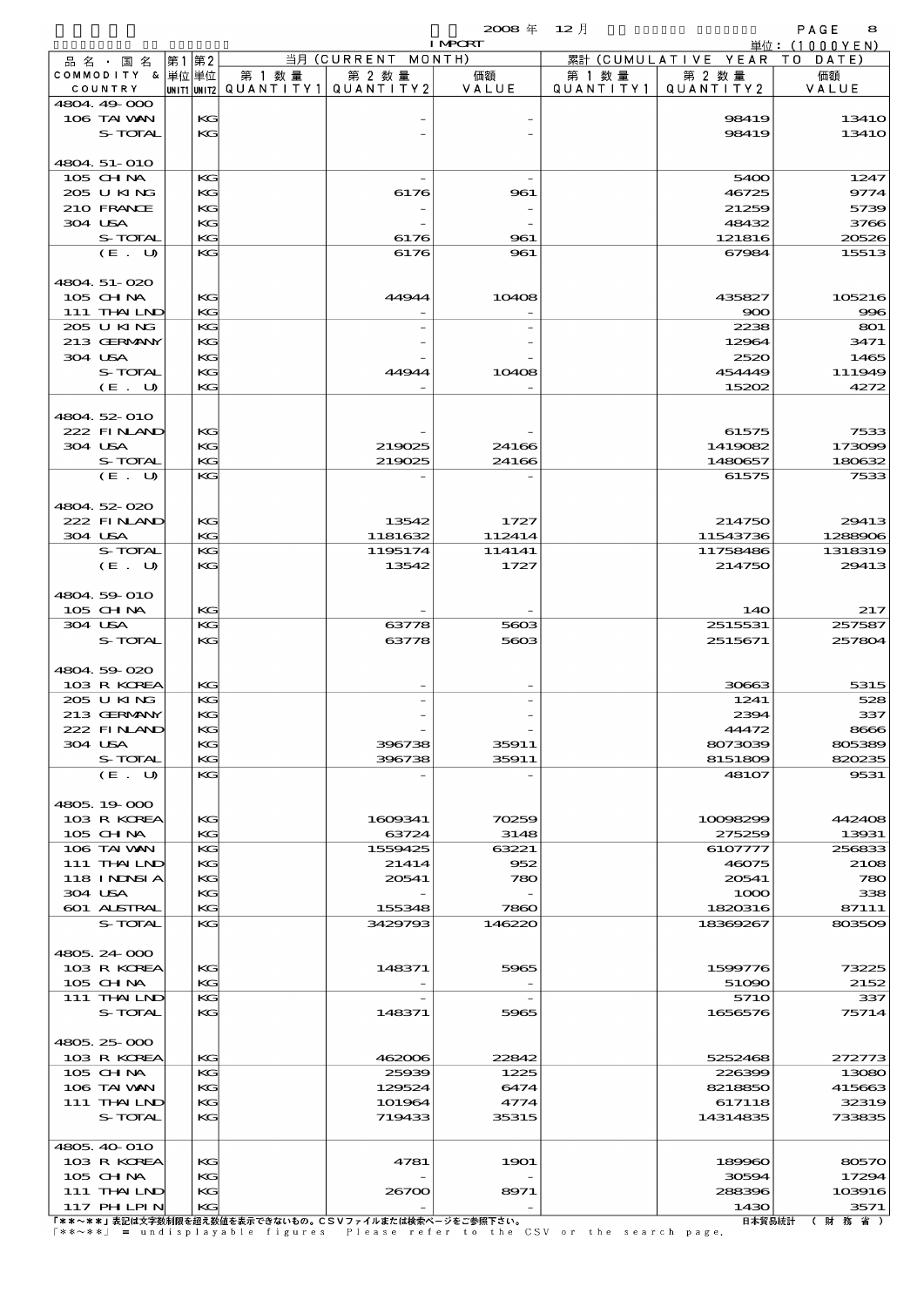|                            |    |             |           |                    | $2008 \text{ }^{\text{#}}$ | $12$ 月    |                        | PAGE<br>8       |
|----------------------------|----|-------------|-----------|--------------------|----------------------------|-----------|------------------------|-----------------|
|                            |    |             |           | 当月 (CURRENT MONTH) | <b>I MPCRT</b>             |           | 累計 (CUMULATIVE YEAR TO | 単位: $(1000YEN)$ |
| 品名・国名<br>COMMODITY & 単位単位  | 第1 | 第2          | 第 1 数量    | 第 2 数量             | 価額                         | 第 1 数 量   | 第 2 数量                 | DATE<br>価額      |
| COUNTRY                    |    | UNIT1 UNIT2 | QUANTITY1 | QUANTITY 2         | VALUE                      | QUANTITY1 | QUANTITY 2             | VALUE           |
| 4804 49 000                |    |             |           |                    |                            |           |                        |                 |
| 106 TAI VAN                |    | KG          |           |                    |                            |           | 98419                  | 1341O           |
| S-TOTAL                    |    | KG          |           |                    |                            |           | 98419                  | 1341O           |
|                            |    |             |           |                    |                            |           |                        |                 |
| 4804 51-010<br>$105$ CHNA  |    | KG          |           |                    |                            |           | 5400                   | 1247            |
| 205 U KING                 |    | KG          |           | 6176               | 961                        |           | 46725                  | 9774            |
| 210 FRANCE                 |    | KG          |           |                    |                            |           | 21259                  | 5739            |
| 304 USA                    |    | KG          |           |                    |                            |           | 48432                  | 3766            |
| S-TOTAL                    |    | KG          |           | 6176               | 961                        |           | 121816                 | 20526           |
| (E. U)                     |    | KG          |           | 6176               | 961                        |           | 67984                  | 15513           |
|                            |    |             |           |                    |                            |           |                        |                 |
| 4804 51-020                |    |             |           |                    |                            |           |                        |                 |
| $105$ CHNA<br>111 THAILND  |    | KG<br>KG    |           | 44944              | 10408                      |           | 435827<br>900          | 105216<br>996   |
| 205 U KING                 |    | KG          |           |                    |                            |           | 2238                   | 801             |
| 213 GERMANY                |    | KG          |           |                    |                            |           | 12964                  | 3471            |
| 304 USA                    |    | KG          |           |                    |                            |           | 2520                   | 1465            |
| <b>S-TOTAL</b>             |    | KG          |           | 44944              | 10408                      |           | 454449                 | 111949          |
| (E. U)                     |    | KG          |           |                    |                            |           | 15202                  | 4272            |
|                            |    |             |           |                    |                            |           |                        |                 |
| 4804.52-010<br>222 FINAND  |    | KG          |           |                    |                            |           | 61575                  | 7533            |
| 304 USA                    |    | KG          |           | 219025             | 24166                      |           | 1419082                | 173099          |
| S-TOTAL                    |    | KG          |           | 219025             | 24166                      |           | 1480657                | 180632          |
| (E. U)                     |    | KG          |           |                    |                            |           | 61575                  | 7533            |
|                            |    |             |           |                    |                            |           |                        |                 |
| 4804 52 020                |    |             |           |                    |                            |           |                        |                 |
| 222 FINAND                 |    | KG          |           | 13542              | 1727                       |           | 214750                 | 29413           |
| 304 USA                    |    | KG          |           | 1181632            | 112414                     |           | 11543736               | 1288906         |
| S-TOTAL                    |    | KG<br>KG    |           | 1195174<br>13542   | 114141                     |           | 11758486<br>214750     | 1318319         |
| (E. U)                     |    |             |           |                    | 1727                       |           |                        | 29413           |
| 4804 59 010                |    |             |           |                    |                            |           |                        |                 |
| 105 CH NA                  |    | KG          |           |                    |                            |           | 14O                    | 217             |
| 304 USA                    |    | KG          |           | 63778              | 5603                       |           | 2515531                | 257587          |
| S-TOTAL                    |    | KG          |           | 63778              | 5603                       |           | 2515671                | 257804          |
|                            |    |             |           |                    |                            |           |                        |                 |
| 4804.59 020                |    |             |           |                    |                            |           |                        |                 |
| 103 R KOREA<br>205 U KING  |    | KG<br>KG    |           |                    |                            |           | 30663<br>1241          | 5315<br>528     |
| 213 GERMANY                |    | KG          |           |                    |                            |           | 2394                   | 337             |
| 222 FINAND                 |    | KG          |           |                    |                            |           | 44472                  | 8666            |
| 304 USA                    |    | KG          |           | 396738             | 35911                      |           | 8073039                | 805389          |
| S-TOTAL                    |    | KG          |           | 396738             | 35911                      |           | 8151809                | 820235          |
| (E. U)                     |    | KG          |           |                    |                            |           | <b>48107</b>           | 9531            |
|                            |    |             |           |                    |                            |           |                        |                 |
| 4805.19000                 |    |             |           |                    | 70259                      |           |                        |                 |
| 103 R KOREA<br>105 CHNA    |    | KG<br>KG    |           | 1609341<br>63724   | 3148                       |           | 10098299<br>275259     | 442408<br>13931 |
| 106 TAI VAN                |    | KG          |           | 1559425            | 63221                      |           | 6107777                | 256833          |
| 111 THAILND                |    | KG          |           | 21414              | 952                        |           | 46075                  | 2108            |
| <b>118 INNSIA</b>          |    | KG          |           | 20541              | 780                        |           | 20541                  | 780             |
| 304 USA                    |    | KG          |           |                    |                            |           | 1000                   | 338             |
| 601 ALSTRAL                |    | KG          |           | 155348             | 7860                       |           | 1820316                | 87111           |
| S-TOTAL                    |    | KG          |           | 3429793            | 146220                     |           | 18369267               | 803509          |
| 4805.24 000                |    |             |           |                    |                            |           |                        |                 |
| 103 R KOREA                |    | KG          |           | 148371             | 5965                       |           | 1599776                | 73225           |
| 105 CH NA                  |    | KG          |           |                    |                            |           | 51090                  | 2152            |
| 111 THAILND                |    | KG          |           |                    |                            |           | 571O                   | 337             |
| S-TOTAL                    |    | KG          |           | 148371             | 5965                       |           | 1656576                | 75714           |
|                            |    |             |           |                    |                            |           |                        |                 |
| 4805, 25 000               |    |             |           |                    |                            |           |                        |                 |
| 103 R KOREA                |    | KG          |           | 462006             | 22842                      |           | 5252468                | 272773          |
| 105 CH NA                  |    | KG          |           | 25939              | 1225                       |           | 226399                 | 13080           |
| 106 TAI VAN<br>111 THAILND |    | KG<br>KG    |           | 129524<br>101964   | 6474<br>4774               |           | 8218850<br>617118      | 415663<br>32319 |
| S-TOTAL                    |    | KG          |           | 719433             | 35315                      |           | 14314835               | 733835          |
|                            |    |             |           |                    |                            |           |                        |                 |
| 4805, 40 010               |    |             |           |                    |                            |           |                        |                 |
| 103 R KOREA                |    | KG          |           | 4781               | 1901                       |           | 189960                 | 80570           |
| 105 CH NA                  |    | KG          |           |                    |                            |           | 30594                  | 17294           |
| $111$ THAILND              |    | KG          |           | 26700              | 8971                       |           | 288396                 | 103916          |
| $117$ PHLPIN               |    | KG          |           |                    |                            |           | 1430                   | 3571            |

117 PHILPIN KG - - 1430 3571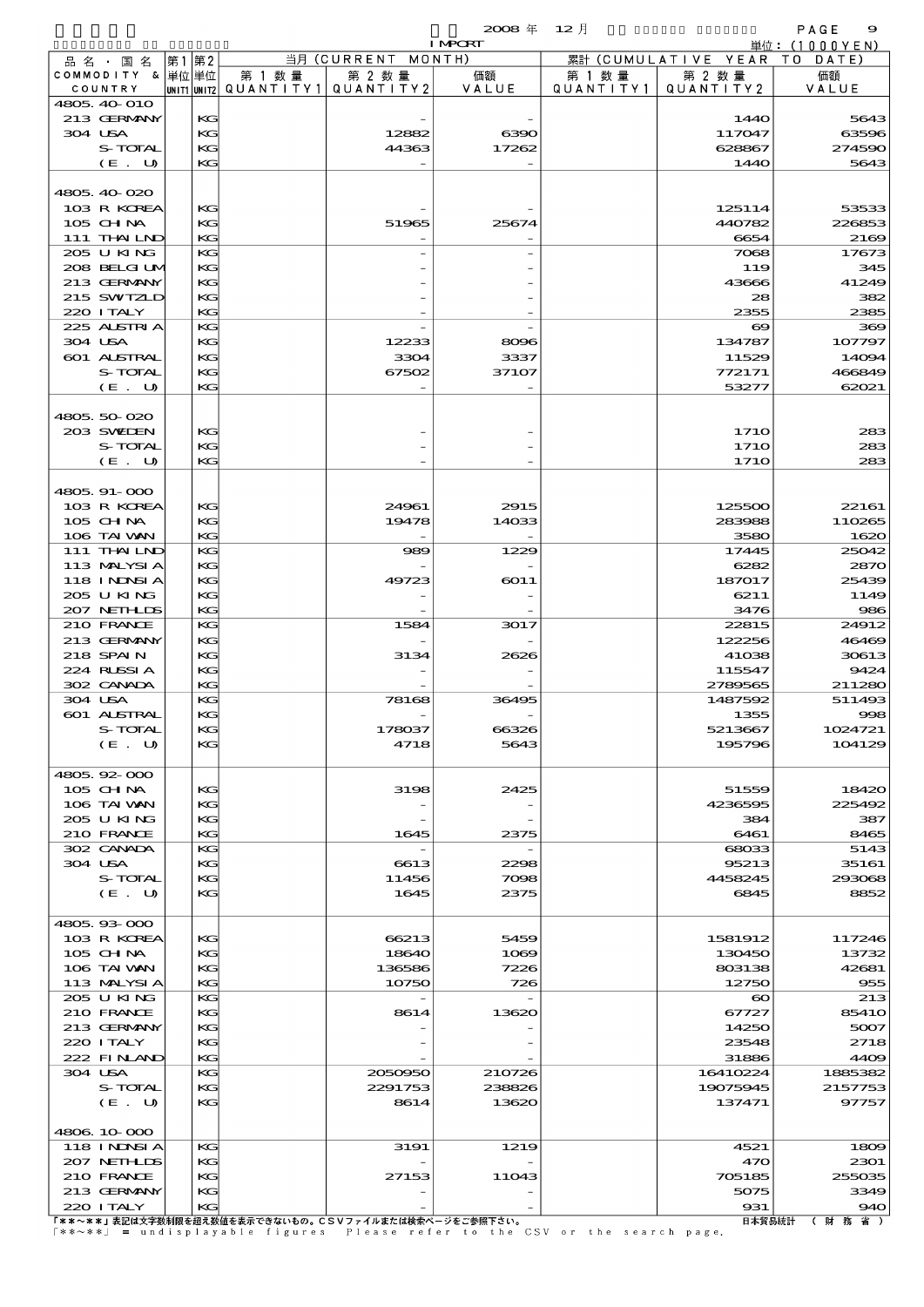|                             |       |          |                                       |                    | $2008$ $\#$    | 12 月      |                       | PAGE<br>9         |
|-----------------------------|-------|----------|---------------------------------------|--------------------|----------------|-----------|-----------------------|-------------------|
|                             |       |          |                                       |                    | <b>I MPORT</b> |           |                       | 単位: (1000YEN)     |
| 品 名 ・ 国 名                   | 第1 第2 |          |                                       | 当月 (CURRENT MONTH) |                |           | 累計 (CUMULATIVE YEAR)  | TO<br>DATE)       |
| COMMODITY & 単位単位            |       |          | 第 1 数量                                | 第 2 数量             | 価額             | 第 1 数 量   | 第 2 数量                | 価額                |
| COUNTRY                     |       |          | unit1 unit2  QUANT   TY1  QUANT   TY2 |                    | VALUE          | QUANTITY1 | QUANTITY 2            | VALUE             |
| 4805, 40 010<br>213 GERMANY |       | KG       |                                       |                    |                |           | 144O                  | 5643              |
| 304 USA                     |       | KG       |                                       | 12882              | 6390           |           | 117047                | 63596             |
| S-TOTAL                     |       | KG       |                                       | 44363              | 17262          |           | 628867                | <b>27459C</b>     |
| (E. U)                      |       | KG       |                                       |                    |                |           | 1440                  | 5643              |
|                             |       |          |                                       |                    |                |           |                       |                   |
| 4805, 40-020                |       |          |                                       |                    |                |           |                       |                   |
| 103 R KOREA                 |       | KG       |                                       |                    |                |           | 125114                | 53533             |
| $105$ CHNA                  |       | KG       |                                       | 51965              | 25674          |           | 440782                | 226853            |
| 111 THAILND                 |       | KG       |                                       |                    |                |           | 6654                  | 2160              |
| 205 U KING                  |       | KG       |                                       |                    |                |           | 7068                  | 17673             |
| 208 BELGI UM                |       | KG       |                                       |                    |                |           | 119                   | 345               |
| 213 GERMANY                 |       | KG       |                                       |                    |                |           | 43666                 | 41249             |
| 215 SWIZLD                  |       | KG       |                                       |                    |                |           | 28                    | 382               |
| 220 I TALY                  |       | KG       |                                       |                    |                |           | 2355                  | 2385              |
| 225 ALSTRIA                 |       | KG       |                                       |                    |                |           | $\boldsymbol{\infty}$ | 360               |
| 304 USA                     |       | KG       |                                       | 12233              | 8096           |           | 134787                | 107797            |
| 601 ALSTRAL                 |       | KG       |                                       | 3304               | 3337           |           | 11529                 | 14094             |
| S-TOTAL                     |       | KG       |                                       | 67502              | 37107          |           | 772171                | 466849            |
| (E. U)                      |       | KG       |                                       |                    |                |           | 53277                 | 62021             |
|                             |       |          |                                       |                    |                |           |                       |                   |
| 4805.50-020                 |       |          |                                       |                    |                |           |                       |                   |
| 203 SWIEN                   |       | KG       |                                       |                    |                |           | 171O                  | 283               |
| S-TOTAL                     |       | KG       |                                       |                    |                |           | <b>1710</b>           | 283               |
| (E. U)                      |       | KG       |                                       |                    |                |           | 171O                  | 283               |
|                             |       |          |                                       |                    |                |           |                       |                   |
| 4805.91-000                 |       |          |                                       |                    |                |           |                       |                   |
| 103 R KOREA                 |       | KG       |                                       | 24961              | 2915           |           | 125500                | 22161             |
| $105$ CHNA                  |       | KG       |                                       | 19478              | 14033          |           | 283988                | 110265            |
| 106 TAI VAN                 |       | KG       |                                       |                    |                |           | 3580                  | 1620              |
| 111 THAILND                 |       | KG       |                                       | 989                | 1229           |           | 17445                 | 25042             |
| 113 MALYSIA                 |       | KG       |                                       |                    |                |           | 6282                  | 287C              |
| 118 I NDSI A                |       | KG       |                                       | 49723              | 6011           |           | 187017                | 25439             |
| 205 U KING                  |       | KG       |                                       |                    |                |           | 6211                  | 1149              |
| 207 NETHLIS                 |       | KG       |                                       |                    |                |           | 3476                  | 986               |
| 210 FRANCE                  |       | KG       |                                       | 1584               | 3017           |           | 22815                 | 24912             |
| 213 GERMANY                 |       | KG       |                                       |                    |                |           | 122256                | <b>46469</b>      |
| 218 SPAIN                   |       | KG       |                                       | 3134               | 2626           |           | 41038                 | 30613             |
| 224 RUSSI A                 |       | KG       |                                       |                    |                |           | 115547                | 9424              |
| 302 CANADA                  |       | KG       |                                       |                    |                |           | 2789565               | 211280            |
| 304 USA                     |       | KG       |                                       | 78168              | 36495          |           | 1487592               | 511493            |
| 601 ALSTRAL<br>S-TOTAL      |       | KG<br>KG |                                       | 178037             | 66326          |           | 1355                  | 998               |
| (E. U)                      |       | KG       |                                       | 4718               | 5643           |           | 5213667<br>195796     | 1024721<br>104129 |
|                             |       |          |                                       |                    |                |           |                       |                   |
| 4805.92-000                 |       |          |                                       |                    |                |           |                       |                   |
| 105 CHNA                    |       | KG       |                                       | 3198               | 2425           |           | 51559                 | 18420             |
| 106 TAI VAN                 |       | KG       |                                       |                    |                |           | 4236595               | 225492            |
| 205 U KING                  |       | KG       |                                       |                    |                |           | 384                   | 387               |
| 210 FRANCE                  |       | KG       |                                       | 1645               | 2375           |           | 6461                  | 8465              |
| 302 CANADA                  |       | KG       |                                       |                    |                |           | 68033                 | 5143              |
| 304 USA                     |       | KG       |                                       | 6613               | 2298           |           | 95213                 | 35161             |
| S-TOTAL                     |       | KG       |                                       | 11456              | 7098           |           | 4458245               | 293068            |
| (E. U)                      |       | KG       |                                       | 1645               | 2375           |           | 6845                  | 8852              |
|                             |       |          |                                       |                    |                |           |                       |                   |
| 4805.93-000                 |       |          |                                       |                    |                |           |                       |                   |
| 103 R KOREA                 |       | KG       |                                       | 66213              | 5459           |           | 1581912               | 117246            |
| 105 CHNA                    |       | KG       |                                       | 18640              | 1069           |           | 130450                | 13732             |
| 106 TAI VAN                 |       | KG       |                                       | 136586             | 7226           |           | 803138                | 42681             |
| 113 MALYSIA                 |       | KG       |                                       | 10750              | 726            |           | 12750                 | 955               |
| 205 U KING                  |       | KG       |                                       |                    |                |           | $\boldsymbol{\infty}$ | 213               |
| 210 FRANCE                  |       | KG       |                                       | 8614               | 13620          |           | 67727                 | 8541C             |
| 213 GERMANY                 |       | KG       |                                       |                    |                |           | 14250                 | 5007              |
| 220 I TALY                  |       | KG       |                                       |                    |                |           | 23548                 | 2718              |
| 222 FINAND                  |       | KG       |                                       |                    |                |           | 31886                 | 4409              |
| 304 USA                     |       | KG       |                                       | 2050950            | 210726         |           | 16410224              | 1885382           |
| S-TOTAL                     |       | KG       |                                       | 2291753            | 238826         |           | 19075945              | 2157753           |
| (E. U)                      |       | KG       |                                       | 8614               | 13620          |           | 137471                | 97757             |
| 4806 10 000                 |       |          |                                       |                    |                |           |                       |                   |
| 118 I NDSI A                |       | KG       |                                       | 3191               | 1219           |           | 4521                  | 1809              |
| 207 NETHLIS                 |       | KG       |                                       |                    |                |           | 470                   | 2301              |
| 210 FRANCE                  |       | KG       |                                       | 27153              | 11043          |           | 705185                | 255035            |
| 213 GERMANY                 |       | KG       |                                       |                    |                |           | 5075                  | 3349              |
| 220 I TALY                  |       | KG       |                                       |                    |                |           | 931                   | 94C               |

220 ITALY KG - - 931 940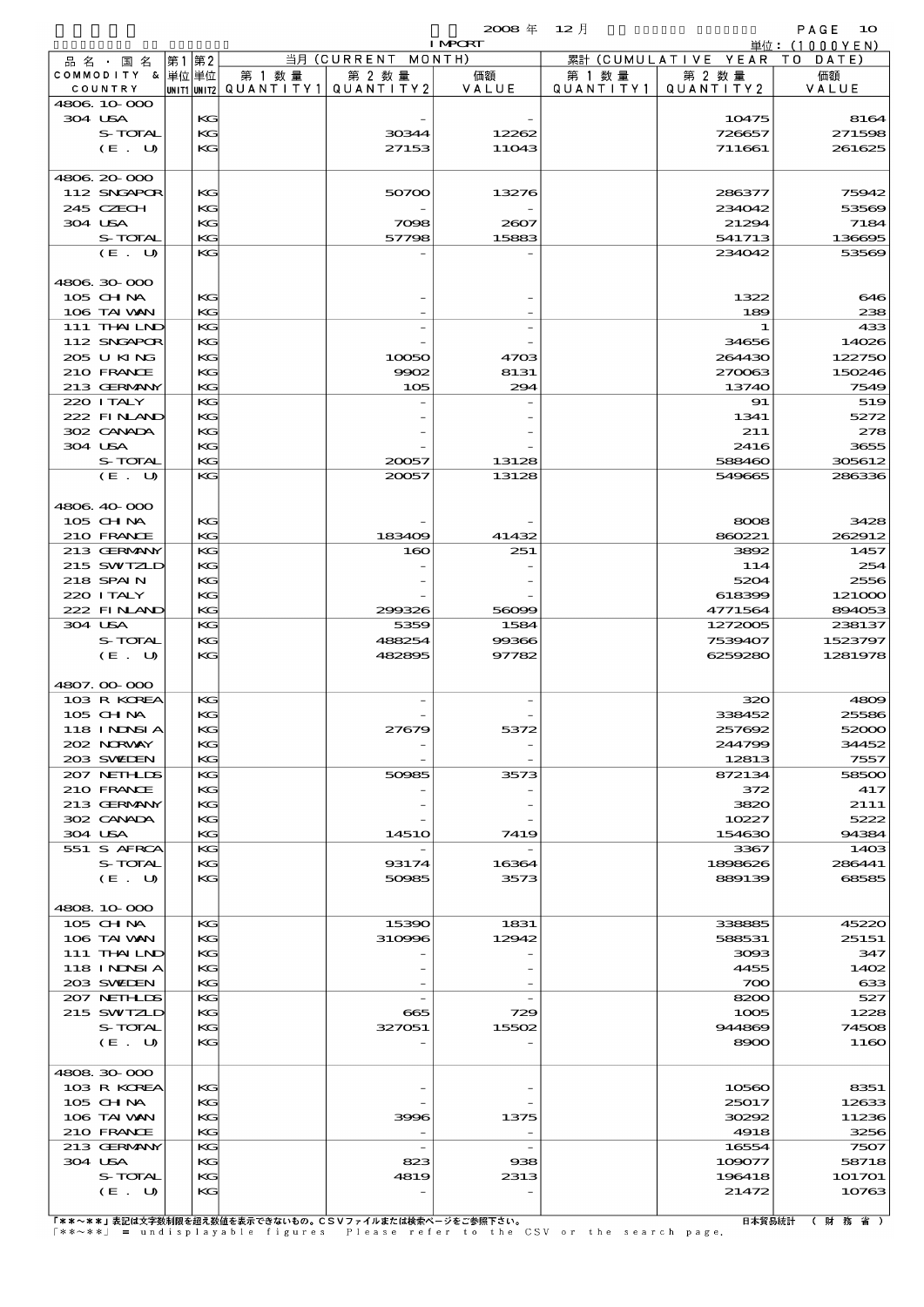|                             |          |                                                  |                    | $2008 \text{ }^{\text{#}}$ | - 12 月               |                              | PAGE<br><b>1O</b> |
|-----------------------------|----------|--------------------------------------------------|--------------------|----------------------------|----------------------|------------------------------|-------------------|
|                             |          |                                                  |                    | <b>I MPCRT</b>             |                      |                              | 単位:(1000YEN)      |
| 品名・国名                       | 第1 第2    |                                                  | 当月 (CURRENT MONTH) |                            |                      | 累計 (CUMULATIVE YEAR TO DATE) |                   |
| COMMODITY & 単位単位<br>COUNTRY |          | 第 1 数量<br> unit1 unit2  QUANT   TY1  QUANT   TY2 | 第 2 数量             | 価額<br>VALUE                | 第 1 数 量<br>QUANTITY1 | 第 2 数量<br>QUANTITY2          | 価額<br>VALUE       |
| 4806 10 000                 |          |                                                  |                    |                            |                      |                              |                   |
| 304 USA                     | KG       |                                                  |                    |                            |                      | 10475                        | 816               |
| S-TOTAL                     | KG       |                                                  | 30344              | 12262                      |                      | 726657                       | 271596            |
| (E. U)                      | KG       |                                                  | 27153              | 11043                      |                      | 711661                       | 261625            |
|                             |          |                                                  |                    |                            |                      |                              |                   |
| 4806 20 000                 |          |                                                  |                    |                            |                      |                              |                   |
| 112 SNGAPOR                 | KG       |                                                  | 50700              | 13276                      |                      | 286377                       | 75942             |
| 245 CZECH                   | KG       |                                                  |                    |                            |                      | 234042                       | 5356              |
| 304 USA                     | KG       |                                                  | 7098               | 2607                       |                      | 21294                        | 7184              |
| S-TOTAL                     | KG<br>KG |                                                  | 57798              | 15883                      |                      | 541713                       | 136695            |
| (E. U)                      |          |                                                  |                    |                            |                      | 234042                       | 5356              |
| 4806 30 000                 |          |                                                  |                    |                            |                      |                              |                   |
| 105 CH NA                   | KG       |                                                  |                    |                            |                      | 1322                         | 646               |
| 106 TAI VAN                 | KG       |                                                  |                    |                            |                      | 189                          | 235               |
| 111 THAILND                 | KG       |                                                  |                    |                            |                      | 1                            | 43<               |
| 112 SNGAPOR                 | KG       |                                                  |                    |                            |                      | 34656                        | 14026             |
| 205 U KING                  | KG       |                                                  | 10050              | 4703                       |                      | 264430                       | 122750            |
| 210 FRANCE                  | KG       |                                                  | 9902               | 8131                       |                      | 270063                       | 150246            |
| 213 GERMANY                 | KG       |                                                  | 105                | 294                        |                      | 13740                        | 7549              |
| 220 I TALY                  | KG       |                                                  |                    |                            |                      | 91                           | 519               |
| 222 FINAND                  | KG       |                                                  |                    |                            |                      | 1341                         | 5272              |
| 302 CANADA                  | KG       |                                                  |                    |                            |                      | 211                          | 275               |
| 304 USA                     | KG       |                                                  |                    |                            |                      | 2416                         | 3655              |
| S-TOTAL                     | KG       |                                                  | 20057              | 13128                      |                      | 588460                       | 305612            |
| (E. U)                      | KG       |                                                  | 20057              | 13128                      |                      | 549665                       | 286336            |
|                             |          |                                                  |                    |                            |                      |                              |                   |
| 4806 40 000                 |          |                                                  |                    |                            |                      |                              |                   |
| 105 CH NA                   | KG       |                                                  |                    |                            |                      | 8008                         | 3428              |
| 210 FRANCE<br>213 GERMANY   | KG<br>KG |                                                  | 183409<br>160      | 41432<br>251               |                      | 860221<br>3892               | 262912<br>1457    |
| 215 SWIZLD                  | KG       |                                                  |                    |                            |                      | 114                          | 25/               |
| 218 SPAIN                   | KG       |                                                  |                    |                            |                      | 5204                         | 2556              |
| 220 I TALY                  | KG       |                                                  |                    |                            |                      | 618399                       | 121000            |
| 222 FINAND                  | KG       |                                                  | 299326             | 56099                      |                      | 4771564                      | 894053            |
| 304 USA                     | KG       |                                                  | 5359               | 1584                       |                      | 1272005                      | 238137            |
| S-TOTAL                     | KG       |                                                  | 488254             | 99366                      |                      | 7539407                      | 1523797           |
| (E. U)                      | KG       |                                                  | 482895             | 97782                      |                      | 6259280                      | 1281978           |
|                             |          |                                                  |                    |                            |                      |                              |                   |
| 4807.00-000                 |          |                                                  |                    |                            |                      |                              |                   |
| 103 R KOREA                 | KG       |                                                  |                    |                            |                      | 320                          | 4800              |
| 105 CHNA                    | KG       |                                                  |                    |                            |                      | 338452                       | 25586             |
| 118 I NDSI A                | KG       |                                                  | 27679              | 5372                       |                      | 257692                       | 52000             |
| 202 NRWAY                   | KG       |                                                  |                    |                            |                      | 244799                       | 34452             |
| 203 SWIDEN                  | KG       |                                                  |                    |                            |                      | 12813                        | 7557              |
| 207 NETHLIS                 | KG       |                                                  | 50985              | 3573                       |                      | 872134                       | 58500             |
| 210 FRANCE<br>213 GERMANY   | KG<br>KG |                                                  |                    |                            |                      | 372<br>3820                  | $-417$<br>2111    |
| 302 CANADA                  | KG       |                                                  |                    |                            |                      | 10227                        | 5222              |
| 304 USA                     | KG       |                                                  | 1451O              | 7419                       |                      | 154630                       | 94384             |
| 551 S AFRCA                 | KG       |                                                  |                    |                            |                      | 3367                         | 1400              |
| S-TOTAL                     | KG       |                                                  | 93174              | 16364                      |                      | 1898626                      | 286441            |
| (E. U)                      | KG       |                                                  | 50985              | 3573                       |                      | 889139                       | 68585             |
|                             |          |                                                  |                    |                            |                      |                              |                   |
| 4808 10 000                 |          |                                                  |                    |                            |                      |                              |                   |
| 105 CHNA                    | KG       |                                                  | 15390              | 1831                       |                      | 338885                       | 45220             |
| 106 TAI VAN                 | KG       |                                                  | 310996             | 12942                      |                      | 588531                       | 25151             |
| 111 THAILND                 | KG       |                                                  |                    |                            |                      | 3093                         | 347               |
| 118 I NJNSI A               | KG       |                                                  |                    |                            |                      | 4455                         | 1402              |
| 203 SWIEN                   | KG       |                                                  |                    |                            |                      | 700                          | $\alpha$          |
| 207 NETHLIS                 | KG       |                                                  |                    |                            |                      | 8200                         | 527               |
| 215 SWIZLD                  | KG       |                                                  | 665                | 729                        |                      | 1005                         | 1225              |
| S-TOTAL                     | KG       |                                                  | 327051             | 15502                      |                      | 944869                       | 7450              |
| (E. U)                      | KG       |                                                  |                    |                            |                      | 8900                         | 1160              |
| 4808 30 000                 |          |                                                  |                    |                            |                      |                              |                   |
| 103 R KOREA                 | KG       |                                                  |                    |                            |                      | 10560                        | 8351              |
| 105 CHNA                    | KG       |                                                  |                    |                            |                      | 25017                        | 12633             |
| 106 TAI VAN                 | KG       |                                                  | 3996               | 1375                       |                      | 30292                        | 11236             |
| 210 FRANCE                  | KG       |                                                  |                    |                            |                      | 4918                         | 3256              |
| 213 GERMANY                 | KG       |                                                  |                    |                            |                      | 16554                        | 7507              |
| 304 USA                     | KG       |                                                  | 823                | 938                        |                      | 109077                       | 58718             |
| S-TOTAL                     | KG       |                                                  | 4819               | 2313                       |                      | 196418                       | 1O17O1            |
| (E. U)                      | KG       |                                                  |                    |                            |                      | 21472                        | 10763             |

|<br>|F\*\*〜\*\*」表記は文字数制限を超え数値を表示できないもの。CSVファイルまたは検索ページをご参照下さい。<br>|\*\*〜\*\*」 = undisplayable figures | Please refer to the CSV or the search page.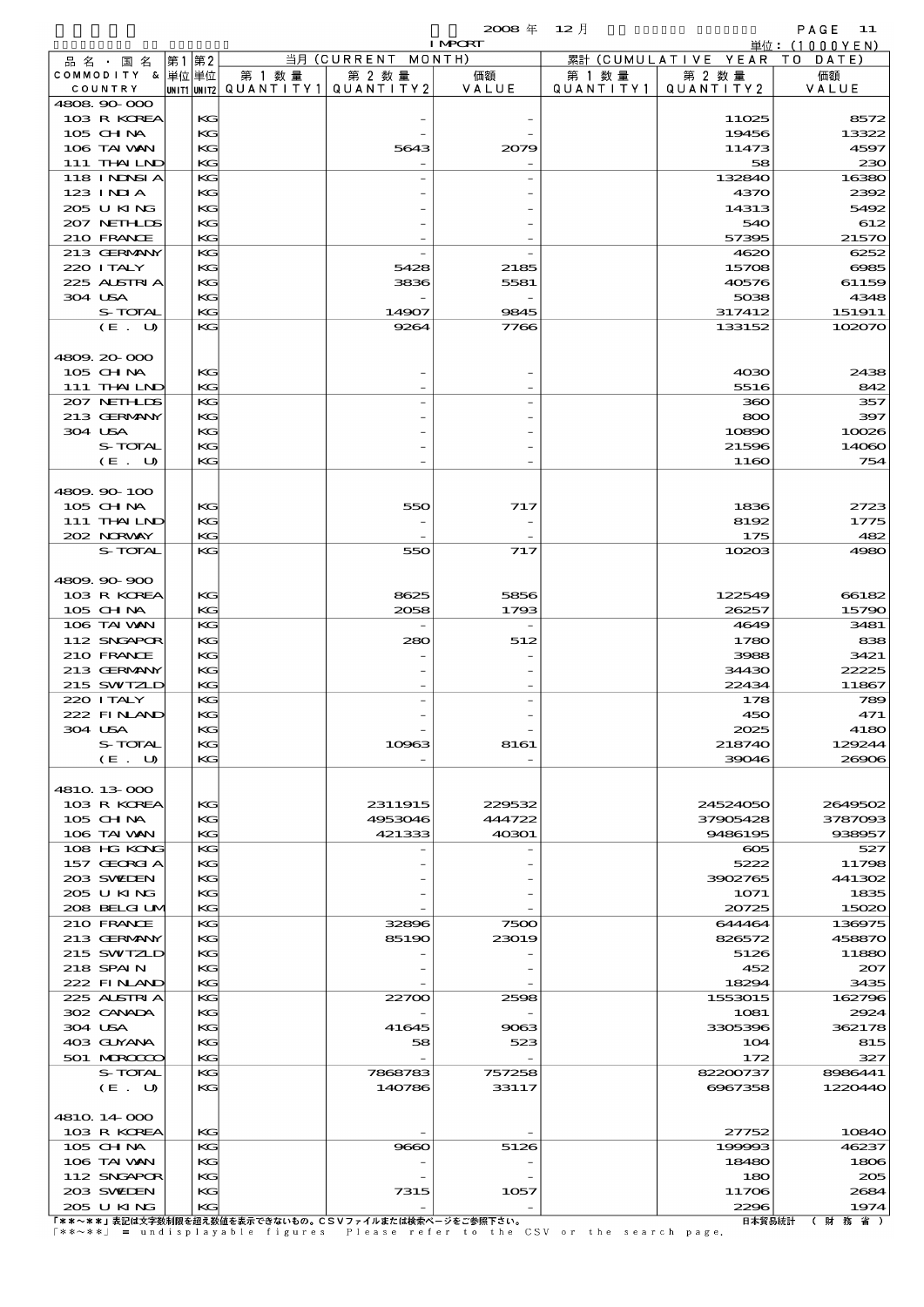|                                  |    |          |                          |                    | $2008 \text{ }^{\text{#}}$ | $12$ 月    |                      | PAGE 11                           |
|----------------------------------|----|----------|--------------------------|--------------------|----------------------------|-----------|----------------------|-----------------------------------|
|                                  |    |          |                          | 当月 (CURRENT MONTH) | <b>I MPORT</b>             |           | 累計 (CUMULATIVE YEAR) | 単位: $(1000YEN)$<br>- T O<br>DATE) |
| 品名・国名<br>COMMODITY & 単位単位        | 第1 | 第2       | 第 1 数量                   | 第 2 数量             | 価額                         | 第 1 数 量   | 第 2 数量               | 価額                                |
| COUNTRY                          |    |          | unit1 unit2  Q∪ANT   TY1 | QUANTITY 2         | VALUE                      | QUANTITY1 | QUANTITY2            | VALUE                             |
| 4808.90-000                      |    |          |                          |                    |                            |           |                      |                                   |
| 103 R KOREA                      |    | KG       |                          |                    |                            |           | 11025                | 8572                              |
| 105 CH NA                        |    | KG       |                          |                    |                            |           | 19456                | 13322                             |
| 106 TAI VAN                      |    | KG       |                          | 5643               | 2079                       |           | 11473                | 4597                              |
| 111 THAILND<br><b>118 INDSIA</b> |    | KG<br>KG |                          |                    |                            |           | 58<br>132840         | 230<br>16380                      |
| $123$ INIA                       |    | KG       |                          |                    |                            |           | 4370                 | 2392                              |
| 205 U KING                       |    | KG       |                          |                    |                            |           | 14313                | 5492                              |
| 207 NETHLIS                      |    | KG       |                          |                    |                            |           | 540                  | 612                               |
| 210 FRANCE                       |    | KG       |                          |                    |                            |           | 57395                | 21570                             |
| 213 GERMANY                      |    | KG       |                          |                    |                            |           | 4620                 | 6252                              |
| 220 I TALY                       |    | KG       |                          | 5428               | 2185                       |           | 15708                | 6985                              |
| 225 ALSTRIA                      |    | KG       |                          | 3836               | 5581                       |           | 40576                | 61159                             |
| 304 USA                          |    | KG       |                          |                    |                            |           | 5038                 | 4348                              |
| S-TOTAL                          |    | KG       |                          | 14907              | 9845                       |           | 317412               | 151911                            |
| (E. U)                           |    | KG       |                          | 9264               | 7766                       |           | 133152               | 102070                            |
|                                  |    |          |                          |                    |                            |           |                      |                                   |
| 4809.20-000<br>$105$ CHNA        |    | KG       |                          |                    |                            |           | 4030                 | 2438                              |
| 111 THAILND                      |    | KG       |                          |                    |                            |           | 5516                 | 842                               |
| 207 NETHLIS                      |    | KG       |                          |                    |                            |           | 360                  | 357                               |
| 213 GERMANY                      |    | KG       |                          |                    |                            |           | 800                  | 397                               |
| 304 USA                          |    | KG       |                          |                    |                            |           | 10890                | 10026                             |
| S-TOTAL                          |    | KG       |                          |                    |                            |           | 21596                | 14060                             |
| (E. U)                           |    | KG       |                          |                    |                            |           | 1160                 | 754                               |
|                                  |    |          |                          |                    |                            |           |                      |                                   |
| 4809.90-100                      |    |          |                          |                    |                            |           |                      |                                   |
| 105 CHNA                         |    | KG       |                          | 550                | 717                        |           | 1836                 | 2723                              |
| 111 THAILND                      |    | KG       |                          |                    |                            |           | 8192                 | 1775                              |
| 202 NRWAY<br><b>S-TOTAL</b>      |    | KG<br>KG |                          |                    |                            |           | 175                  | 482                               |
|                                  |    |          |                          | 550                | 717                        |           | 10203                | 4980                              |
| 4809.900.900                     |    |          |                          |                    |                            |           |                      |                                   |
| 103 R KOREA                      |    | KG       |                          | 8625               | 5856                       |           | 122549               | 66182                             |
| 105 CH NA                        |    | KG       |                          | 2058               | 1793                       |           | 26257                | 15790                             |
| 106 TAI WAN                      |    | KG       |                          |                    |                            |           | 4649                 | 3481                              |
| 112 SNGAPOR                      |    | KG       |                          | 280                | 512                        |           | 1780                 | 838                               |
| 210 FRANCE                       |    | KG       |                          |                    |                            |           | 3988                 | 3421                              |
| 213 GERMANY                      |    | KG       |                          |                    |                            |           | 34430                | 22225                             |
| 215 SWIZLD                       |    | KG       |                          |                    |                            |           | 22434                | 11867                             |
| 220 I TALY                       |    | KG       |                          |                    |                            |           | 178<br>450           | 789                               |
| 222 FINAN<br>304 USA             |    | KG<br>KG |                          |                    |                            |           | 2025                 | 471<br>4180                       |
| S-TOTAL                          |    | KG       |                          | 10963              | 8161                       |           | 218740               | 129244                            |
| (E. U)                           |    | KG       |                          |                    |                            |           | 39046                | 26906                             |
|                                  |    |          |                          |                    |                            |           |                      |                                   |
| 4810 13 000                      |    |          |                          |                    |                            |           |                      |                                   |
| 103 R KOREA                      |    | KG       |                          | 2311915            | 229532                     |           | 24524050             | 2649502                           |
| $105$ CHNA                       |    | KG       |                          | 4953046            | 444722                     |           | 37905428             | 3787093                           |
| 106 TAI VAN                      |    | KG       |                          | 421333             | 40301                      |           | 9486195              | 938957                            |
| 108 HG KONG                      |    | КC       |                          |                    |                            |           | $\infty$             | 527                               |
| 157 GEORGIA                      |    | KG       |                          |                    |                            |           | 5222                 | 11798                             |
| 203 SWIDEN<br>205 U KING         |    | KG<br>KG |                          |                    |                            |           | 3902765<br>1071      | 441302<br>1835                    |
| 208 BELGI UM                     |    | KG       |                          |                    |                            |           | 20725                | 15020                             |
| 210 FRANCE                       |    | KG       |                          | 32896              | 7500                       |           | 644464               | 136975                            |
| 213 GERMANY                      |    | KG       |                          | 85190              | 23019                      |           | 826572               | 458870                            |
| 215 SWIZLD                       |    | KG       |                          |                    |                            |           | 5126                 | 11880                             |
| 218 SPAIN                        |    | KG       |                          |                    |                            |           | 452                  | 207                               |
| 222 FINAND                       |    | KG       |                          |                    |                            |           | 18294                | 3435                              |
| 225 ALSTRIA                      |    | KG       |                          | 22700              | 2598                       |           | 1553015              | 162796                            |
| 302 CANADA                       |    | KG       |                          |                    |                            |           | 1081                 | 2924                              |
| 304 USA                          |    | KG       |                          | 41645              | 9063                       |           | 3305396              | 362178                            |
| 403 GUYANA                       |    | KG       |                          | 58                 | 523                        |           | 104                  | 815                               |
| 501 MRODOC<br>S-TOTAL            |    | KG<br>KG |                          | 7868783            | 757258                     |           | 172<br>82200737      | 327<br>8986441                    |
| (E. U)                           |    | KG       |                          | 140786             | 33117                      |           | 6967358              | 1220440                           |
|                                  |    |          |                          |                    |                            |           |                      |                                   |
| 4810 14 000                      |    |          |                          |                    |                            |           |                      |                                   |
| 103 R KOREA                      |    | KG       |                          |                    |                            |           | 27752                | 10840                             |
| 105 CHNA                         |    | KG       |                          | 9660               | 5126                       |           | 199993               | 46237                             |
| 106 TAI VAN                      |    | KG       |                          |                    |                            |           | 18480                | 1806                              |
| 112 SNGAPOR                      |    | KG       |                          |                    |                            |           | 180                  | 205                               |
| 203 SWIEN<br>205 U KING          |    | KG<br>KG |                          | 7315               | 1057                       |           | 11706<br>2296        | 2684<br>1974                      |
|                                  |    |          |                          |                    |                            |           |                      |                                   |

205 U KING KG - - 2296 1974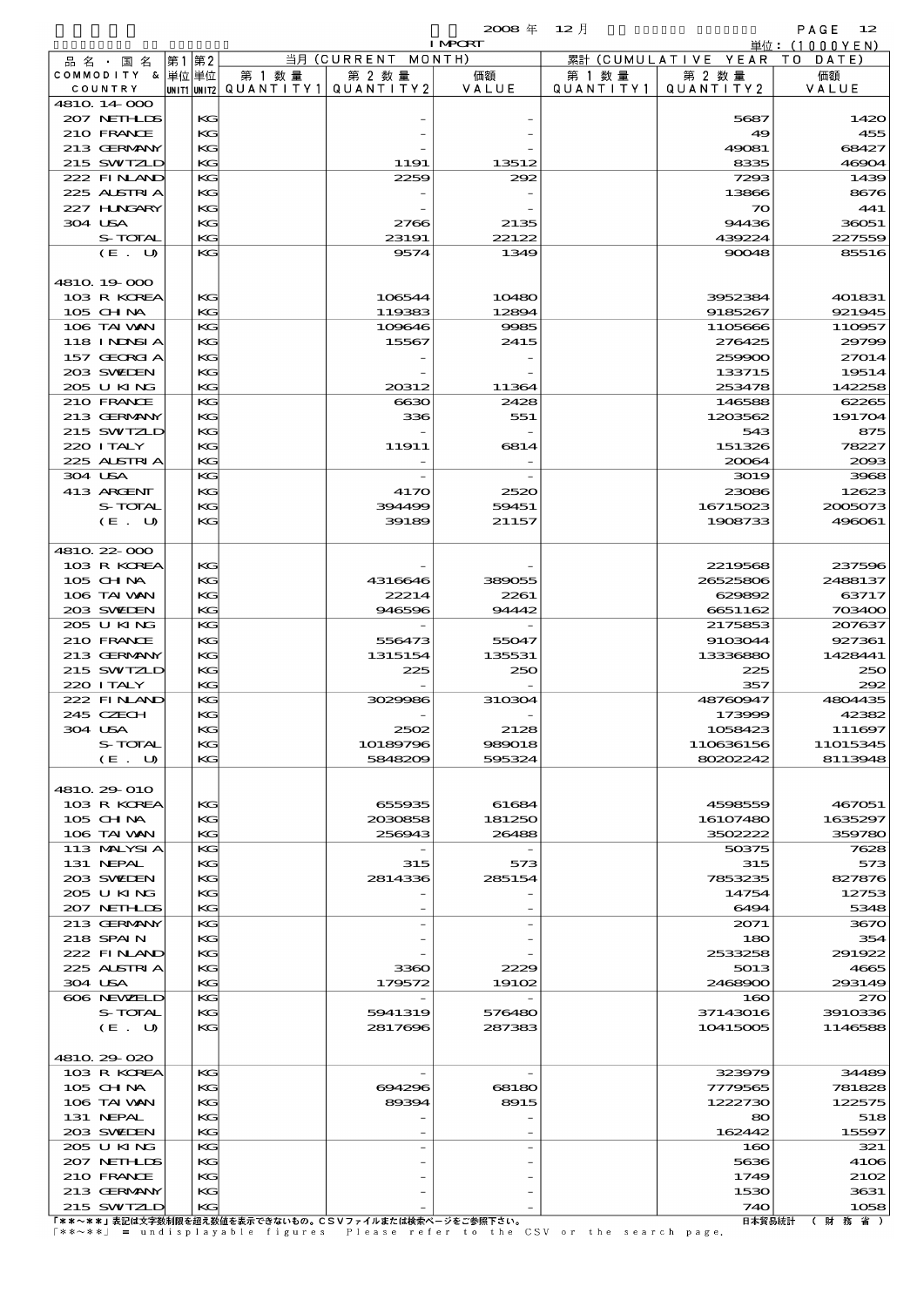|                               |              |      |          |         |                                       | $2008 \text{ } \#$<br><b>I MPCRT</b> | $12$ 月    |                              | PAGE<br>12        |
|-------------------------------|--------------|------|----------|---------|---------------------------------------|--------------------------------------|-----------|------------------------------|-------------------|
|                               |              | 第1第2 |          |         | 当月 (CURRENT MONTH)                    |                                      |           | 累計 (CUMULATIVE YEAR TO DATE) | 単位:(1000YEN)      |
| 品 名 ・ 国 名<br>COMMODITY & 単位単位 |              |      |          | 第 1 数 量 | 第 2 数量                                | 価額                                   | 第 1 数 量   | 第 2 数量                       | 価額                |
| COUNTRY                       |              |      |          |         | unit1 unit2  QUANT   TY1  QUANT   TY2 | VALUE                                | QUANTITY1 | QUANTITY2                    | VALUE             |
| 4810 14 000                   | 207 NETHLIDS |      | KG       |         |                                       |                                      |           | 5687                         | 1420              |
| 210 FRANCE                    |              |      | KG       |         |                                       |                                      |           | 49                           | 455               |
| 213 GERMANY                   |              |      | KG       |         |                                       |                                      |           | 49081                        | 68427             |
|                               | 215 SWIZLD   |      | KG       |         | 1191                                  | 13512                                |           | 8335                         | 4690 <sub>4</sub> |
|                               | 222 FINAND   |      | KG       |         | 2259                                  | 292                                  |           | 7293                         | 1435              |
|                               | 225 ALSTRIA  |      | KG       |         |                                       |                                      |           | 13866                        | 8676              |
|                               | 227 HNGARY   |      | KG       |         |                                       |                                      |           | $\infty$                     | 441               |
| 304 USA                       |              |      | KG       |         | 2766                                  | 2135                                 |           | 94436                        | 36051             |
|                               | S-TOTAL      |      | KG       |         | 23191                                 | 22122                                |           | 439224                       | 227559            |
|                               | (E. U)       |      | KG.      |         | 9574                                  | 1349                                 |           | 90048                        | 85516             |
|                               |              |      |          |         |                                       |                                      |           |                              |                   |
| 4810 19 000                   |              |      |          |         |                                       |                                      |           |                              |                   |
|                               | 103 R KOREA  |      | KG       |         | 106544                                | 10480                                |           | 3952384                      | 401831            |
| 105 CHNA                      |              |      | KG       |         | 119383                                | 12894                                |           | 9185267                      | 921945            |
| 106 TAI WAN                   |              |      | KG       |         | 109646                                | 9985                                 |           | 1105666                      | 110957            |
|                               | 118 I NDSI A |      | KG       |         | 15567                                 | 2415                                 |           | 276425                       | 29796             |
|                               | 157 GEORGIA  |      | KG       |         |                                       |                                      |           | 259900                       | 27014             |
| 203 SWIEN                     |              |      | KG       |         |                                       |                                      |           | 133715                       | 19514             |
| 205 U KING                    |              |      | KG       |         | 20312                                 | 11364                                |           | 253478                       | 142258            |
| 210 FRANCE                    |              |      | KG       |         | 6630                                  | 2428                                 |           | 146588                       | 62265             |
|                               | 213 GERMANY  |      | KG       |         | 336                                   | 551                                  |           | 1203562                      | 191704            |
|                               | 215 SWIZLD   |      | KG       |         |                                       |                                      |           | 543                          | 875               |
| 220 I TALY                    |              |      | KG       |         | 11911                                 | 6814                                 |           | 151326                       | 78227             |
| 225 ALSTRIA                   |              |      | KG       |         |                                       |                                      |           | 20064                        | 2000              |
| 304 USA                       |              |      | KG       |         |                                       |                                      |           | 3019                         | 3965              |
| 413 ARGENT                    |              |      | KG       |         | 4170                                  | 2520                                 |           | 23086                        | 12623             |
|                               | S-TOTAL      |      | KG       |         | 394499                                | 59451                                |           | 16715023                     | 2005073           |
|                               | (E. U)       |      | KG       |         | 39189                                 | 21157                                |           | 1908733                      | 496061            |
|                               |              |      |          |         |                                       |                                      |           |                              |                   |
| 4810 22-000                   |              |      |          |         |                                       |                                      |           |                              |                   |
|                               | 103 R KOREA  |      | KG       |         |                                       |                                      |           | 2219568                      | 237596            |
| $105$ CHNA                    |              |      | KG       |         | 4316646                               | 389055                               |           | 26525806                     | 2488137           |
| 106 TAI VAN                   |              |      | KG       |         | 22214                                 | 2261                                 |           | 629892                       | 63717             |
| 203 SWIEN                     |              |      | KG       |         | 946596                                | 94442                                |           | 6651162                      | 703400            |
| 205 U KING                    |              |      | KG       |         |                                       |                                      |           | 2175853                      | 207637            |
| 210 FRANCE                    |              |      | KG       |         | 556473                                | 55047                                |           | 9103044                      | 927361            |
|                               | 213 GERMANY  |      | KG       |         | 1315154                               | 135531                               |           | 13336880                     | 1428441           |
|                               | 215 SWIZLD   |      | KG       |         | 225                                   | 250                                  |           | 225                          | 250               |
| 220 I TALY                    |              |      | KG       |         |                                       | $\overline{\phantom{a}}$             |           | 357                          | 292               |
|                               | 222 FINAND   |      | KG       |         | 3029986                               | 310304                               |           | 48760947                     | 4804435           |
| 245 CZECH                     |              |      | KG       |         |                                       |                                      |           | 173999                       | 42382             |
| 304 USA                       |              |      | KG       |         | 2502                                  | 2128                                 |           | 1058423                      | 111697            |
|                               | S-TOTAL      |      | KG       |         | 10189796                              | 989018                               |           | 110636156                    | 11015345          |
|                               | (E. U)       |      | KG       |         | 5848209                               | 595324                               |           | 80202242                     | 8113948           |
|                               |              |      |          |         |                                       |                                      |           |                              |                   |
| 4810 29 010                   |              |      |          |         |                                       |                                      |           |                              |                   |
| $105$ CHNA                    | 103 R KOREA  |      | KG<br>KG |         | 655935<br>2030858                     | 61684<br>181250                      |           | 4598559<br>16107480          | 467051<br>1635297 |
| 106 TAI VAN                   |              |      | КG       |         | 256943                                | 26488                                |           | 3502222                      | 359780            |
|                               | 113 MALYSIA  |      | KG       |         |                                       |                                      |           | 50375                        | 7628              |
| 131 NEPAL                     |              |      | KG       |         | 315                                   | 573                                  |           | 315                          | 573               |
| 203 SWIDEN                    |              |      | KG       |         | 2814336                               | 285154                               |           | 7853235                      | 827876            |
| 205 U KING                    |              |      | KG       |         |                                       |                                      |           | 14754                        | 12753             |
|                               | 207 NETHLIS  |      | КG       |         |                                       |                                      |           | 6494                         | 5348              |
|                               | 213 GERMANY  |      | KG       |         |                                       |                                      |           | 2071                         | 3670              |
| 218 SPAIN                     |              |      | KG       |         |                                       |                                      |           | 180                          | 354               |
|                               | 222 FINAND   |      | KG       |         |                                       |                                      |           | 2533258                      | 291922            |
|                               | 225 ALSTRIA  |      | KG       |         | 3360                                  | 2229                                 |           | 5013                         | 4665              |
| 304 USA                       |              |      | КG       |         | 179572                                | 19102                                |           | 2468900                      | 293149            |
|                               | 606 NEWELD   |      | KG       |         |                                       |                                      |           | 160                          | 270               |
|                               | S-TOTAL      |      | KG       |         | 5941319                               | 576480                               |           | 37143016                     | 3910336           |
|                               | (E. U)       |      | KG       |         | 2817696                               | 287383                               |           | 10415005                     | 1146585           |
|                               |              |      |          |         |                                       |                                      |           |                              |                   |
| 4810 29 020                   |              |      |          |         |                                       |                                      |           |                              |                   |
|                               | 103 R KOREA  |      | KС       |         |                                       |                                      |           | 323979                       | 34489             |
| 105 CH NA                     |              |      | KG       |         | 694296                                | 68180                                |           | 7779565                      | 781825            |
| 106 TAI WAN                   |              |      | KG       |         | 89394                                 | 8915                                 |           | 1222730                      | 122575            |
| 131 NEPAL                     |              |      | KG       |         |                                       |                                      |           | 80                           | 518               |

213 GERNANY KG KG | - | - | 1530 | 36331<br>215 SWIZID KG KG | - | 1058<br>「\*\*~\*\*」表記は文字数制限を超え数値を表示できないもの。CSVファイルまたは検索ページをご参照下さい。 | - | 1258 | 740 | 1058<br>「\*\*~\*\*」 = undisplayable figures Please refer to the CSV or the search page

203 SWEDEN KG - - 162442 15597 205 U KING KG - 160 321 207 NETHLDS KG - - 5636 4106 210 FRANCE KG - - 1749 2102 213 GERMANY KG - - 1530 3631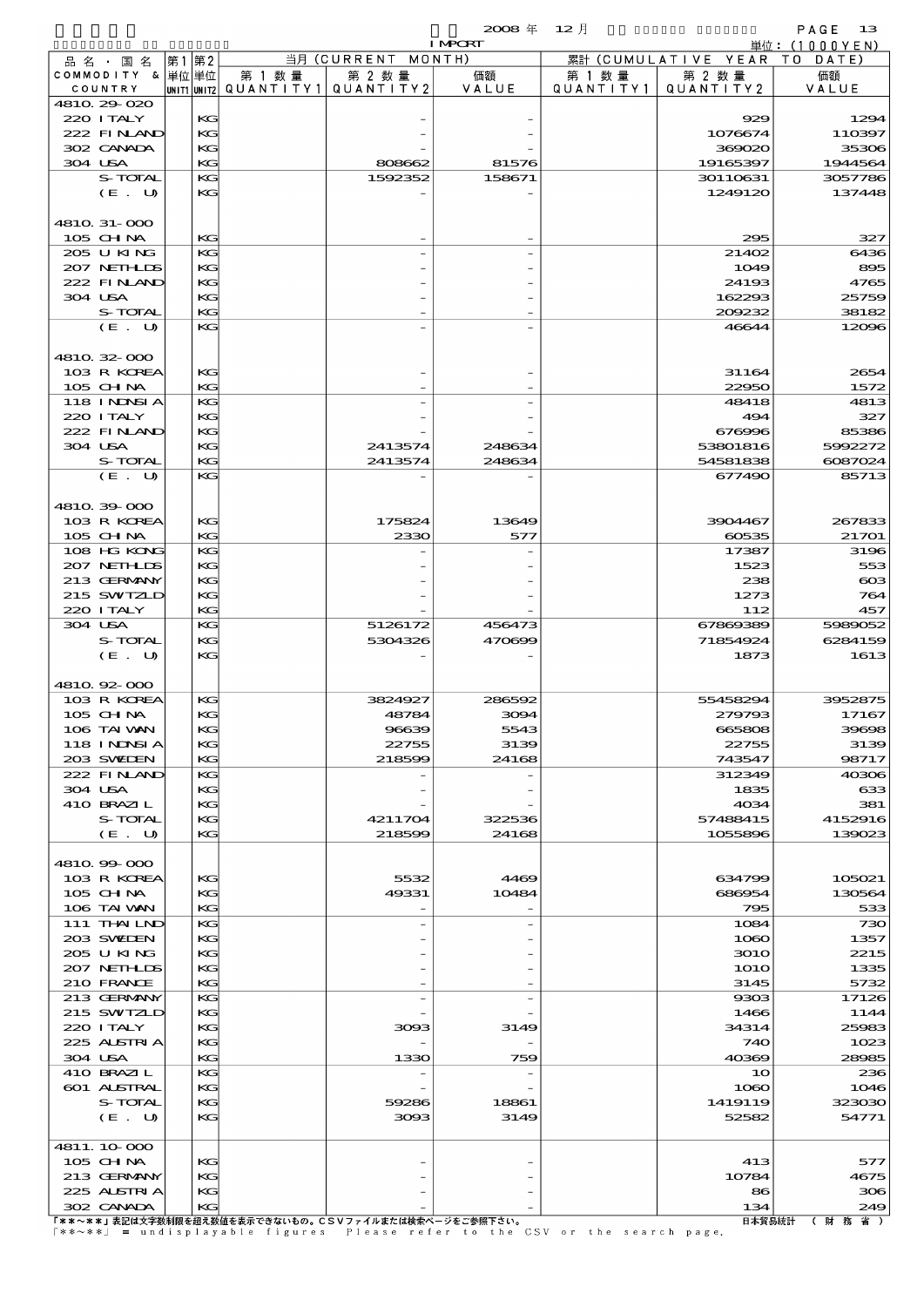|                            |          |                                 |                    | $2008 \text{ }^{\text{#}}$ | $12$ 月    |                      | $PAGE$ 13       |
|----------------------------|----------|---------------------------------|--------------------|----------------------------|-----------|----------------------|-----------------|
|                            |          |                                 |                    | <b>I MPORT</b>             |           |                      | 単位:(1000YEN)    |
| 品 名 ・ 国 名                  | 第1第2     |                                 | 当月 (CURRENT MONTH) |                            |           | 累計 (CUMULATIVE YEAR) | TO DATE)        |
| COMMODITY & 単位単位           |          | 第 1 数 量                         | 第 2 数量             | 価額                         | 第 1 数 量   | 第 2 数量               | 価額              |
| COUNTRY                    |          | UNIT1 UNIT2   Q U A N T I T Y 1 | QUANTITY2          | VALUE                      | QUANTITY1 | QUANTITY 2           | VALUE           |
| 4810 29 020<br>220 I TALY  | KG       |                                 |                    |                            |           | 929                  | 1294            |
| 222 FINAND                 | KG       |                                 |                    |                            |           | 1076674              | 110397          |
| 302 CANADA                 | KG       |                                 |                    |                            |           | 369020               | 35306           |
| 304 USA                    | KG       |                                 | 808662             | 81576                      |           | 19165397             | 1944564         |
| S-TOTAL                    | KG       |                                 | 1592352            | 158671                     |           | 30110631             | 3057786         |
| (E. U)                     | KG       |                                 |                    |                            |           | 1249120              | 137448          |
|                            |          |                                 |                    |                            |           |                      |                 |
| 4810 31-000                |          |                                 |                    |                            |           |                      |                 |
| $105$ CHNA                 | KG       |                                 |                    |                            |           | 295                  | 327             |
| 205 U KING                 | KG       |                                 |                    |                            |           | 21402                | 6436            |
| 207 NETHLIS                | KG       |                                 |                    |                            |           | 1049                 | 895             |
| 222 FINLAND                | KG       |                                 |                    |                            |           | 24193                | 4765            |
| 304 USA                    | KС       |                                 |                    |                            |           | 162293               | 25759           |
| S-TOTAL                    | KG       |                                 |                    |                            |           | 209232               | 38182           |
| (E. U)                     | KG       |                                 |                    |                            |           | 46644                | 12096           |
| 4810.32-000                |          |                                 |                    |                            |           |                      |                 |
| 103 R KOREA                | KG       |                                 |                    |                            |           | 31164                | 2654            |
| $105$ CHNA                 | KG       |                                 |                    |                            |           | 22950                | 1572            |
| <b>118 INDSIA</b>          | KG       |                                 |                    |                            |           | 48418                | 4813            |
| 220 I TALY                 | KG       |                                 |                    |                            |           | 494                  | 327             |
| 222 FINAND                 | KG       |                                 |                    |                            |           | 676996               | 85386           |
| 304 USA                    | KG       |                                 | 2413574            | 248634                     |           | 53801816             | 5992272         |
| S-TOTAL                    | KG       |                                 | 2413574            | 248634                     |           | 54581838             | 6087024         |
| (E. U)                     | KG       |                                 |                    |                            |           | 677490               | 85713           |
|                            |          |                                 |                    |                            |           |                      |                 |
| 4810.39-000                |          |                                 |                    |                            |           |                      |                 |
| 103 R KOREA                | KG       |                                 | 175824             | 13649                      |           | 3904467              | 267833          |
| 105 CHNA                   | KG       |                                 | 2330               | 577                        |           | 60535                | 21701           |
| 108 HG KONG                | KG       |                                 |                    |                            |           | 17387                | 3196            |
| 207 NEIHLIS<br>213 GERMANY | KG       |                                 |                    |                            |           | 1523<br>238          | 553             |
| 215 SWIZLD                 | KG       |                                 |                    |                            |           | 1273                 | $\infty$<br>764 |
| 220 I TALY                 | KG<br>KG |                                 |                    |                            |           | 112                  | 457             |
| 304 USA                    | KG       |                                 | 5126172            | 456473                     |           | 67869389             | 5989052         |
| S-TOTAL                    | KG       |                                 | 5304326            | 470699                     |           | 71854924             | 6284159         |
| (E. U)                     | KG       |                                 |                    |                            |           | 1873                 | 1613            |
|                            |          |                                 |                    |                            |           |                      |                 |
| 4810.92-000                |          |                                 |                    |                            |           |                      |                 |
| 103 R KOREA                | KG       |                                 | 3824927            | 286592                     |           | 55458294             | 3952875         |
| 105 CH NA                  | KG       |                                 | 48784              | 3094                       |           | 279793               | 17167           |
| 106 TAI VAN                | KG       |                                 | 96639              | 5543                       |           | 665808               | 39698           |
| 118 INNSI A                | KG       |                                 | 22755              | 3139                       |           | 22755                | 3139            |
| 203 SWIEN                  | KG       |                                 | 218599             | 24168                      |           | 743547               | 98717           |
| 222 FINAND                 | KG       |                                 |                    |                            |           | 312349               | 40306           |
| 304 USA<br>410 BRAZIL      | KG<br>KG |                                 |                    |                            |           | 1835<br>4034         | 633<br>381      |
| S-TOTAL                    | KG       |                                 | 4211704            | 322536                     |           | 57488415             | 4152916         |
| (E. U)                     | KG       |                                 | 218599             | 24168                      |           | 1055896              | 139023          |
|                            |          |                                 |                    |                            |           |                      |                 |
| 4810.99-000                |          |                                 |                    |                            |           |                      |                 |
| 103 R KOREA                | KG       |                                 | 5532               | 4469                       |           | 634799               | 105021          |
| $105$ CHNA                 | KG       |                                 | 49331              | 10484                      |           | 686954               | 130564          |
| 106 TAI VAN                | KG       |                                 |                    |                            |           | 795                  | 533             |
| 111 THAILND                | KG       |                                 |                    |                            |           | 1084                 | 730             |
| 203 SWIDEN                 | KG       |                                 |                    |                            |           | 1080                 | 1357            |
| 205 U KING                 | KG       |                                 |                    |                            |           | 3010                 | 2215            |
| 207 NETHLIS                | KG       |                                 |                    |                            |           | <b>1O1O</b>          | 1335            |
| 210 FRANCE                 | KG       |                                 |                    |                            |           | 3145                 | 5732            |
| 213 GERMANY                | KG       |                                 |                    |                            |           | 9303                 | 17126           |
| 215 SWIZLD<br>220 I TALY   | KG       |                                 |                    |                            |           | 1466                 | 1144            |
| 225 ALSTRIA                | KG<br>KG |                                 | 3093               | 3149                       |           | 34314<br>740         | 25983<br>1023   |
| 304 USA                    | KG       |                                 | 1330               | 759                        |           | 40369                | 28985           |
| 410 BRAZIL                 | KG       |                                 |                    |                            |           | 10                   | 236             |
| 601 ALSTRAL                | KG       |                                 |                    |                            |           | 1080                 | 1046            |
| S-TOTAL                    | KG       |                                 | 59286              | 18861                      |           | 1419119              | 323030          |
| (E. U)                     | KG       |                                 | 3093               | 3149                       |           | 52582                | 54771           |
|                            |          |                                 |                    |                            |           |                      |                 |
| 4811.10.000                |          |                                 |                    |                            |           |                      |                 |
| 105 CH NA                  | KG       |                                 |                    |                            |           | 413                  | 577             |
| 213 GERMANY                | KG       |                                 |                    |                            |           | 10784                | 4675            |

302 CANADA KG - - 134 249

225 ALSTRIA KG - -  $\begin{vmatrix} 1 & 0 & 0 \\ 0 & 0 & 0 \\ 0 & 0 & 0 \end{vmatrix}$  306 306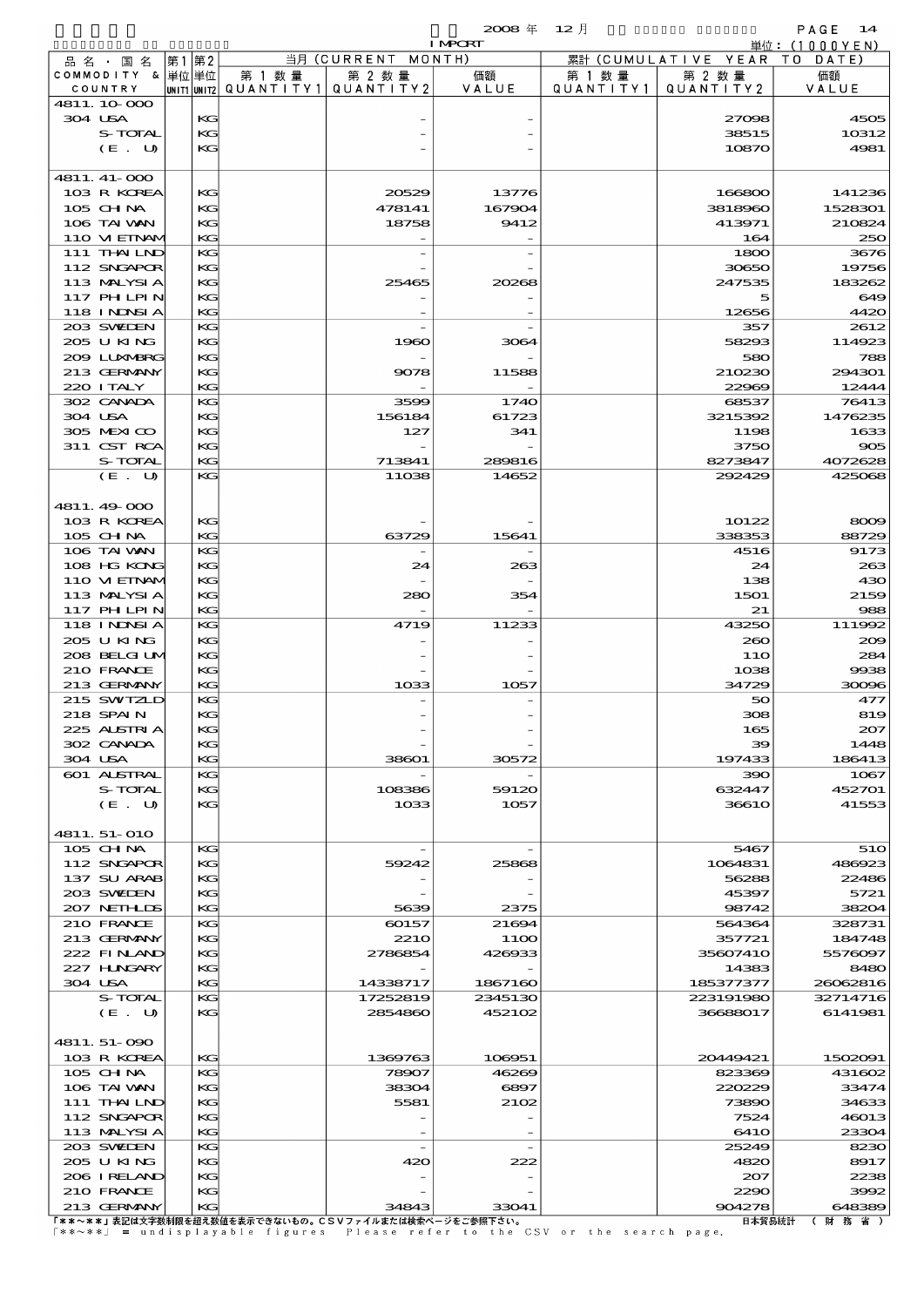$2008 \nless 12 \nless 12$ 

| <b>I MPORT</b> |                           |  |          |                                       |                    |         |           | 単位:(1000YEN)                 |                 |
|----------------|---------------------------|--|----------|---------------------------------------|--------------------|---------|-----------|------------------------------|-----------------|
|                | 品名・国名                     |  | 第1 第2    |                                       | 当月 (CURRENT MONTH) |         |           | 累計 (CUMULATIVE YEAR TO DATE) |                 |
|                | COMMODITY & 単位単位          |  |          | 第 1 数量                                | 第 2 数量             | 価額      | 第 1 数 量   | 第 2 数量                       | 価額              |
|                | COUNTRY                   |  |          | UNIT1 UNIT2  QUANT   TY1  QUANT   TY2 |                    | VALUE   | QUANTITY1 | QUANTITY 2                   | VALUE           |
|                | 4811.10.000               |  |          |                                       |                    |         |           |                              |                 |
|                | 304 USA                   |  | KG       |                                       |                    |         |           | 27098                        | 4505            |
|                | S-TOTAL                   |  | KG<br>KG |                                       |                    |         |           | 38515                        | 10312<br>4981   |
|                | (E. U)                    |  |          |                                       |                    |         |           | 10870                        |                 |
|                | 4811. 41-000              |  |          |                                       |                    |         |           |                              |                 |
|                | 103 R KOREA               |  | KG       |                                       | 20529              | 13776   |           | 166800                       | 141236          |
|                | 105 CH NA                 |  | KG       |                                       | 478141             | 167904  |           | 3818960                      | 1528301         |
|                | 106 TAI VAN               |  | KG       |                                       | 18758              | 9412    |           | 413971                       | 210824          |
|                | 110 VIEINAM               |  | KG       |                                       |                    |         |           | 164                          | 250             |
|                | 111 THAILND               |  | KG       |                                       |                    |         |           | 1800                         | 3676            |
|                | 112 SNGAPOR               |  | KG       |                                       |                    |         |           | 30650                        | 19756           |
|                | 113 MALYSIA               |  | KG       |                                       | 25465              | 20268   |           | 247535                       | 183262          |
|                | 117 PHLPIN                |  | KG       |                                       |                    |         |           | 5                            | 649             |
|                | <b>118 INNSIA</b>         |  | KG       |                                       |                    |         |           | 12656                        | 4420            |
|                | 203 SWIDEN                |  | KG       |                                       |                    |         |           | 357                          | 2612            |
|                | 205 U KING                |  | KG       |                                       | 1960               | 3064    |           | 58293                        | 114923          |
|                | 2009 LUNABRG              |  | KG       |                                       |                    |         |           | 580                          | 788             |
|                | 213 GERMANY               |  | KG       |                                       | 9078               | 11588   |           | 210230                       | 294301          |
|                | 220 I TALY                |  | KG       |                                       |                    |         |           | 22969                        | 12444           |
|                | 302 CANADA<br>304 USA     |  | KG       |                                       | 3599               | 1740    |           | 68537                        | 76413           |
|                | 305 MEXICO                |  | KG       |                                       | 156184             | 61723   |           | 3215392                      | 1476235<br>1633 |
|                | 311 CST RCA               |  | KG<br>KG |                                       | 127                | 341     |           | 1198<br>3750                 | 905             |
|                | S-TOTAL                   |  | KG       |                                       | 713841             | 289816  |           | 8273847                      | 4072628         |
|                | (E. U)                    |  | KG       |                                       | 11038              | 14652   |           | 292429                       | 425068          |
|                |                           |  |          |                                       |                    |         |           |                              |                 |
|                | 4811.49-000               |  |          |                                       |                    |         |           |                              |                 |
|                | 103 R KOREA               |  | KG       |                                       |                    |         |           | 10122                        | 8009            |
|                | 105 CH NA                 |  | KG       |                                       | 63729              | 15641   |           | 338353                       | 88729           |
|                | 106 TAI VAN               |  | KG       |                                       |                    |         |           | 4516                         | 9173            |
|                | 108 HG KONG               |  | KG       |                                       | 24                 | 263     |           | 24                           | 263             |
|                | 110 VIEINAM               |  | KG       |                                       |                    |         |           | 138                          | 430             |
|                | 113 MALYSIA               |  | KG       |                                       | 280                | 354     |           | 1501                         | 2159            |
|                | 117 PH LPIN               |  | KG       |                                       |                    |         |           | 21                           | 988             |
|                | 118 I NDSI A              |  | KG       |                                       | 4719               | 11233   |           | 43250                        | 111992          |
|                | 205 U KING                |  | KG       |                                       |                    |         |           | 260                          | 200             |
|                | 208 BELGI UM              |  | KG       |                                       |                    |         |           | 11O                          | 284             |
|                | 210 FRANCE                |  | KG       |                                       |                    |         |           | 1038                         | 9938            |
|                | 213 GERMANY               |  | KG       |                                       | 1033               | 1057    |           | 34729                        | 30096           |
|                | 215 SWIZLD                |  | KG       |                                       |                    |         |           | 50                           | 477             |
|                | 218 SPAIN                 |  | KG       |                                       |                    |         |           | 308                          | 819             |
|                | 225 ALSTRIA<br>302 CANADA |  | КG       |                                       |                    |         |           | 165                          | 207             |
|                | 304 USA                   |  | КG<br>KG |                                       | 38601              | 30572   |           | 39<br>197433                 | 1448<br>186413  |
|                | 601 ALSTRAL               |  | KG       |                                       |                    |         |           | 390                          | 1067            |
|                | S-TOTAL                   |  | KG       |                                       | 108386             | 59120   |           | 632447                       | 452701          |
|                | (E. U)                    |  | KG       |                                       | 1033               | 1057    |           | <b>36610</b>                 | 41553           |
|                |                           |  |          |                                       |                    |         |           |                              |                 |
|                | 4811.51-010               |  |          |                                       |                    |         |           |                              |                 |
|                | 105 CH NA                 |  | КG       |                                       |                    |         |           | 5467                         | 510             |
|                | 112 SNGAPOR               |  | KG       |                                       | 59242              | 25868   |           | 1064831                      | 486923          |
|                | 137 SU ARAB               |  | KG       |                                       |                    |         |           | 56288                        | 22486           |
|                | 203 SWIEN                 |  | KG       |                                       |                    |         |           | 45397                        | 5721            |
|                | 207 NETHLIS               |  | KG       |                                       | 5639               | 2375    |           | 98742                        | 38204           |
|                | 210 FRANCE                |  | KG       |                                       | 60157              | 21694   |           | 564364                       | 328731          |
|                | 213 GERMANY               |  | KG       |                                       | <b>2210</b>        | 11OO    |           | 357721                       | 184748          |
|                | 222 FINAND                |  | KG       |                                       | 2786854            | 426933  |           | 35607410                     | 5576097         |
|                | 227 H.NGARY               |  | KG       |                                       |                    |         |           | 14383                        | 8480            |
|                | 304 USA                   |  | KG       |                                       | 14338717           | 1867160 |           | 185377377                    | 26062816        |
|                | S-TOTAL                   |  | KG       |                                       | 17252819           | 2345130 |           | 223191980                    | 32714716        |
|                | (E. U)                    |  | KG       |                                       | 2854860            | 452102  |           | 36688017                     | 6141981         |
|                | 4811.51-090               |  |          |                                       |                    |         |           |                              |                 |
|                | 103 R KOREA               |  | KG       |                                       | 1369763            | 106951  |           | 20449421                     | 1502091         |
|                | 105 CHNA                  |  | KG       |                                       | 78907              | 46269   |           | 823369                       | 431602          |
|                | 106 TAI VAN               |  | KG       |                                       | 38304              | 6897    |           | 220229                       | 33474           |
|                | 111 THAILND               |  | KG       |                                       | 5581               | 2102    |           | 73890                        | 34633           |
|                | 112 SNGAPOR               |  | KG       |                                       |                    |         |           | 7524                         | 46013           |
|                | 113 MALYSIA               |  | KG       |                                       |                    |         |           | 641O                         | 23304           |
|                | 203 SWILEN                |  | KG       |                                       |                    |         |           | 25249                        | 8230            |
|                | 205 U KING                |  | KG       |                                       | 420                | 222     |           | 4820                         | 8917            |
|                | 206 IRELAND               |  | KG       |                                       |                    |         |           | 207                          | 2238            |
|                | 210 FRANCE                |  | KG       |                                       |                    |         |           | 2290                         | 3992            |

213 GERMANY KG 34843 33041 904278 648389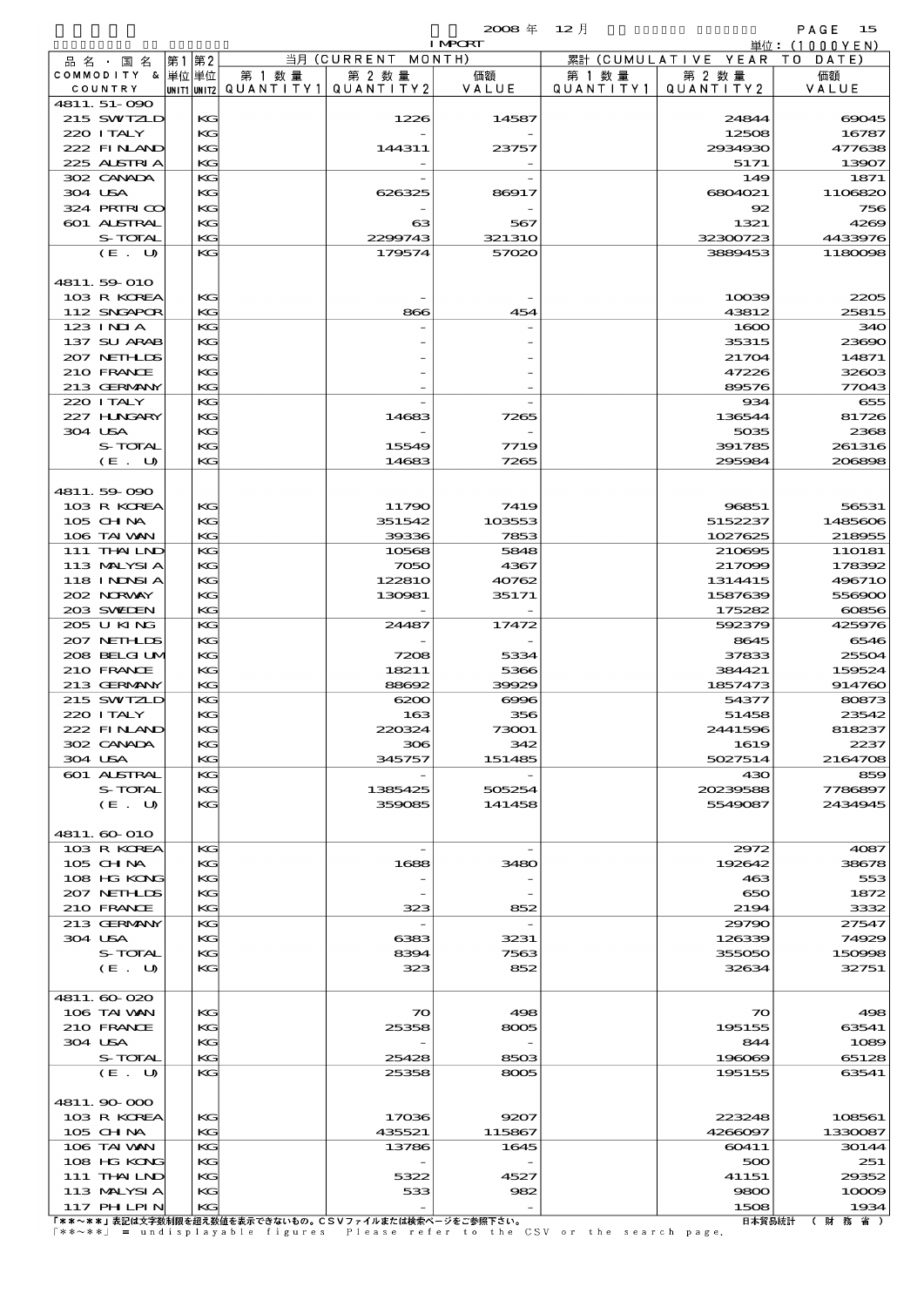$2008 \nleftrightarrow 12 \nparallel$  PAGE 15

|                            |          |        |                                   | <b>I MPORT</b> |           |                              | 単位: $(1000YEN)$ |
|----------------------------|----------|--------|-----------------------------------|----------------|-----------|------------------------------|-----------------|
| 品名・国名                      | 第1 第2    |        | 当月 (CURRENT                       | MONTH)         |           | 累計 (CUMULATIVE YEAR TO DATE) |                 |
| COMMODITY & 単位単位           |          | 第 1 数量 | 第 2 数量                            | 価額             | 第 1 数 量   | 第 2 数量                       | 価額              |
| COUNTRY                    |          |        | UNIT1 UNIT2 QUANTITY 1 QUANTITY 2 | VALUE          | QUANTITY1 | QUANTITY 2                   | VALUE           |
| 4811.51-090<br>215 SWIZLD  | KG       |        | 1226                              | 14587          |           | 24844                        | 69045           |
| 220 I TALY                 | KG       |        |                                   |                |           | 12508                        | 16787           |
| 222 FINAND                 | KG       |        | 144311                            | 23757          |           | 2934930                      | 477638          |
| 225 ALSTRIA                | KG       |        |                                   |                |           | 5171                         | 13907           |
| 302 CANADA                 | KG       |        |                                   |                |           | 149                          | 1871            |
| 304 USA                    | КG       |        | 626325                            | 86917          |           | 6804021                      | 1106820         |
| 324 PRIRICO                | KG       |        |                                   |                |           | 92                           | 756             |
| 601 ALSTRAL                | KG       |        | $_{\rm cs}$                       | 567            |           | 1321                         | 4269            |
| S-TOTAL                    | KG       |        | 2299743                           | 321310         |           | 32300723                     | 4433976         |
| (E. U)                     | KG       |        | 179574                            | 57020          |           | 3889453                      | 1180098         |
|                            |          |        |                                   |                |           |                              |                 |
| 4811.59-010<br>103 R KOREA | KG       |        |                                   |                |           | 10039                        | 2205            |
| 112 SNGAPOR                | KG       |        | 866                               | 454            |           | 43812                        | 25815           |
| 123 INIA                   | KG       |        |                                   |                |           | 1600                         | 340             |
| 137 SU ARAB                | КG       |        |                                   |                |           | 35315                        | 23690           |
| 207 NETHLIS                | KG       |        |                                   |                |           | 21704                        | 14871           |
| 210 FRANCE                 | KG       |        |                                   |                |           | 47226                        | 32603           |
| 213 GERMANY                | KG       |        |                                   |                |           | 89576                        | 77043           |
| 220 I TALY                 | KG       |        |                                   |                |           | 934                          | 655             |
| 227 HNGARY                 | КG       |        | 14683                             | 7265           |           | 136544                       | 81726           |
| 304 USA                    | KG       |        |                                   |                |           | 5035                         | 2368            |
| S-TOTAL                    | KG       |        | 15549                             | 7719           |           | 391785                       | 261316          |
| (E. U)                     | KG       |        | 14683                             | 7265           |           | 295984                       | 206898          |
| 4811.59-090                |          |        |                                   |                |           |                              |                 |
| 103 R KOREA                | KG       |        | 11790                             | 7419           |           | 96851                        | 56531           |
| $105$ CHNA                 | KG       |        | 351542                            | 103553         |           | 5152237                      | 1485606         |
| 106 TAI VAN                | KG       |        | 39336                             | 7853           |           | 1027625                      | 218955          |
| 111 THAILND                | KG       |        | 10568                             | 5848           |           | 210695                       | 110181          |
| 113 MALYSIA                | KG       |        | 7050                              | 4367           |           | 217099                       | 178392          |
| 118 INNSI A                | KG       |        | 122810                            | 40762          |           | 1314415                      | 496710          |
| 202 NORWAY                 | KG       |        | 130981                            | 35171          |           | 1587639                      | 556900          |
| 203 SWEDEN                 | KG       |        |                                   |                |           | 175282                       | 60856           |
| 205 U KING                 | KG       |        | 24487                             | 17472          |           | 592379                       | 425976          |
| 207 NETHLIDS               | KG       |        |                                   |                |           | 8645                         | 6546            |
| 208 BELGI UM               | KG       |        | 7208                              | 5334           |           | 37833                        | 25504           |
| 210 FRANCE                 | KG       |        | 18211                             | 5366           |           | 384421                       | 159524          |
| 213 GERMANY                | KG       |        | 88692                             | 39929          |           | 1857473                      | 914760          |
| 215 SWIZLD                 | KG       |        | 6200                              | $\infty$       |           | 54377                        | 80873           |
| 220 I TALY<br>222 FINAND   | KG<br>KG |        | 163<br>220324                     | 356<br>73001   |           | 51458<br>2441596             | 23542<br>818237 |
| 302 CANADA                 | KG       |        | 306                               | 342            |           | 1619                         | 2237            |
| 304 USA                    | KG       |        | 345757                            | 151485         |           | 5027514                      | 2164708         |
| 601 ALSTRAL                | KG       |        |                                   |                |           | 430                          | 859             |
| S-TOTAL                    | KG       |        | 1385425                           | 505254         |           | 20239588                     | 7786897         |
| (E. U)                     | KG       |        | 359085                            | 141458         |           | 5549087                      | 2434945         |
|                            |          |        |                                   |                |           |                              |                 |
| 4811. 60-010               |          |        |                                   |                |           |                              |                 |
| 103 R KOREA                | KG       |        |                                   |                |           | 2972                         | 4087            |
| $105$ CHNA                 | KG       |        | 1688                              | 3480           |           | 192642                       | 38678           |
| 108 HG KONG                | KG       |        |                                   |                |           | 463                          | 553             |
| 207 NETHLIS<br>210 FRANCE  | KС<br>KG |        |                                   |                |           | 650<br>2194                  | 1872            |
| 213 GERMANY                | KG       |        | 323                               | 852            |           | 29790                        | 3332<br>27547   |
| 304 USA                    | KG       |        | 6383                              | 3231           |           | 126339                       | 74929           |
| S-TOTAL                    | KG       |        | 8394                              | 7563           |           | 355050                       | 150998          |
| (E. U)                     | KG       |        | 323                               | 852            |           | 32634                        | 32751           |
|                            |          |        |                                   |                |           |                              |                 |
| 4811.60020                 |          |        |                                   |                |           |                              |                 |
| 106 TAI VAN                | KG       |        | $\infty$                          | 498            |           | $\boldsymbol{\infty}$        | 498             |
| 210 FRANCE                 | KG       |        | 25358                             | 8005           |           | 195155                       | 63541           |
| 304 USA                    | KС       |        |                                   |                |           | 844                          | 1089            |
| S-TOTAL                    | KG       |        | 25428                             | 8503           |           | 196069                       | 65128           |
| (E. U)                     | KG       |        | 25358                             | 8005           |           | 195155                       | 63541           |
| 4811.90000                 |          |        |                                   |                |           |                              |                 |
| 103 R KOREA                | КG       |        | 17036                             | 9207           |           | 223248                       | 108561          |
| 105 CH NA                  | KG       |        | 435521                            | 115867         |           | 4266097                      | 1330087         |
| 106 TAI VAN                | KG       |        | 13786                             | 1645           |           | 60411                        | 30144           |
| 108 HG KONG                | KG       |        |                                   |                |           | 500                          | 251             |
| 111 THALND                 | KG       |        | 5322                              | 4527           |           | 41151                        | 29352           |
| 113 MALYSIA                | KG       |        | 533                               | 982            |           | 9800                         | 10009           |
| 117 PH LPIN                | KG       |        |                                   |                |           | 1508                         | 1934            |

117 PHILPIN KG - - 1508 1934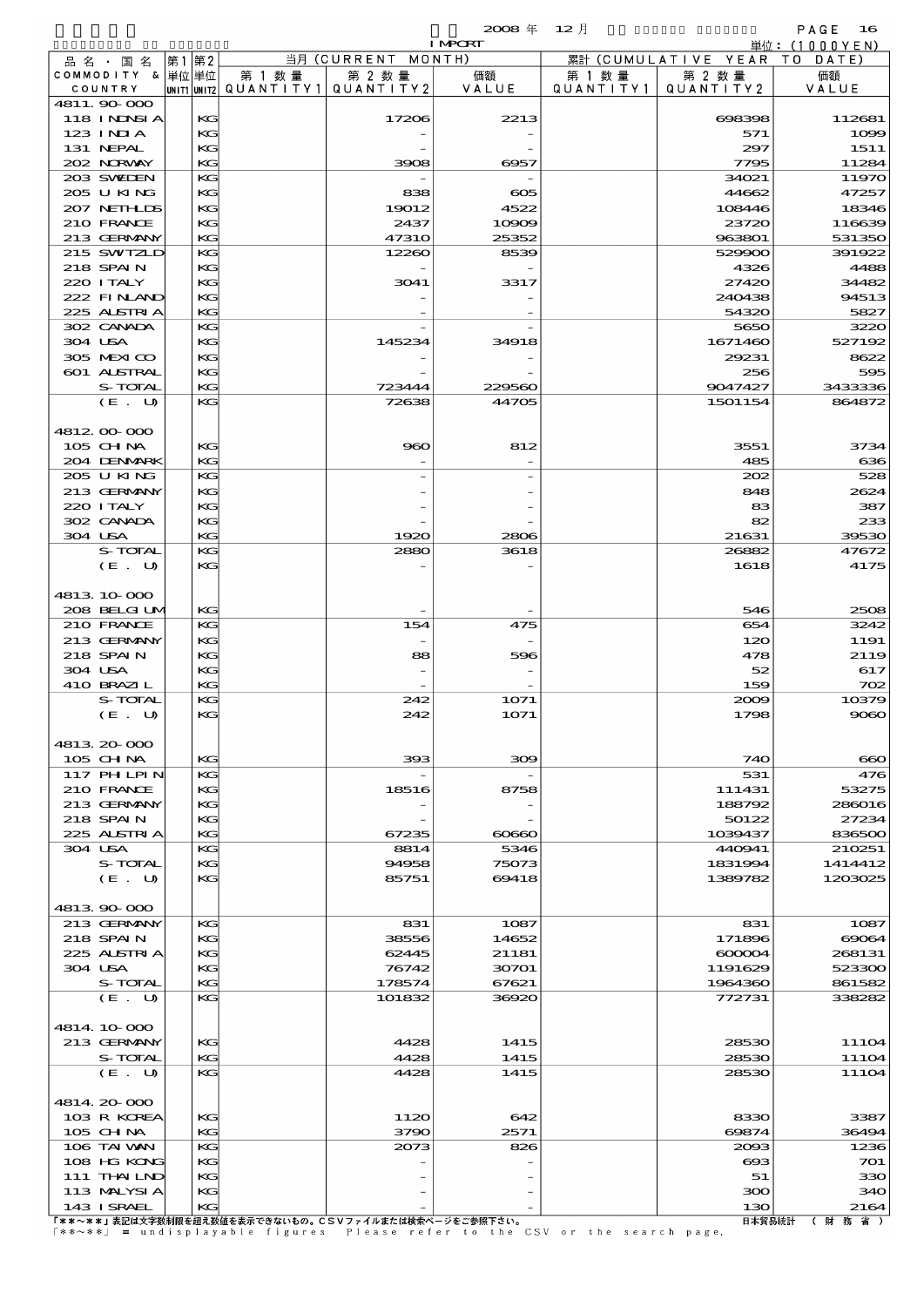|                               |          |                          |                                                      | $2008 \#$       | $12$ 月    |                      | PAGE<br>16                                       |
|-------------------------------|----------|--------------------------|------------------------------------------------------|-----------------|-----------|----------------------|--------------------------------------------------|
|                               |          |                          | 当月 (CURRENT MONTH)                                   | <b>I MPORT</b>  |           | 累計 (CUMULATIVE YEAR) | $\dot{\mathbb{H}}$ 位: (1000YEN)<br>- T 0<br>DATE |
| 品 名 ・ 国 名<br>COMMODITY & 単位単位 | 第1 第2    | 第 1 数量                   | 第 2 数量                                               | 価額              | 第 1 数 量   | 第 2 数量               | 価額                                               |
| COUNTRY                       |          | unit1 unit2  Q∪ANT   TY1 | QUANTITY 2                                           | VALUE           | QUANTITY1 | QUANTITY 2           | VALUE                                            |
| 4811.90 000                   |          |                          |                                                      |                 |           |                      |                                                  |
| <b>118 INDSIA</b><br>123 INIA | KG<br>KG |                          | 17206                                                | 2213            |           | 698398               | 112681<br>1099                                   |
| 131 NEPAL                     | KG       |                          |                                                      |                 |           | 571<br>297           | 1511                                             |
| 202 NORWAY                    | KG       |                          | 3908                                                 | 6957            |           | 7795                 | 11284                                            |
| 203 SWIDEN                    | KG       |                          |                                                      |                 |           | 34021                | 11970                                            |
| 205 U KING                    | KG       |                          | 838                                                  | $\infty$        |           | 44662                | 47257                                            |
| 207 NETHLIS<br>210 FRANCE     | KG<br>KG |                          | 19012<br>2437                                        | 4522            |           | 108446<br>23720      | 18346<br>116639                                  |
| 213 GERMANY                   | KG       |                          | <b>47310</b>                                         | 10909<br>25352  |           | 963801               | 531350                                           |
| 215 SWIZLD                    | KG       |                          | 12260                                                | 8539            |           | 529900               | 391922                                           |
| 218 SPAIN                     | KG       |                          |                                                      |                 |           | 4326                 | 4488                                             |
| 220 I TALY                    | KG       |                          | 3041                                                 | 3317            |           | 27420                | 34482                                            |
| 222 FINAND<br>225 ALSTRIA     | KG<br>KG |                          |                                                      |                 |           | 240438<br>54320      | 94513<br>5827                                    |
| 302 CANADA                    | KG       |                          |                                                      |                 |           | 5650                 | 3220                                             |
| 304 USA                       | KG       |                          | 145234                                               | 34918           |           | 1671460              | 527192                                           |
| 305 MEXICO                    | KG       |                          |                                                      |                 |           | 29231                | 8622                                             |
| 601 ALSTRAL                   | KG       |                          |                                                      |                 |           | 256                  | 595                                              |
| S-TOTAL<br>(E. U)             | KG<br>KG |                          | 723444<br>72638                                      | 229560<br>44705 |           | 9047427<br>1501154   | 3433336<br>864872                                |
|                               |          |                          |                                                      |                 |           |                      |                                                  |
| 4812 00 000                   |          |                          |                                                      |                 |           |                      |                                                  |
| $105$ CHNA                    | KG       |                          | 960                                                  | 812             |           | 3551                 | 3734                                             |
| 204 DENMARK                   | KG       |                          |                                                      |                 |           | 485                  | 636                                              |
| 205 U KING                    | KG       |                          |                                                      |                 |           | 202                  | 528                                              |
| 213 GERMANY<br>220 I TALY     | KG<br>KG |                          |                                                      |                 |           | 848<br>83            | 2624<br>387                                      |
| 302 CANADA                    | KG       |                          |                                                      |                 |           | 82                   | 233                                              |
| 304 USA                       | KG       |                          | 1920                                                 | 2806            |           | 21631                | 39530                                            |
| S-TOTAL                       | KG       |                          | 2880                                                 | 3618            |           | 26882                | 47672                                            |
| (E. U)                        | KG       |                          |                                                      |                 |           | 1618                 | 4175                                             |
| 4813 10 000                   |          |                          |                                                      |                 |           |                      |                                                  |
| 208 BELGILM                   | KG       |                          |                                                      |                 |           | 546                  | 2508                                             |
| 210 FRANCE                    | KG       |                          | 154                                                  | 475             |           | 654                  | 3242                                             |
| 213 GERMANY                   | KG       |                          |                                                      |                 |           | 120                  | 1191                                             |
| 218 SPAIN                     | KG       |                          | 88                                                   | 596             |           | 478                  | 2119                                             |
| 304 USA<br>410 BRAZIL         | KG<br>KG |                          |                                                      |                 |           | 52<br>159            | 617<br>702                                       |
| S-TOTAL                       | KG       |                          | 242                                                  | 1071            |           | 2009                 | 10379                                            |
| (E. U)                        | КG       |                          | 242                                                  | 1071            |           | 1798                 | 9080                                             |
|                               |          |                          |                                                      |                 |           |                      |                                                  |
| 4813 20 000                   |          |                          |                                                      |                 |           |                      |                                                  |
| 105 CH NA<br>117 PHLPIN       | KG<br>KG |                          | 393                                                  | 309             |           | 740<br>531           | ൈ<br>476                                         |
| 210 FRANCE                    | KG       |                          | 18516                                                | 8758            |           | 111431               | 53275                                            |
| 213 GERMANY                   | KG       |                          |                                                      |                 |           | 188792               | 286016                                           |
| 218 SPAIN                     | KG       |                          |                                                      |                 |           | 50122                | 27234                                            |
| 225 ALSTRIA                   | KG       |                          | 67235                                                | 60660           |           | 1039437              | 836500                                           |
| 304 USA<br>S-TOTAL            | KG<br>KG |                          | 8814<br>94958                                        | 5346<br>75073   |           | 440941<br>1831994    | 210251<br>1414412                                |
| (E. U)                        | KG       |                          | 85751                                                | 69418           |           | 1389782              | 1203025                                          |
|                               |          |                          |                                                      |                 |           |                      |                                                  |
| 4813 90 000                   |          |                          |                                                      |                 |           |                      |                                                  |
| 213 GERMANY<br>218 SPAIN      | KG<br>KG |                          | 831<br>38556                                         | 1087<br>14652   |           | 831<br>171896        | 1087<br>69064                                    |
| 225 ALSTRIA                   | KG       |                          | 62445                                                | 21181           |           | $\alpha$ 000004      | 268131                                           |
| 304 USA                       | KG       |                          | 76742                                                | 30701           |           | 1191629              | 523300                                           |
| S-TOTAL                       | KG       |                          | 178574                                               | 67621           |           | 1964360              | 861582                                           |
| (E. U)                        | KG       |                          | 101832                                               | 36920           |           | 772731               | 338282                                           |
| 4814 10 000                   |          |                          |                                                      |                 |           |                      |                                                  |
| 213 GERMANY                   | KG       |                          | 4428                                                 | 1415            |           | 28530                | 11104                                            |
| S-TOTAL                       | KG       |                          | 4428                                                 | 1415            |           | 28530                | 11104                                            |
| (E. U)                        | KG       |                          | 4428                                                 | 1415            |           | 28530                | 11104                                            |
|                               |          |                          |                                                      |                 |           |                      |                                                  |
| 4814.20-000<br>103 R KOREA    | KG       |                          | 1120                                                 | 642             |           | 8330                 | 3387                                             |
| 105 CHNA                      | KG       |                          | 3790                                                 | 2571            |           | 69874                | 36494                                            |
| 106 TAI VAN                   | KG       |                          | 2073                                                 | 826             |           | 2003                 | 1236                                             |
| 108 HG KONG                   | KG       |                          |                                                      |                 |           | $\alpha$             | 701                                              |
| 111 THAILND                   | KG       |                          |                                                      |                 |           | 51                   | 330                                              |
| 113 MALYSIA<br>143 ISRAEL     | KG<br>KС |                          |                                                      |                 |           | 300<br>130           | 340<br>2164                                      |
|                               |          |                          | 「ゃゃ。ゃゃ」主印は大空粉制限な初え粉はね主子でキたいもの」CCVコーズルキたは検索だージネご参照下され |                 |           |                      | 口士级具结结 / 时 教 少 )                                 |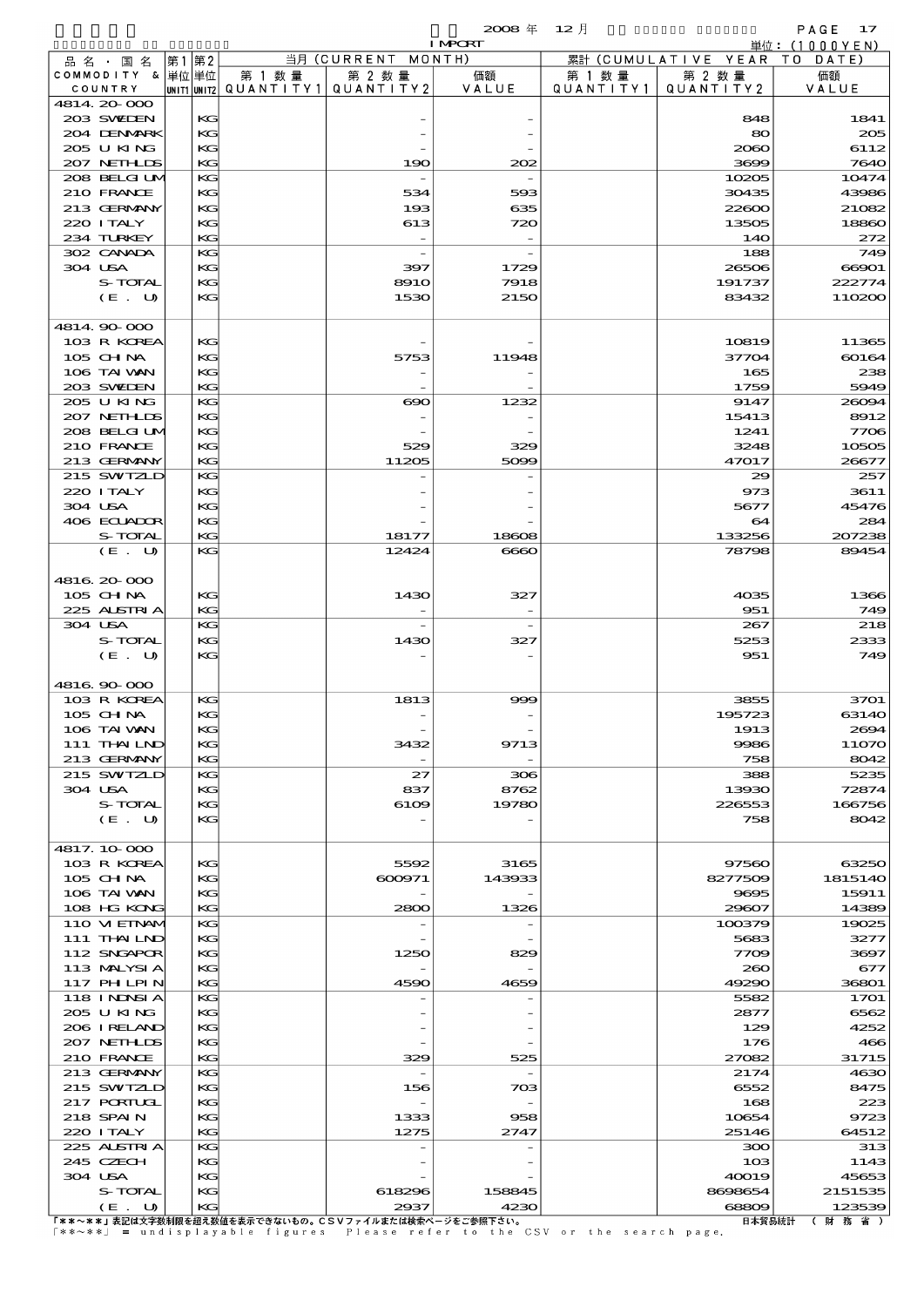$\mathbf{2008} \# \quad 12 \text{ }\nexists \quad \mathsf{PAGE} \quad 17$ 

|                             |      |          |        |                                                  | <b>I MPORT</b>             |                      |                              | 単位: (1000YEN)    |
|-----------------------------|------|----------|--------|--------------------------------------------------|----------------------------|----------------------|------------------------------|------------------|
| 品名・国名                       | 第1第2 |          |        | 当月 (CURRENT MONTH)                               |                            |                      | 累計 (CUMULATIVE YEAR TO DATE) |                  |
| COMMODITY & 単位単位<br>COUNTRY |      |          | 第 1 数量 | 第 2 数量<br> UNIT1 UNIT2  QUANT   TY1  QUANT   TY2 | 価額<br>VALUE                | 第 1 数 量<br>QUANTITY1 | 第 2 数量<br>QUANTITY 2         | 価額               |
| 4814.20-000                 |      |          |        |                                                  |                            |                      |                              | VALUE            |
| 203 SWIEN                   |      | KG       |        |                                                  |                            |                      | 848                          | 1841             |
| 204 DENMARK                 |      | KG       |        |                                                  |                            |                      | 80                           | 205              |
| 205 U KING                  |      | KG       |        |                                                  |                            |                      | 2060                         | 6112             |
| 207 NETHLIS                 |      | KG       |        | 190                                              | 202                        |                      | 3699                         | 7640             |
| 208 BELGI UM<br>210 FRANCE  |      | KG<br>KG |        | 534                                              | 593                        |                      | 10205<br>30435               | 10474<br>43986   |
| 213 GERMANY                 |      | KG       |        | 193                                              | 635                        |                      | 22600                        | 21082            |
| 220 ITALY                   |      | KG       |        | 613                                              | 720                        |                      | 13505                        | 18860            |
| 234 TURKEY                  |      | KG       |        |                                                  |                            |                      | <b>14O</b>                   | 272              |
| 302 CANADA                  |      | KG       |        |                                                  |                            |                      | 188                          | 749              |
| 304 USA                     |      | KG       |        | 397                                              | 1729                       |                      | 26506                        | 66901            |
| S-TOTAL                     |      | KG<br>KG |        | <b>8910</b><br>1530                              | 7918<br>2150               |                      | 191737<br>83432              | 222774<br>110200 |
| (E. U)                      |      |          |        |                                                  |                            |                      |                              |                  |
| 4814 90 000                 |      |          |        |                                                  |                            |                      |                              |                  |
| 103 R KOREA                 |      | KG       |        |                                                  |                            |                      | 10819                        | 11365            |
| 105 CHNA                    |      | KG       |        | 5753                                             | 11948                      |                      | 37704                        | 60164            |
| 106 TAI VAN                 |      | KG       |        |                                                  |                            |                      | 165                          | 238              |
| 203 SWIEN                   |      | KG       |        |                                                  |                            |                      | 1759                         | 5949             |
| 205 U KING                  |      | KG       |        | $\boldsymbol{\infty}$                            | 1232                       |                      | 9147                         | 26094            |
| 207 NETHLIS<br>208 BELGI UM |      | KG<br>KG |        |                                                  |                            |                      | 15413<br>1241                | 8912<br>7706     |
| 210 FRANCE                  |      | KG       |        | 529                                              | 329                        |                      | 3248                         | 10505            |
| 213 GERMANY                 |      | KG       |        | 11205                                            | 5099                       |                      | 47017                        | 26677            |
| 215 SWIZLD                  |      | KG       |        |                                                  |                            |                      | 29                           | 257              |
| 220 I TALY                  |      | KG       |        |                                                  |                            |                      | 973                          | 3611             |
| 304 USA                     |      | KG       |        |                                                  |                            |                      | 5677                         | 45476            |
| 406 ECUADOR                 |      | KG       |        |                                                  |                            |                      | 64                           | 284              |
| S-TOTAL                     |      | KG       |        | 18177                                            | 18608                      |                      | 133256                       | 207238           |
| (E. U)                      |      | KG       |        | 12424                                            | $\Theta$ $\Theta$ $\Omega$ |                      | 78798                        | 89454            |
| 4816.20-000                 |      |          |        |                                                  |                            |                      |                              |                  |
| 105 CHNA                    |      | KG       |        | 1430                                             | 327                        |                      | 4035                         | 1366             |
| 225 ALSTRIA                 |      | KG       |        |                                                  |                            |                      | 951                          | 749              |
| 304 USA                     |      | KG       |        |                                                  |                            |                      | 267                          | 218              |
| S-TOTAL                     |      | KG       |        | 1430                                             | 327                        |                      | 5253                         | 2333             |
| $(E_U U)$                   |      | KG       |        |                                                  |                            |                      | 951                          | 749              |
| 4816.90.000                 |      |          |        |                                                  |                            |                      |                              |                  |
| 103 R KOREA                 |      | KG       |        | 1813                                             | 999                        |                      | 3855                         | 3701             |
| 105 CHNA                    |      | KG       |        |                                                  |                            |                      | 195723                       | 63140            |
| 106 TAI VAN                 |      | KG       |        |                                                  |                            |                      | 1913                         | 2694             |
| 111 THAILND                 |      | KG       |        | 3432                                             | 9713                       |                      | 9986                         | 11070            |
| 213 GERMANY                 |      | KG       |        |                                                  |                            |                      | 758                          | 8042             |
| 215 SWIZLD                  |      | KG       |        | 27                                               | 306                        |                      | 388                          | 5235             |
| 304 USA<br>S-TOTAL          |      | KG       |        | 837                                              | 8762<br>19780              |                      | 13930                        | 72874<br>166756  |
| (E. U)                      |      | KG<br>КG |        | 6109                                             |                            |                      | 226553<br>758                | 8042             |
|                             |      |          |        |                                                  |                            |                      |                              |                  |
| 4817.10.000                 |      |          |        |                                                  |                            |                      |                              |                  |
| 103 R KOREA                 |      | KG       |        | 5592                                             | 3165                       |                      | 97560                        | 63250            |
| 105 CH NA                   |      | KG       |        | 600971                                           | 143933                     |                      | 8277509                      | 1815140          |
| 106 TAI VAN                 |      | KС       |        |                                                  |                            |                      | 9695                         | 15911            |
| 108 HG KONG<br>110 VIEINAM  |      | KG<br>KG |        | 2800                                             | 1326                       |                      | 29607<br>100379              | 14389<br>19025   |
| 111 THAILND                 |      | KG       |        |                                                  |                            |                      | 5683                         | 3277             |
| 112 SNGAPOR                 |      | KG       |        | 1250                                             | 829                        |                      | 7709                         | 3697             |
| 113 MALYSIA                 |      | KС       |        |                                                  |                            |                      | 260                          | 677              |
| 117 PHLPIN                  |      | KG       |        | 4590                                             | 4659                       |                      | 49290                        | 36801            |
| 118 I NDSI A                |      | KG       |        |                                                  |                            |                      | 5582                         | 1701             |
| 205 U KING                  |      | KG       |        |                                                  |                            |                      | 2877                         | 6562             |
| 206 IRELAND<br>207 NETHLIDS |      | KG<br>КG |        |                                                  |                            |                      | 129<br>176                   | 4252<br>466      |
| 210 FRANCE                  |      | KG       |        | 329                                              | 525                        |                      | 27082                        | 31715            |
| 213 GERMANY                 |      | KG       |        |                                                  |                            |                      | 2174                         | 4630             |
| 215 SWIZLD                  |      | KG       |        | 156                                              | 703                        |                      | 6552                         | 8475             |
| 217 PORTUGL                 |      | KG       |        |                                                  |                            |                      | 168                          | 223              |
| 218 SPAIN                   |      | КG       |        | 1333                                             | 958                        |                      | 10654                        | 9723             |
| 220 I TALY                  |      | KG       |        | 1275                                             | 2747                       |                      | 25146                        | 64512            |
| 225 ALSTRIA                 |      | KG       |        |                                                  |                            |                      | 300                          | 313              |
| 245 CZECH                   |      | KG       |        |                                                  |                            |                      | 10 <sub>3</sub>              | 1143             |
| 304 USA<br>S-TOTAL          |      | KG<br>КG |        | 618296                                           | 158845                     |                      | 40019<br>8698654             | 45653<br>2151535 |
| (E. U)                      |      | KG       |        | 2937                                             | 4230                       |                      | 68809                        | 123539           |
|                             |      |          |        |                                                  |                            |                      |                              |                  |

United Application of the set of the set of the set of the set of the set of the set of the set of the set of the set of the set of the set of the set of the set of the set of the set of the set of the set of the set of t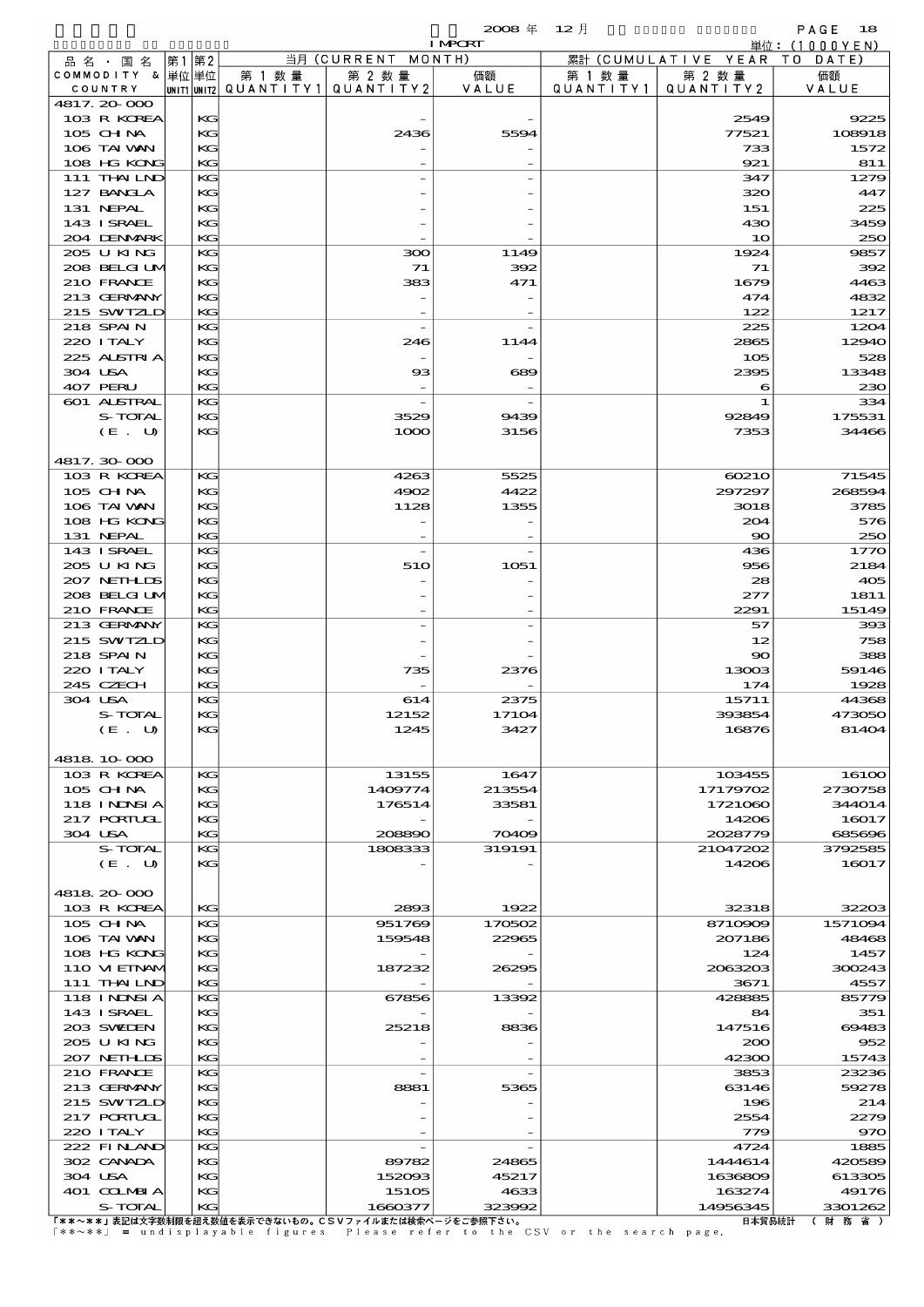|                  |                            |       |          |                          |                                                                 | $2008 \text{ } \#$ | $12$ 月    |                     | PAGE<br>18                     |
|------------------|----------------------------|-------|----------|--------------------------|-----------------------------------------------------------------|--------------------|-----------|---------------------|--------------------------------|
| 品名・国名            |                            | 第1 第2 |          |                          | 当月 (CURRENT MONTH)                                              | <b>I MPORT</b>     |           | 累計 (CUMULATIVE YEAR | 単位: $(1000YEN)$<br>T O<br>DATE |
| COMMODITY & 単位単位 |                            |       |          | 第 1 数 量                  | 第 2 数量                                                          | 価額                 | 第 1 数 量   | 第 2 数 量             | 価額                             |
| COUNTRY          |                            |       |          | unit1 unit2  Q∪ANT   TY1 | QUANTITY2                                                       | VALUE              | QUANTITY1 | QUANTITY2           | VALUE                          |
| 4817.20000       | 103 R KOREA                |       | KG       |                          |                                                                 |                    |           | 2549                | 9225                           |
| $105$ CHNA       |                            |       | KG       |                          | 2436                                                            | 5594               |           | 77521               | 108918                         |
|                  | 106 TAI VAN                |       | KG       |                          |                                                                 |                    |           | 733                 | 1572                           |
|                  | 108 HG KONG                |       | KG       |                          |                                                                 |                    |           | 921                 | 811                            |
|                  | 111 THAILND<br>127 BANCLA  |       | KG<br>KG |                          |                                                                 |                    |           | 347<br>320          | 1279<br>447                    |
| 131 NEPAL        |                            |       | KG       |                          |                                                                 |                    |           | 151                 | 225                            |
|                  | 143 I SRAEL                |       | KG       |                          |                                                                 |                    |           | 430                 | 3459                           |
|                  | 204 DENMARK                |       | KG       |                          |                                                                 |                    |           | 10                  | 250                            |
|                  | 205 U KING                 |       | KG       |                          | 300                                                             | 1149               |           | 1924                | 9857                           |
|                  | 208 BELGI UM<br>210 FRANCE |       | KG<br>KG |                          | 71<br>383                                                       | 392<br>471         |           | 71<br>1679          | 392<br>4463                    |
|                  | 213 GERMANY                |       | KG       |                          |                                                                 |                    |           | 474                 | 4832                           |
|                  | 215 SWIZLD                 |       | KG       |                          |                                                                 |                    |           | 122                 | 1217                           |
| 218 SPAIN        |                            |       | KG       |                          |                                                                 |                    |           | 225                 | 1204                           |
| 220 I TALY       |                            |       | KG       |                          | 246                                                             | 1144               |           | 2865                | 12940                          |
| 304 USA          | 225 ALSTRIA                |       | KG<br>KG |                          | $\overline{\phantom{a}}$<br>$_{\rm ss}$                         | 689                |           | 105<br>2395         | 528<br>13348                   |
| 407 PERU         |                            |       | KG       |                          |                                                                 |                    |           | 6                   | 230                            |
|                  | 601 ALSTRAL                |       | KG       |                          |                                                                 |                    |           | 1                   | 334                            |
|                  | S-TOTAL                    |       | KG       |                          | 3529                                                            | 9439               |           | 92849               | 175531                         |
|                  | (E. U)                     |       | KG       |                          | 1000                                                            | 3156               |           | 7353                | 34466                          |
| 4817.30000       |                            |       |          |                          |                                                                 |                    |           |                     |                                |
|                  | 103 R KOREA                |       | KG       |                          | 4263                                                            | 5525               |           | 60210               | 71545                          |
| $105$ CHNA       |                            |       | KG       |                          | 4902                                                            | 4422               |           | 297297              | 268594                         |
|                  | 106 TAI WAN                |       | KG       |                          | 1128                                                            | 1355               |           | 3018                | 3785                           |
|                  | 108 HG KONG                |       | KG       |                          |                                                                 |                    |           | 204                 | 576                            |
| 131 NEPAL        | 143 ISRAEL                 |       | KG<br>KG |                          |                                                                 |                    |           | $\infty$<br>436     | 250<br>1770                    |
|                  | 205 U KING                 |       | KG       |                          | 51O                                                             | 1051               |           | 956                 | 2184                           |
|                  | 207 NETHLIS                |       | KG       |                          |                                                                 |                    |           | 28                  | 405                            |
|                  | 208 BELGI UM               |       | KG       |                          |                                                                 |                    |           | 277                 | 1811                           |
|                  | 210 FRANCE                 |       | KG       |                          |                                                                 |                    |           | 2291                | 15149                          |
|                  | 213 GERMANY<br>215 SWTZLD  |       | KG<br>KG |                          |                                                                 |                    |           | 57<br>12            | 393<br>758                     |
| 218 SPAIN        |                            |       | KG       |                          |                                                                 |                    |           | $\infty$            | 388                            |
| 220 I TALY       |                            |       | KG       |                          | 735                                                             | 2376               |           | 13003               | 59146                          |
| 245 CZECH        |                            |       | KG       |                          |                                                                 |                    |           | 174                 | 1928                           |
| 304 USA          |                            |       | KG       |                          | 614                                                             | 2375               |           | 15711               | 44368                          |
|                  | S-TOTAL<br>(E. U)          |       | KG<br>KG |                          | 12152<br>1245                                                   | 17104<br>3427      |           | 393854<br>16876     | 473050<br>81404                |
|                  |                            |       |          |                          |                                                                 |                    |           |                     |                                |
| 4818 10 000      |                            |       |          |                          |                                                                 |                    |           |                     |                                |
|                  | 103 R KOREA                |       | KG       |                          | 13155                                                           | 1647               |           | 103455              | 161 <sub>0</sub>               |
| 105 CH NA        |                            |       | KG       |                          | 1409774                                                         | 213554             |           | 17179702            | 2730758                        |
|                  | 118 INNSI A<br>217 PORTUGL |       | КC<br>KG |                          | 176514                                                          | 33581              |           | 1721060<br>14206    | 344014<br>16017                |
| 304 USA          |                            |       | KG       |                          | 208890                                                          | 70409              |           | 2028779             | 685696                         |
|                  | S-TOTAL                    |       | KG       |                          | 1808333                                                         | 319191             |           | 21047202            | 3792585                        |
|                  | (E. U)                     |       | KС       |                          |                                                                 |                    |           | 14206               | 16017                          |
|                  |                            |       |          |                          |                                                                 |                    |           |                     |                                |
| 4818.20-000      | 103 R KOREA                |       | KG       |                          | 2893                                                            | 1922               |           | 32318               | 32203                          |
| $105$ CHNA       |                            |       | KG       |                          | 951769                                                          | 170502             |           | 8710909             | 1571094                        |
|                  | 106 TAI VAN                |       | KG       |                          | 159548                                                          | 22965              |           | 207186              | 48468                          |
|                  | 108 HG KONG                |       | КC       |                          |                                                                 |                    |           | 124                 | 1457                           |
|                  | 110 VIEINAM<br>111 THAILND |       | KG       |                          | 187232                                                          | 26295              |           | 2063203<br>3671     | 300243<br>4557                 |
|                  | 118 I NDSI A               |       | KG<br>KG |                          | 67856                                                           | 13392              |           | 428885              | 85779                          |
|                  | 143 ISRAEL                 |       | KG       |                          |                                                                 |                    |           | 84                  | 351                            |
|                  | 203 SWIDEN                 |       | KG       |                          | 25218                                                           | 8836               |           | 147516              | 69483                          |
|                  | 205 U KING                 |       | KG       |                          |                                                                 |                    |           | 200                 | 952                            |
|                  | 207 NETHLIS<br>210 FRANCE  |       | KG<br>KG |                          |                                                                 |                    |           | 42300<br>3853       | 15743<br>23236                 |
|                  | 213 GERMANY                |       | KG       |                          | 8881                                                            | 5365               |           | 63146               | 59278                          |
|                  | 215 SWIZLD                 |       | KG       |                          |                                                                 |                    |           | 196                 | 214                            |
|                  | 217 PORTUGL                |       | KG       |                          |                                                                 |                    |           | 2554                | 2279                           |
| 220 I TALY       |                            |       | KG       |                          |                                                                 |                    |           | 779                 | 970                            |
|                  | 222 FINAND<br>302 CANADA   |       | KG<br>КG |                          | 89782                                                           | 24865              |           | 4724<br>1444614     | 1885<br>420589                 |
| 304 USA          |                            |       | KG       |                          | 152093                                                          | 45217              |           | 1636809             | 613305                         |
|                  | 401 COLMBIA                |       | KС       |                          | 15105                                                           | 4633               |           | 163274              | 49176                          |
|                  | S-TOTAL                    |       | $K$ $G$  |                          | 1660377<br>「**・**・キヨは大宮粉制阻を切る粉はそまころをセハキの」といいコースルもたはやも、 ベキシ名取てきら | 323992             |           | 14956345            | 3301262<br>口士级具结斗 / 时 教 少 )    |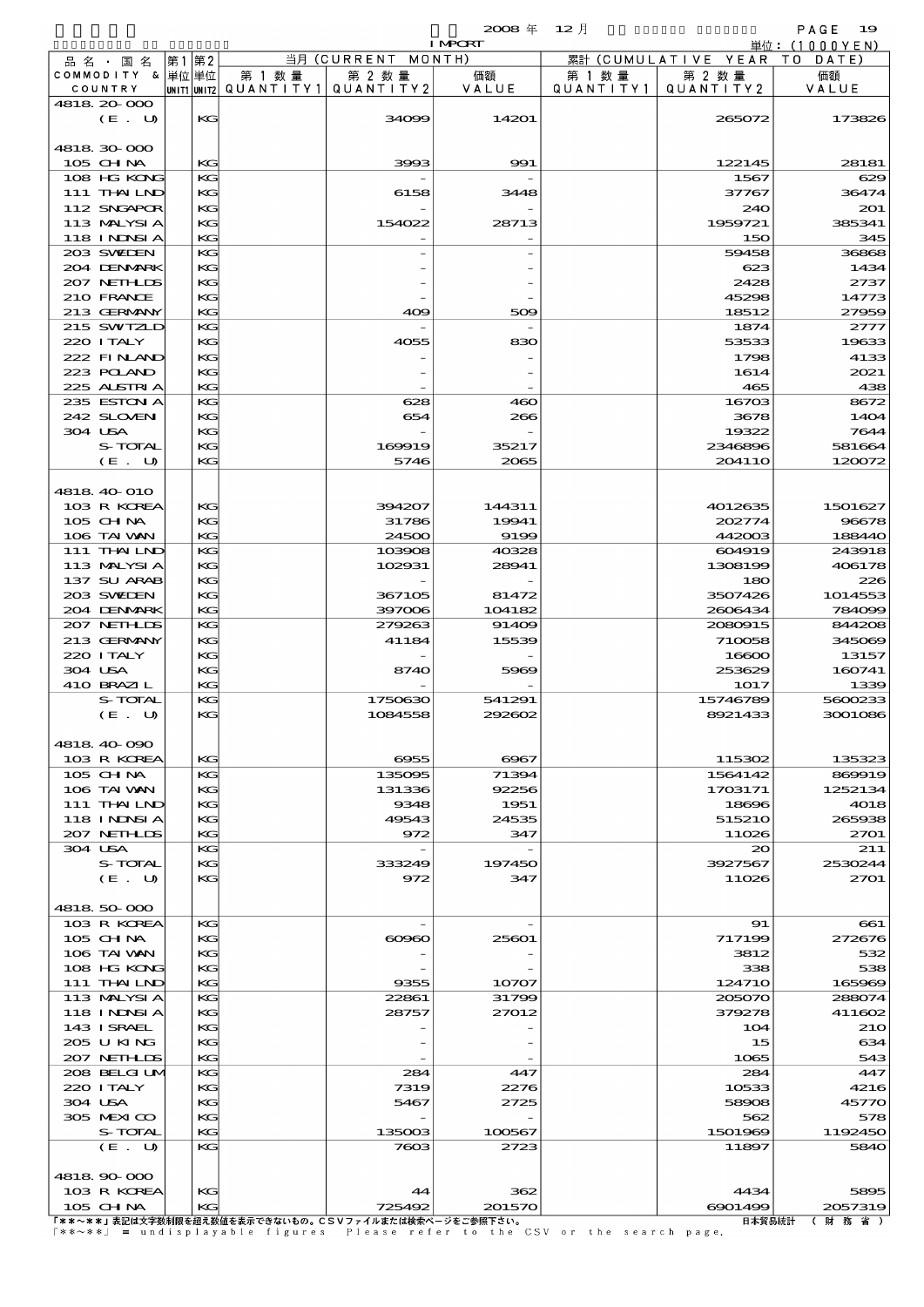$2008 \nless 12 \nless 12$ 

|                           |    |          |                                |                          | <b>I MPORT</b> |           |                              | 単位: (1000YEN)  |
|---------------------------|----|----------|--------------------------------|--------------------------|----------------|-----------|------------------------------|----------------|
| 品名・国名                     | 第1 | 第2       |                                | 当月(CURRENT               | MONTH)         |           | 累計 (CUMULATIVE YEAR TO DATE) |                |
| COMMODITY & 単位単位          |    |          | 第 1 数量                         | 第 2 数量                   | 価額             | 第 1 数 量   | 第 2 数量                       | 価額             |
| COUNTRY                   |    |          | UNITIUNIT2 QUANTITY1 QUANTITY2 |                          | VALUE          | QUANTITY1 | QUANTITY 2                   | VALUE          |
| 4818 20 000<br>(E. U)     |    | KG       |                                | 34099                    | 14201          |           | 265072                       | 173826         |
|                           |    |          |                                |                          |                |           |                              |                |
| 4818 30 000               |    |          |                                |                          |                |           |                              |                |
| 105 CH NA                 |    | KG       |                                | 3993                     | 991            |           | 122145                       | 28181          |
| 108 HG KONG               |    | KG       |                                |                          |                |           | 1567                         | 629            |
| 111 THAILND               |    | КG       |                                | 6158                     | 3448           |           | 37767                        | 36474          |
| 112 SNGAPOR               |    | KG       |                                |                          |                |           | 240                          | 201            |
| 113 MALYSIA               |    | KG       |                                | 154022                   | 28713          |           | 1959721                      | 385341         |
| 118 I NDSI A              |    | KG       |                                |                          |                |           | 150                          | 345            |
| 203 SWIDEN<br>204 DENMARK |    | KG<br>KG |                                |                          |                |           | 59458<br>623                 | 36868<br>1434  |
| 207 NETHLIS               |    | KG       |                                |                          |                |           | 2428                         | 2737           |
| 210 FRANCE                |    | KG       |                                |                          |                |           | 45298                        | 14773          |
| 213 GERMANY               |    | KG       |                                | 409                      | 509            |           | 18512                        | 27959          |
| 215 SWIZLD                |    | KG       |                                |                          |                |           | 1874                         | 2777           |
| 220 I TALY                |    | KG       |                                | 4055                     | 830            |           | 53533                        | 19633          |
| 222 FINAND                |    | KG       |                                |                          |                |           | 1798                         | 4133           |
| 223 POLAND                |    | KG       |                                |                          |                |           | 1614                         | 2021           |
| 225 ALSTRIA               |    | KG       |                                |                          |                |           | 465                          | 438            |
| 235 ESTON A<br>242 SLOVEN |    | KG       |                                | 628                      | 460            |           | 16703                        | 8672           |
| 304 USA                   |    | KG<br>KG |                                | 654                      | 266            |           | 3678<br>19322                | 1404<br>7644   |
| S-TOTAL                   |    | KG       |                                | 169919                   | 35217          |           | 2346896                      | 581664         |
| (E. U)                    |    | KG       |                                | 5746                     | 2065           |           | 204110                       | 120072         |
|                           |    |          |                                |                          |                |           |                              |                |
| 4818 40 010               |    |          |                                |                          |                |           |                              |                |
| 103 R KOREA               |    | KG       |                                | 394207                   | 144311         |           | 4012635                      | 1501627        |
| 105 CHNA                  |    | KG       |                                | 31786                    | 19941          |           | 202774                       | 96678          |
| 106 TAI VAN               |    | KG       |                                | 24500                    | 9199           |           | 442003                       | 188440         |
| 111 THAILND               |    | KG       |                                | 103908                   | 40328          |           | 604919                       | 243918         |
| 113 MALYSIA               |    | KG       |                                | 102931                   | 28941          |           | 1308199                      | 406178         |
| 137 SU ARAB<br>203 SWIDEN |    | KG<br>KG |                                | 367105                   | 81472          |           | 180<br>3507426               | 226<br>1014553 |
| 204 DENMARK               |    | KG       |                                | 397006                   | 104182         |           | 2606434                      | 784099         |
| 207 NETHLIS               |    | KG       |                                | 279263                   | 91409          |           | 2080915                      | 844208         |
| 213 GERMANY               |    | KG       |                                | 41184                    | 15539          |           | 710058                       | 345069         |
| 220 I TALY                |    | KG       |                                |                          |                |           | 16600                        | 13157          |
| 304 USA                   |    | KG       |                                | 8740                     | 5969           |           | 253629                       | 160741         |
| 410 BRAZIL                |    | KG       |                                |                          |                |           | 1017                         | 1339           |
| S-TOTAL                   |    | KG       |                                | 1750630                  | 541291         |           | 15746789                     | 5600233        |
| (E. U)                    |    | KG       |                                | 1084558                  | 292602         |           | 8921433                      | 3001086        |
| 4818 40 090               |    |          |                                |                          |                |           |                              |                |
| 103 R KOREA               |    | KG       |                                | 6955                     | 6967           |           | 115302                       | 135323         |
| $105$ CHNA                |    | KG       |                                | 135095                   | 71394          |           | 1564142                      | 869919         |
| 106 TAI VAN               |    | KG       |                                | 131336                   | 92256          |           | 1703171                      | 1252134        |
| 111 THAILND               |    | KG       |                                | 9348                     | 1951           |           | 18696                        | 4018           |
| <b>118 INNSIA</b>         |    | КG       |                                | 49543                    | 24535          |           | 515210                       | 265938         |
| 207 NETHLIS               |    | KG       |                                | 972                      | 347            |           | 11026                        | 2701           |
| 304 USA                   |    | KG       |                                | $\overline{\phantom{a}}$ |                |           | 20                           | 211            |
| S-TOTAL                   |    | KG       |                                | 333249                   | 197450         |           | 3927567                      | 2530244        |
| (E. U)                    |    | KG       |                                | 972                      | 347            |           | 11026                        | 2701           |
| 4818 50 000               |    |          |                                |                          |                |           |                              |                |
| 103 R KOREA               |    | КG       |                                |                          |                |           | 91                           | 661            |
| $105$ CHNA                |    | KG       |                                | $\infty$                 | 25601          |           | 717199                       | 272676         |
| 106 TAI VAN               |    | KG       |                                |                          |                |           | 3812                         | 532            |
| 108 HG KONG               |    | КG       |                                |                          |                |           | 338                          | 538            |
| 111 THAILND               |    | KG       |                                | 9355                     | 10707          |           | 12471O                       | 165969         |
| 113 MALYSIA               |    | KG       |                                | 22861                    | 31799          |           | 205070                       | 288074         |
| <b>118 INNSIA</b>         |    | KG       |                                | 28757                    | 27012          |           | 379278                       | 411602         |
| 143 ISRAEL                |    | KG       |                                |                          |                |           | 104                          | 210            |
| 205 U KING<br>207 NETHLIS |    | КG<br>KG |                                |                          |                |           | 15<br>1065                   | 634<br>543     |
| 208 BELGI UM              |    | КG       |                                | 284                      | 447            |           | 284                          | 447            |
| 220 I TALY                |    | KG       |                                | 7319                     | 2276           |           | 10533                        | 4216           |
| 304 USA                   |    | KG       |                                | 5467                     | 2725           |           | 58908                        | 45770          |
| 305 MEXICO                |    | КG       |                                |                          |                |           | 562                          | 578            |
| S-TOTAL                   |    | KG       |                                | 135003                   | 100567         |           | 1501969                      | 1192450        |
| (E. U)                    |    | KG       |                                | 7603                     | 2723           |           | 11897                        | 5840           |
|                           |    |          |                                |                          |                |           |                              |                |
| 4818 90 000               |    |          |                                |                          |                |           |                              |                |
| 103 R KOREA               |    | KG       |                                | 44                       | 362            |           | 4434                         | 5895           |

10G R KOREA KG KG MG 725492 201570 2022 4434 4434 5895<br>
T\*\*~\*\*』表記は文字数制限を超え数値を表示できないもの。CSVファイルまたは検索ページをご参照下さい。 6901492 20057319 20057319<br>
「\*\*~\*\*」 = undisplayable figures Please refer to the CSV or the search page. [#ff8]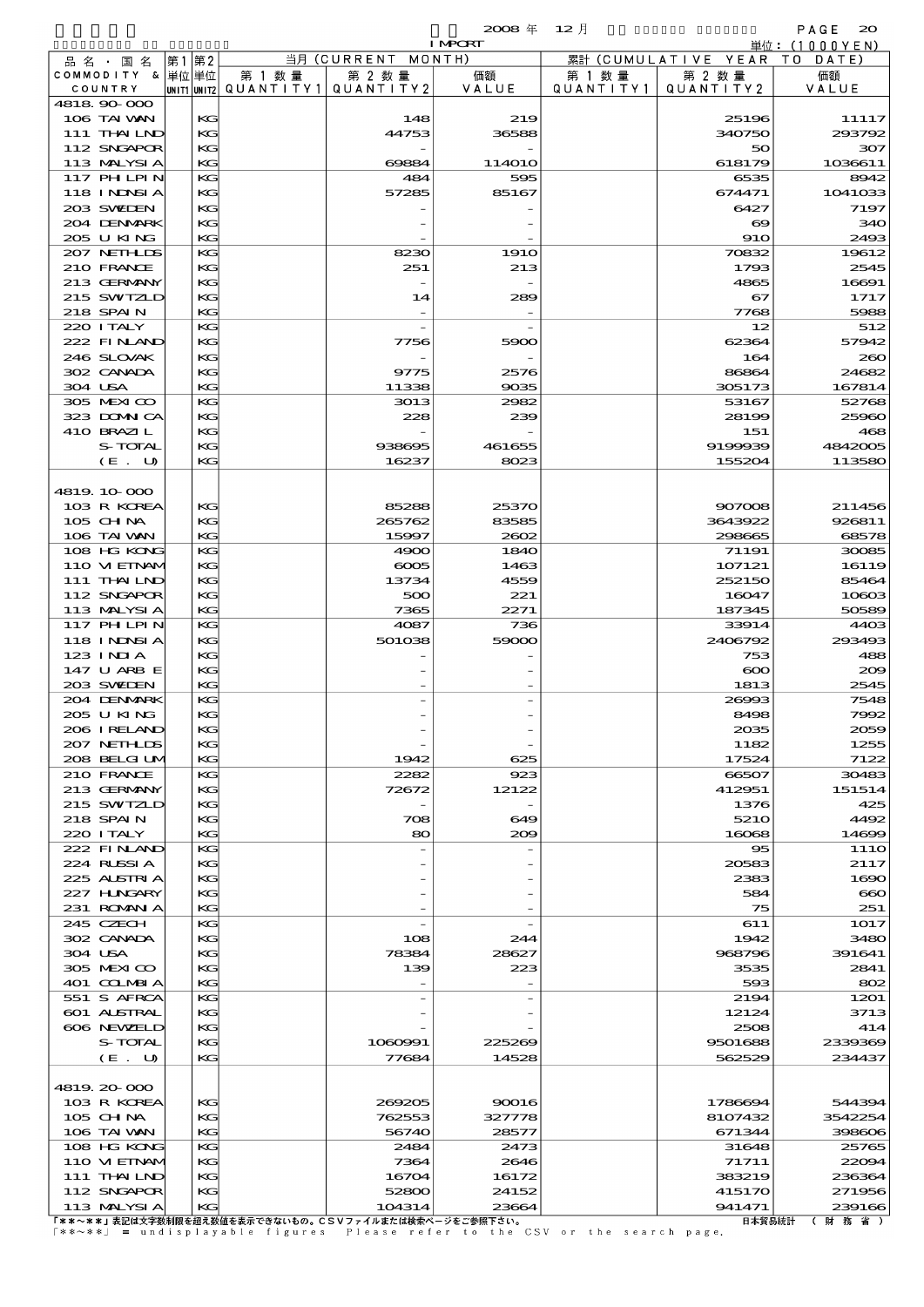|         |                             |    |          |                                      |                      | $2008 \text{ } \#$   | $12$ 月               |                       | PAGE<br>$_{\infty}$  |
|---------|-----------------------------|----|----------|--------------------------------------|----------------------|----------------------|----------------------|-----------------------|----------------------|
|         |                             |    |          |                                      |                      | <b>I MPCRT</b>       |                      |                       | 単位: (1000YEN)        |
|         | 品 名 ・ 国 名                   | 第1 | 第2       |                                      | 当月 (CURRENT MONTH)   |                      |                      | 累計 (CUMULATIVE YEAR   | T O<br>DATE          |
|         | COMMODITY & 単位単位<br>COUNTRY |    |          | 第 1 数 量<br> UNIT1 UNIT2  Q∪ANT   TY1 | 第 2 数量<br>QUANTITY 2 | 価額<br>VALUE          | 第 1 数 量<br>QUANTITY1 | 第 2 数量<br>QUANTITY2   | 価額<br>VALUE          |
|         | 4818 90 000                 |    |          |                                      |                      |                      |                      |                       |                      |
|         | 106 TAI WAN                 |    | KG       |                                      | 148                  | 219                  |                      | 25196                 | 11117                |
|         | 111 THAILND                 |    | KG       |                                      | 44753                | 36588                |                      | 340750                | 293792               |
|         | 112 SNGAPOR                 |    | KG       |                                      |                      |                      |                      | 50                    | 307                  |
|         | 113 MALYSIA<br>117 PHLPIN   |    | KG<br>KG |                                      | 69884<br>484         | <b>114010</b><br>595 |                      | 618179<br>6535        | 1036611<br>8942      |
|         | <b>118 INNSIA</b>           |    | KG       |                                      | 57285                | 85167                |                      | 674471                | 1041033              |
|         | 203 SWIEN                   |    | KG       |                                      |                      |                      |                      | 6427                  | 7197                 |
|         | 204 DENMARK                 |    | KG       |                                      |                      |                      |                      | $\boldsymbol{\infty}$ | 340                  |
|         | 205 U KING                  |    | KG       |                                      |                      |                      |                      | <b>910</b>            | 2493                 |
|         | 207 NETHLIS                 |    | KG       |                                      | 8230                 | <b>1910</b>          |                      | 70832                 | 19612                |
|         | 210 FRANCE<br>213 GERMANY   |    | KG<br>KG |                                      | 251                  | 213                  |                      | 1793<br>4865          | 2545<br>16691        |
|         | 215 SWIZLD                  |    | KG       |                                      | 14                   | 289                  |                      | 67                    | 1717                 |
|         | 218 SPAIN                   |    | KG       |                                      |                      |                      |                      | 7768                  | 5988                 |
|         | 220 I TALY                  |    | KG       |                                      |                      |                      |                      | 12                    | 512                  |
|         | 222 FINAND                  |    | KG       |                                      | 7756                 | 5900                 |                      | 62364                 | 57942                |
|         | 246 SLOVAK                  |    | KG       |                                      |                      |                      |                      | 164                   | 260                  |
| 304 USA | 302 CANADA                  |    | KG       |                                      | 9775                 | 2576                 |                      | 86864                 | 24682                |
|         | 305 MEXICO                  |    | KG<br>KG |                                      | 11338<br>3013        | 9035<br>2982         |                      | 305173<br>53167       | 167814<br>52768      |
|         | 323 DOMNICA                 |    | KG       |                                      | 228                  | 239                  |                      | 28199                 | 25960                |
|         | 410 BRAZIL                  |    | KG       |                                      |                      |                      |                      | 151                   | 468                  |
|         | S-TOTAL                     |    | KG       |                                      | 938695               | 461655               |                      | 9199939               | 4842005              |
|         | (E. U)                      |    | KG       |                                      | 16237                | 8023                 |                      | 155204                | 113580               |
|         |                             |    |          |                                      |                      |                      |                      |                       |                      |
|         | 4819.10.000<br>103 R KOREA  |    | $K$ $G$  |                                      | 85288                | 25370                |                      | 907008                | 211456               |
|         | $105$ CHNA                  |    | KG       |                                      | 265762               | 83585                |                      | 3643922               | 926811               |
|         | 106 TAI VAN                 |    | KG       |                                      | 15997                | 2002                 |                      | 298665                | 68578                |
|         | 108 HG KONG                 |    | KG       |                                      | 4900                 | 1840                 |                      | 71191                 | 30085                |
|         | 110 VIEINAM                 |    | KG       |                                      | $\cos$               | 1463                 |                      | 107121                | 16119                |
|         | 111 THAILND                 |    | KG       |                                      | 13734                | 4559                 |                      | 252150                | 85464                |
|         | 112 SNGAPOR                 |    | KG       |                                      | 500                  | 221                  |                      | 16047                 | 10803                |
|         | 113 MALYSIA<br>117 PHLPIN   |    | KG<br>KG |                                      | 7365<br>4087         | 2271<br>736          |                      | 187345<br>33914       | 50589<br>4403        |
|         | <b>118 INDSIA</b>           |    | KG       |                                      | 501038               | 59000                |                      | 2406792               | 293493               |
|         | $123$ INIA                  |    | KG       |                                      |                      |                      |                      | 753                   | 488                  |
|         | 147 U ARB E                 |    | KG       |                                      |                      |                      |                      | $\infty$              | 200                  |
|         | 203 SWIEN                   |    | КG       |                                      |                      |                      |                      | 1813                  | 2545                 |
|         | 204 DENMARK                 |    | KG       |                                      |                      |                      |                      | 26993                 | 7548                 |
|         | 205 U KING<br>206 I RELAND  |    | KG<br>KG |                                      |                      |                      |                      | 8498<br>2035          | 7992<br>2059         |
|         | 207 NETHLIS                 |    | KG       |                                      |                      |                      |                      | 1182                  | 1255                 |
|         | 208 BELGI UM                |    | KG       |                                      | 1942                 | 625                  |                      | 17524                 | 7122                 |
|         | 210 FRANCE                  |    | KG       |                                      | 2282                 | 923                  |                      | 66507                 | 30483                |
|         | 213 GERMANY                 |    | KG       |                                      | 72672                | 12122                |                      | 412951                | 151514               |
|         | 215 SWIZLD                  |    | KG       |                                      |                      |                      |                      | 1376                  | 425                  |
|         | 218 SPAIN                   |    | KG       |                                      | 708                  | 649                  |                      | 5210                  | 4492                 |
|         | 220 I TALY<br>222 FINLAND   |    | KG<br>KG |                                      | 80                   | 200                  |                      | 16068<br>95           | 14699<br><b>1110</b> |
|         | 224 RUSSIA                  |    | KG       |                                      |                      |                      |                      | 20583                 | 2117                 |
|         | 225 ALSTRIA                 |    | KG       |                                      |                      |                      |                      | 2383                  | 1690                 |
|         | 227 H.NGARY                 |    | KG       |                                      |                      |                      |                      | 584                   | $\bf{60}$            |
|         | 231 ROMAN A                 |    | KG       |                                      |                      |                      |                      | 75                    | 251                  |
|         | 245 CZECH                   |    | KG       |                                      |                      |                      |                      | 611                   | 1017                 |
| 304 USA | 302 CANADA                  |    | KG<br>KG |                                      | 108<br>78384         | 244<br>28627         |                      | 1942<br>968796        | 3480<br>391641       |
|         | 305 MEXICO                  |    | KG       |                                      | 139                  | 223                  |                      | 3535                  | 2841                 |
|         | 401 COLMBIA                 |    | KG       |                                      |                      |                      |                      | 593                   | 802                  |
|         | 551 S AFRCA                 |    | KG       |                                      |                      |                      |                      | 2194                  | 1201                 |
|         | <b>601 ALSTRAL</b>          |    | KG       |                                      |                      |                      |                      | 12124                 | 3713                 |
|         | 606 NEWELD                  |    | KG       |                                      |                      |                      |                      | 2508                  | 414                  |
|         | S-TOTAL                     |    | КG       |                                      | 1060991              | 225269               |                      | 9501688               | 2339369              |
|         | (E. U)                      |    | KG       |                                      | 77684                | 14528                |                      | 562529                | 234437               |
|         | 4819.20-000                 |    |          |                                      |                      |                      |                      |                       |                      |
|         | 103 R KOREA                 |    | KG       |                                      | 269205               | 90016                |                      | 1786694               | 544394               |
|         | 105 CHNA                    |    | KG       |                                      | 762553               | 327778               |                      | 8107432               | 3542254              |
|         | 106 TAI VAN                 |    | KG       |                                      | 56740                | 28577                |                      | 671344                | 398606               |
|         | 108 HG KONG                 |    | KG       |                                      | 2484                 | 2473                 |                      | 31648                 | 25765                |
|         | 110 VIEINAM<br>111 THAILND  |    | KG<br>KG |                                      | 7364<br>16704        | 2646<br>16172        |                      | 71711<br>383219       | 22004<br>236364      |
|         | 112 SNGAPOR                 |    | KG       |                                      | 52800                | 24152                |                      | 415170                | 271956               |
|         |                             |    |          |                                      |                      |                      |                      |                       |                      |

113 MALYSIA KG 104314 23664 941471 239166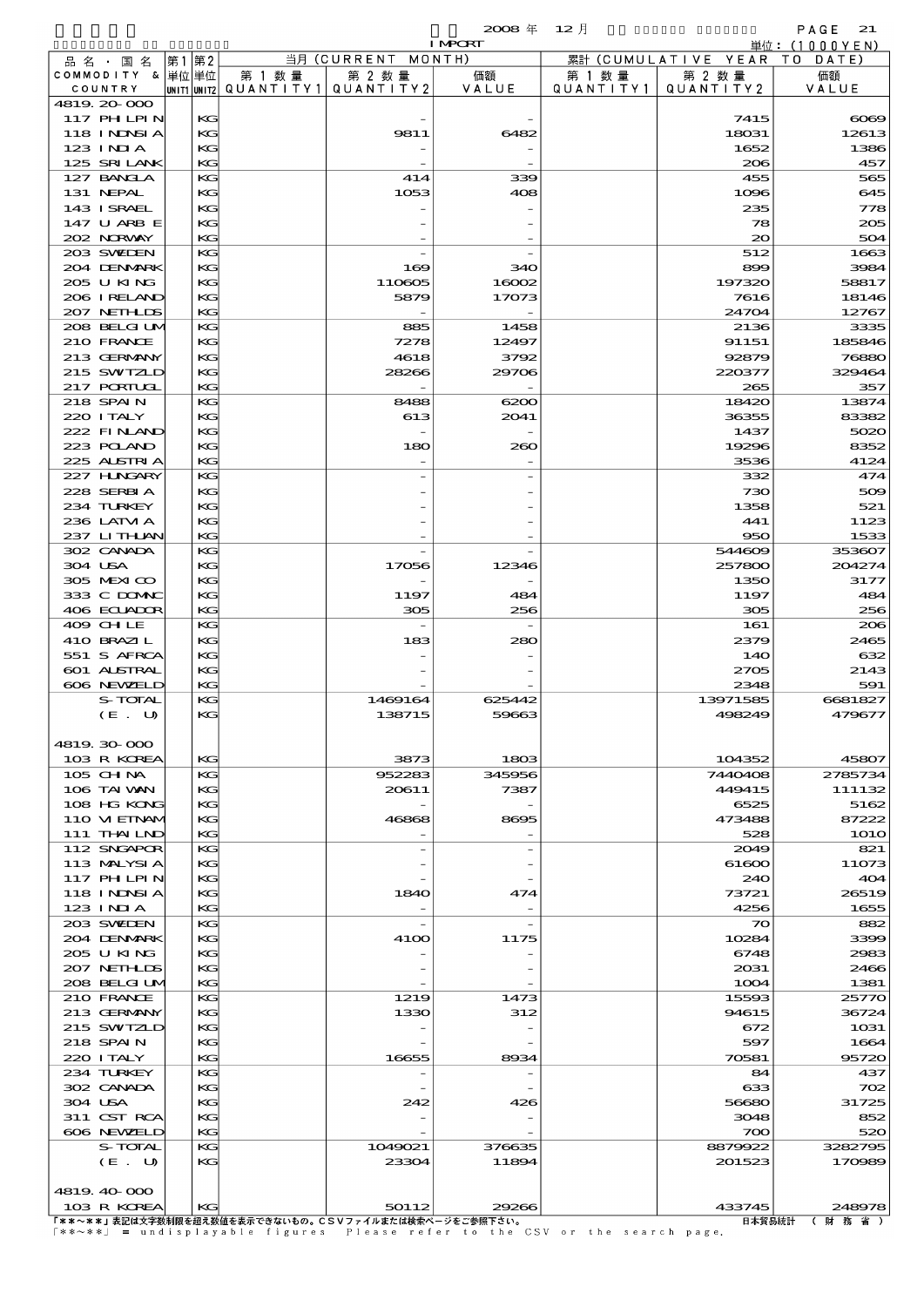|                            |    |          |                                         |                    | $2008 \text{ } \#$<br><b>I MPCRT</b> | $12$ 月            |                                | PAGE<br>21<br>単位:(1000YEN) |
|----------------------------|----|----------|-----------------------------------------|--------------------|--------------------------------------|-------------------|--------------------------------|----------------------------|
| 品 名 ・ 国 名                  | 第1 | 第2       |                                         | 当月 (CURRENT MONTH) |                                      |                   | 累計 (CUMULATIVE YEAR TO         | DATE)                      |
| COMMODITY & 単位単位           |    |          | 第 1 数量                                  | 第 2 数量             | 価額                                   | 第 1 数 量           | 第 2 数量                         | 価額                         |
| COUNTRY                    |    |          | UNIT1 UNIT2   QUANT   TY1   QUANT   TY2 |                    | VALUE                                | Q U A N T I T Y 1 | QUANTITY 2                     | VALUE                      |
| 4819 20 000<br>117 PHLPIN  |    | KG       |                                         |                    |                                      |                   | 7415                           | $\infty$                   |
| <b>118 INNSIA</b>          |    | KG       |                                         | 9811               | 6482                                 |                   | 18031                          | 12613                      |
| $123$ INIA                 |    | KG       |                                         |                    |                                      |                   | 1652                           | 1386                       |
| 125 SRILANK                |    | KG       |                                         |                    |                                      |                   | 206                            | 457                        |
| 127 BANCLA<br>131 NEPAL    |    | KG<br>KG |                                         | 414<br>1053        | 339<br>408                           |                   | 455<br>1096                    | 56£<br>645                 |
| 143 I SRAEL                |    | KG       |                                         |                    |                                      |                   | 235                            | 778                        |
| 147 U ARB E                |    | KG       |                                         |                    |                                      |                   | 78                             | 200                        |
| 202 NORWAY                 |    | KG       |                                         |                    |                                      |                   | 20                             | 504                        |
| 203 SWIDEN<br>204 DENMARK  |    | KG<br>KG |                                         | 169                | 340                                  |                   | 512<br>899                     | 1665<br>3984               |
| 205 U KING                 |    | KG       |                                         | 110605             | 16002                                |                   | 197320                         | 58817                      |
| 206 I RELAND               |    | KG       |                                         | 5879               | 17073                                |                   | 7616                           | 18146                      |
| 207 NETHLIS                |    | KG       |                                         |                    |                                      |                   | 24704                          | 12767                      |
| 208 BELGI UM               |    | KG       |                                         | 885                | 1458                                 |                   | 2136                           | 3335                       |
| 210 FRANCE<br>213 GERMANY  |    | KG<br>KG |                                         | 7278<br>4618       | 12497<br>3792                        |                   | 91151<br>92879                 | 185846<br>76880            |
| 215 SWIZLD                 |    | KG       |                                         | 28266              | 29706                                |                   | 220377                         | 329464                     |
| 217 PORTUGL                |    | KG       |                                         |                    |                                      |                   | 265                            | 357                        |
| 218 SPAIN                  |    | KG       |                                         | 8488               | 6200                                 |                   | 18420                          | 13874                      |
| 220 I TALY                 |    | KG       |                                         | 613                | 2041                                 |                   | 36355                          | 83382                      |
| 222 FINLAND<br>223 POLAND  |    | KG<br>KG |                                         | 180                | 260                                  |                   | 1437<br>19296                  | 5020<br>8352               |
| 225 ALSTRIA                |    | KG       |                                         |                    |                                      |                   | 3536                           | 4124                       |
| 227 HNGARY                 |    | KG       |                                         |                    |                                      |                   | 332                            | 474                        |
| 228 SERBIA                 |    | KG       |                                         |                    |                                      |                   | 730                            | 500                        |
| 234 TURKEY<br>236 LATM A   |    | KG<br>KG |                                         |                    |                                      |                   | 1358<br>441                    | 521<br>1123                |
| 237 LITHUAN                |    | KG       |                                         |                    |                                      |                   | 950                            | 1533                       |
| 302 CANADA                 |    | KG       |                                         |                    |                                      |                   | 544609                         | 353607                     |
| 304 USA                    |    | KG       |                                         | 17056              | 12346                                |                   | 257800                         | 204274                     |
| 305 MEXICO                 |    | KG       |                                         |                    |                                      |                   | 1350                           | 317                        |
| 333 C DOMAC<br>406 ECUADOR |    | KG<br>KG |                                         | 1197<br>305        | 484<br>256                           |                   | 1197<br>305                    | 484<br>256                 |
| 409 CHLE                   |    | KG       |                                         |                    |                                      |                   | 161                            | 200                        |
| 410 BRAZIL                 |    | KG       |                                         | 183                | 280                                  |                   | 2379                           | 2465                       |
| 551 S AFRCA                |    | KG       |                                         |                    |                                      |                   | 14O                            | $\infty$                   |
| 601 ALSTRAL<br>606 NEWELD  |    | KG<br>KG |                                         |                    |                                      |                   | 2705<br>2348                   | 2143<br>591                |
| S-TOTAL                    |    | KG       |                                         | 1469164            | 625442                               |                   | 13971585                       | 6681827                    |
| (E. U)                     |    | KG       |                                         | 138715             | 59663                                |                   | 498249                         | 479677                     |
|                            |    |          |                                         |                    |                                      |                   |                                |                            |
| 4819.30.000                |    |          |                                         |                    |                                      |                   |                                |                            |
| 103 R KOREA<br>$105$ CHNA  |    | KG<br>KG |                                         | 3873<br>952283     | 1803<br>345956                       |                   | 104352<br>7440408              | 45807<br>2785734           |
| 106 TAI VAN                |    | KG       |                                         | 20611              | 7387                                 |                   | 449415                         | 111132                     |
| 108 HG KONG                |    | KG       |                                         |                    |                                      |                   | 6525                           | 5162                       |
| 110 VIEINAM                |    | KG       |                                         | 46868              | 8695                                 |                   | 473488                         | 87222                      |
| 111 THAILND<br>112 SNGAPOR |    | KG<br>KG |                                         |                    |                                      |                   | 528<br>2049                    | <b>1O10</b>                |
| 113 MALYSIA                |    | KG       |                                         |                    |                                      |                   | 61600                          | 821<br>11O73               |
| 117 PHLPIN                 |    | KG       |                                         |                    |                                      |                   | 240                            | 40<                        |
| <b>118 INNSIA</b>          |    | KG       |                                         | 1840               | 474                                  |                   | 73721                          | 26519                      |
| 123 INIA                   |    | KG       |                                         |                    |                                      |                   | 4256                           | 1655                       |
| 203 SWIDEN<br>204 DENMARK  |    | KG<br>KG |                                         | <b>4100</b>        | 1175                                 |                   | $\boldsymbol{\infty}$<br>10284 | 882<br>339X                |
| 205 U KING                 |    | KG       |                                         |                    |                                      |                   | 6748                           | 2983                       |
| 207 NETHLIS                |    | KG       |                                         |                    |                                      |                   | 2031                           | 2466                       |
| 208 BELGI UM               |    | KG       |                                         |                    |                                      |                   | 1004                           | 1381                       |
| 210 FRANCE<br>213 GERMANY  |    | KG<br>KG |                                         | 1219               | 1473                                 |                   | 15593                          | 2577C                      |
| 215 SWIZLD                 |    | KG       |                                         | 1330               | 312                                  |                   | 94615<br>672                   | 36724<br>1031              |
| 218 SPAIN                  |    | KG       |                                         |                    |                                      |                   | 597                            | 1664                       |
| 220 I TALY                 |    | KG       |                                         | 16655              | 8934                                 |                   | 70581                          | 95720                      |
| 234 TURKEY                 |    | KG       |                                         |                    |                                      |                   | 84                             | 437                        |
| 302 CANADA<br>304 USA      |    | KG<br>KG |                                         | 242                | 426                                  |                   | 633<br>56680                   | 700<br>31725               |
| 311 CST RCA                |    | KG       |                                         |                    |                                      |                   | 3048                           | 852                        |
| 606 NEWELD                 |    | KG       |                                         |                    |                                      |                   | 700                            | 520                        |

 $\begin{array}{|c|c|c|c|c|}\n\hline\n\text{606 NEWED} & & \text{KG} & & \text{700} & & \text{520} \\
\hline\n\end{array}$ S-TOTAL KG 1049021 376635 8879922 3282795  $(E. U)$  KG 23304 11894 201523 170989 4819.40-000 103 R KOREA KG 50112 29266 433745 248978

 $\lceil$  \* \* ~ \* \*  $\lceil$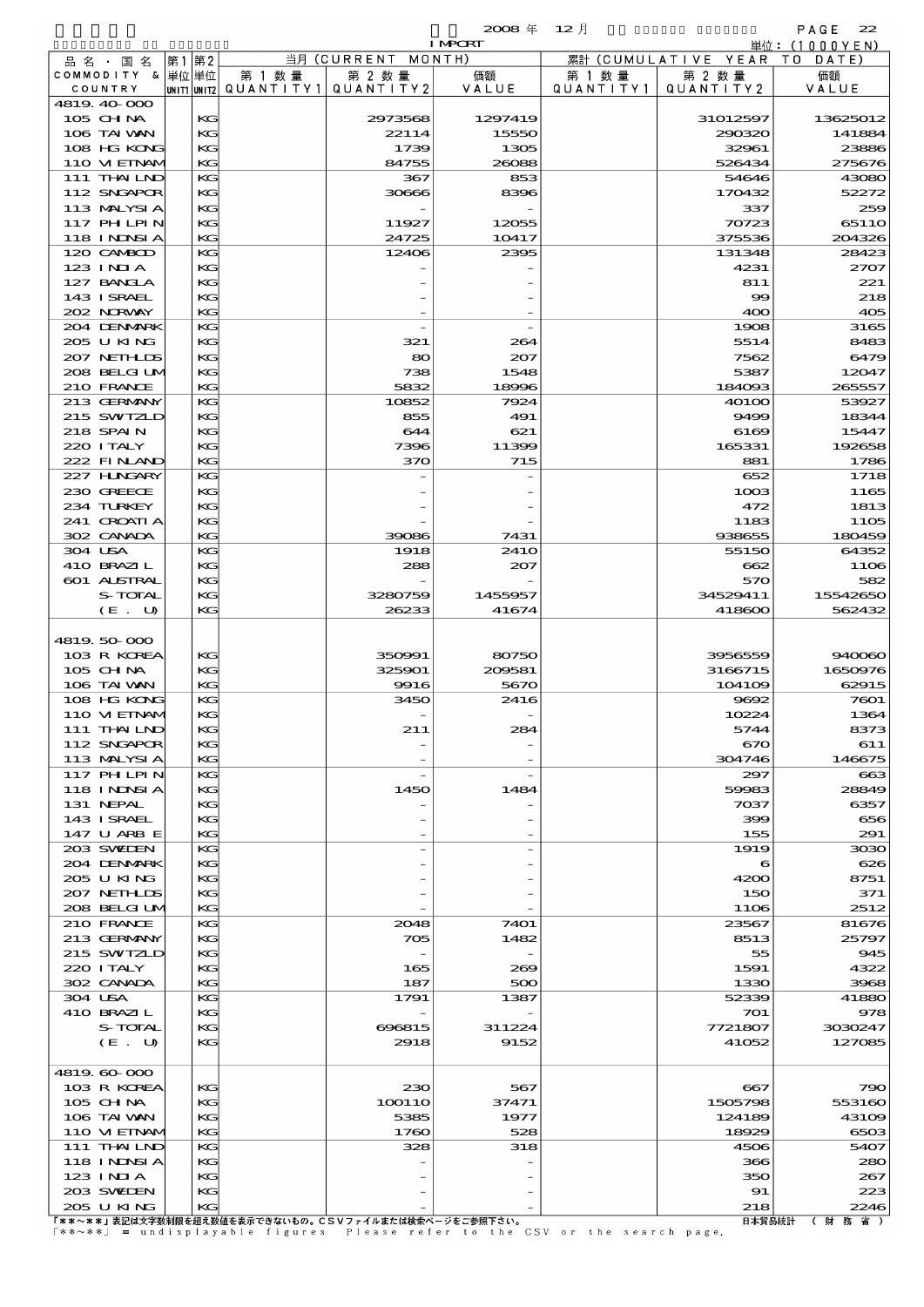|                               |         |       |          |                                            |                      | $2008 \text{ } \#$ | $12$ 月               |                        | PAGE<br>22         |
|-------------------------------|---------|-------|----------|--------------------------------------------|----------------------|--------------------|----------------------|------------------------|--------------------|
|                               |         |       |          |                                            |                      | <b>I MPORT</b>     |                      |                        | 単位:(1000YEN)       |
| 品 名 ・ 国 名<br>COMMODITY & 単位単位 |         | 第1 第2 |          |                                            | 当月 (CURRENT MONTH)   |                    |                      | 累計 (CUMULATIVE YEAR TO | DATE)              |
| COUNTRY                       |         |       |          | 第 1 数 量<br>UNIT1 UNIT2   Q U A N T I T Y 1 | 第 2 数量<br>QUANTITY 2 | 価額<br>VALUE        | 第 1 数 量<br>QUANTITY1 | 第 2 数量<br>QUANTITY 2   | 価額<br>VALUE        |
| 4819.40-000                   |         |       |          |                                            |                      |                    |                      |                        |                    |
| 105 CHNA                      |         |       | KG       |                                            | 2973568              | 1297419            |                      | 31012597               | 13625012           |
| 106 TAI VAN                   |         |       | KG       |                                            | 22114                | 15550              |                      | 290320                 | 141884             |
| 108 HG KONG                   |         |       | KG       |                                            | 1739                 | 1305               |                      | 32961                  | 23886              |
| 110 VIEINAM                   |         |       | KG       |                                            | 84755                | 26088              |                      | 526434                 | 275676             |
| 111 THAILND<br>112 SNGAPOR    |         |       | KG<br>KG |                                            | 367<br>30666         | 853<br>8396        |                      | 54646<br>170432        | 43080<br>52272     |
| 113 MALYSIA                   |         |       | KС       |                                            |                      |                    |                      | 337                    | 259                |
| 117 PHLPIN                    |         |       | KG       |                                            | 11927                | 12055              |                      | 70723                  | 65110              |
| 118 I NJNSI A                 |         |       | KG       |                                            | 24725                | 10417              |                      | 375536                 | 204326             |
| 120 CAMBOD                    |         |       | KG       |                                            | 12406                | 2395               |                      | 131348                 | 28423              |
| $123$ INIA                    |         |       | KG       |                                            |                      |                    |                      | 4231                   | 2707               |
| 127 BANCLA                    |         |       | KG       |                                            |                      |                    |                      | 811                    | 221                |
| 143 I SRAEL                   |         |       | KG       |                                            |                      |                    |                      | $\infty$               | 218                |
| 202 NORWAY<br>204 DENMARK     |         |       | KG<br>KG |                                            |                      |                    |                      | 400<br>1908            | 405<br>3165        |
| 205 U KING                    |         |       | KG       |                                            | 321                  | 264                |                      | 5514                   | 8483               |
| 207 NETHLIS                   |         |       | KG       |                                            | 80                   | 207                |                      | 7562                   | 6479               |
| 208 BELGI UM                  |         |       | KG       |                                            | 738                  | 1548               |                      | 5387                   | 12047              |
| 210 FRANCE                    |         |       | KG       |                                            | 5832                 | 18996              |                      | 184093                 | 265557             |
| 213 GERMANY                   |         |       | KG       |                                            | 10852                | 7924               |                      | 40100                  | 53927              |
| 215 SWIZLD                    |         |       | KG       |                                            | 855                  | 491                |                      | 9499                   | 18344              |
| 218 SPAIN                     |         |       | KС       |                                            | 644                  | 621                |                      | 6169                   | 15447              |
| 220 I TALY<br>222 FINAND      |         |       | KG<br>KG |                                            | 7396<br>370          | 11399<br>715       |                      | 165331<br>881          | 192658<br>1786     |
| 227 H.NGARY                   |         |       | KG       |                                            |                      |                    |                      | 652                    | 1718               |
| 230 GREECE                    |         |       | KG       |                                            |                      |                    |                      | 1003                   | 1165               |
| 234 TURKEY                    |         |       | KG       |                                            |                      |                    |                      | 472                    | 1813               |
| 241 CROATIA                   |         |       | KG       |                                            |                      |                    |                      | 1183                   | <b>1105</b>        |
| 302 CANADA                    |         |       | KG       |                                            | 39086                | 7431               |                      | 938655                 | 180459             |
| 304 USA                       |         |       | KG       |                                            | 1918                 | 241O               |                      | 55150                  | 64352              |
| 410 BRAZIL                    |         |       | KG       |                                            | 288                  | 207                |                      | 662                    | 11O <sub>6</sub>   |
| 601 ALSTRAL                   | S-TOTAL |       | KG       |                                            | 3280759              |                    |                      | 570<br>34529411        | 582                |
|                               | (E. U)  |       | KG<br>KG |                                            | 26233                | 1455957<br>41674   |                      | 418600                 | 15542650<br>562432 |
|                               |         |       |          |                                            |                      |                    |                      |                        |                    |
| 4819.50.000                   |         |       |          |                                            |                      |                    |                      |                        |                    |
| 103 R KOREA                   |         |       | KС       |                                            | 350991               | 80750              |                      | 3956559                | 940060             |
| 105 CHNA                      |         |       | KG       |                                            | 325901               | 209581             |                      | 3166715                | 1650976            |
| 106 TAI VAN                   |         |       | KG       |                                            | 9916                 | 5670               |                      | 104109                 | 62915              |
| 108 HG KONG                   |         |       | KG       |                                            | 3450                 | 2416               |                      | 9692                   | 7601               |
| 110 VI EINAN<br>$111$ THAILND |         |       | KG<br>KG |                                            | 211                  | 284                |                      | 10224<br>5744          | 1364<br>8373       |
| 112 SNGAPOR                   |         |       | KG       |                                            |                      |                    |                      | 670                    | 611                |
| 113 MALYSIA                   |         |       | KG       |                                            |                      |                    |                      | 304746                 | 146675             |
| 117 PH LPIN                   |         |       | KG       |                                            |                      |                    |                      | 297                    | ങ                  |
| 118 I NINSI A                 |         |       | KG       |                                            | 1450                 | 1484               |                      | 59983                  | 28849              |
| 131 NEPAL                     |         |       | КG       |                                            |                      |                    |                      | 7037                   | 6357               |
| 143 ISRAEL                    |         |       | KG       |                                            |                      |                    |                      | 399                    | 656                |
| 147 U ARB E<br>203 SWIDEN     |         |       | KG<br>KG |                                            |                      |                    |                      | 155<br>1919            | 291<br>3030        |
| 204 DENMARK                   |         |       | KG       |                                            |                      |                    |                      | 6                      | 626                |
| 205 U KING                    |         |       | КG       |                                            |                      |                    |                      | 4200                   | 8751               |
| 207 NETHLIS                   |         |       | KG       |                                            |                      |                    |                      | 150                    | 371                |
| 208 BELGI UM                  |         |       | KG       |                                            |                      |                    |                      | 1106                   | 2512               |
| 210 FRANCE                    |         |       | KG       |                                            | 2048                 | 7401               |                      | 23567                  | 81676              |
| 213 GERMANY                   |         |       | KG       |                                            | 705                  | 1482               |                      | 8513                   | 25797              |
| 215 SWIZLD                    |         |       | KС       |                                            |                      |                    |                      | 55                     | 945                |
| 220 I TALY<br>302 CANADA      |         |       | KG<br>KG |                                            | 165<br>187           | 269<br>500         |                      | 1591<br>1330           | 4322<br>3968       |
| 304 USA                       |         |       | KG       |                                            | 1791                 | 1387               |                      | 52339                  | 41880              |
| 410 BRAZIL                    |         |       | KG       |                                            |                      |                    |                      | 701                    | 978                |
|                               | S-TOTAL |       | KG       |                                            | 696815               | 311224             |                      | 7721807                | 3030247            |
|                               | (E. U)  |       | KG       |                                            | 2918                 | 9152               |                      | 41052                  | 127085             |
|                               |         |       |          |                                            |                      |                    |                      |                        |                    |
| 4819.60-000                   |         |       |          |                                            |                      |                    |                      |                        |                    |
| 103 R KOREA                   |         |       | KG       |                                            | 230                  | 567                |                      | 667                    | 790                |
| 105 CH NA<br>106 TAI VAN      |         |       | KG<br>KG |                                            | 100110<br>5385       | 37471<br>1977      |                      | 1505798<br>124189      | 553160<br>43109    |
| 110 VIEINAM                   |         |       | KG       |                                            | 1760                 | 528                |                      | 18929                  | 6503               |
| 111 THAILND                   |         |       | KG       |                                            | 328                  | 318                |                      | 4506                   | 5407               |
| 118 I NINSI A                 |         |       | KG       |                                            |                      |                    |                      | 366                    | 280                |
| $123$ INIA                    |         |       | KG       |                                            |                      |                    |                      | 350                    | 267                |
| 203 SWIDEN                    |         |       | KG       |                                            |                      |                    |                      | 91                     | 223                |

205 U KING KG - - 218 2246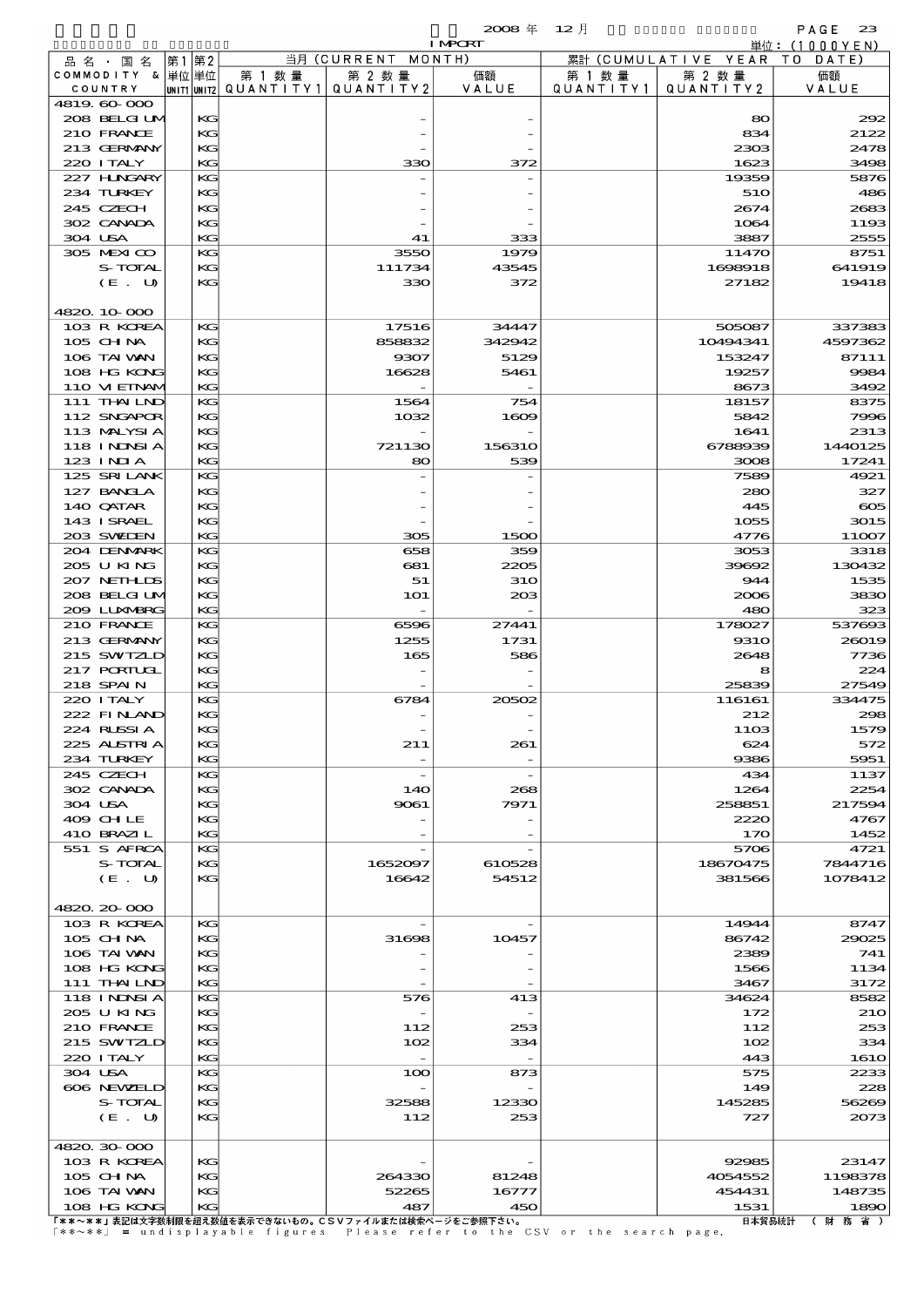|                             |       |          |                          |                                 | $2008 \text{ }^{\text{#}}$ | $12$ 月               |                                | PAGE<br>23         |
|-----------------------------|-------|----------|--------------------------|---------------------------------|----------------------------|----------------------|--------------------------------|--------------------|
|                             |       |          |                          |                                 | <b>I MPCRT</b>             |                      |                                | 単位: (1000YEN)      |
| 品名・国名<br>COMMODITY & 単位単位   | 第1 第2 |          | 第 1 数量                   | 当月 (CURRENT<br>第 2 数量           | MONTH)<br>価額               |                      | 累計 (CUMULATIVE YEAR)<br>第 2 数量 | TO DATE)<br>価額     |
| COUNTRY                     |       |          | unit1 unit2  Q∪ANT   TY1 | QUANTITY2                       | VALUE                      | 第 1 数 量<br>QUANTITY1 | QUANTITY2                      | VALUE              |
| 4819.60-000                 |       |          |                          |                                 |                            |                      |                                |                    |
| 208 BELGI UM                |       | KG       |                          |                                 |                            |                      | 80                             | 292                |
| 210 FRANCE                  |       | KG       |                          |                                 |                            |                      | 834                            | 2122               |
| 213 GERMANY                 |       | KG       |                          |                                 |                            |                      | 2303                           | 2478               |
| 220 I TALY<br>227 H.NGARY   |       | KG<br>KG |                          | 330                             | 372                        |                      | 1623                           | 3498               |
| 234 TURKEY                  |       | KG       |                          |                                 |                            |                      | 19359<br>510                   | 5876<br>486        |
| 245 CZECH                   |       | KG       |                          |                                 |                            |                      | 2674                           | 2683               |
| 302 CANADA                  |       | KG       |                          |                                 |                            |                      | 1064                           | 1193               |
| 304 USA                     |       | KG       |                          | 41                              | 333                        |                      | 3887                           | 2555               |
| 305 MEXICO                  |       | KG       |                          | 3550                            | 1979                       |                      | 11470                          | 8751               |
| S-TOTAL                     |       | KG       |                          | 111734                          | 43545                      |                      | 1698918                        | 641919             |
| (E. U)                      |       | KG       |                          | 330                             | 372                        |                      | 27182                          | 19418              |
| 4820.10-000                 |       |          |                          |                                 |                            |                      |                                |                    |
| 103 R KOREA                 |       | KG       |                          | 17516                           | 34447                      |                      | 505087                         | 337383             |
| 105 CH NA                   |       | KG       |                          | 858832                          | 342942                     |                      | 10494341                       | 4597362            |
| 106 TAI VAN                 |       | KG       |                          | 9307                            | 5129                       |                      | 153247                         | 87111              |
| 108 HG KONG                 |       | KG       |                          | 16628                           | 5461                       |                      | 19257                          | 9984               |
| 110 VI EINAV                |       | KG       |                          |                                 |                            |                      | 8673                           | 3492               |
| 111 THAILND                 |       | KG       |                          | 1564                            | 754                        |                      | 18157                          | 8375               |
| 112 SNGAPOR                 |       | KG       |                          | 1032                            | 1609                       |                      | 5842                           | 7996               |
| 113 MALYSIA                 |       | KG       |                          |                                 |                            |                      | 1641                           | 2313               |
| 118 I NDSI A<br>123 INIA    |       | KG<br>KG |                          | 721130<br>80                    | 156310                     |                      | 6788939<br>3008                | 1440125<br>17241   |
| 125 SRILANK                 |       | KG       |                          |                                 | 539                        |                      | 7589                           | 4921               |
| 127 BANCLA                  |       | KG       |                          |                                 |                            |                      | 280                            | 327                |
| 140 QATAR                   |       | KG       |                          |                                 |                            |                      | 445                            | $\infty$           |
| 143 I SRAEL                 |       | KG       |                          |                                 |                            |                      | 1055                           | 3015               |
| 203 SWIEN                   |       | KG       |                          | 305                             | 1500                       |                      | 4776                           | 11007              |
| 204 DENMARK                 |       | KG       |                          | 658                             | 359                        |                      | 3053                           | 3318               |
| 205 U KING                  |       | KG       |                          | 681                             | 2205                       |                      | 39692                          | 130432             |
| 207 NETHLIS                 |       | KG       |                          | 51                              | <b>31O</b>                 |                      | 944                            | 1535               |
| 208 BELGI UM<br>200 LUNABRG |       | KG<br>KG |                          | <b>1O1</b>                      | 203                        |                      | 2006<br>480                    | 3830<br>323        |
| 210 FRANCE                  |       | KG       |                          | 6596                            | 27441                      |                      | 178027                         | 537693             |
| 213 GERMANY                 |       | KG       |                          | 1255                            | 1731                       |                      | 931O                           | 26019              |
| 215 SWIZLD                  |       | KG       |                          | 165                             | 586                        |                      | 2648                           | 7736               |
| <b>217 PORIUGL</b>          |       | KG       |                          |                                 |                            |                      | 8                              | 224                |
| 218 SPAIN                   |       | KG       |                          |                                 |                            |                      | 25839                          | 27549              |
| 220 I TALY                  |       | KG       |                          | 6784                            | 20502                      |                      | 116161                         | 334475             |
| 222 FINAN                   |       | KG       |                          |                                 |                            |                      | 212                            | 298                |
| 224 RUSSIA<br>225 ALSTRIA   |       | KG<br>KC |                          | 211                             | 261                        |                      | 11O <sub>3</sub><br>624        | 1579<br>572        |
| 234 TURKEY                  |       | KG       |                          |                                 |                            |                      | 9386                           | 5951               |
| 245 CZECH                   |       | KG       |                          |                                 |                            |                      | 434                            | 1137               |
| 302 CANADA                  |       | KG       |                          | 140                             | 268                        |                      | 1264                           | 2254               |
| 304 USA                     |       | KG       |                          | 9061                            | 7971                       |                      | 258851                         | 217594             |
| 409 CHLE                    |       | KG       |                          |                                 |                            |                      | 2220                           | 4767               |
| 410 BRAZIL                  |       | KG       |                          |                                 |                            |                      | 170                            | 1452               |
| 551 S AFRCA<br>S-TOTAL      |       | KG       |                          |                                 |                            |                      | 5706                           | 4721<br>7844716    |
| (E. U)                      |       | KG<br>KG |                          | 1652097<br>16642                | 610528<br>54512            |                      | 18670475<br>381566             | 1078412            |
|                             |       |          |                          |                                 |                            |                      |                                |                    |
| 4820.20-000                 |       |          |                          |                                 |                            |                      |                                |                    |
| 103 R KOREA                 |       | KG       |                          |                                 |                            |                      | 14944                          | 8747               |
| 105 CHNA                    |       | KG       |                          | 31698                           | 10457                      |                      | 86742                          | 29025              |
| 106 TAI VAN                 |       | KG       |                          |                                 |                            |                      | 2389                           | 741                |
| 108 HG KONG                 |       | KG       |                          |                                 |                            |                      | 1566                           | 1134               |
| 111 THAILND                 |       | KG       |                          |                                 |                            |                      | 3467                           | 3172               |
| 118 I NDSI A<br>205 U KING  |       | KG<br>KG |                          | 576<br>$\overline{\phantom{a}}$ | 413                        |                      | 34624<br>172                   | 8582<br><b>210</b> |
| 210 FRANCE                  |       | KG       |                          | 112                             | 253                        |                      | 112                            | 253                |
| 215 SWIZLD                  |       | KG       |                          | 102                             | 334                        |                      | 102                            | 334                |
| 220 I TALY                  |       | KG       |                          | $\overline{\phantom{a}}$        |                            |                      | 443                            | <b>1610</b>        |
| 304 USA                     |       | KG       |                          | 100                             | 873                        |                      | 575                            | 2233               |
| 606 NEWELD                  |       | KG       |                          |                                 |                            |                      | 149                            | 228                |
| S-TOTAL                     |       | KG       |                          | 32588                           | 12330                      |                      | 145285                         | 56269              |
| (E. U)                      |       | KG       |                          | 112                             | 253                        |                      | 727                            | 2073               |
| 4820.30-000                 |       |          |                          |                                 |                            |                      |                                |                    |
| 103 R KOREA                 |       | KG       |                          |                                 |                            |                      | 92985                          | 23147              |
| 105 CHNA                    |       | KG       |                          | 264330                          | 81248                      |                      | 4054552                        | 1198378            |
| 106 TAI VAN                 |       | KG       |                          | 52265                           | 16777                      |                      | 454431                         | 148735             |

108 HG KONG KG 487 450 1531 1890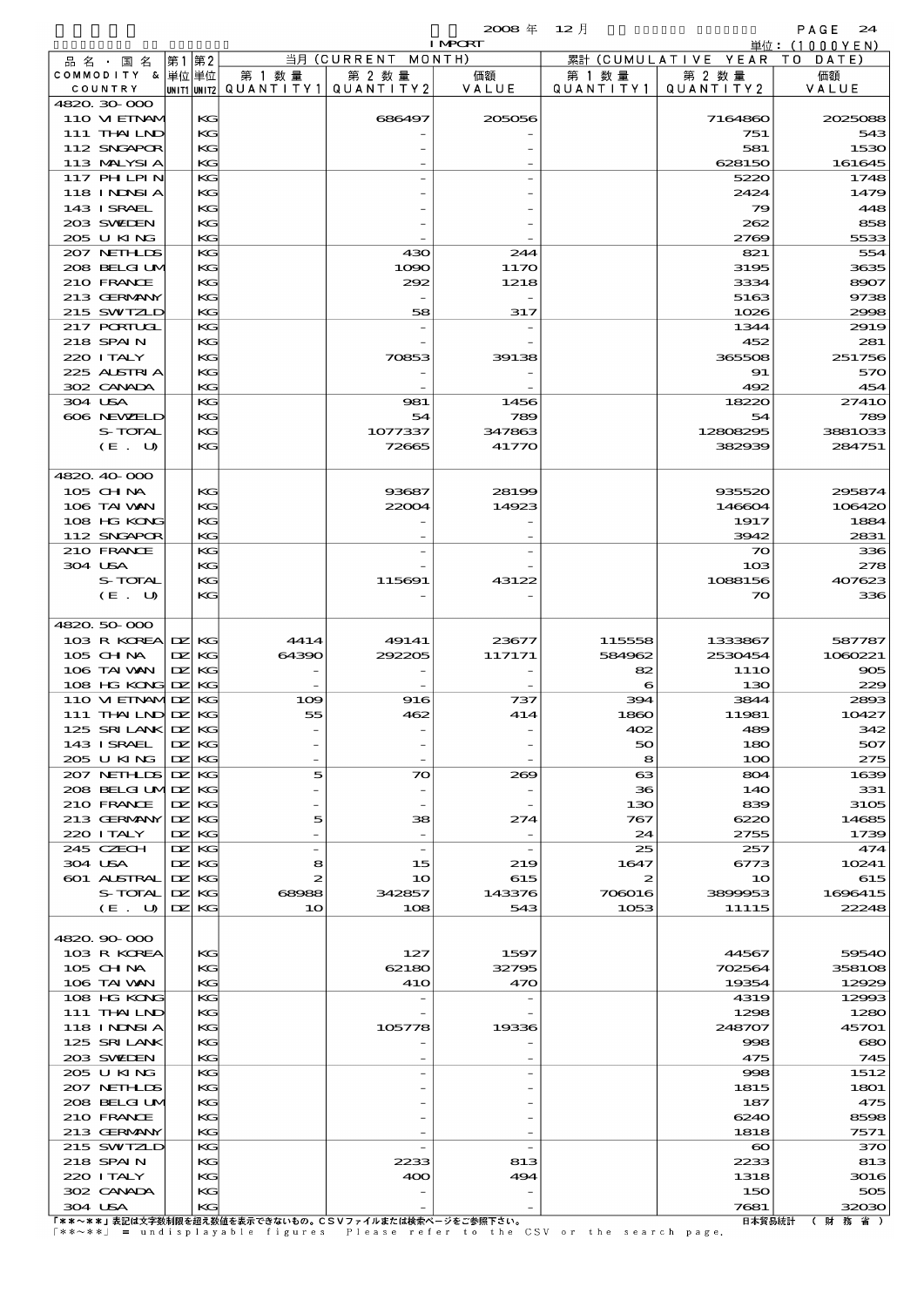|         |                                  |              |             |                          |                                | $2008 \text{ }^{\text{#}}$<br><b>I MPORT</b> | $12$ 月<br>PAGE<br>24 |                             |                          |  |
|---------|----------------------------------|--------------|-------------|--------------------------|--------------------------------|----------------------------------------------|----------------------|-----------------------------|--------------------------|--|
|         | 品 名 ・ 国 名                        | 第1 第2        |             |                          | 当月 (CURRENT                    | MONTH)                                       |                      | 累計 (CUMULATIVE YEAR         | 単位:(1000YEN)<br>TO DATE) |  |
|         | COMMODITY & 単位 単位                |              |             | 第 1 数 量                  | 第 2 数量                         | 価額                                           | 第 1 数 量              | 第 2 数量                      | 価額                       |  |
|         | COUNTRY                          |              | UNIT1 UNIT2 | QUANTITY1 QUANTITY2      |                                | VALUE                                        | QUANTITY1            | QUANTITY 2                  | VALUE                    |  |
|         | 4820.30-000                      |              |             |                          |                                |                                              |                      |                             |                          |  |
|         | 110 VIEINAM                      |              | KG          |                          | 686497                         | 205056                                       |                      | 7164860                     | 2025085                  |  |
|         | 111 THAILND<br>112 SNGAPOR       |              | КG          |                          |                                |                                              |                      | 751                         | 543                      |  |
|         | 113 MALYSIA                      |              | KG<br>KG    |                          |                                |                                              |                      | 581<br>628150               | 1530<br>161645           |  |
|         | $117$ PH LPIN                    |              | KG          |                          |                                |                                              |                      | 5220                        | 1745                     |  |
|         | <b>118 INNSIA</b>                |              | KG          |                          |                                |                                              |                      | 2424                        | 1479                     |  |
|         | 143 ISRAEL                       |              | КG          |                          |                                |                                              |                      | 79                          | 448                      |  |
|         | 203 SWIDEN                       |              | KG          |                          |                                |                                              |                      | 262                         | 858                      |  |
|         | 205 U KING                       |              | KG          |                          |                                |                                              |                      | 2769                        | 5533                     |  |
|         | 207 NETHLIS                      |              | KG          |                          | 430                            | 244                                          |                      | 821                         | 554                      |  |
|         | 208 BELGI UM                     |              | KG          |                          | 1090                           | 1170                                         |                      | 3195                        | 3635                     |  |
|         | 210 FRANCE<br>213 GERMANY        |              | КG<br>KG    |                          | 292                            | 1218                                         |                      | 3334<br>5163                | 8907<br>973              |  |
|         | 215 SWIZLD                       |              | KG          |                          | 58                             | 317                                          |                      | 1026                        | 2996                     |  |
|         | 217 PORTUGL                      |              | KG          |                          |                                |                                              |                      | 1344                        | 2919                     |  |
|         | 218 SPAIN                        |              | KG          |                          |                                |                                              |                      | 452                         | 281                      |  |
|         | 220 I TALY                       |              | КG          |                          | 70853                          | 39138                                        |                      | 365508                      | 251756                   |  |
|         | 225 ALSTRIA                      |              | KG          |                          |                                |                                              |                      | 91                          | 570                      |  |
|         | 302 CANADA                       |              | KG          |                          |                                |                                              |                      | 492                         | 454                      |  |
| 304 USA |                                  |              | KG          |                          | 981                            | 1456                                         |                      | 18220                       | 2741C                    |  |
|         | 606 NEWELD<br>S-TOTAL            |              | KG<br>КG    |                          | 54<br>1077337                  | 789<br>347863                                |                      | 54<br>12808295              | 789<br>3881033           |  |
|         | (E. U)                           |              | KG          |                          | 72665                          | 41770                                        |                      | 382939                      | 284751                   |  |
|         |                                  |              |             |                          |                                |                                              |                      |                             |                          |  |
|         | 4820 40 000                      |              |             |                          |                                |                                              |                      |                             |                          |  |
|         | 105 CH NA                        |              | КG          |                          | 93687                          | 28199                                        |                      | 935520                      | 295874                   |  |
|         | 106 TAI VAN                      |              | КG          |                          | 22004                          | 14923                                        |                      | 146604                      | 106420                   |  |
|         | 108 HG KONG                      |              | KG          |                          |                                |                                              |                      | 1917                        | 1884                     |  |
|         | 112 SNGAPOR                      |              | KG          |                          |                                |                                              |                      | 3942                        | 2831                     |  |
| 304 USA | 210 FRANCE                       |              | KG<br>КG    |                          |                                |                                              |                      | $\infty$<br>10 <sup>3</sup> | зз€<br>278               |  |
|         | S-TOTAL                          |              | КG          |                          | 115691                         | 43122                                        |                      | 1088156                     | 407623                   |  |
|         | (E U)                            |              | KG          |                          |                                |                                              |                      | $\infty$                    | 336                      |  |
|         |                                  |              |             |                          |                                |                                              |                      |                             |                          |  |
|         | 4820 50 000                      |              |             |                          |                                |                                              |                      |                             |                          |  |
|         | 103 R KOREA DZ                   |              | КG          | 4414                     | 49141                          | 23677                                        | 115558               | 1333867                     | 587787                   |  |
|         | 105 CH NA                        | DZ.          | KG          | 64390                    | 292205                         | 117171                                       | 584962               | 2530454                     | 1060221                  |  |
|         | 106 TAI VAN<br>108 HG KONG DZ KG | $\mathbf{Z}$ | KG          |                          |                                |                                              | 82<br>6              | 111O<br>130                 | $\infty$<br>229          |  |
|         | 110 VI EINAMIDZ                  |              | КG          | 109                      | 916                            | 737                                          | 394                  | 3844                        | 2890                     |  |
|         | $111$ THAILND DZ                 |              | КG          | 55                       | 462                            | 414                                          | 1860                 | 11981                       | 10427                    |  |
|         | 125 SRILANK DZ                   |              | KG          |                          |                                |                                              | 402                  | 489                         | 342                      |  |
|         | 143 ISRAEL                       | DZ.          | KG          |                          |                                |                                              | 50                   | 180                         | 507                      |  |
|         | 205 U KING                       | DZ.          | КG          |                          |                                |                                              | 8                    | 100                         | 275                      |  |
|         | 207 NETHLIS                      | DZ.          | KG          | 5                        | 70                             | 269                                          | 63                   | 804                         | 1635                     |  |
|         | 208 BELGI UMIDZ                  |              | КG          |                          |                                |                                              | 36                   | 140                         | 331                      |  |
|         | 210 FRANCE                       | DZ.          | KG          |                          |                                |                                              | 130                  | 839                         | 3105                     |  |
|         | 213 GERMANY<br>220 I TALY        | DZ.<br>DZ.   | KG<br>КG    | 5                        | 38<br>$\overline{\phantom{a}}$ | 274<br>$\overline{\phantom{a}}$              | 767<br>24            | 6220<br>2755                | 14685<br>1735            |  |
|         | 245 CZECH                        | DZ.          | KG          | $\overline{\phantom{0}}$ | $\overline{\phantom{a}}$       |                                              | 25                   | 257                         | 474                      |  |
| 304 USA |                                  | DZ.          | KG          | 8                        | 15                             | 219                                          | 1647                 | 6773                        | 10241                    |  |
|         | 601 ALSTRAL                      | DZ.          | KG          | 2                        | 10                             | 615                                          | 2                    | 10                          | 615                      |  |
|         | S-TOTAL                          | DZ.          | KG          | 68988                    | 342857                         | 143376                                       | 706016               | 3899953                     | 1696415                  |  |
|         | (E. U)                           | DZ.          | KG          | 10                       | 108                            | 543                                          | 1053                 | 11115                       | 22248                    |  |
|         |                                  |              |             |                          |                                |                                              |                      |                             |                          |  |
|         | 4820.90-000<br>103 R KOREA       |              | KС          |                          | 127                            | 1597                                         |                      | 44567                       | 59540                    |  |
|         |                                  |              |             |                          |                                |                                              |                      |                             |                          |  |

|             |              |  |                  |                |            |       | .    |          | .                 |
|-------------|--------------|--|------------------|----------------|------------|-------|------|----------|-------------------|
|             | (E. U)       |  | $\mathbf{DZ}$ KG | 1 <sub>O</sub> | 108        | 543   | 1053 | 11115    | 22248             |
|             |              |  |                  |                |            |       |      |          |                   |
| 4820.90-000 |              |  |                  |                |            |       |      |          |                   |
|             | 103 R KOREA  |  | KG               |                | 127        | 1597  |      | 44567    | 59540             |
|             | $105$ CHNA   |  | KG               |                | 62180      | 32795 |      | 702564   | 358106            |
|             | 106 TAI VAN  |  | $K$ $G$          |                | <b>41O</b> | 470   |      | 19354    | 12929             |
|             | 108 HG KONG  |  | KG               |                |            |       |      | 4319     | 12990             |
|             | 111 THAILND  |  | KG               |                |            |       |      | 1298     | 1280              |
|             | 118 INNSI A  |  | KG               |                | 105778     | 19336 |      | 248707   | 45701             |
|             | 125 SRILANK  |  | KG               |                |            |       |      | 998      | $\mathbf{\alpha}$ |
|             | 203 SWIEN    |  | KG               |                |            |       |      | 475      | 745               |
|             | 205 U KING   |  | KG               |                |            |       |      | 998      | 1512              |
|             | 207 NETHLIS  |  | KG               |                |            |       |      | 1815     | 1801              |
|             | 208 BELGI UM |  | KG               |                |            |       |      | 187      | 475               |
|             | 210 FRANCE   |  | KG               |                |            |       |      | 6240     | 8596              |
|             | 213 GERMANY  |  | $K$ $G$          |                |            |       |      | 1818     | 7571              |
|             | 215 SWIZLD   |  | $K$ $G$          |                |            |       |      | $\infty$ | 37 <sup>c</sup>   |
|             | 218 SPAIN    |  | KG               |                | 2233       | 813   |      | 2233     | 813               |
|             | 220 I TALY   |  | KG               |                | 400        | 494   |      | 1318     | 3016              |
|             | 302 CANADA   |  | KG               |                |            |       |      | 150      | 500               |
| 304 USA     |              |  | $K$ $G$          |                |            |       |      | 7681     | 32030             |
|             |              |  |                  |                |            |       |      |          |                   |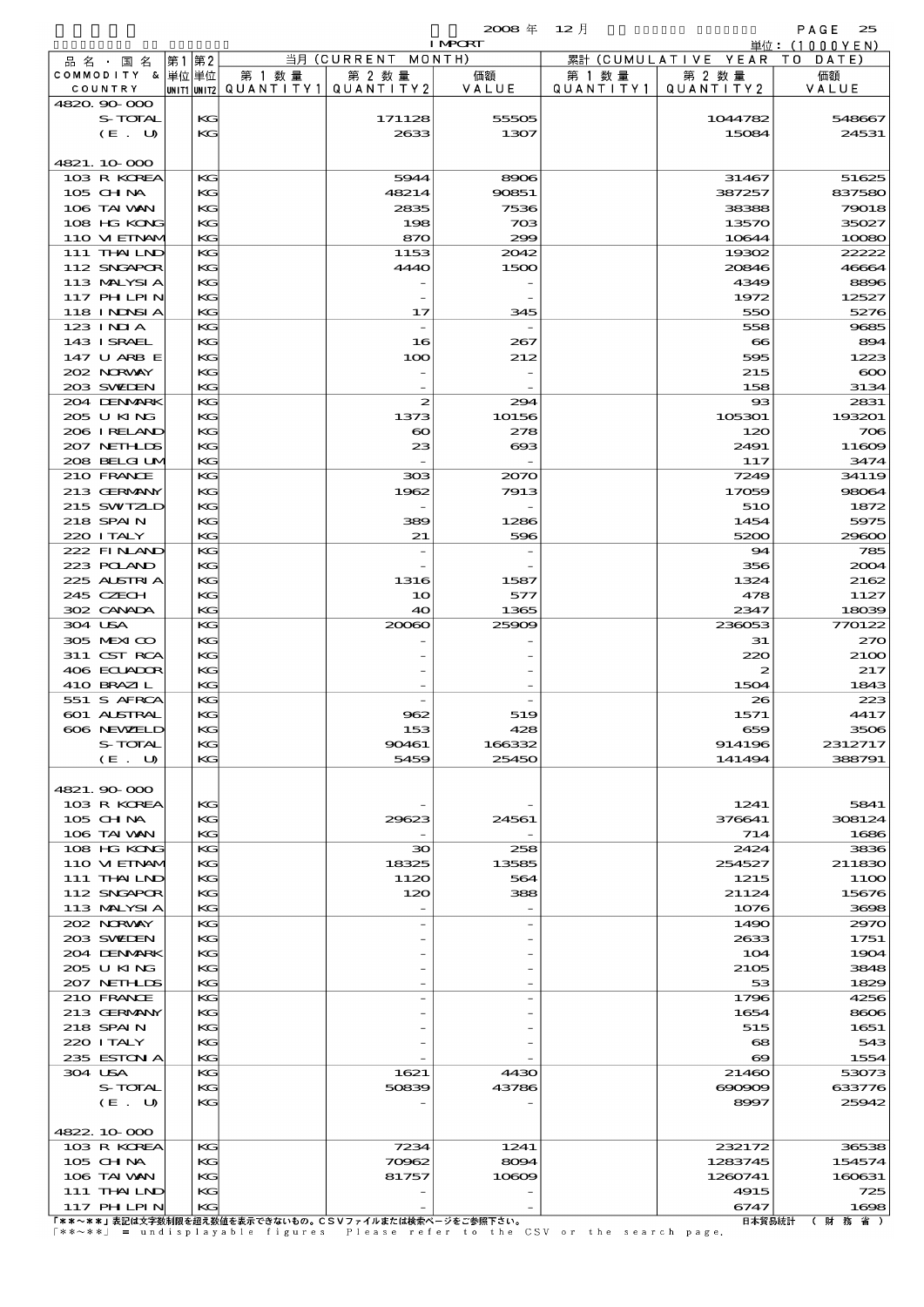$2008 \nless 12 \nless 12$ 

|         |                            |    |          |                                       |                             | <b>I MPCRT</b>  |           |                              | 単位: (1000 Y E N)  |
|---------|----------------------------|----|----------|---------------------------------------|-----------------------------|-----------------|-----------|------------------------------|-------------------|
|         | 品名・国名                      | 第1 | 第2       |                                       | 当月 (CURRENT MONTH)          |                 |           | 累計 (CUMULATIVE YEAR TO DATE) |                   |
|         | COMMODITY & 単位単位           |    |          | 第 1 数 量                               | 第 2 数量                      | 価額              | 第 1 数 量   | 第 2 数量                       | 価額                |
|         | COUNTRY                    |    |          | unit1 unit2  QUANT   TY1  QUANT   TY2 |                             | VALUE           | QUANTITY1 | QUANTITY 2                   | VALUE             |
|         | 4820.90-000<br>S-TOTAL     |    |          |                                       |                             |                 |           |                              |                   |
|         |                            |    | KG<br>KG |                                       | 171128                      | 55505           |           | 1044782                      | 548667            |
|         | (E. U)                     |    |          |                                       | 2633                        | 1307            |           | 15084                        | 24531             |
|         | 4821.10.000                |    |          |                                       |                             |                 |           |                              |                   |
|         | 103 R KOREA                |    | KG       |                                       | 5944                        | 8906            |           | 31467                        | 51625             |
|         | 105 CH NA                  |    | KG       |                                       | 48214                       | 90851           |           | 387257                       | 837580            |
|         | 106 TAI VAN                |    | KG       |                                       | 2835                        | 7536            |           | 38388                        | 79018             |
|         | 108 HG KONG                |    | KG       |                                       | 198                         | 703             |           | 13570                        | 35027             |
|         | 110 VIEINAM                |    | KG       |                                       | 870                         | 299             |           | 10644                        | 10080             |
|         | 111 THAILND                |    | KG       |                                       | 1153                        | 2042            |           | 19302                        | 22222             |
|         | 112 SNGAPOR                |    | KG       |                                       | 4440                        | 1500            |           | 20846                        | 46664             |
|         | 113 MALYSIA                |    | KG       |                                       |                             |                 |           | 4349                         | 8896              |
|         | <b>117 PHLPIN</b>          |    | KG       |                                       |                             |                 |           | 1972                         | 12527             |
|         | <b>118 INNSIA</b>          |    | KG       |                                       | 17                          | 345             |           | 550                          | 5276              |
|         | 123 INIA                   |    | KG       |                                       | $\overline{\phantom{a}}$    |                 |           | 558                          | 9685              |
|         | 143 ISRAEL                 |    | KG       |                                       | 16                          | 267             |           | $\bf{8}$                     | 894               |
|         | 147 U ARB E                |    | KG       |                                       | 100                         | 212             |           | 595                          | 1223              |
|         | 202 NRWAY                  |    | KG       |                                       |                             |                 |           | 215                          | $\infty$          |
|         | 203 SWIEN                  |    | KG       |                                       |                             |                 |           | 158                          | 3134              |
|         | 204 DENMARK                |    | KG       |                                       | $\boldsymbol{z}$            | 294             |           | $_{\rm \alpha}$              | 2831              |
|         | 205 U KING                 |    | KG       |                                       | 1373                        | 10156           |           | 105301                       | 193201            |
|         | 206 IRELAND<br>207 NETHLIS |    | KG<br>KG |                                       | $\boldsymbol{\infty}$<br>23 | 278<br>$\bf{6}$ |           | 120<br>2491                  | $\infty$<br>11609 |
|         | 208 BELGI UM               |    | KG       |                                       |                             |                 |           | 117                          | 3474              |
|         | 210 FRANCE                 |    | KG       |                                       | 308                         | 2070            |           | 7249                         | 34119             |
|         | 213 GERMANY                |    | KG       |                                       | 1962                        | 7913            |           | 17059                        | 98064             |
|         | 215 SWIZLD                 |    | KG       |                                       |                             |                 |           | 51O                          | 1872              |
|         | 218 SPAIN                  |    | KG       |                                       | 389                         | 1286            |           | 1454                         | 5975              |
|         | 220 I TALY                 |    | KG       |                                       | 21                          | 596             |           | 5200                         | 29600             |
|         | 222 FINAND                 |    | KG       |                                       | $\overline{a}$              |                 |           | 94                           | 785               |
|         | 223 POLAND                 |    | KG       |                                       |                             |                 |           | 356                          | 2004              |
|         | 225 ALSTRIA                |    | KG       |                                       | 1316                        | 1587            |           | 1324                         | 2162              |
|         | 245 CZECH                  |    | KG       |                                       | 10                          | 577             |           | 478                          | 1127              |
|         | 302 CANADA                 |    | KG       |                                       | 40                          | 1365            |           | 2347                         | 18039             |
| 304 USA |                            |    | KG       |                                       | 20060                       | 25909           |           | 236053                       | 770122            |
|         | 305 MEXICO                 |    | KG       |                                       |                             |                 |           | 31                           | 270               |
|         | 311 CST RCA                |    | KG       |                                       |                             |                 |           | 220                          | 2100              |
|         | 406 ECLADOR                |    | KG       |                                       |                             |                 |           | $\boldsymbol{z}$             | 217               |
|         | 410 BRAZIL                 |    | KG       |                                       |                             |                 |           | 1504                         | 1843              |
|         | 551 S AFRCA                |    | KG       |                                       |                             |                 |           | 26                           | 223               |
|         | 601 ALSTRAL<br>606 NEWELD  |    | KG<br>KG |                                       | 962<br>153                  | 519<br>428      |           | 1571<br>659                  | 4417<br>3506      |
|         | S-TOTAL                    |    | KG       |                                       | 90461                       | 166332          |           | 914196                       | 2312717           |
|         | (E. U)                     |    | KG       |                                       | 5459                        | 25450           |           | 141494                       | 388791            |
|         |                            |    |          |                                       |                             |                 |           |                              |                   |
|         | 4821.90 000                |    |          |                                       |                             |                 |           |                              |                   |
|         | 103 R KOREA                |    | KG       |                                       |                             |                 |           | 1241                         | 5841              |
|         | 105 CHNA                   |    | KG       |                                       | 29623                       | 24561           |           | 376641                       | 308124            |
|         | 106 TAI VAN                |    | KG       |                                       |                             |                 |           | 714                          | 1686              |
|         | 108 HG KONG                |    | KG       |                                       | 30                          | 258             |           | 2424                         | 3836              |
|         | 110 VIEINAM                |    | KG       |                                       | 18325                       | 13585           |           | 254527                       | 211830            |
|         | 111 THAILND                |    | KG       |                                       | 1120                        | 564             |           | 1215                         | 11OO              |
|         | 112 SNGAPOR                |    | KG       |                                       | 120                         | 388             |           | 21124                        | 15676             |
|         | 113 MALYSI A               |    | KG       |                                       |                             |                 |           | 1076                         | 3698              |
|         | 202 NORWAY                 |    | KG       |                                       |                             |                 |           | 1490                         | 2970              |
|         | 203 SWIDEN                 |    | KG       |                                       |                             |                 |           | 2633                         | 1751              |
|         | 204 DENMARK<br>205 U KING  |    | KG<br>KG |                                       |                             |                 |           | 104<br>2105                  | 1904<br>3848      |
|         | 207 NETHLIS                |    | KG       |                                       |                             |                 |           | 53                           | 1829              |
|         | 210 FRANCE                 |    | KG       |                                       |                             |                 |           | 1796                         | 4256              |
|         | 213 GERMANY                |    | KG       |                                       |                             |                 |           | 1654                         | 8606              |
|         | 218 SPAIN                  |    | KG       |                                       |                             |                 |           | 515                          | 1651              |
|         | 220 I TALY                 |    | KG       |                                       |                             |                 |           | 68                           | 543               |
|         | 235 ESTON A                |    | KG       |                                       |                             |                 |           | $\infty$                     | 1554              |
| 304 USA |                            |    | KG       |                                       | 1621                        | 4430            |           | 21460                        | 53073             |
|         | S-TOTAL                    |    | KG       |                                       | 50839                       | 43786           |           | $\infty$                     | 633776            |
|         | (E. U)                     |    | KG       |                                       |                             |                 |           | 8997                         | 25942             |
|         |                            |    |          |                                       |                             |                 |           |                              |                   |
|         | 4822.10.000                |    |          |                                       |                             |                 |           |                              |                   |
|         | 103 R KOREA                |    | KG       |                                       | 7234                        | 1241            |           | 232172                       | 36538             |
|         | $105$ CHNA                 |    | KG       |                                       | 70962                       | 8094            |           | 1283745                      | 154574            |
|         | 106 TAI VAN<br>111 THAILND |    | KG<br>KG |                                       | 81757                       | 10609           |           | 1260741<br>4915              | 160631<br>725     |
|         | 117 PH LPIN                |    | KG       |                                       |                             |                 |           | 6747                         | 1698              |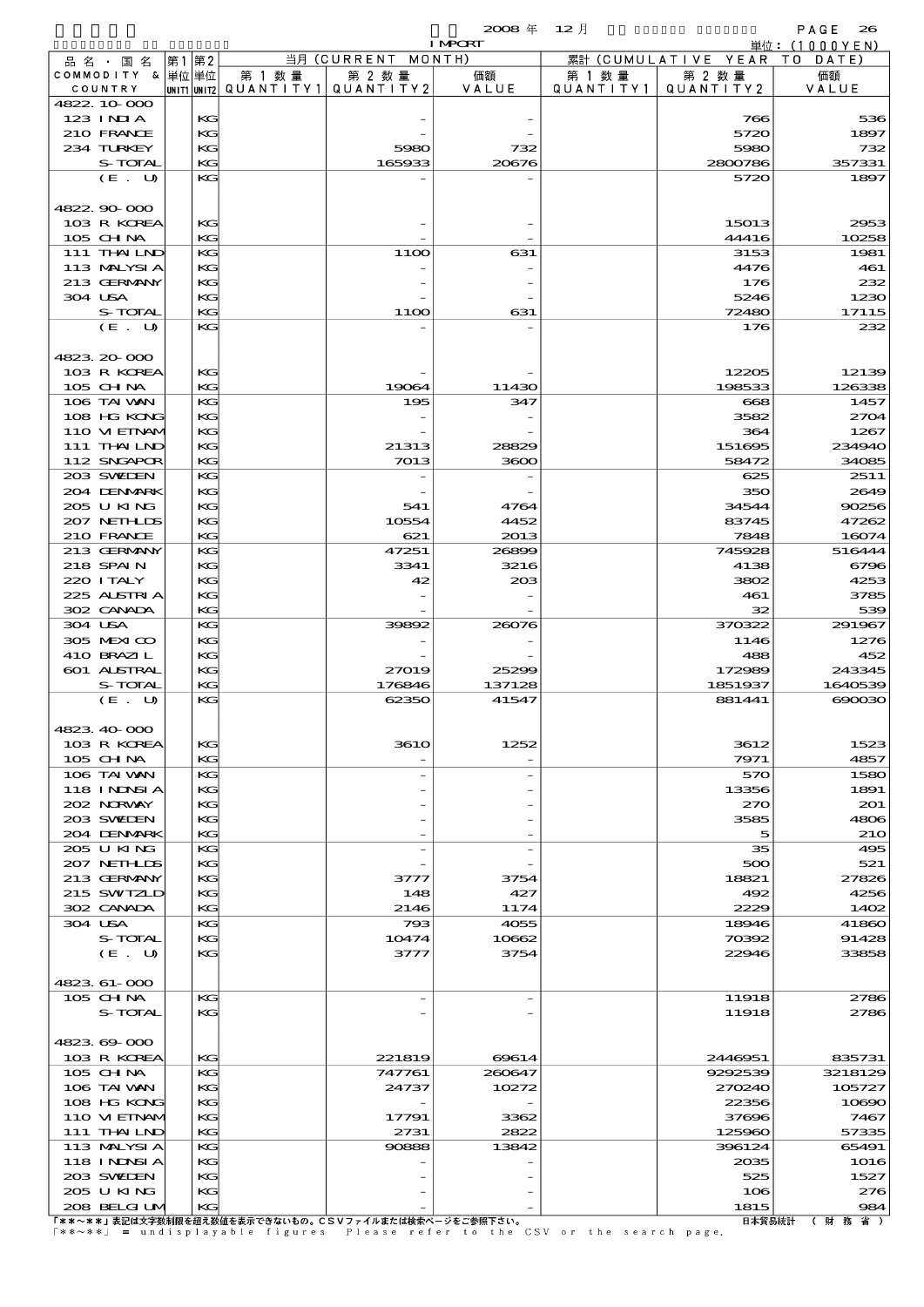|                               |    |          |                        |                              | $2008 \text{ } \#$ | $12$ 月               |                                | $P \land G \in$<br>26 |
|-------------------------------|----|----------|------------------------|------------------------------|--------------------|----------------------|--------------------------------|-----------------------|
|                               |    |          |                        |                              | <b>I MPORT</b>     |                      |                                | 単位: (1000YEN)         |
| 品 名 ・ 国 名<br>COMMODITY & 単位単位 | 第1 | 第2       | 第 1 数量                 | 当月 (CURRENT MONTH)<br>第 2 数量 |                    |                      | 累計 (CUMULATIVE YEAR)<br>第 2 数量 | T O<br>DATE           |
| COUNTRY                       |    |          | UNIT1 UNIT2 QUANTITY 1 | QUANTITY 2                   | 価額<br>VALUE        | 第 1 数 量<br>QUANTITY1 | QUANTITY2                      | 価額<br>VALUE           |
| 4822.10.000                   |    |          |                        |                              |                    |                      |                                |                       |
| $123$ INIA                    |    | KG       |                        |                              |                    |                      | 766                            | 536                   |
| 210 FRANCE                    |    | KG       |                        |                              |                    |                      | 5720                           | 1897                  |
| 234 TURKEY<br>S-TOTAL         |    | KG<br>KG |                        | 5980<br>165933               | 732<br>20676       |                      | 5980<br>2800786                | 732<br>357331         |
| (E. U)                        |    | KG       |                        |                              |                    |                      | 5720                           | 1897                  |
|                               |    |          |                        |                              |                    |                      |                                |                       |
| 4822.90.000                   |    |          |                        |                              |                    |                      |                                |                       |
| 103 R KOREA                   |    | KG       |                        |                              |                    |                      | 15013                          | 2953                  |
| 105 CHNA                      |    | KG       |                        |                              |                    |                      | 44416                          | 10258                 |
| 111 THAILND<br>113 MALYSIA    |    | KG<br>KG |                        | 11OO                         | 631                |                      | 3153<br>4476                   | 1981<br>461           |
| 213 GERMANY                   |    | KG       |                        |                              |                    |                      | 176                            | 232                   |
| 304 USA                       |    | KG       |                        |                              |                    |                      | 5246                           | 1230                  |
| S-TOTAL                       |    | KG       |                        | 11OO                         | 631                |                      | 72480                          | 17115                 |
| (E. U)                        |    | KG       |                        |                              |                    |                      | 176                            | 232                   |
|                               |    |          |                        |                              |                    |                      |                                |                       |
| 4823.20-000<br>103 R KOREA    |    | KG       |                        |                              |                    |                      | 12205                          | 12139                 |
| 105 CHNA                      |    | KG       |                        | 19064                        | 11430              |                      | 198533                         | 126338                |
| 106 TAI WAN                   |    | KG       |                        | 195                          | 347                |                      | 668                            | 1457                  |
| 108 HG KONG                   |    | KG       |                        |                              |                    |                      | 3582                           | 2704                  |
| 110 VIEINAM                   |    | KG       |                        |                              |                    |                      | 364                            | 1267                  |
| 111 THAILND                   |    | KG       |                        | 21313                        | 28829              |                      | 151695                         | 234940                |
| 112 SNGAPOR                   |    | KG       |                        | 7013                         | 3600               |                      | 58472                          | 34085                 |
| 203 SWIEN                     |    | KG       |                        |                              |                    |                      | 625                            | 2511                  |
| 204 DENMARK<br>205 U KING     |    | KG<br>KG |                        | 541                          | 4764               |                      | 350<br>34544                   | 2649<br>90256         |
| 207 NETHLIS                   |    | KG       |                        | 10554                        | 4452               |                      | 83745                          | 47262                 |
| 210 FRANCE                    |    | KG       |                        | 621                          | 2013               |                      | 7848                           | 16074                 |
| 213 GERMANY                   |    | KG       |                        | 47251                        | 26899              |                      | 745928                         | 516444                |
| 218 SPAIN                     |    | KG       |                        | 3341                         | 3216               |                      | 4138                           | 6796                  |
| 220 I TALY                    |    | KG       |                        | 42                           | 208                |                      | 3802                           | 4253                  |
| 225 ALSTRIA                   |    | KG       |                        |                              |                    |                      | 461                            | 3785                  |
| 302 CANADA<br>304 USA         |    | KG<br>KG |                        | 39892                        | 26076              |                      | 32<br>370322                   | 539<br>291967         |
| 305 MEXICO                    |    | KG       |                        |                              |                    |                      | 1146                           | 1276                  |
| 410 BRAZIL                    |    | KG       |                        |                              |                    |                      | 488                            | 452                   |
| 601 ALSTRAL                   |    | KG       |                        | 27019                        | 25299              |                      | 172989                         | 243345                |
| S-TOTAL                       |    | KG       |                        | 176846                       | 137128             |                      | 1851937                        | 1640539               |
| (E. U)                        |    | KG       |                        | 62350                        | 41547              |                      | 881441                         | 000000                |
| 4823.40-000                   |    |          |                        |                              |                    |                      |                                |                       |
| 103 R KOREA                   |    | KG       |                        | <b>3610</b>                  | 1252               |                      | 3612                           | 1523                  |
| 105 CHNA                      |    | KG       |                        |                              |                    |                      | 7971                           | 4857                  |
| 106 TAI WAN                   |    | KG       |                        |                              |                    |                      | 570                            | 1580                  |
| <b>118 INNSIA</b>             |    | KG       |                        |                              |                    |                      | 13356                          | 1891                  |
| 202 NORWAY                    |    | KG       |                        |                              |                    |                      | 270                            | 201                   |
| 203 SWIDEN                    |    | KG       |                        |                              |                    |                      | 3585                           | 4806                  |
| 204 DENMARK<br>205 U KING     |    | KG<br>KG |                        |                              |                    |                      | 5<br>35                        | <b>210</b><br>495     |
| 207 NETHLIS                   |    | KG       |                        |                              |                    |                      | 500                            | 521                   |
| 213 GERMANY                   |    | KG       |                        | 3777                         | 3754               |                      | 18821                          | 27826                 |
| 215 SWIZLD                    |    | KG       |                        | 148                          | 427                |                      | 492                            | 4256                  |
| 302 CANADA                    |    | KG       |                        | 2146                         | 1174               |                      | 2229                           | 1402                  |
| 304 USA                       |    | KG       |                        | 793                          | 4055               |                      | 18946                          | 41860                 |
| S-TOTAL                       |    | KG       |                        | 10474                        | 10662              |                      | 70392                          | 91428                 |
| (E. U)                        |    | KG       |                        | 3777                         | 3754               |                      | 22946                          | 33858                 |
| 4823.61-000                   |    |          |                        |                              |                    |                      |                                |                       |
| 105 CH NA                     |    | КG       |                        |                              |                    |                      | 11918                          | 2786                  |
| S-TOTAL                       |    | KG       |                        |                              |                    |                      | 11918                          | 2786                  |
|                               |    |          |                        |                              |                    |                      |                                |                       |
| 4823.69-000                   |    |          |                        |                              |                    |                      |                                |                       |
| 103 R KOREA                   |    | KG<br>KG |                        | 221819                       | 69614              |                      | 2446951<br>9292539             | 835731                |
| 105 CHNA<br>106 TAI VAN       |    | KG       |                        | 747761<br>24737              | 260647<br>10272    |                      | 270240                         | 3218129<br>105727     |
| 108 HG KONG                   |    | KG       |                        |                              |                    |                      | 22356                          | 10890                 |
| 110 VIEINAM                   |    | KG       |                        | 17791                        | 3362               |                      | 37696                          | 7467                  |
| 111 THAILND                   |    | KG       |                        | 2731                         | 2822               |                      | 125960                         | 57335                 |
| 113 MALYSIA                   |    | KG       |                        | 90888                        | 13842              |                      | 396124                         | 65491                 |
| <b>118 INNSIA</b>             |    | KG       |                        |                              |                    |                      | 2035                           | 1016                  |
| 203 SWIDEN                    |    | KG       |                        |                              |                    |                      | 525                            | 1527                  |
| 205 U KING<br>208 BELGI UM    |    | KG<br>KG |                        |                              |                    |                      | 106<br>1815                    | 276<br>984            |
|                               |    |          |                        |                              |                    |                      |                                |                       |

208 BELGIUM KG - - 1815 984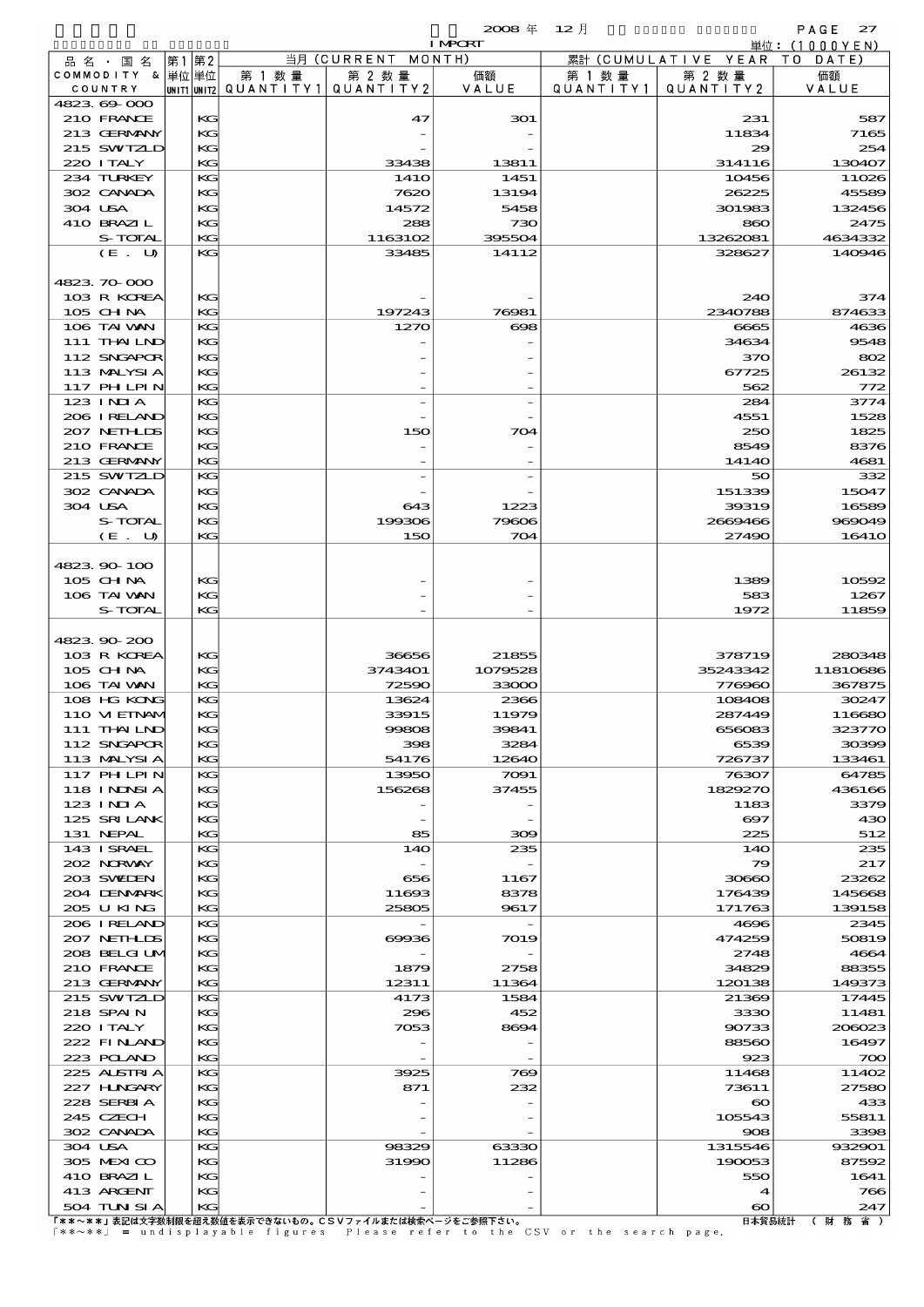$\mathbf{2008} \# 12 \exists$  PAGE 27

| <i>_</i><br>۰.<br>- 11<br>the contract of the contract of<br>.,<br>٠<br>n e<br>۰. |  |
|-----------------------------------------------------------------------------------|--|
|                                                                                   |  |

|                   |       |                                       |                                                       | <b>I MPORT</b> |                   |                              | 単位:(1000YEN) |
|-------------------|-------|---------------------------------------|-------------------------------------------------------|----------------|-------------------|------------------------------|--------------|
| 品名・国名             | 第1 第2 |                                       | 当月 (CURRENT MONTH)                                    |                |                   | 累計 (CUMULATIVE YEAR TO DATE) |              |
| COMMODITY & 単位単位  |       | 第 1 数量                                | 第 2 数量                                                | 価額             | 第 1 数量            | 第 2 数量                       | 価額           |
| COUNTRY           |       | UNIT1 UNIT2  QUANT I TY1  QUANT I TY2 |                                                       | VALUE          | Q U A N T I T Y 1 | QUANTITY 2                   | VALUE        |
| 4823.69-000       |       |                                       |                                                       |                |                   |                              |              |
| 210 FRANCE        | KG    |                                       | 47                                                    | 301            |                   | 231                          | 587          |
| 213 GERMANY       | KG    |                                       |                                                       |                |                   | 11834                        | 7165         |
| 215 SWIZLD        | KG    |                                       |                                                       |                |                   | 29                           | 254          |
| 220 I TALY        | KG    |                                       | 33438                                                 | 13811          |                   | 314116                       | 130407       |
| 234 TURKEY        | KG    |                                       | 141O                                                  | 1451           |                   | 10456                        | 11026        |
| 302 CANADA        | КC    |                                       | 7620                                                  | 13194          |                   | 26225                        | 45589        |
| 304 USA           | KG    |                                       | 14572                                                 | 5458           |                   | 301983                       | 132456       |
| 410 BRAZIL        | KG    |                                       | 288                                                   | 730<br>395504  |                   | 860                          | 2475         |
| S-TOTAL           | KG    |                                       | 1163102                                               |                |                   | 13262081<br>328627           | 4634332      |
| (E. U)            | KG    |                                       | 33485                                                 | 14112          |                   |                              | 140946       |
| 4823.70.000       |       |                                       |                                                       |                |                   |                              |              |
| 103 R KOREA       | KG    |                                       |                                                       |                |                   | 240                          | 374          |
| 105 CH NA         | KG    |                                       | 197243                                                | 76981          |                   | 2340788                      | 874633       |
| 106 TAI VAN       | KG    |                                       | 1270                                                  | $\infty$       |                   | 6665                         | 4636         |
| 111 THAILND       | КC    |                                       |                                                       |                |                   | 34634                        | 9548         |
| 112 SNGAPOR       | KG    |                                       |                                                       |                |                   | 370                          | 802          |
| 113 MALYSIA       | KG    |                                       |                                                       |                |                   | 67725                        | 26132        |
| <b>117 PHLPIN</b> | KG    |                                       |                                                       |                |                   | 562                          | 772          |
| 123 INIA          | KG    |                                       |                                                       |                |                   | 284                          | 3774         |
| 206 I RELAND      |       |                                       |                                                       |                |                   | 4551                         |              |
|                   | KG    |                                       |                                                       |                |                   |                              | 1528         |
| 207 NETHLIS       | KG    |                                       | 150                                                   | 704            |                   | 250                          | 1825         |
| 210 FRANCE        | КC    |                                       |                                                       |                |                   | 8549<br>14140                | 8376         |
| 213 GERMANY       | KG    |                                       |                                                       |                |                   |                              | 4681         |
| 215 SWIZLD        | KG    |                                       |                                                       |                |                   | 50                           | 332          |
| 302 CANADA        | KG    |                                       |                                                       |                |                   | 151339                       | 15047        |
| 304 USA           | KG    |                                       | 643                                                   | 1223           |                   | 39319                        | 16589        |
| S-TOTAL           | KG    |                                       | 199306                                                | 79606          |                   | 2669466                      | 969049       |
| (E. U)            | KG    |                                       | 150                                                   | 704            |                   | 27490                        | <b>16410</b> |
|                   |       |                                       |                                                       |                |                   |                              |              |
| 4823.90-100       |       |                                       |                                                       |                |                   |                              |              |
| 105 CH NA         | KG    |                                       |                                                       |                |                   | 1389                         | 10592        |
| 106 TAI VAN       | КC    |                                       |                                                       |                |                   | 583                          | 1267         |
| S-TOTAL           | KG    |                                       |                                                       |                |                   | 1972                         | 11859        |
|                   |       |                                       |                                                       |                |                   |                              |              |
| 4823.90-200       |       |                                       |                                                       |                |                   |                              |              |
| 103 R KOREA       | KG    |                                       | 36656                                                 | 21855          |                   | 378719                       | 280348       |
| $105$ CHNA        | КC    |                                       | 3743401                                               | 1079528        |                   | 35243342                     | 11810686     |
| 106 TAI VAN       | KG    |                                       | 72590                                                 | 33000          |                   | 776960                       | 367875       |
| 108 HG KONG       | KG    |                                       | 13624                                                 | 2366           |                   | 108408                       | 30247        |
| 110 VI EINAM      | KG    |                                       | 33915                                                 | 11979          |                   | 287449                       | 116680       |
| 111 THAIND        | KG    |                                       | 99808                                                 | 39841          |                   | 656083                       | 323770       |
| 112 SNGAPOR       | KG    |                                       | 398                                                   | 3284           |                   | 6539                         | 30399        |
| 113 MALYSIA       | KG    |                                       | 54176                                                 | 12640          |                   | 726737                       | 133461       |
| <b>117 PHLPIN</b> | KG    |                                       | 13950                                                 | 7091           |                   | 76307                        | 64785        |
| 118 I NDSI A      | KG    |                                       | 156268                                                | 37455          |                   | 1829270                      | 436166       |
| 123 INIA          | KG    |                                       |                                                       |                |                   | 1183                         | 3379         |
| 125 SRILANK       | КG    |                                       |                                                       |                |                   | ဓာ                           | 430          |
| 131 NEPAL         | KG    |                                       | 85                                                    | 300            |                   | 225                          | 512          |
| 143 ISRAEL        | KG    |                                       | 140                                                   | 235            |                   | 140                          | 235          |
| 202 NORVAY        | KG    |                                       |                                                       |                |                   | 79                           | 217          |
| 203 SWIDEN        | KG    |                                       | 656                                                   | 1167           |                   | 30660                        | 23262        |
| 204 DENMARK       | KG    |                                       | 11693                                                 | 8378           |                   | 176439                       | 145668       |
| 205 U KING        | KG    |                                       | 25805                                                 | 9617           |                   | 171763                       | 139158       |
| 206 I RELAND      | KG    |                                       |                                                       |                |                   | 4696                         | 2345         |
| 207 NETHLIS       | KG    |                                       | 69936                                                 | 7019           |                   | 474259                       | 50819        |
| 208 BELGI UM      | KG    |                                       |                                                       |                |                   | 2748                         | 4664         |
| 210 FRANCE        | KG    |                                       | 1879                                                  | 2758           |                   | 34829                        | 88355        |
| 213 GERMANY       | KG    |                                       | 12311                                                 | 11364          |                   | 120138                       | 149373       |
| 215 SWIZLD        | KG    |                                       | 4173                                                  | 1584           |                   | 21369                        | 17445        |
| 218 SPAIN         | KG    |                                       | 296                                                   | 452            |                   | 3330                         | 11481        |
| 220 I TALY        | KG    |                                       | 7053                                                  | 8694           |                   | 90733                        | 206023       |
| 222 FINAND        | KG    |                                       |                                                       |                |                   | 88560                        | 16497        |
| 223 POLAND        | KG    |                                       |                                                       |                |                   | 923                          | 700          |
| 225 ALSTRIA       | KG    |                                       | 3925                                                  | 769            |                   | 11468                        | 11402        |
| 227 HNGARY        | KG    |                                       | 871                                                   | 232            |                   | 73611                        | 27580        |
| 228 SERBIA        | KG    |                                       |                                                       |                |                   | $\boldsymbol{\infty}$        | 433          |
| 245 CZECH         | КG    |                                       |                                                       |                |                   | 105543                       | 55811        |
| 302 CANADA        | KG    |                                       |                                                       |                |                   | 908                          | 3398         |
| 304 USA           | KС    |                                       | 98329                                                 | 63330          |                   | 1315546                      | 932901       |
| 305 MEXICO        | KG    |                                       | 31990                                                 | 11286          |                   | 190053                       | 87592        |
| 410 BRAZIL        | KG    |                                       |                                                       |                |                   | 550                          | 1641         |
| 413 ARGENT        | KС    |                                       |                                                       |                |                   | $\blacktriangleleft$         | 766          |
| 504 TUN SI A      | KG    |                                       |                                                       |                |                   | $\boldsymbol{\infty}$        | 247          |
|                   |       |                                       | 「**~**」表記は文字数制限を超え数値を表示できないもの。CSVファイルまたは検索ページをご参照下さい。 |                |                   | 日本貿易統計                       | (財務省)        |

المعرضة المعروفية المعروفية المعروفية المعروفية المعروفية المعروفية المعروفية المعروفية المعروفية المعروفية ال<br>المعروفية "The Search page." و "The Search page" is ures Please refer to the CSV or the search page.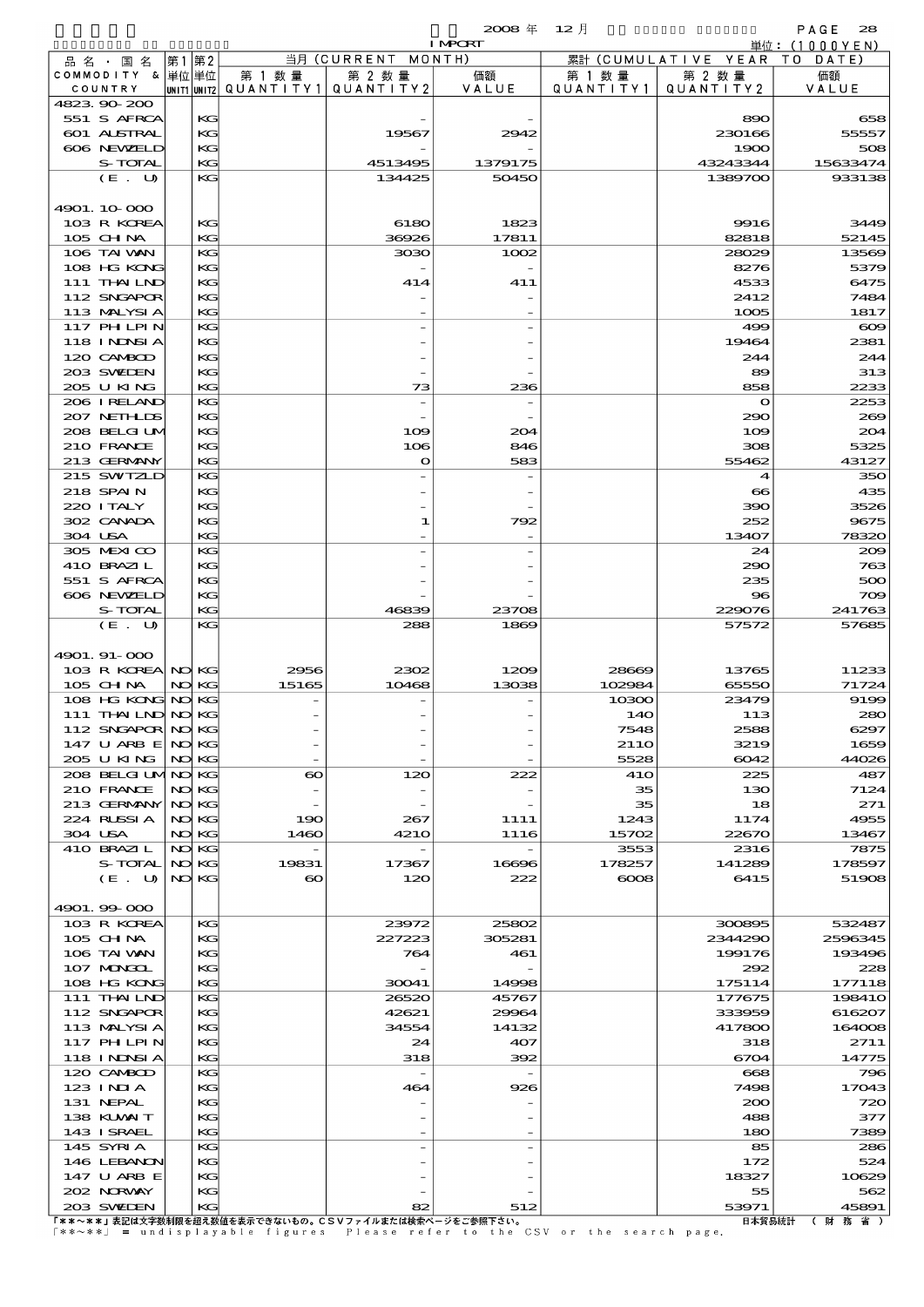$\mathbf{2008} \# \quad 12 \exists$  PAGE 28

|                            |       |          |          |                                                       | <b>I MPORT</b> |                  |                              | 単位:(1000YEN) |
|----------------------------|-------|----------|----------|-------------------------------------------------------|----------------|------------------|------------------------------|--------------|
| 品名・国名                      | 第1    | 第2       |          | 当月(CURRENT                                            | MONTH)         |                  | 累計 (CUMULATIVE YEAR TO DATE) |              |
| COMMODITY & 単位単位           |       |          | 第 1 数 量  | 第 2 数量                                                | 価額             | 第 1 数量           | 第 2 数量                       | 価額           |
| COUNTRY                    |       |          |          | unit1 unit2  QUANT   TY1  QUANT   TY2                 | VALUE          | QUANTITY1        | QUANTITY 2                   | VALUE        |
| 4823.90-200                |       |          |          |                                                       |                |                  |                              |              |
| 551 S AFRCA<br>601 ALSTRAL |       | КG<br>KG |          | 19567                                                 |                |                  | 890                          | 658<br>55557 |
| 606 NEWELD                 |       | KG       |          |                                                       | 2942           |                  | 230166<br>1900               | 508          |
| S-TOTAL                    |       | KG       |          | 4513495                                               | 1379175        |                  | 43243344                     | 15633474     |
| (E. U)                     |       | KG       |          | 134425                                                | 50450          |                  | 1389700                      | 933138       |
|                            |       |          |          |                                                       |                |                  |                              |              |
| 4901.10-000                |       |          |          |                                                       |                |                  |                              |              |
| 103 R KOREA                |       | КG       |          | 6180                                                  | 1823           |                  | 9916                         | 3449         |
| 105 CH NA                  |       | KG       |          | 36926                                                 | 17811          |                  | 82818                        | 52145        |
| 106 TAI VAN                |       | KG       |          | 3030                                                  | 1002           |                  | 28029                        | 13569        |
| 108 HG KONG                |       | KG       |          |                                                       |                |                  | 8276                         | 5379         |
| 111 THAILND                |       | KG       |          | 414                                                   | 411            |                  | 4533                         | 6475         |
| 112 SNGAPOR                |       | KG       |          |                                                       |                |                  | 2412                         | 7484         |
| 113 MALYSIA                |       | KG       |          |                                                       |                |                  | 1005                         | 1817         |
| 117 PHLPIN                 |       | KG       |          |                                                       |                |                  | 499                          | $\infty$     |
| 118 I NDSI A               |       | KG       |          |                                                       |                |                  | 19464                        | 2381         |
| 120 CAMBOD                 |       | KG       |          |                                                       |                |                  | 244                          | 244          |
| 203 SWIEN                  |       | KG       |          |                                                       |                |                  | 89                           | 313          |
| 205 U KING                 |       | KG       |          | 73                                                    | 236            |                  | 858                          | 2233         |
| 206 IRELAND                |       | KG       |          | $\overline{a}$                                        |                |                  | $\mathbf o$                  | 2253         |
| 207 NETHLIS                |       | KG       |          |                                                       |                |                  | 290                          | 269          |
| 208 BELGI UM               |       | KG       |          | 109                                                   | 204            |                  | 109                          | 204          |
| 210 FRANCE                 |       | KG       |          | 106                                                   | 846            |                  | 308                          | 5325         |
| 213 GERMANY                |       | KG       |          | O                                                     | 583            |                  | 55462                        | 43127        |
| 215 SWIZLD                 |       | KG       |          |                                                       |                |                  | $\boldsymbol{4}$             | 350          |
| 218 SPAIN                  |       | KG       |          |                                                       |                |                  | $\infty$                     | 435          |
| 220 I TALY                 |       | KG       |          |                                                       |                |                  | 390                          | 3526         |
| 302 CANADA                 |       | KG       |          | 1                                                     | 792            |                  | 252                          | 9675         |
| 304 USA                    |       | KG       |          |                                                       |                |                  | 13407                        | 78320        |
| 305 MEXICO                 |       | KG       |          |                                                       |                |                  | 24                           | 200          |
| 410 BRAZIL                 |       | KG       |          |                                                       |                |                  | 290                          | 763          |
| 551 S AFRCA                |       | KG       |          |                                                       |                |                  | 235                          | 500          |
| 606 NEWELD                 |       | KG       |          |                                                       |                |                  | 96                           | 709          |
| S-TOTAL                    |       | KG       |          | 46839                                                 | 23708          |                  | 229076                       | 241763       |
| (E. U)                     |       | KG       |          | 288                                                   | 1869           |                  | 57572                        | 57685        |
|                            |       |          |          |                                                       |                |                  |                              |              |
| 4901.91-000                |       |          |          |                                                       |                |                  |                              |              |
| 103 R KOREA NO KG          |       |          | 2956     | 2302                                                  | 1209           | 28669            | 13765                        | 11233        |
| 105 CH NA                  |       | NO KG    | 15165    | 10468                                                 | 13038          | 102984           | 65550                        | 71724        |
| 108 HG KONG NO KG          |       |          |          |                                                       |                | 10300            | 23479                        | 9199         |
| 111 THAILND NO KG          |       |          |          |                                                       |                | 140              | 113                          | 280          |
| 112 SNGAPOR NO KG          |       |          |          |                                                       |                | 7548             | 2588                         | 6297         |
| 147 U ARB E NOKG           |       |          |          |                                                       |                | 21 <sub>10</sub> | 3219                         | 1659         |
| 205 U KING                 |       | NO KG    |          |                                                       |                | 5528             | 6042                         | 44026        |
| 208 BELGI UMNO KG          |       |          | $\infty$ | 120                                                   | 222            | 41O              | 225                          | 487          |
| 210 FRANCE                 |       | NO KG    |          |                                                       |                | 35               | 130                          | 7124         |
| 213 GERMANY                | NO KG |          |          |                                                       |                | 35               | 18                           | 271          |
| 224 RUSSIA                 |       | NO KG    | 190      | 267                                                   | 1111           | 1243             | 1174                         | 4955         |
| 304 USA                    |       | NO KG    | 1460     | <b>4210</b>                                           | 1116           | 15702            | 22670                        | 13467        |
| 410 BRAZIL                 |       | NO KG    |          | $\overline{a}$                                        |                | 3553             | 2316                         | 7875         |
| S-TOTAL                    |       | NO KG    | 19831    | 17367                                                 | 16696          | 178257           | 141289                       | 178597       |
| (E. U)                     |       | NO KG    | $\infty$ | 120                                                   | 222            | $\cos$           | 6415                         | 51908        |
|                            |       |          |          |                                                       |                |                  |                              |              |
| 4901.99-000                |       |          |          |                                                       |                |                  |                              |              |
| 103 R KOREA                |       | KG       |          | 23972                                                 | 25802          |                  | 300895                       | 532487       |
| 105 CHNA                   |       | KG       |          | 227223                                                | 305281         |                  | 2344290                      | 2596345      |
| 106 TAI VAN                |       | KG       |          | 764                                                   | 461            |                  | 199176                       | 193496       |
| 107 MONGOL                 |       | KG       |          |                                                       |                |                  | 292                          | 228          |
| 108 HG KONG                |       | KG       |          | 30041                                                 | 14998          |                  | 175114                       | 177118       |
| 111 THAILND                |       | KG       |          | 26520                                                 | 45767          |                  | 177675                       | 19841O       |
| 112 SNGAPOR                |       | KG       |          | 42621                                                 | 29964          |                  | 333959                       | 616207       |
| 113 MALYSIA                |       | KG       |          | 34554                                                 | 14132          |                  | 417800                       | 164008       |
| 117 PHLPIN                 |       | KG       |          | 24                                                    | 407            |                  | 318                          | 2711         |
| 118 I NDSI A               |       | KG       |          | 318                                                   | 392            |                  | 6704                         | 14775        |
| 120 CAMBOD                 |       | KG       |          | $\overline{\phantom{a}}$                              |                |                  | 668                          | 796          |
| 123 INIA                   |       | KG       |          | 464                                                   | 926            |                  | 7498                         | 17043        |
| 131 NEPAL                  |       | KG       |          |                                                       |                |                  | 200                          | 720          |
| 138 KUWAIT                 |       | KG       |          |                                                       |                |                  | 488                          | 377          |
| 143 ISRAEL                 |       | KG       |          |                                                       |                |                  | 180                          | 7389         |
| 145 SYRIA                  |       | KG       |          |                                                       |                |                  | 85                           | 286          |
| 146 LEBANON                |       | KG       |          |                                                       |                |                  | 172                          | 524          |
| 147 U ARB E                |       | KG       |          |                                                       |                |                  | 18327                        | 10629        |
| 202 NORWAY                 |       | KС       |          |                                                       |                |                  | 55                           | 562          |
| 203 SWIDEN                 |       | KG       |          | 82                                                    | 512            |                  | 53971                        | 45891        |
|                            |       |          |          | 「**~**」表記は文字数制限を超え数値を表示できないもの。CSVファイルまたは検索ページをご参照下さい。 |                |                  | 日本貿易統計                       | (財務省)        |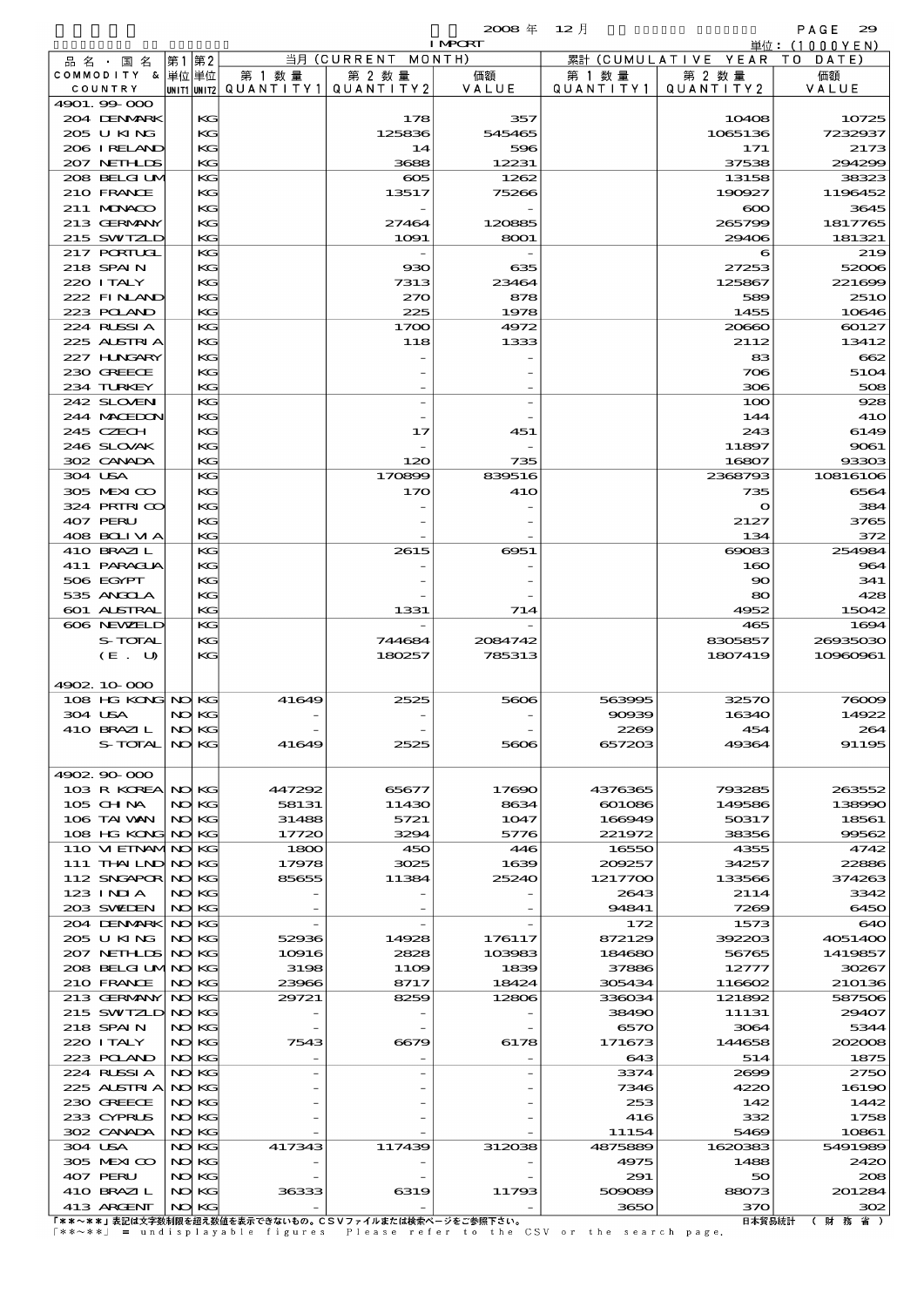# 品別国別表 輸 入 2008 12 確定 (Fixed Annual) 29

I MPORT

| 品 名 ・ 国 名                               | 第1第2 |                |               | 当月 (CURRENT MONTH) |               |                 | 累計 (CUMULATIVE YEAR TO DATE) |                                |
|-----------------------------------------|------|----------------|---------------|--------------------|---------------|-----------------|------------------------------|--------------------------------|
| COMMODITY & 単位単位<br>COUNTRY             |      |                | 第 1 数 量       | 第 2 数量             | 価額            | 第 1 数量          | 第 2 数量                       | 価額                             |
| 4901.99-000                             |      | UNIT1 UNIT2    | QUANTITY1     | QUANTITY 2         | VALUE         | QUANTITY1       | QUANTITY 2                   | VALUE                          |
| 204 DENMARK                             |      | KG             |               | 178                | 357           |                 | 10408                        | 10725                          |
| 205 U KING                              |      | KС             |               | 125836             | 545465        |                 | 1065136                      | 7232937                        |
| 206 IRELAND                             |      | KG             |               | 14                 | 596           |                 | 171                          | 2173                           |
| 207 NETHLIS<br>208 BELGI UM             |      | KG<br>KG       |               | 3688<br>$\infty$   | 12231<br>1262 |                 | 37538<br>13158               | 294299<br>38323                |
| 210 FRANCE                              |      | KG             |               | 13517              | 75266         |                 | 190927                       | 1196452                        |
| 211 MUNKOO                              |      | KG             |               |                    |               |                 | $\infty$                     | 3645                           |
| 213 GERMANY                             |      | KG             |               | 27464              | 120885        |                 | 265799                       | 1817765                        |
| 215 SWIZLD                              |      | KG             |               | 1091               | 8001          |                 | 29406                        | 181321                         |
| <b>217 PORTUGL</b><br>218 SPAIN         |      | KG<br>KG       |               | 930                | 635           |                 | 6<br>27253                   | 219<br>52006                   |
| 220 I TALY                              |      | KG             |               | 7313               | 23464         |                 | 125867                       | 221699                         |
| 222 FINAND                              |      | KG             |               | 270                | 878           |                 | 589                          | <b>2510</b>                    |
| 223 POLAND                              |      | KG             |               | 225                | 1978          |                 | 1455                         | 10646                          |
| 224 RUSSI A                             |      | KG             |               | 1700               | 4972          |                 | 20660                        | 60127                          |
| 225 ALSTRIA                             |      | KG             |               | 118                | 1333          |                 | 2112                         | 13412                          |
| 227 H.NGARY<br>230 GREECE               |      | KС<br>KG       |               |                    |               |                 | 83<br>706                    | 662<br>5104                    |
| 234 TURKEY                              |      | KG             |               |                    |               |                 | 306                          | 508                            |
| 242 SLOVENI                             |      | KG             |               |                    |               |                 | 100                          | 928                            |
| 244 MACEDON                             |      | KG             |               |                    |               |                 | 144                          | <b>41O</b>                     |
| 245 CZECH                               |      | KС             |               | 17                 | 451           |                 | 243                          | 6149                           |
| 246 SLOVAK<br>302 CANADA                |      | KG<br>KG       |               | 120                | 735           |                 | 11897<br>16807               | 9061<br>93303                  |
| 304 USA                                 |      | KG             |               | 170899             | 839516        |                 | 2368793                      | 10816106                       |
| 305 MEXICO                              |      | KG             |               | 170                | <b>41O</b>    |                 | 735                          | 6564                           |
| 324 PRIRICO                             |      | KС             |               |                    |               |                 | $\mathbf o$                  | 384                            |
| 407 PERU                                |      | KG             |               |                    |               |                 | 2127                         | 3765                           |
| 408 BOLIVIA                             |      | KG             |               |                    |               |                 | 134                          | 372                            |
| 410 BRAZIL<br>411 PARAGUA               |      | KG<br>KG       |               | 2615               | 6951          |                 | 69083<br>160                 | 254984<br>964                  |
| 506 EGYPT                               |      | KС             |               |                    |               |                 | $\infty$                     | 341                            |
| 535 ANGCLA                              |      | KG             |               |                    |               |                 | 80                           | 428                            |
| 601 ALSTRAL                             |      | KG             |               | 1331               | 714           |                 | 4952                         | 15042                          |
| 606 NEWELD                              |      | KG             |               |                    |               |                 | 465                          | 1694                           |
| S-TOTAL                                 |      | KG             |               | 744684             | 2084742       |                 | 8305857                      | 26935030                       |
|                                         |      |                |               |                    |               |                 |                              |                                |
| (E. U)                                  |      | KС             |               | 180257             | 785313        |                 | 1807419                      | 10960961                       |
| 4902.10.000                             |      |                |               |                    |               |                 |                              |                                |
| 108 HG KONG NO KG                       |      |                | 41649         | 2525               | 5606          | 563995          | 32570                        |                                |
| 304 USA                                 |      | NO KG          |               |                    |               | 90939           | 16340                        |                                |
| 410 BRAZIL                              |      | NO KG          |               |                    |               | 2269            | 454                          |                                |
| $S-$ TOTAL                              |      | NO KG          | 41649         |                    |               | 657203          | 49364                        |                                |
| 4902 90 000                             |      |                |               |                    |               |                 |                              | 76009<br>14922<br>264<br>91195 |
| 103 R KOREA NO KG                       |      |                | 447292        | 65677              | 17690         | 4376365         | 793285                       | 263552                         |
| $105$ CHNA                              |      | NO KG          | 58131         | 11430              | 8634          | 601086          | 149586                       |                                |
| 106 TAI WAN                             |      | NO KG          | 31488         | 5721               | 1047          | 166949          | 50317                        | 138990<br>18561                |
| 108 HG KONG NO KG<br>110 VI EINAMINO KG |      |                | 17720<br>1800 | 3294<br>450        | 5776<br>446   | 221972<br>16550 | 38356<br>4355                | 99562<br>4742                  |
| 111 THAILND NO KG                       |      |                | 17978         | 3025               | 1639          | 209257          | 34257                        | 22886                          |
| 112 SNGAPOR NO KG                       |      |                | 85655         | 11384              | 25240         | 1217700         | 133566                       | 374263                         |
| $123$ INJA                              |      | NO KG          |               |                    |               | 2643            | 2114                         | 3342                           |
| 203 SWIDEN                              |      | NO KG          |               |                    |               | 94841           | 7269                         | 6450                           |
| 204 DENMARK<br>205 U KING               |      | NO KG<br>NO KG | 52936         | 14928              | 176117        | 172<br>872129   | 1573<br>392203               | 640<br>4051400                 |
| 207 NETHLIS                             |      | NO KG          | 10916         | 2828               | 103983        | 184680          | 56765                        | 1419857                        |
| 208 BELGI UMNO KG                       |      |                | 3198          | 11O <sub>9</sub>   | 1839          | 37886           | 12777                        | 30267                          |
| 210 FRANCE                              |      | NO KG          | 23966         | 8717               | 18424         | 305434          | 116602                       | 210136                         |
| 213 GERMANY                             |      | NO KG          | 29721         | 8259               | 12806         | 336034          | 121892                       | 587506                         |
| 215 SWIZLD NO KG<br>218 SPAIN           |      | NO KG          |               |                    |               | 38490<br>6570   | 11131<br>3064                | 29407<br>5344                  |
| 220 I TALY                              |      | NO KG          | 7543          | 6679               | 6178          | 171673          | 144658                       | 202008                         |
| 223 POLAND                              |      | NO KG          |               |                    |               | 643             | 514                          | 1875                           |
| 224 RUSSI A                             |      | NO KG          |               |                    |               | 3374            | 2699                         | 2750                           |
| 225 ALSTRIA NOKG                        |      |                |               |                    |               | 7346            | 4220                         |                                |
| 230 GREECE<br>233 CYPRUS                |      | NO KG<br>NO KG |               |                    |               | 253<br>416      | 142<br>332                   |                                |
| 302 CANADA                              |      | NO KG          |               |                    |               | 11154           | 5469                         | 16190<br>1442<br>1758<br>10861 |
| 304 USA                                 |      | NO KG          | 417343        | 117439             | 312038        | 4875889         | 1620383                      | 5491989                        |
| 305 MEXICO                              |      | NO KG          |               |                    |               | 4975            | 1488                         | 2420                           |
| 407 PERU                                |      | NO KG          |               |                    |               | 291             | 50                           | 208                            |
| 410 BRAZIL<br>413 ARCENT                |      | NO KG<br>NO KG | 36333         | 6319               | 11793         | 509089<br>3650  | 88073<br>370                 | 201284<br>302                  |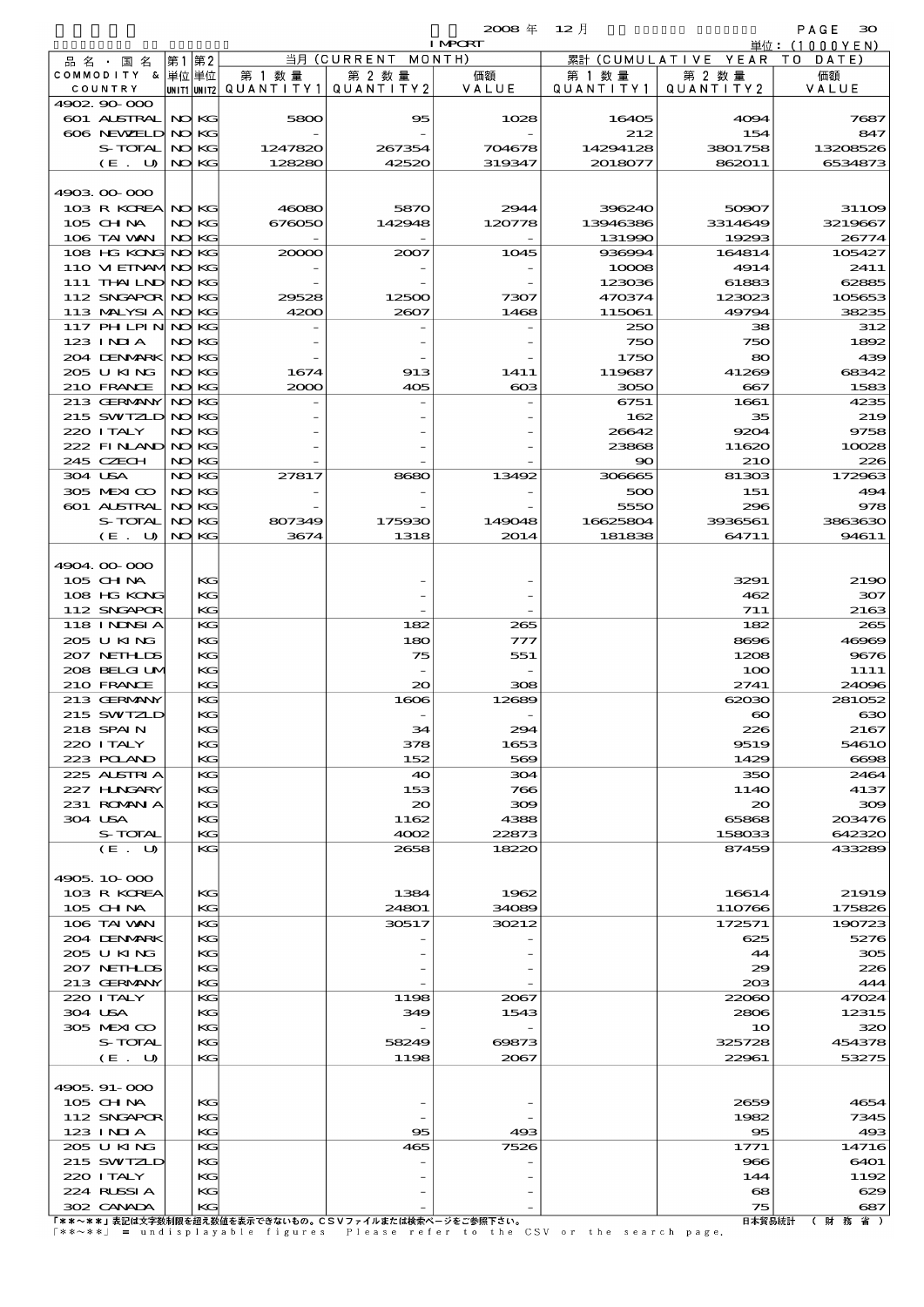$\mathbf{2008} \# \quad 12 \text{ }\mathbf{\mathcal{V}}$ 

| $\sim$ |  |
|--------|--|
|        |  |

|                   |       |       |                                       |                                                       | <b>I MPCRT</b>  |                                                                               |                        | 単位:(1000YEN)     |
|-------------------|-------|-------|---------------------------------------|-------------------------------------------------------|-----------------|-------------------------------------------------------------------------------|------------------------|------------------|
| 品名・国名             | 第1 第2 |       |                                       | 当月 (CURRENT MONTH)                                    |                 |                                                                               | 累計 (CUMULATIVE YEAR TO | DATE)            |
| COMMODITY & 単位単位  |       |       | 第 1 数量                                | 第 2 数量                                                | 価額              | 第 1 数 量                                                                       | 第 2 数量                 | 価額               |
| COUNTRY           |       |       | unit1 unit2  Q∪ANT   TY1  Q∪ANT   TY2 |                                                       | VALUE           | Q U A N T I T Y 1                                                             | QUANTITY2              | VALUE            |
| 4902.90-000       |       |       |                                       |                                                       |                 |                                                                               |                        |                  |
| 601 ALSTRAL       |       | NO KG | 5800                                  | 95                                                    | 1028            | 16405                                                                         | 4094                   | 7687             |
| 606 NEWELD NO KG  |       |       |                                       |                                                       |                 | 212                                                                           | 154                    | 847              |
| S-TOTAL           |       | NO KG | 1247820                               | 267354                                                | 704678          | 14294128                                                                      | 3801758                | 13208526         |
| (E. U)            |       | NO KG | 128280                                | 42520                                                 | 319347          | 2018077                                                                       | 862011                 | 6534873          |
|                   |       |       |                                       |                                                       |                 |                                                                               |                        |                  |
| 4903.00.000       |       |       |                                       |                                                       |                 |                                                                               |                        |                  |
| 103 R KOREA NO KG |       |       | 46080                                 | 5870                                                  | 2944            | 396240                                                                        | 50907                  | 31109            |
| $105$ CHNA        |       | NO KG | 676050                                | 142948                                                | 120778          | 13946386                                                                      | 3314649                | 3219667          |
| 106 TAI VAN       |       | NO KG |                                       |                                                       |                 | 131990                                                                        | 19293                  | 26774            |
| 108 HG KONG NO KG |       |       | 20000                                 | 2007                                                  | 1045            | 936994                                                                        | 164814                 | 105427           |
| 110 M EINAMINO KG |       |       |                                       |                                                       |                 | 10008                                                                         | 4914                   | 2411             |
| 111 THAILND NO KG |       |       |                                       |                                                       |                 | 123036                                                                        | 61883                  | 62885            |
| 112 SNGAPOR NO KG |       |       | 29528                                 | 12500                                                 | 7307            | 470374                                                                        | 123023                 | 105653           |
| 113 MALYSIA       | NO KG |       | 4200                                  | 2607                                                  | 1468            | 115061                                                                        | 49794                  | 38235            |
| 117 PH LPIN NOKG  |       |       |                                       |                                                       |                 | 250                                                                           | 38                     | 312              |
| 123 INIA          |       | NO KG |                                       |                                                       |                 | 750                                                                           | 750                    | 1892             |
| 204 DENMARK NO KG |       |       |                                       |                                                       |                 | 1750                                                                          | 80                     | 439              |
| 205 U KING        |       | NO KG | 1674                                  | 913                                                   | 1411            | 119687                                                                        | 41269                  | 68342            |
| 210 FRANCE        |       | NO KG | 2000                                  | 405                                                   | $_{\rm \alpha}$ | 3050                                                                          | 667                    | 1583             |
| 213 GERMANY       | NO KG |       |                                       |                                                       |                 | 6751                                                                          | 1661                   | 4235             |
| 215 SWTZLD NO KG  |       |       |                                       |                                                       |                 | 162                                                                           | 35                     | 219              |
| 220 I TALY        |       | NO KG |                                       |                                                       |                 | 26642                                                                         | 9204                   | 9758             |
| 222 FINAND NO KG  |       |       |                                       |                                                       |                 |                                                                               | 11620                  |                  |
|                   |       |       |                                       |                                                       |                 | 23868                                                                         |                        | 10028            |
| 245 CZECH         |       | NO KG |                                       |                                                       |                 | $\infty$                                                                      | <b>210</b>             | 226              |
| 304 USA           |       | NO KG | 27817                                 | 8680                                                  | 13492           | 306665                                                                        | 81303                  | 172963           |
| 305 MEXICO        |       | NO KG |                                       |                                                       |                 | 500                                                                           | 151                    | 494              |
| 601 ALSTRAL       | NO KG |       |                                       |                                                       |                 | 5550                                                                          | 296                    | 978              |
| S-TOTAL           |       | NO KG | 807349                                | 175930                                                | 149048          | 16625804                                                                      | 3936561                | 3863630          |
| (E. U)            |       | NO KG | 3674                                  | 1318                                                  | 2014            | 181838                                                                        | 64711                  | 94611            |
|                   |       |       |                                       |                                                       |                 |                                                                               |                        |                  |
| 4904.00-000       |       |       |                                       |                                                       |                 |                                                                               |                        |                  |
| 105 CH NA         |       | KG    |                                       |                                                       |                 |                                                                               | 3291                   | 2190             |
| 108 HG KONG       |       | KG    |                                       |                                                       |                 |                                                                               | 462                    | 307              |
| 112 SNGAPOR       |       | KG    |                                       |                                                       |                 |                                                                               | 711                    | 2163             |
| 118 I NDSI A      |       | KG    |                                       | 182                                                   | 265             |                                                                               | 182                    | 265              |
| 205 U KING        |       | KG    |                                       | 180                                                   | 777             |                                                                               | 8696                   | 46969            |
| 207 NETHLIS       |       | KС    |                                       | 75                                                    | 551             |                                                                               | 1208                   | 9676             |
| 208 BELGI UM      |       | KG    |                                       |                                                       |                 |                                                                               | 100                    | 1111             |
| 210 FRANCE        |       | KG    |                                       | 20                                                    | 308             |                                                                               | 2741                   | 24096            |
| 213 GERMANY       |       | KG    |                                       | 1606                                                  | 12689           |                                                                               | 62030                  | 281052           |
| 215 SWIZLD        |       | KG    |                                       |                                                       |                 |                                                                               | $\boldsymbol{\infty}$  | 630              |
| 218 SPAIN         |       | KG    |                                       | 34                                                    | 294             |                                                                               | 226                    | 2167             |
| 220 I TALY        |       | KG    |                                       | 378                                                   | 1653            |                                                                               | 9519                   | 5461O            |
| 223 POLAND        |       | KG    |                                       | 152                                                   | 569             |                                                                               | 1429                   | 6698             |
| 225 ALSTRIA       |       | KG    |                                       | 40                                                    | 304             |                                                                               | 350                    | 2464             |
| 227 HNGARY        |       | KG    |                                       | 153                                                   | 766             |                                                                               | 114O                   | 4137             |
| 231 ROMANIA       |       | KС    |                                       | $\infty$                                              | 300             |                                                                               | $\infty$               | 309              |
| 304 USA           |       | KG    |                                       | 1162                                                  | 4388            |                                                                               | 65868                  | 203476           |
| <b>S-TOTAL</b>    |       | KG    |                                       | 4002                                                  | 22873           |                                                                               | 158033                 | 642320           |
| (E. U)            |       | KC    |                                       | 2658                                                  | 18220           |                                                                               | 87459                  | 433289           |
|                   |       |       |                                       |                                                       |                 |                                                                               |                        |                  |
| 4905, 10, 000     |       |       |                                       |                                                       |                 |                                                                               |                        |                  |
| 103 R KOREA       |       | КG    |                                       | 1384                                                  | 1962            |                                                                               | 16614                  | 21919            |
|                   |       | KG    |                                       |                                                       | 34089           |                                                                               |                        |                  |
| 105 CH NA         |       |       |                                       | 24801                                                 | 30212           |                                                                               | 110766                 | 175826<br>190723 |
| 106 TAI VAN       |       | KG    |                                       | 30517                                                 |                 |                                                                               | 172571                 |                  |
| 204 DENMARK       |       | KG    |                                       |                                                       |                 |                                                                               | 625                    | 5276             |
| 205 U KING        |       | KС    |                                       |                                                       |                 |                                                                               | 44                     | 305              |
| 207 NETHLIS       |       | KG    |                                       |                                                       |                 |                                                                               | 29                     | 226              |
| 213 GERMANY       |       | KG    |                                       |                                                       |                 |                                                                               | 20B                    | 444              |
| 220 I TALY        |       | KG    |                                       | 1198                                                  | 2067            |                                                                               | 22060                  | 47024            |
| 304 USA           |       | KG    |                                       | 349                                                   | 1543            |                                                                               | 2806                   | 12315            |
| 305 MEXICO        |       | KС    |                                       |                                                       |                 |                                                                               | 10                     | 320              |
| S-TOTAL           |       | KG    |                                       | 58249                                                 | 69873           |                                                                               | 325728                 | 454378           |
| (E. U)            |       | KG    |                                       | 1198                                                  | 2067            |                                                                               | 22961                  | 53275            |
|                   |       |       |                                       |                                                       |                 |                                                                               |                        |                  |
| 4905, 91-000      |       |       |                                       |                                                       |                 |                                                                               |                        |                  |
| 105 CH NA         |       | KС    |                                       |                                                       |                 |                                                                               | 2659                   | 4654             |
| 112 SNGAPOR       |       | KG    |                                       |                                                       |                 |                                                                               | 1982                   | 7345             |
| $123$ INIA        |       | KG    |                                       | 95                                                    | 493             |                                                                               | 95                     | 493              |
| 205 U KING        |       | КG    |                                       | 465                                                   | 7526            |                                                                               | 1771                   | 14716            |
| 215 SWIZLD        |       | KG    |                                       |                                                       |                 |                                                                               | 966                    | 6401             |
| 220 I TALY        |       | KС    |                                       |                                                       |                 |                                                                               | 144                    | 1192             |
| 224 RUSSIA        |       | KG    |                                       |                                                       |                 |                                                                               | 68                     | 629              |
| 302 CANADA        |       | KG    |                                       |                                                       |                 |                                                                               | 75                     | 687              |
|                   |       |       |                                       | 「**~**」表記は文字数制限を超え数値を表示できないもの。CSVファイルまたは検索ページをご参照下さい。 |                 |                                                                               | 日本貿易統計                 | ( 財 務<br>省)      |
|                   |       |       |                                       |                                                       |                 | 「**~**」 = undisplayable figures - Please refer to the CSV or the search page. |                        |                  |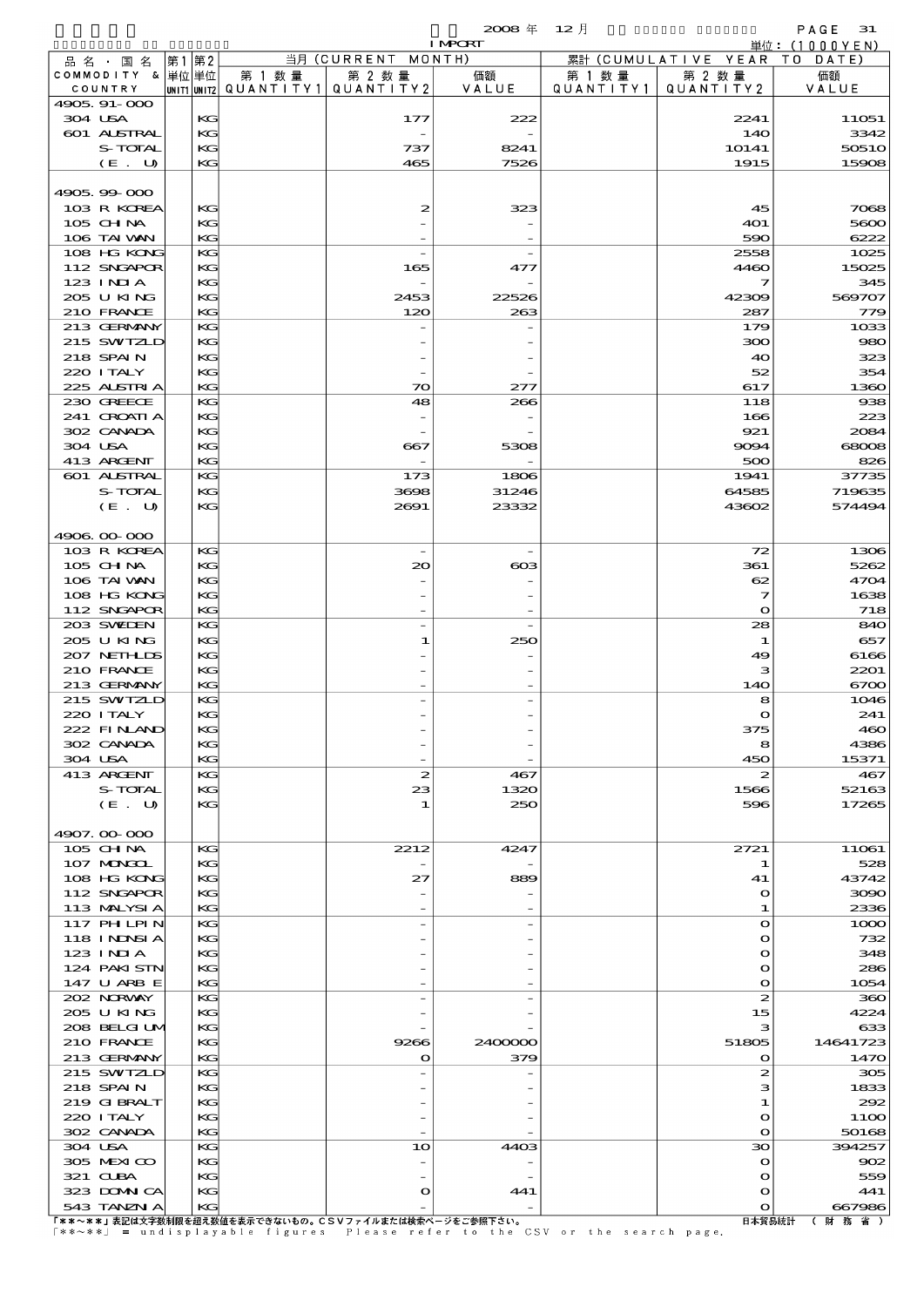|                            |                   |       |          |                                       |                                                       | $2008 \text{ }^{\text{#}}$<br><b>I MPORT</b> | $12$ 月    |                          | PAGE<br>31                                     |
|----------------------------|-------------------|-------|----------|---------------------------------------|-------------------------------------------------------|----------------------------------------------|-----------|--------------------------|------------------------------------------------|
| 品名・国名                      |                   | 第1 第2 |          |                                       | 当月 (CURRENT                                           | MONTH)                                       |           | 累計 (CUMULATIVE YEAR      | $\dot{\mathbb{H}}$ 位: (1000YEN)<br>T O<br>DATE |
| COMMODITY & 単位単位           |                   |       |          | 第 1 数 量                               | 第 2 数量                                                | 価額                                           | 第 1 数 量   | 第 2 数量                   | 価額                                             |
| COUNTRY<br>4905, 91-000    |                   |       |          | unit1 unit2  Q∪ANT   TY1  Q∪ANT   TY2 |                                                       | VALUE                                        | QUANTITY1 | QUANTITY 2               | VALUE                                          |
| 304 USA                    |                   |       | KG       |                                       | 177                                                   | 222                                          |           | 2241                     | 11051                                          |
| 601 ALSTRAL                |                   |       | KG       |                                       |                                                       |                                              |           | 140                      | 3342                                           |
|                            | S-TOTAL<br>(E. U) |       | KG<br>KG |                                       | 737<br>465                                            | 8241<br>7526                                 |           | 1O141<br>1915            | 50510<br>15908                                 |
|                            |                   |       |          |                                       |                                                       |                                              |           |                          |                                                |
| 4905.99-000                |                   |       |          |                                       |                                                       |                                              |           |                          |                                                |
| 103 R KOREA<br>$105$ CHNA  |                   |       | KG<br>KG |                                       | 2                                                     | 323                                          |           | 45<br>4O1                | 7068<br>5600                                   |
| 106 TAI VAN                |                   |       | KG       |                                       |                                                       |                                              |           | 590                      | 6222                                           |
| 108 HG KONG                |                   |       | KG       |                                       | $\overline{\phantom{a}}$                              |                                              |           | 2558                     | 1025                                           |
| 112 SNGAPOR<br>$123$ INIA  |                   |       | KG<br>KG |                                       | 165<br>$\overline{a}$                                 | 477                                          |           | 4460<br>7                | 15025<br>345                                   |
| 205 U KING                 |                   |       | KG       |                                       | 2453                                                  | 22526                                        |           | 42309                    | 569707                                         |
| 210 FRANCE                 |                   |       | KG       |                                       | 120                                                   | 263                                          |           | 287                      | 779                                            |
| 213 GERMANY                |                   |       | KG       |                                       |                                                       |                                              |           | 179                      | 1033                                           |
| 215 SWIZLD<br>218 SPAIN    |                   |       | KG<br>KG |                                       |                                                       |                                              |           | ဆာ<br>40                 | 980<br>323                                     |
| 220 I TALY                 |                   |       | KG       |                                       |                                                       |                                              |           | 52                       | 354                                            |
| 225 ALSTRIA                |                   |       | KG       |                                       | 70                                                    | 277                                          |           | 617                      | 1360                                           |
| 230 GREECE<br>241 CROATI A |                   |       | KG<br>KG |                                       | 48                                                    | 266                                          |           | 118<br>166               | 938<br>223                                     |
| 302 CANADA                 |                   |       | KG       |                                       |                                                       |                                              |           | 921                      | 2084                                           |
| 304 USA                    |                   |       | KG       |                                       | 667                                                   | 5308                                         |           | 9094                     | 68008                                          |
| 413 ARGENT<br>601 ALSTRAL  |                   |       | KG<br>KG |                                       | 173                                                   | 1806                                         |           | 500<br>1941              | 826<br>37735                                   |
|                            | S-TOTAL           |       | KG       |                                       | 3698                                                  | 31246                                        |           | 64585                    | 719635                                         |
|                            | (E. U)            |       | KG       |                                       | 2691                                                  | 23332                                        |           | 43602                    | 574494                                         |
| 4906.00.000                |                   |       |          |                                       |                                                       |                                              |           |                          |                                                |
| 103 R KOREA                |                   |       | KG       |                                       |                                                       |                                              |           | 72                       | 1306                                           |
| $105$ CHNA                 |                   |       | KG       |                                       | 20                                                    | $_{\rm \alpha}$                              |           | 361                      | 5262                                           |
| 106 TAI VAN                |                   |       | KG       |                                       |                                                       |                                              |           | 62                       | 4704                                           |
| 108 HG KONG<br>112 SNGAPOR |                   |       | KG<br>KG |                                       |                                                       |                                              |           | 7<br>$\mathbf{o}$        | 1638<br>718                                    |
| 203 SWIEN                  |                   |       | KG       |                                       | $\overline{\phantom{0}}$                              |                                              |           | 28                       | 840                                            |
| 205 UKING                  |                   |       | KG       |                                       | 1                                                     | 250                                          |           | $\mathbf 1$              | 657                                            |
| 207 NETHLIS<br>210 FRANCE  |                   |       | KG<br>KG |                                       |                                                       |                                              |           | 49<br>з                  | 6166<br>2201                                   |
| 213 GERMANY                |                   |       | KG       |                                       |                                                       |                                              |           | 140                      | 6700                                           |
| 215 SWIZLD                 |                   |       | KG       |                                       |                                                       |                                              |           | 8                        | 1046                                           |
| 220 I TALY<br>222 FINAND   |                   |       | KG<br>KG |                                       |                                                       |                                              |           | 375                      | 241<br>460                                     |
| 302 CANADA                 |                   |       | KG       |                                       |                                                       |                                              |           | 8                        | 4386                                           |
| 304 USA                    |                   |       | KG       |                                       |                                                       |                                              |           | 450                      | 15371                                          |
| 413 ARGENT                 | S-TOTAL           |       | KG<br>KG |                                       | $\boldsymbol{z}$<br>23                                | 467<br>1320                                  |           | $\boldsymbol{z}$<br>1566 | 467<br>52163                                   |
|                            | (E. U)            |       | KG       |                                       | 1                                                     | 250                                          |           | 596                      | 17265                                          |
|                            |                   |       |          |                                       |                                                       |                                              |           |                          |                                                |
| 4907.00-000<br>105 CH NA   |                   |       | KG       |                                       | 2212                                                  | 4247                                         |           | 2721                     |                                                |
| 107 MAGAL                  |                   |       | KG       |                                       |                                                       |                                              |           | 1                        | 11061<br>528                                   |
| 108 HG KONG                |                   |       | KG       |                                       | 27                                                    | 889                                          |           | 41                       | 43742                                          |
| 112 SNGAPOR<br>113 MALYSIA |                   |       | KG<br>KG |                                       |                                                       |                                              |           | $\mathbf o$<br>1         | 3090<br>2336                                   |
| 117 PHLPIN                 |                   |       | KG       |                                       |                                                       |                                              |           | $\bullet$                | 1000                                           |
| 118 I NDNSI A              |                   |       | KG       |                                       |                                                       |                                              |           | $\mathbf o$              | 732                                            |
| $123$ INIA<br>124 PAKI STN |                   |       | KG       |                                       |                                                       |                                              |           | $\mathbf o$              | 348<br>286                                     |
| 147 U ARB E                |                   |       | KG<br>KG |                                       |                                                       |                                              |           | $\mathbf o$<br>$\bullet$ | 1054                                           |
| 202 NORWAY                 |                   |       | KG       |                                       |                                                       |                                              |           | $\boldsymbol{z}$         | 360                                            |
| 205 U KING                 |                   |       | KG       |                                       |                                                       |                                              |           | 15                       | 4224                                           |
| 208 BELGI UM<br>210 FRANCE |                   |       | KG<br>KС |                                       | 9266                                                  | 2400000                                      |           | з<br>51805               | ങ<br>14641723                                  |
| 213 GERMANY                |                   |       | KG       |                                       | $\mathbf o$                                           | 379                                          |           | $\mathbf o$              | 1470                                           |
| 215 SWIZLD                 |                   |       | KG       |                                       |                                                       |                                              |           | $\boldsymbol{z}$         | 305                                            |
| 218 SPAIN<br>219 G BRALT   |                   |       | KG<br>KG |                                       |                                                       |                                              |           | з<br>1                   | 1833<br>292                                    |
| 220 I TALY                 |                   |       | KG       |                                       |                                                       |                                              |           | $\mathbf o$              | 11OO                                           |
| 302 CANADA                 |                   |       | KG       |                                       |                                                       |                                              |           | $\mathbf o$              | 50168                                          |
| 304 USA<br>305 MEXICO      |                   |       | KG<br>KG |                                       | 10                                                    | 4403                                         |           | $\infty$<br>$\mathbf o$  | 394257<br>$\infty$                             |
| 321 CLBA                   |                   |       | KG       |                                       |                                                       |                                              |           | $\mathbf o$              | 559                                            |
| 323 DOMNICA                |                   |       | KС       |                                       | o                                                     | 441                                          |           | $\mathbf o$              | 441                                            |
| 543 TANZN A                |                   |       | KG       |                                       | 「**~**」主記は立字粉制限を招え粉姑を主元できたいもの」CSVフェイルキたけ絵表ベージをご参照下さい。 |                                              |           | $\mathbf o$<br>日本留具钵計    | 667986<br>( 时 弦 少 )                            |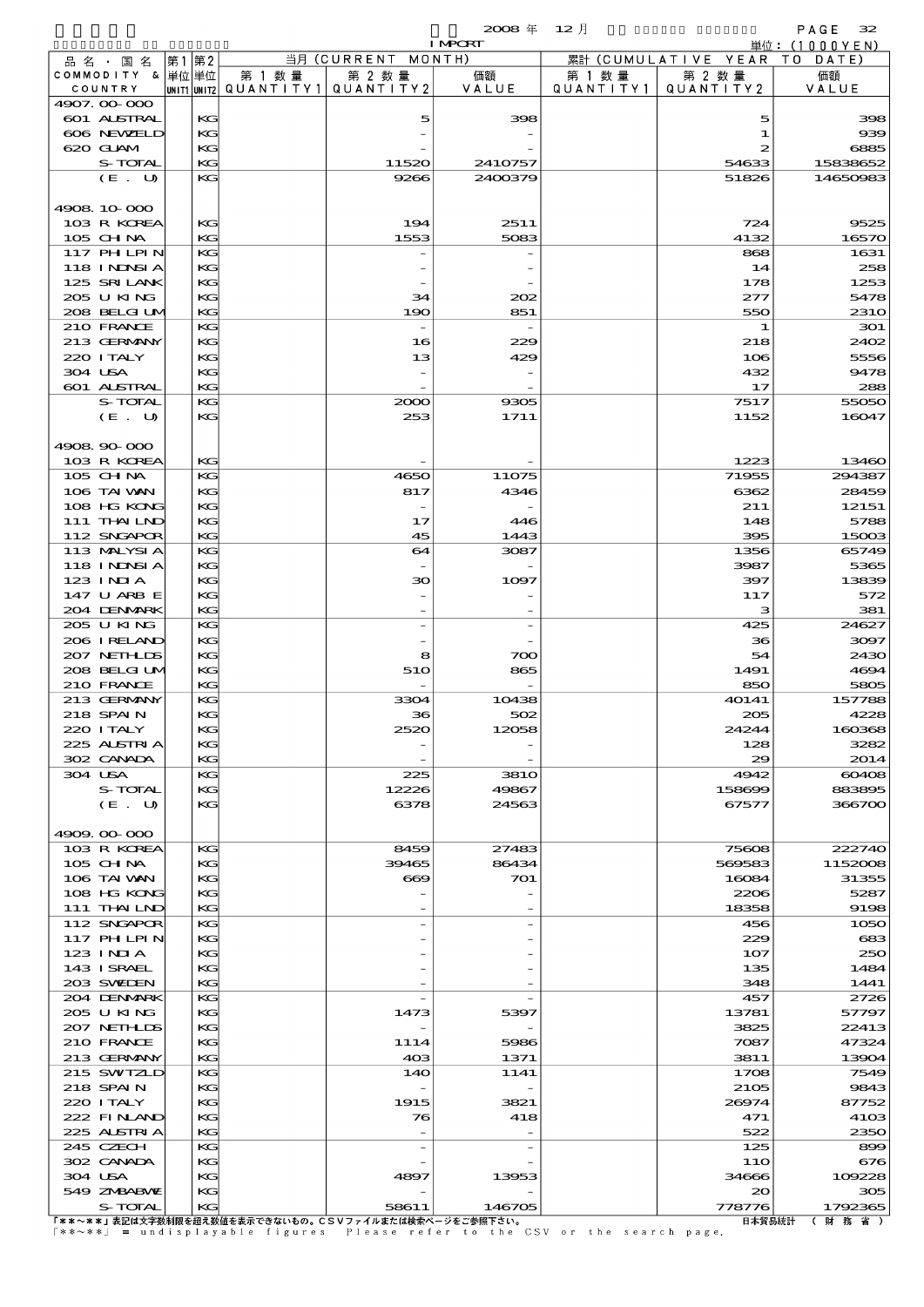|                            |      |          |                                       |                          | $2008 \text{ } \#$ | $12$ 月    |                      | PAGE<br>32                      |
|----------------------------|------|----------|---------------------------------------|--------------------------|--------------------|-----------|----------------------|---------------------------------|
|                            |      |          |                                       |                          | <b>I MPORT</b>     |           |                      | $\dot{\mathbb{H}}$ 位: (1000YEN) |
| 品 名 ・ 国 名                  | 第1第2 |          |                                       | 当月 (CURRENT MONTH)       |                    |           | 累計 (CUMULATIVE YEAR) | TO DATE)                        |
| COMMODITY & 単位単位           |      |          | 第 1 数量                                | 第 2 数量                   | 価額                 | 第 1 数 量   | 第 2 数量               | 価額                              |
| COUNTRY                    |      |          | unit1 unit2  QUANT   TY1  QUANT   TY2 |                          | VALUE              | QUANTITY1 | QUANTITY2            | VALUE                           |
| 4907.00-000                |      |          |                                       |                          |                    |           |                      |                                 |
| <b>601 ALSTRAL</b>         |      | KG       |                                       | 5                        | 398                |           | 5                    | 398                             |
| 606 NEWELD                 |      | KG       |                                       |                          |                    |           | 1                    | 939                             |
| 620 GLAM<br>S-TOTAL        |      | KG<br>KG |                                       |                          |                    |           | 2                    | 6885                            |
| $(E_U U)$                  |      | KG       |                                       | 11520<br>9266            | 2410757<br>2400379 |           | 54633<br>51826       | 15838652<br>14650983            |
|                            |      |          |                                       |                          |                    |           |                      |                                 |
| 4908 10 000                |      |          |                                       |                          |                    |           |                      |                                 |
| 103 R KOREA                |      | KG       |                                       | 194                      | 2511               |           | 724                  | 9525                            |
| 105 CHNA                   |      | KG       |                                       | 1553                     | 5083               |           | 4132                 | 16570                           |
| 117 PHLPIN                 |      | КG       |                                       |                          |                    |           | 868                  | 1631                            |
| 118 I NDSI A               |      | KG       |                                       |                          |                    |           | 14                   | 258                             |
| 125 SRILANK                |      | KG       |                                       |                          |                    |           | 178                  | 1253                            |
| 205 U KING                 |      | KG       |                                       | 34                       | 202                |           | 277                  | 5478                            |
| 208 BELGI UM               |      | KG       |                                       | 190                      | 851                |           | 550                  | 231O                            |
| 210 FRANCE                 |      | KG       |                                       |                          |                    |           | 1                    | 301                             |
| 213 GERMANY                |      | KG       |                                       | 16                       | 229                |           | 218                  | 2402                            |
| 220 I TALY                 |      | KG       |                                       | 13                       | 429                |           | 106                  | 5556                            |
| 304 USA                    |      | KG       |                                       |                          |                    |           | 432                  | 9478                            |
| 601 ALSTRAL                |      | KG       |                                       |                          |                    |           | 17                   | 288                             |
| S-TOTAL                    |      | KG       |                                       | 2000                     | 9305               |           | 7517                 | 55050                           |
| (E. U)                     |      | KG       |                                       | 253                      | 1711               |           | 1152                 | 16047                           |
|                            |      |          |                                       |                          |                    |           |                      |                                 |
| 4908.90-000                |      |          |                                       |                          |                    |           |                      |                                 |
| 103 R KOREA                |      | KG       |                                       |                          |                    |           | 1223                 | 13460                           |
| 105 CH NA                  |      | KG       |                                       | 4650                     | 11075              |           | 71955                | 294387                          |
| 106 TAI VAN                |      | KG       |                                       | 817                      | 4346               |           | 6362                 | 28459                           |
| 108 HG KONG                |      | KG       |                                       |                          |                    |           | 211                  | 12151                           |
| 111 THAILND                |      | KG       |                                       | 17                       | 446                |           | 148                  | 5788                            |
| 112 SNGAPOR                |      | KG       |                                       | 45                       | 1443               |           | 395                  | 15003                           |
| 113 MALYSIA                |      | КG       |                                       | 64                       | 3087               |           | 1356                 | 65749                           |
| 118 INNSI A                |      | KG       |                                       |                          |                    |           | 3987                 | 5365                            |
| 123 INIA                   |      | KG       |                                       | ဆ                        | 1097               |           | 397                  | 13839                           |
| 147 U ARB E<br>204 DENMARK |      | KG<br>KG |                                       |                          |                    |           | 117<br>з             | 572<br>381                      |
| 205 U KING                 |      | КG       |                                       |                          |                    |           | 425                  | 24627                           |
| 206 I RELAND               |      | KG       |                                       |                          |                    |           | 36                   | 3097                            |
| 207 NETHLIS                |      | KG       |                                       | 8                        | 700                |           | 54                   | 2430                            |
| 208 BELGI UM               |      | KG       |                                       | 510                      | 865                |           | 1491                 | 4694                            |
| 210 FRANCE                 |      | KG       |                                       |                          |                    |           | 850                  | 5805                            |
| 213 GERMANY                |      | KG       |                                       | 3304                     | 10438              |           | 40141                | 157788                          |
| 218 SPAIN                  |      | KG       |                                       | 36                       | 502                |           | 205                  | 4228                            |
| 220 I TALY                 |      | KG       |                                       | 2520                     | 12058              |           | 24244                | 160368                          |
| 225 ALSTRIA                |      | KG       |                                       |                          |                    |           | 128                  | 3282                            |
| 302 CANADA                 |      | KG       |                                       |                          |                    |           | 29                   | 2014                            |
| 304 USA                    |      | KG       |                                       | 225                      | <b>3810</b>        |           | 4942                 | 60408                           |
| S-TOTAL                    |      | KG       |                                       | 12226                    | 49867              |           | 158699               | 883895                          |
| (E. U)                     |      | KG       |                                       | 6378                     | 24563              |           | 67577                | 366700                          |
|                            |      |          |                                       |                          |                    |           |                      |                                 |
| 4909.00-000                |      |          |                                       |                          |                    |           |                      |                                 |
| 103 R KOREA                |      | KG       |                                       | 8459                     | 27483              |           | 75608                | 222740                          |
| $105$ CHNA                 |      | KG       |                                       | 39465                    | 86434              |           | 569583               | 1152008                         |
| 106 TAI VAN                |      | KG       |                                       | $\infty$                 | 701                |           | 16084                | 31355                           |
| 108 HG KONG                |      | KG       |                                       |                          |                    |           | 2206                 | 5287                            |
| 111 THAILND                |      | KG       |                                       |                          |                    |           | 18358                | 9198                            |
| 112 SNGAPOR                |      | KG       |                                       |                          |                    |           | 456                  | 1050                            |
| 117 PH LPIN                |      | KG       |                                       |                          |                    |           | 229                  | 683                             |
| 123 INIA                   |      | KG       |                                       |                          |                    |           | 107                  | 250                             |
| 143 ISRAEL                 |      | KG       |                                       |                          |                    |           | 135                  | 1484                            |
| 203 SWIDEN                 |      | KG       |                                       |                          |                    |           | 348                  | 1441                            |
| 204 DENMARK                |      | KG       |                                       |                          |                    |           | 457                  | 2726                            |
| 205 U KING<br>207 NETHLIS  |      | KG<br>KG |                                       | 1473                     | 5397               |           | 13781<br>3825        | 57797<br>22413                  |
| 210 FRANCE                 |      | KG       |                                       | 1114                     | 5986               |           | 7087                 | 47324                           |
| 213 GERMANY                |      | KG       |                                       | 40 <sup>3</sup>          | 1371               |           | 3811                 | 13904                           |
| 215 SWIZLD                 |      | KG       |                                       | 140                      | 1141               |           | 1708                 | 7549                            |
| 218 SPAIN                  |      | KG       |                                       |                          |                    |           | 2105                 | 9843                            |
| 220 I TALY                 |      | KG       |                                       | 1915                     | 3821               |           | 26974                | 87752                           |
| 222 FINLAND                |      | KG       |                                       | 76                       | 418                |           | 471                  | 4103                            |
| 225 ALSTRIA                |      | KG       |                                       | $\overline{\phantom{a}}$ |                    |           | 522                  | 2350                            |
| 245 CZECH                  |      | KG       |                                       |                          |                    |           | 125                  | 899                             |
| 302 CANADA                 |      | KG       |                                       |                          |                    |           | 11O                  | 676                             |
| 304 USA                    |      | KG       |                                       | 4897                     | 13953              |           | 34666                | 109228                          |
| 549 ZNBABVIZ               |      | KG       |                                       |                          |                    |           | $\infty$             | 305                             |
| S-TOTAL                    |      | KG       |                                       | 58611                    | 146705             |           | 778776               | 1792365                         |

S-TOTAL KG 58611 146705 778776 1792365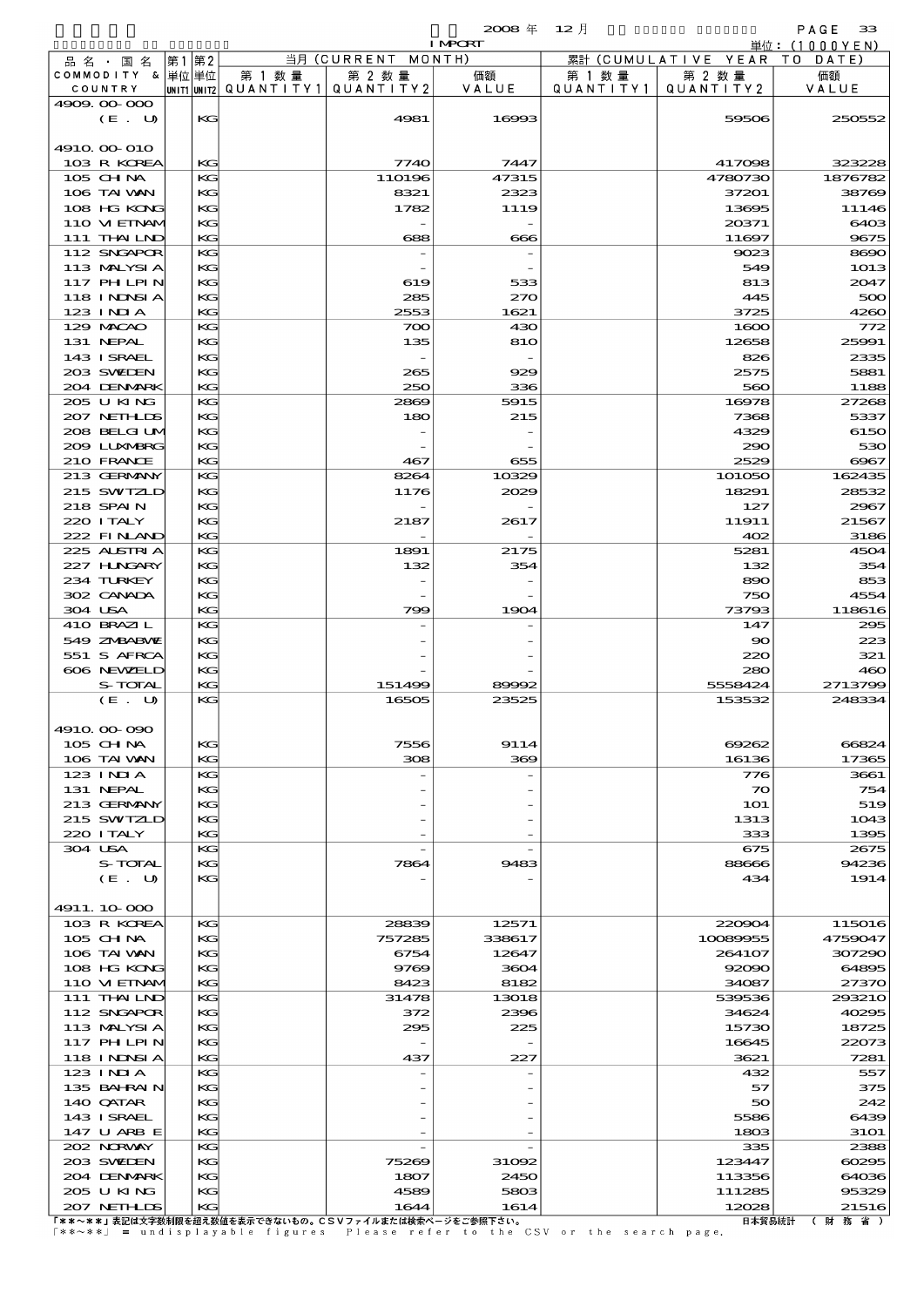$2008 \nless 12 \nless 12$ 

|         |                            |    |           |                                                  |                    | <b>I MPORT</b> |                      |                              | 単位:(1000YEN)     |
|---------|----------------------------|----|-----------|--------------------------------------------------|--------------------|----------------|----------------------|------------------------------|------------------|
|         | 品名・国名                      | 第1 | 第2        |                                                  | 当月 (CURRENT MONTH) |                |                      | 累計 (CUMULATIVE YEAR TO DATE) |                  |
|         | COMMODITY & 単位単位           |    |           | 第 1 数量<br> UNIT1 UNIT2  QUANT   TY1  QUANT   TY2 | 第 2 数量             | 価額<br>VALUE    | 第 1 数 量<br>QUANTITY1 | 第 2 数量<br>QUANTITY2          | 価額<br>VALUE      |
|         | COUNTRY<br>4909.00-000     |    |           |                                                  |                    |                |                      |                              |                  |
|         | (E. U)                     |    | KG        |                                                  | 4981               | 16993          |                      | 59506                        | 250552           |
|         |                            |    |           |                                                  |                    |                |                      |                              |                  |
|         | 4910 00 010                |    |           |                                                  |                    |                |                      |                              |                  |
|         | 103 R KOREA                |    | KG        |                                                  | 7740               | 7447           |                      | 417098                       | 323228           |
|         | 105 CH NA<br>106 TAI VAN   |    | KG<br>KG  |                                                  | 110196<br>8321     | 47315<br>2323  |                      | 4780730<br>37201             | 1876782<br>38769 |
|         | 108 HG KONG                |    | KG        |                                                  | 1782               | 1119           |                      | 13695                        | 11146            |
|         | 110 VIEINAM                |    | KG        |                                                  |                    |                |                      | 20371                        | 6403             |
|         | 111 THAILND                |    | KG        |                                                  | 688                | 666            |                      | 11697                        | 9675             |
|         | 112 SNGAPOR                |    | KG        |                                                  |                    |                |                      | 9023                         | 8690             |
|         | 113 MALYSIA                |    | KG        |                                                  |                    |                |                      | 549                          | 1013             |
|         | <b>117 PHLPIN</b>          |    | KG        |                                                  | 619                | 533            |                      | 813                          | 2047             |
|         | 118 INNSI A<br>123 INIA    |    | KG<br>KG  |                                                  | 285<br>2553        | 270<br>1621    |                      | 445<br>3725                  | 500<br>4260      |
|         | 129 MACAO                  |    | KG        |                                                  | 700                | 430            |                      | 1600                         | 772              |
|         | 131 NEPAL                  |    | KG        |                                                  | 135                | 810            |                      | 12658                        | 25991            |
|         | 143 I SRAEL                |    | KG        |                                                  | $\sim$             |                |                      | 826                          | 2335             |
|         | 203 SWIDEN                 |    | KG        |                                                  | 265                | 929            |                      | 2575                         | 5881             |
|         | 204 DENMARK                |    | KG        |                                                  | 250                | 336            |                      | 560                          | 1188             |
|         | 205 U KING<br>207 NETHLIS  |    | KG<br>KG  |                                                  | 2869               | 5915           |                      | 16978<br>7368                | 27268<br>5337    |
|         | 208 BELGI UM               |    | KG        |                                                  | 180                | 215            |                      | 4329                         | 6150             |
|         | 200 LUNABRG                |    | KG        |                                                  |                    |                |                      | 290                          | 530              |
|         | 210 FRANCE                 |    | KG        |                                                  | 467                | 655            |                      | 2529                         | 6967             |
|         | 213 GERMANY                |    | KG        |                                                  | 8264               | 10329          |                      | 101050                       | 162435           |
|         | 215 SWIZLD                 |    | KG        |                                                  | 1176               | 2029           |                      | 18291                        | 28532            |
|         | 218 SPAIN                  |    | KG        |                                                  |                    |                |                      | 127                          | 2967             |
|         | 220 I TALY                 |    | KG        |                                                  | 2187               | 2617           |                      | 11911                        | 21567            |
|         | 222 FINAND<br>225 ALSTRIA  |    | KG<br>KG  |                                                  | 1891               | 2175           |                      | 402<br>5281                  | 3186<br>4504     |
|         | 227 H.NGARY                |    | KG        |                                                  | 132                | 354            |                      | 132                          | 354              |
|         | 234 TURKEY                 |    | KG        |                                                  |                    |                |                      | 890                          | 853              |
|         | 302 CANADA                 |    | KG        |                                                  |                    |                |                      | 750                          | 4554             |
|         | 304 USA                    |    | KG        |                                                  | 799                | 1904           |                      | 73793                        | 118616           |
|         | 410 BRAZIL                 |    | KG        |                                                  |                    |                |                      | 147                          | 295              |
|         | 549 ZNBABVIE               |    | KG        |                                                  |                    |                |                      | $\infty$                     | 223              |
|         | 551 S AFRCA<br>606 NEWELD  |    | KG<br>KG  |                                                  |                    |                |                      | 220<br>280                   | 321<br>460       |
|         | S-TOTAL                    |    | KG        |                                                  | 151499             | 89992          |                      | 5558424                      | 2713799          |
|         | (E. U)                     |    | KG        |                                                  | 16505              | 23525          |                      | 153532                       | 248334           |
|         |                            |    |           |                                                  |                    |                |                      |                              |                  |
|         | 4910,000,090               |    |           |                                                  |                    |                |                      |                              |                  |
|         | 105 CH NA                  |    | KG<br>KG  |                                                  | 7556               | 9114           |                      | 69262                        | 66824            |
|         | 106 TAI VAN<br>$123$ INIA  |    | KG        |                                                  | 308                | 369            |                      | 16136<br>776                 | 17365<br>3661    |
|         | 131 NEPAL                  |    | KG        |                                                  |                    |                |                      | 70                           | 754              |
|         | 213 GERMANY                |    | KG        |                                                  |                    |                |                      | <b>1O1</b>                   | 519              |
|         | 215 SWIZLD                 |    | KG        |                                                  |                    |                |                      | 1313                         | 1043             |
|         | 220 I TALY                 |    | KG        |                                                  |                    |                |                      | 333                          | 1395             |
| 304 USA |                            |    | KG        |                                                  |                    |                |                      | 675                          | 2675             |
|         | S-TOTAL<br>(E. U)          |    | KG<br>KG  |                                                  | 7864               | 9483           |                      | 88666<br>434                 | 94236<br>1914    |
|         |                            |    |           |                                                  |                    |                |                      |                              |                  |
|         | 4911.10-000                |    |           |                                                  |                    |                |                      |                              |                  |
|         | 103 R KOREA                |    | KG        |                                                  | 28839              | 12571          |                      | 220904                       | 115016           |
|         | 105 CHNA                   |    | KG        |                                                  | 757285             | 338617         |                      | 10089955                     | 4759047          |
|         | 106 TAI VAN                |    | KG        |                                                  | 6754               | 12647          |                      | 264107                       | 307290           |
|         | 108 HG KONG<br>110 VIEINAM |    | KG<br>KG  |                                                  | 9769<br>8423       | 3604<br>8182   |                      | 92090<br>34087               | 64895<br>27370   |
|         | 111 THAILND                |    | KG        |                                                  | 31478              | 13018          |                      | 539536                       | 293210           |
|         | 112 SNGAPOR                |    | KG        |                                                  | 372                | 2396           |                      | 34624                        | 40295            |
|         | 113 MALYSIA                |    | KG        |                                                  | 295                | 225            |                      | 15730                        | 18725            |
|         | 117 PHLPIN                 |    | KG        |                                                  |                    |                |                      | 16645                        | 22073            |
|         | <b>118 INNSIA</b>          |    | KG        |                                                  | 437                | 227            |                      | 3621                         | 7281             |
|         | 123 INIA                   |    | KG        |                                                  |                    |                |                      | 432                          | 557              |
|         | 135 BAHRAIN<br>140 QATAR   |    | KG<br>KG  |                                                  |                    |                |                      | 57<br>50                     | 375<br>242       |
|         | 143 ISRAEL                 |    | KG        |                                                  |                    |                |                      | 5586                         | 6439             |
|         | 147 U ARB E                |    | KG        |                                                  |                    |                |                      | 1803                         | <b>31O1</b>      |
|         | 202 NORWAY                 |    | KG        |                                                  |                    |                |                      | 335                          | 2388             |
|         | 203 SWIDEN                 |    | KG        |                                                  | 75269              | 31092          |                      | 123447                       | 60295            |
|         | 204 DENMARK                |    | KG        |                                                  | 1807               | 2450           |                      | 113356                       | 64036            |
|         | 205 U KING<br>207 NETH DS  |    | KG<br>KG- |                                                  | 4589<br>1644       | 5803<br>1614   |                      | 111285<br>12028              | 95329<br>21516   |

207 NETHLDS KG 1644 1614 12028 21516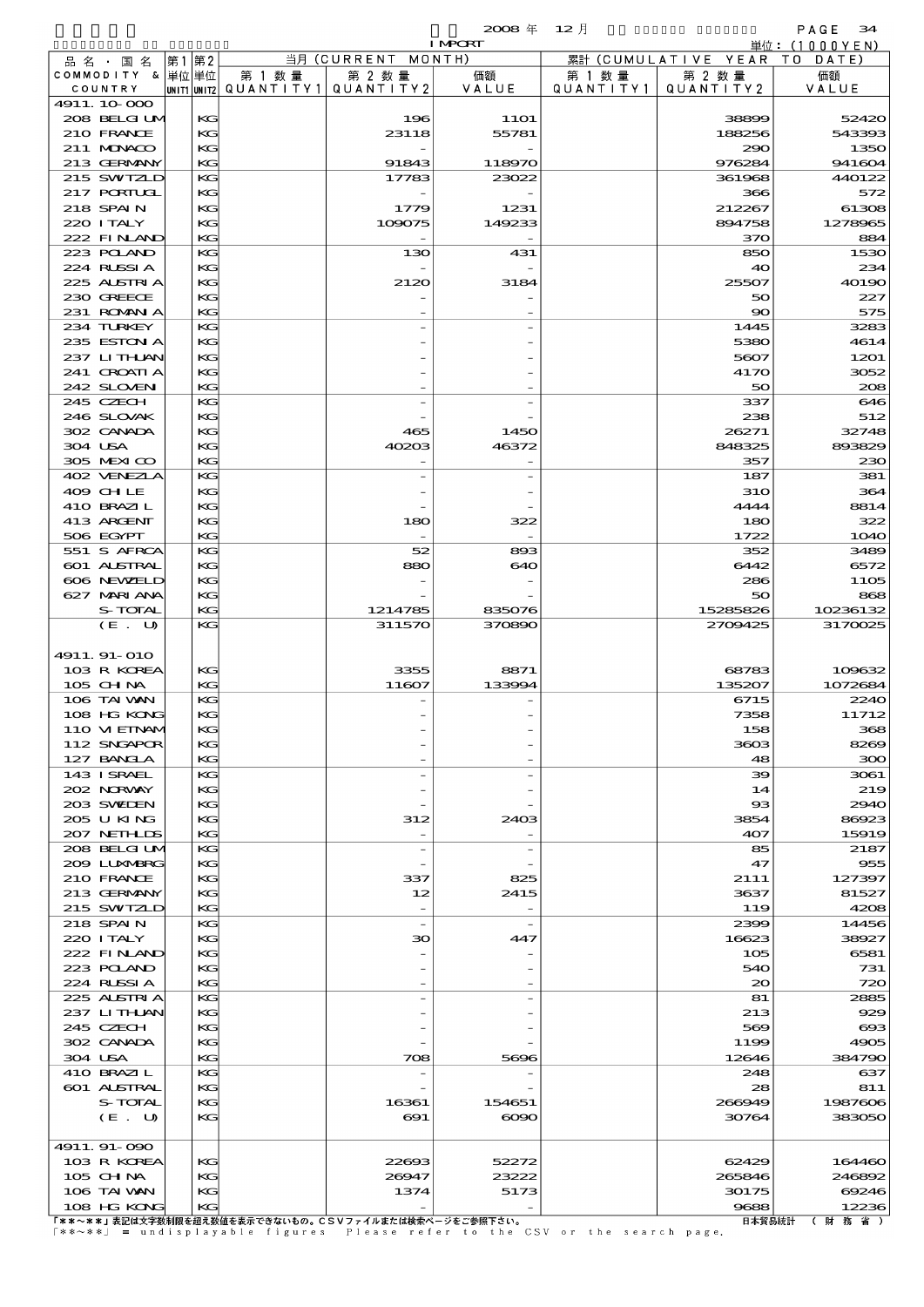|                            |    |          |                          |              | $2008 \text{ }^{\text{#}}$ | 12月       |                      | PAGE<br>34      |
|----------------------------|----|----------|--------------------------|--------------|----------------------------|-----------|----------------------|-----------------|
|                            |    |          |                          |              | <b>I MPORT</b>             |           |                      | 単位: (1000YEN)   |
| 品名・国名                      | 第1 | 第2       |                          | 当月 (CURRENT  | MONTH)                     |           | 累計 (CUMULATIVE YEAR) | T O<br>DATE)    |
| COMMODITY & 単位単位           |    |          | 第 1 数 量                  | 第 2 数量       | 価額                         | 第 1 数 量   | 第 2 数量               | 価額              |
| COUNTRY                    |    |          | unit1 unit2  Q∪ANT   TY1 | QUANTITY 2   | VALUE                      | QUANTITY1 | QUANTITY 2           | VALUE           |
| 4911.10.000                |    |          |                          |              |                            |           |                      |                 |
| 208 BELGI UM<br>210 FRANCE |    | KG<br>KG |                          | 196<br>23118 | <b>11O1</b><br>55781       |           | 38899<br>188256      | 52420<br>543393 |
| 211 MUNACO                 |    | KG       |                          |              |                            |           | 290                  | 135C            |
| 213 GERMANY                |    | KG       |                          | 91843        | 118970                     |           | 976284               | 941604          |
| 215 SWIZLD                 |    | KG       |                          | 17783        | 23022                      |           | 361968               | 440122          |
| $217$ PORTUGL              |    | KG       |                          |              |                            |           | 366                  | 572             |
| 218 SPAIN                  |    | KG       |                          | 1779         | 1231                       |           | 212267               | 61308           |
| 220 I TALY                 |    | KG       |                          | 109075       | 149233                     |           | 894758               | 1278965         |
| 222 FINAND                 |    | KG       |                          |              |                            |           | 370                  | 884             |
| 223 POLAND                 |    | KG       |                          | 130          | 431                        |           | 850                  | 1530            |
| 224 RUSSIA                 |    | KG       |                          |              |                            |           | 40                   | 234             |
| 225 ALSTRIA                |    | KG       |                          | 2120         | 3184                       |           | 25507                | 4019C           |
| 230 GREECE                 |    | KG       |                          |              |                            |           | 50                   | 227             |
| 231 ROMAN A<br>234 TURKEY  |    | KG<br>KG |                          |              |                            |           | $\infty$<br>1445     | 575<br>3283     |
| 235 ESTON A                |    | KG       |                          |              |                            |           | 5380                 | 4614            |
| 237 LITHLAN                |    | KG       |                          |              |                            |           | 5607                 | 1201            |
| 241 CROATLA                |    | KG       |                          |              |                            |           | 4170                 | 3052            |
| 242 SLOVEN                 |    | KG       |                          |              |                            |           | 50                   | 208             |
| 245 CZECH                  |    | KG       |                          |              |                            |           | 337                  | 646             |
| 246 SLOVAK                 |    | KG       |                          |              |                            |           | 238                  | 512             |
| 302 CANADA                 |    | KG       |                          | 465          | 1450                       |           | 26271                | 32748           |
| 304 USA                    |    | KG       |                          | 40203        | 46372                      |           | 848325               | 893829          |
| 305 MEXICO                 |    | KG       |                          |              |                            |           | 357                  | 23C             |
| 402 VENEZIA                |    | KG       |                          |              |                            |           | 187                  | 381             |
| 409 CHLE                   |    | KG       |                          |              |                            |           | <b>31O</b>           | 364             |
| 410 BRAZIL                 |    | KG       |                          |              |                            |           | 4444                 | 8814            |
| 413 ARCENT                 |    | KG       |                          | 180          | 322                        |           | 180                  | 322             |
| 506 EGYPT                  |    | KG<br>KG |                          | 52           |                            |           | 1722<br>352          | 1O4C<br>3489    |
| 551 S AFRCA<br>601 ALSTRAL |    | KG       |                          | 880          | 893<br>640                 |           | 6442                 | 6572            |
| 606 NEWELD                 |    | KG       |                          |              |                            |           | 286                  | 1105            |
| 627 MARIANA                |    | KG       |                          |              |                            |           | 50                   | 868             |
| S-TOTAL                    |    | KG       |                          | 1214785      | 835076                     |           | 15285826             | 10236132        |
| (E. U)                     |    | KG       |                          | 311570       | 370890                     |           | 2709425              | 3170025         |
|                            |    |          |                          |              |                            |           |                      |                 |
| 4911. 91-010               |    |          |                          |              |                            |           |                      |                 |
| 103 R KOREA                |    | KG       |                          | 3355         | 8871                       |           | 68783                | 109632          |
| 105 CHNA                   |    | KС       |                          | 11607        | 133994                     |           | 135207               | 1072684         |
| 106 TAI VAN                |    | KG       |                          |              |                            |           | 6715                 | 224C            |
| 108 HG KONG                |    | KG       |                          |              |                            |           | 7358                 | 11712           |
| 110 VIEINAM                |    | KG       |                          |              |                            |           | 158                  | 368             |
| 112 SNGAPOR<br>127 BANCLA  |    | KG<br>KG |                          |              |                            |           | 3603<br>48           | 8269<br>300     |
| 143 ISRAEL                 |    | KG       |                          |              |                            |           | 39                   | 3061            |
| 202 NORWAY                 |    | KG       |                          |              |                            |           | 14                   | 219             |
| 203 SWIDEN                 |    | KG       |                          |              |                            |           | $_{\rm ss}$          | 294C            |
| 205 U KING                 |    | KG       |                          | 312          | 2403                       |           | 3854                 | 86923           |
| 207 NETHLIS                |    | KG       |                          |              |                            |           | 407                  | 15919           |
| 208 BELGI UM               |    | KG       |                          |              |                            |           | 85                   | 2187            |
| 2009 LUNABRG               |    | KG       |                          |              |                            |           | 47                   | 955             |
| 210 FRANCE                 |    | KG       |                          | 337          | 825                        |           | 2111                 | 127397          |
| 213 GERMANY                |    | KG       |                          | 12           | 2415                       |           | 3637                 | 81527           |
| 215 SWIZLD                 |    | KG       |                          |              |                            |           | 119                  | 4208            |
| 218 SPAIN                  |    | KG       |                          |              |                            |           | 2399                 | 14456           |
| 220 I TALY                 |    | KG       |                          | 30           | 447                        |           | 16623                | 38927           |
| 222 FINAND                 |    | KG       |                          |              |                            |           | 105                  | 6581            |
| 223 POLAND                 |    | KG       |                          |              |                            |           | 540                  | 731             |
| 224 RUSSIA<br>225 ALSTRIA  |    | KG<br>KG |                          |              |                            |           | $\infty$<br>81       | 72C<br>2885     |
| 237 LITHLAN                |    | KG       |                          |              |                            |           | 213                  | 929             |
| 245 CZECH                  |    | KG       |                          |              |                            |           | 569                  | $\alpha$        |
| 302 CANADA                 |    | KG       |                          |              |                            |           | 1199                 | 4905            |
| 304 USA                    |    | KG       |                          | 708          | 5696                       |           | 12646                | 384790          |
| 410 BRAZIL                 |    | KG       |                          |              |                            |           | 248                  | 637             |
| 601 ALSTRAL                |    | KG       |                          |              |                            |           | 28                   | 811             |
| S-TOTAL                    |    | KG       |                          | 16361        | 154651                     |           | 266949               | 1987606         |
| (E. U)                     |    | KG       |                          | $\Theta$ 1   | $\infty$                   |           | 30764                | 38305C          |
|                            |    |          |                          |              |                            |           |                      |                 |
| 4911.91-090                |    |          |                          |              |                            |           |                      |                 |
| 103 R KOREA                |    | KG       |                          | 22693        | 52272                      |           | 62429                | 164460          |
| 105 CHNA                   |    | KG       |                          | 26947        | 23222                      |           | 265846               | 246892          |

108 HG KONG KG - - 9688 12236

106 TAIWAN KG 1374 5173 30175 69246<br>108 HG KG KG 12236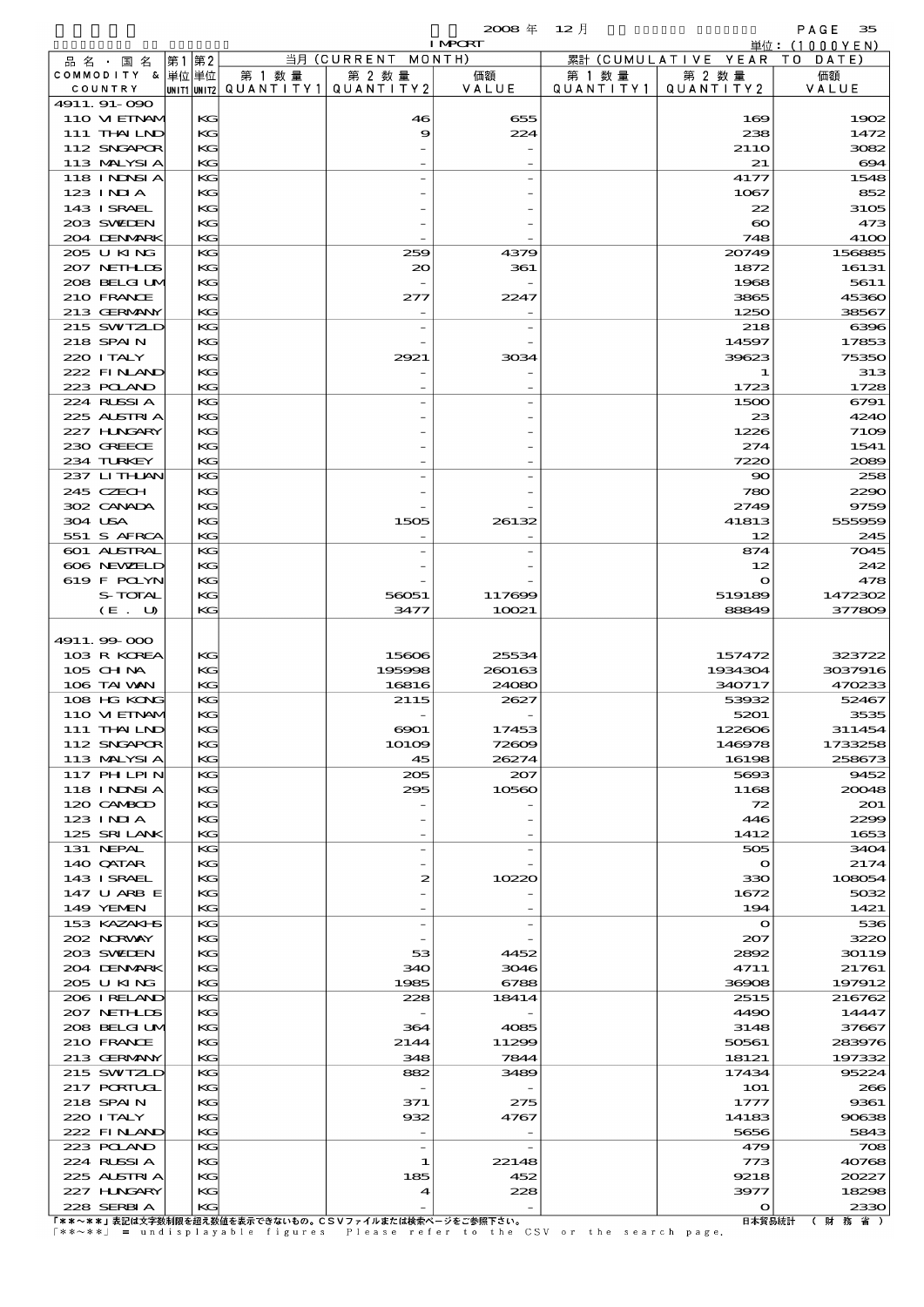$\mathbf{2008} \# \quad 12 \#$  PAGE 35

|                                  |       |          |                                                   |                               | <b>I MPCRT</b> |                     |                              | 単位: (1000 Y E N)      |
|----------------------------------|-------|----------|---------------------------------------------------|-------------------------------|----------------|---------------------|------------------------------|-----------------------|
| 品名・国名                            | 第1 第2 |          |                                                   | 当月 (CURRENT                   | MONTH)         |                     | 累計 (CUMULATIVE YEAR TO DATE) |                       |
| COMMODITY & 単位単位<br>COUNTRY      |       |          | 第 1 数量<br>UNIT1 UNIT2   QUANT   TY1   QUANT   TY2 | 第 2 数量                        | 価額<br>VALUE    | 第 1 数量<br>QUANTITY1 | 第 2 数量<br>QUANTITY 2         | 価額<br>VALUE           |
| 4911.91-090                      |       |          |                                                   |                               |                |                     |                              |                       |
| 110 VI EINAM                     |       | KG       |                                                   | 46                            | 655            |                     | 169                          | 1902                  |
| 111 THAILND                      |       | KG       |                                                   | 9                             | 224            |                     | 238                          | 1472                  |
| 112 SNGAPOR<br>113 MALYSIA       |       | KG<br>KG |                                                   |                               |                |                     | 21 <sub>10</sub><br>21       | 3082<br>694           |
| 118 I NDSI A                     |       | KG       |                                                   |                               |                |                     | 4177                         | 1548                  |
| $123$ INIA                       |       | KG       |                                                   |                               |                |                     | 1067                         | 852                   |
| 143 ISRAEL                       |       | KG       |                                                   |                               |                |                     | 22                           | 3105                  |
| 203 SWIEN                        |       | KG       |                                                   |                               |                |                     | $\boldsymbol{\infty}$        | 473                   |
| 204 DENMARK<br>205 U KING        |       | KG<br>KG |                                                   | 259                           | 4379           |                     | 748<br>20749                 | <b>4100</b><br>156885 |
| 207 NETHLIS                      |       | KG       |                                                   | 20                            | 361            |                     | 1872                         | 16131                 |
| 208 BELGI UM                     |       | KG       |                                                   |                               |                |                     | 1968                         | 5611                  |
| 210 FRANCE                       |       | KG       |                                                   | 277                           | 2247           |                     | 3865                         | 45360                 |
| 213 GERMANY<br>215 SWIZLD        |       | KG<br>KG |                                                   |                               |                |                     | 1250<br>218                  | 38567<br>6396         |
| 218 SPAIN                        |       | KG       |                                                   |                               |                |                     | 14597                        | 17853                 |
| 220 I TALY                       |       | KG       |                                                   | 2921                          | 3034           |                     | 39623                        | 75350                 |
| 222 FINAND                       |       | KG       |                                                   |                               |                |                     | 1                            | 313                   |
| 223 POLAND<br>224 RUSSIA         |       | KG<br>KG |                                                   |                               |                |                     | 1723<br>1500                 | 1728<br>6791          |
| 225 ALSTRIA                      |       | KG       |                                                   |                               |                |                     | 23                           | 4240                  |
| 227 HINGARY                      |       | KG       |                                                   |                               |                |                     | 1226                         | 7109                  |
| 230 GREECE                       |       | KG       |                                                   |                               |                |                     | 274                          | 1541                  |
| 234 TURKEY                       |       | KG<br>KG |                                                   |                               |                |                     | 7220                         | 2089<br>258           |
| 237 LITHAN<br>245 CZECH          |       | KG       |                                                   |                               |                |                     | $\mathbf{S}$<br>780          | 2290                  |
| 302 CANADA                       |       | KG       |                                                   |                               |                |                     | 2749                         | 9759                  |
| 304 USA                          |       | KG       |                                                   | 1505                          | 26132          |                     | 41813                        | 555959                |
| 551 S AFRCA                      |       | KG       |                                                   |                               |                |                     | 12                           | 245                   |
| 601 ALSTRAL<br>606 NEWELD        |       | KG<br>KG |                                                   |                               |                |                     | 874<br>12                    | 7045<br>242           |
| 619 F POLYN                      |       | KG       |                                                   |                               |                |                     | $\mathbf o$                  | 478                   |
| S-TOTAL                          |       | KG       |                                                   | 56051                         | 117699         |                     | 519189                       | 1472302               |
| (E. U)                           |       | KG       |                                                   | 3477                          | 10021          |                     | 88849                        | 377809                |
| 4911.99-000                      |       |          |                                                   |                               |                |                     |                              |                       |
| 103 R KOREA                      |       | KG       |                                                   | 15606                         | 25534          |                     | 157472                       | 323722                |
| $105$ CHNA                       |       | KG       |                                                   | 195998                        | 260163         |                     | 1934304                      | 3037916               |
| 106 TAI VAN                      |       | KG       |                                                   | 16816                         | 24080          |                     | 340717                       | 470233                |
| 108 HG KONG<br>110 VIEINAM       |       | KG<br>KG |                                                   | 2115                          | 2627           |                     | 53932<br>5201                | 52467<br>3535         |
| 111 THAILND                      |       | KG       |                                                   | 6901                          | 17453          |                     | 122606                       | 311454                |
| 112 SNGAPOR                      |       | KG       |                                                   | 10109                         | 72609          |                     | 146978                       | 1733258               |
| 113 MALYSIA<br><b>117 PHLPIN</b> |       | KG       |                                                   | 45                            | 26274          |                     | 16198                        | 258673                |
| 118 I NJNSI A                    |       | KG<br>KG |                                                   | 205<br>295                    | 207<br>10560   |                     | 5693<br>1168                 | 9452<br>20048         |
| 120 CAMBOD                       |       | KG       |                                                   |                               |                |                     | 72                           | 201                   |
| 123 INIA                         |       | KG       |                                                   |                               |                |                     | 446                          | 2299                  |
| 125 SRILANK                      |       | KG       |                                                   |                               |                |                     | 1412                         | 1653                  |
| 131 NEPAL<br>140 QATAR           |       | KG<br>KG |                                                   |                               |                |                     | 505<br>$\Omega$              | 3404<br>2174          |
| 143 ISRAEL                       |       | KG       |                                                   | 2                             | 10220          |                     | 330                          | 108054                |
| 147 U ARB E                      |       | KG       |                                                   |                               |                |                     | 1672                         | 5032                  |
| 149 YEMEN                        |       | KG       |                                                   |                               |                |                     | 194                          | 1421                  |
| 153 KAZAKI S<br>202 NORWAY       |       | KG<br>KG |                                                   |                               |                |                     | $\mathbf o$<br>207           | 536<br>3220           |
| 203 SWIDEN                       |       | KG       |                                                   | 53                            | 4452           |                     | 2892                         | 30119                 |
| 204 DENMARK                      |       | KG       |                                                   | 340                           | 3046           |                     | 4711                         | 21761                 |
| 205 U KING                       |       | KG       |                                                   | 1985                          | 6788           |                     | 36908                        | 197912                |
| 206 IRELAND<br>207 NETHLIS       |       | KG<br>KG |                                                   | 228                           | 18414          |                     | 2515<br>4490                 | 216762<br>14447       |
| 208 BELGI UM                     |       | KG       |                                                   | 364                           | 4085           |                     | 3148                         | 37667                 |
| 210 FRANCE                       |       | KG       |                                                   | 2144                          | 11299          |                     | 50561                        | 283976                |
| 213 GERMANY                      |       | KG       |                                                   | 348                           | 7844           |                     | 18121                        | 197332                |
| 215 SWIZLD<br><b>217 PORTUGL</b> |       | KG<br>KG |                                                   | 882                           | 3489           |                     | 17434<br><b>1O1</b>          | 95224<br>266          |
| 218 SPAIN                        |       | KG       |                                                   | 371                           | 275            |                     | 1777                         | 9361                  |
| 220 I TALY                       |       | KG       |                                                   | 932                           | 4767           |                     | 14183                        | 90638                 |
| 222 FINAND                       |       | KG       |                                                   |                               |                |                     | 5656                         | 5843                  |
| 223 POLAND<br>224 RUSSIA         |       | KG<br>KG |                                                   | $\overline{\phantom{a}}$<br>1 | 22148          |                     | 479<br>773                   | 708<br>40768          |
| 225 ALSTRIA                      |       | KG       |                                                   | 185                           | 452            |                     | 9218                         | 20227                 |
| 227 H.NGARY                      |       | KG       |                                                   | 4                             | 228            |                     | 3977                         | 18298                 |
| 228 SERBIA                       |       | KG       | 主印は大宝粉制阻を切る粉はそ主二つたわいもの。CCVコーズ=もなは検書が、バカご参照エタル     |                               |                |                     | o<br>ロータクロシカー                | 2330<br>$1 - 11 - 26$ |